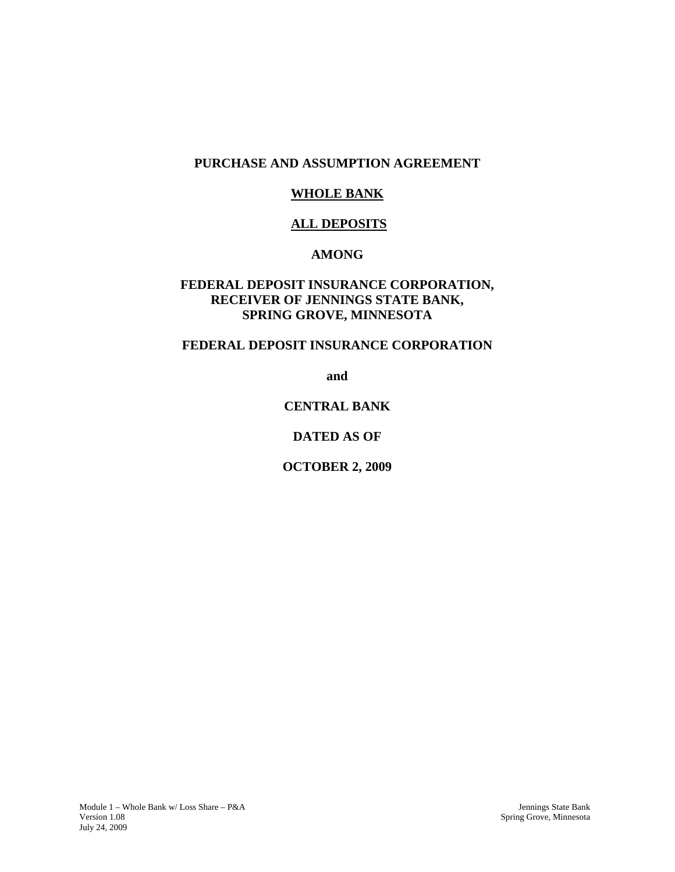### **PURCHASE AND ASSUMPTION AGREEMENT**

### **WHOLE BANK**

### **ALL DEPOSITS**

### **AMONG**

### **FEDERAL DEPOSIT INSURANCE CORPORATION, RECEIVER OF JENNINGS STATE BANK, SPRING GROVE, MINNESOTA**

#### **FEDERAL DEPOSIT INSURANCE CORPORATION**

**and** 

**CENTRAL BANK** 

**DATED AS OF**

**OCTOBER 2, 2009**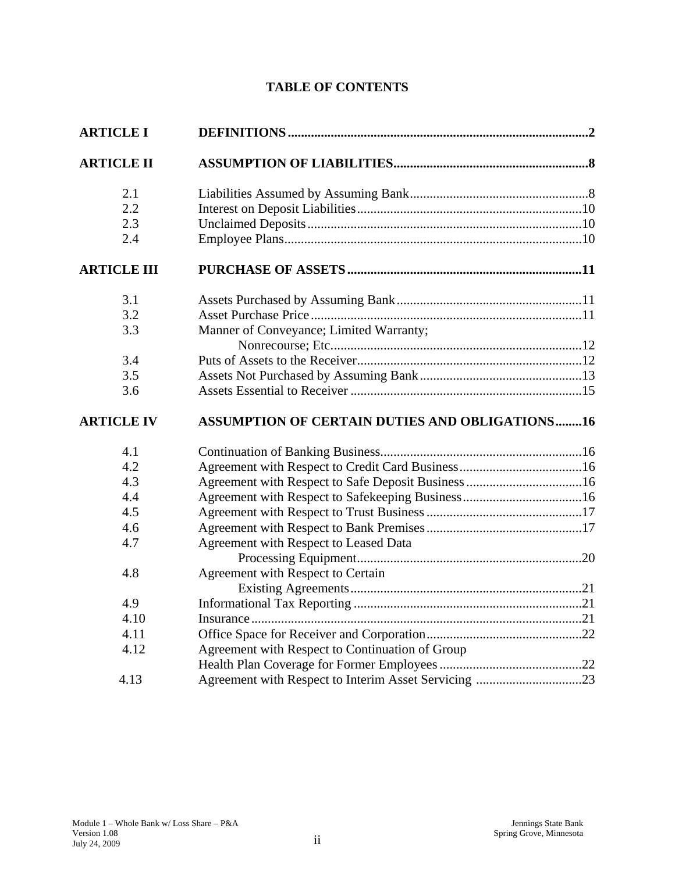## **TABLE OF CONTENTS**

| <b>ARTICLE I</b>   |                                                       |  |
|--------------------|-------------------------------------------------------|--|
| <b>ARTICLE II</b>  |                                                       |  |
| 2.1                |                                                       |  |
| 2.2                |                                                       |  |
| 2.3                |                                                       |  |
| 2.4                |                                                       |  |
| <b>ARTICLE III</b> |                                                       |  |
| 3.1                |                                                       |  |
| 3.2                |                                                       |  |
| 3.3                | Manner of Conveyance; Limited Warranty;               |  |
|                    |                                                       |  |
| 3.4                |                                                       |  |
| 3.5                |                                                       |  |
| 3.6                |                                                       |  |
| <b>ARTICLE IV</b>  | <b>ASSUMPTION OF CERTAIN DUTIES AND OBLIGATIONS16</b> |  |
| 4.1                |                                                       |  |
| 4.2                |                                                       |  |
| 4.3                |                                                       |  |
| 4.4                |                                                       |  |
| 4.5                |                                                       |  |
| 4.6                |                                                       |  |
| 4.7                | Agreement with Respect to Leased Data                 |  |
|                    |                                                       |  |
| 4.8                | Agreement with Respect to Certain                     |  |
|                    |                                                       |  |
| 4.9                |                                                       |  |
| 4.10               |                                                       |  |
| 4.11               |                                                       |  |
| 4.12               | Agreement with Respect to Continuation of Group       |  |
|                    |                                                       |  |
| 4.13               | Agreement with Respect to Interim Asset Servicing 23  |  |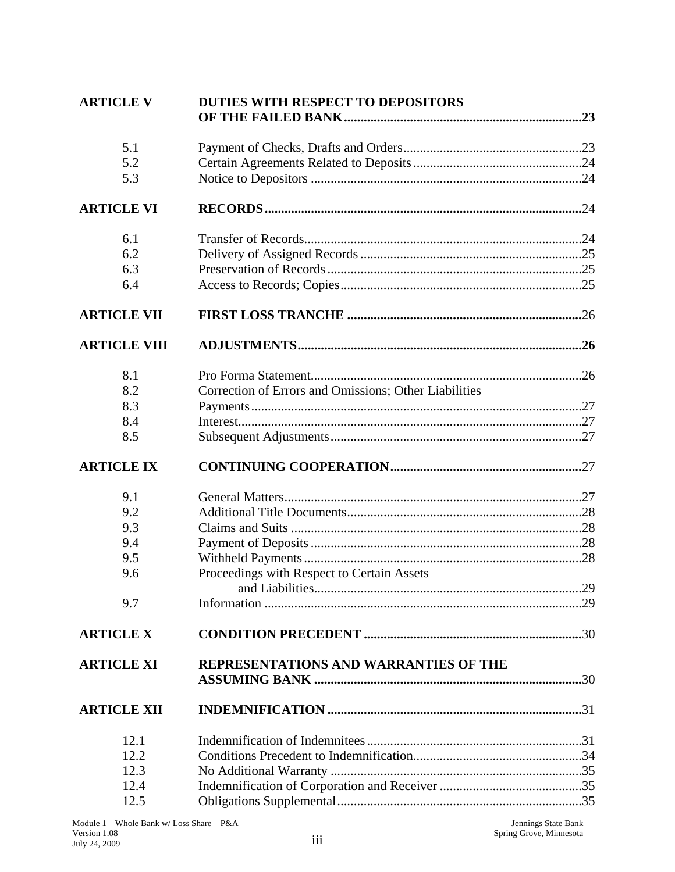| <b>ARTICLE V</b>    | <b>DUTIES WITH RESPECT TO DEPOSITORS</b>              |  |
|---------------------|-------------------------------------------------------|--|
|                     |                                                       |  |
| 5.1                 |                                                       |  |
| 5.2                 |                                                       |  |
| 5.3                 |                                                       |  |
| <b>ARTICLE VI</b>   |                                                       |  |
| 6.1                 |                                                       |  |
| 6.2                 |                                                       |  |
| 6.3                 |                                                       |  |
| 6.4                 |                                                       |  |
| <b>ARTICLE VII</b>  |                                                       |  |
| <b>ARTICLE VIII</b> |                                                       |  |
|                     |                                                       |  |
| 8.1                 |                                                       |  |
| 8.2                 | Correction of Errors and Omissions; Other Liabilities |  |
| 8.3                 |                                                       |  |
| 8.4                 |                                                       |  |
| 8.5                 |                                                       |  |
| <b>ARTICLE IX</b>   |                                                       |  |
| 9.1                 |                                                       |  |
| 9.2                 |                                                       |  |
| 9.3                 |                                                       |  |
| 9.4                 |                                                       |  |
| 9.5                 |                                                       |  |
| 9.6                 | Proceedings with Respect to Certain Assets            |  |
|                     |                                                       |  |
| 9.7                 |                                                       |  |
| <b>ARTICLE X</b>    |                                                       |  |
| <b>ARTICLE XI</b>   | <b>REPRESENTATIONS AND WARRANTIES OF THE</b>          |  |
| <b>ARTICLE XII</b>  |                                                       |  |
| 12.1                |                                                       |  |
| 12.2                |                                                       |  |
| 12.3                |                                                       |  |
| 12.4                |                                                       |  |
| 12.5                |                                                       |  |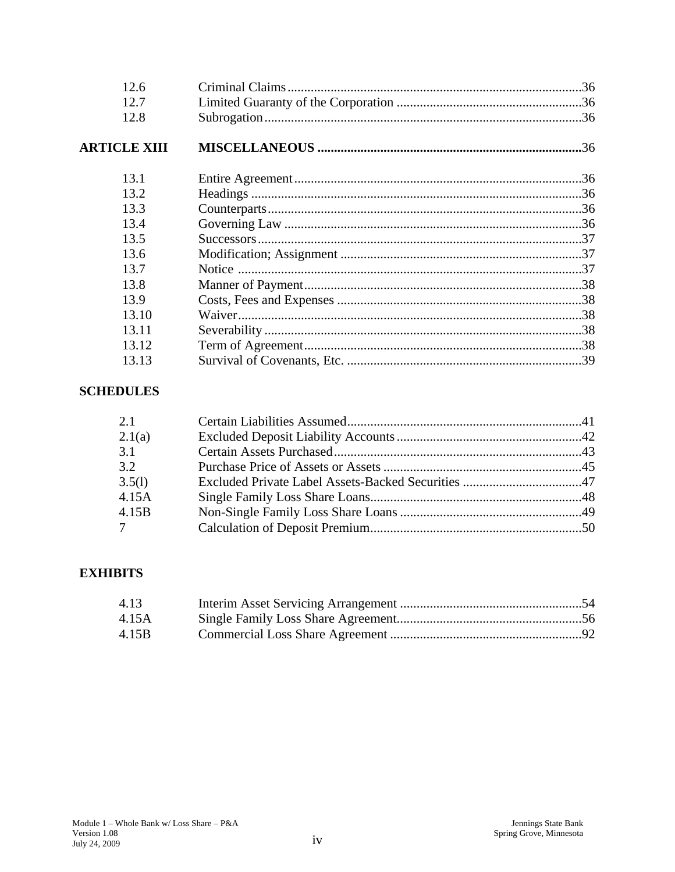| 12.6                |  |
|---------------------|--|
| 12.7                |  |
| 12.8                |  |
| <b>ARTICLE XIII</b> |  |
| 13.1                |  |
| 13.2                |  |
| 13.3                |  |
| 13.4                |  |
| 13.5                |  |
| 13.6                |  |
| 13.7                |  |
| 13.8                |  |
| 13.9                |  |
| 13.10               |  |
| 13.11               |  |
| 13.12               |  |
| 13.13               |  |

### **SCHEDULES**

| 2.1    |  |
|--------|--|
| 2.1(a) |  |
| 3.1    |  |
| 3.2    |  |
| 3.5(l) |  |
| 4.15A  |  |
| 4.15B  |  |
| 7      |  |
|        |  |

## **EXHIBITS**

| 4.13  |  |
|-------|--|
| 4.15A |  |
| 4.15B |  |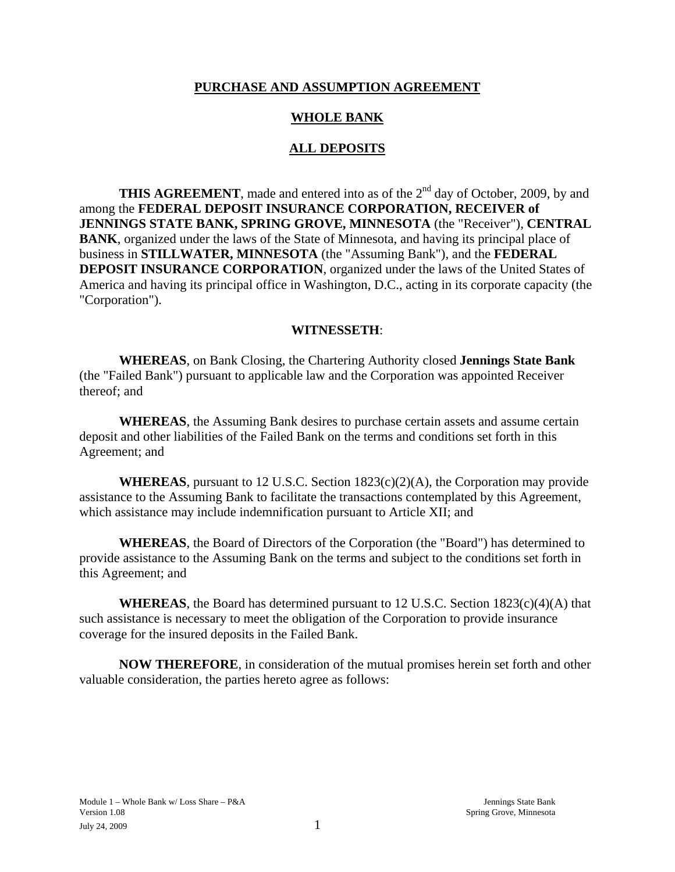#### **PURCHASE AND ASSUMPTION AGREEMENT**

### **WHOLE BANK**

### **ALL DEPOSITS**

**THIS AGREEMENT**, made and entered into as of the 2<sup>nd</sup> day of October, 2009, by and among the **FEDERAL DEPOSIT INSURANCE CORPORATION, RECEIVER of JENNINGS STATE BANK, SPRING GROVE, MINNESOTA** (the "Receiver"), **CENTRAL BANK**, organized under the laws of the State of Minnesota, and having its principal place of business in **STILLWATER, MINNESOTA** (the "Assuming Bank"), and the **FEDERAL DEPOSIT INSURANCE CORPORATION**, organized under the laws of the United States of America and having its principal office in Washington, D.C., acting in its corporate capacity (the "Corporation").

#### **WITNESSETH**:

**WHEREAS**, on Bank Closing, the Chartering Authority closed **Jennings State Bank**  (the "Failed Bank") pursuant to applicable law and the Corporation was appointed Receiver thereof; and

 **WHEREAS**, the Assuming Bank desires to purchase certain assets and assume certain deposit and other liabilities of the Failed Bank on the terms and conditions set forth in this Agreement; and

**WHEREAS**, pursuant to 12 U.S.C. Section 1823(c)(2)(A), the Corporation may provide assistance to the Assuming Bank to facilitate the transactions contemplated by this Agreement, which assistance may include indemnification pursuant to Article XII; and

**WHEREAS**, the Board of Directors of the Corporation (the "Board") has determined to provide assistance to the Assuming Bank on the terms and subject to the conditions set forth in this Agreement; and

**WHEREAS**, the Board has determined pursuant to 12 U.S.C. Section 1823(c)(4)(A) that such assistance is necessary to meet the obligation of the Corporation to provide insurance coverage for the insured deposits in the Failed Bank.

 **NOW THEREFORE**, in consideration of the mutual promises herein set forth and other valuable consideration, the parties hereto agree as follows: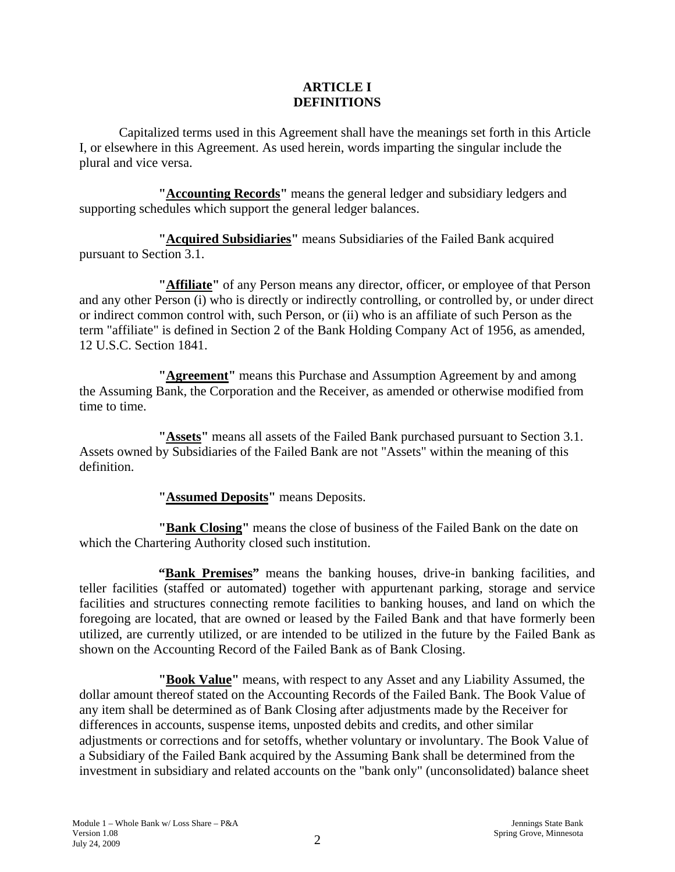#### **ARTICLE I DEFINITIONS**

<span id="page-5-1"></span><span id="page-5-0"></span>Capitalized terms used in this Agreement shall have the meanings set forth in this Article I, or elsewhere in this Agreement. As used herein, words imparting the singular include the plural and vice versa.

**"Accounting Records"** means the general ledger and subsidiary ledgers and supporting schedules which support the general ledger balances.

**"Acquired Subsidiaries"** means Subsidiaries of the Failed Bank acquired pursuant to Section 3.1.

**"Affiliate"** of any Person means any director, officer, or employee of that Person and any other Person (i) who is directly or indirectly controlling, or controlled by, or under direct or indirect common control with, such Person, or (ii) who is an affiliate of such Person as the term "affiliate" is defined in Section 2 of the Bank Holding Company Act of 1956, as amended, 12 U.S.C. Section 1841.

**"Agreement"** means this Purchase and Assumption Agreement by and among the Assuming Bank, the Corporation and the Receiver, as amended or otherwise modified from time to time.

**"Assets"** means all assets of the Failed Bank purchased pursuant to Section 3.1. Assets owned by Subsidiaries of the Failed Bank are not "Assets" within the meaning of this definition.

**"Assumed Deposits"** means Deposits.

**"Bank Closing"** means the close of business of the Failed Bank on the date on which the Chartering Authority closed such institution.

**"Bank Premises"** means the banking houses, drive-in banking facilities, and teller facilities (staffed or automated) together with appurtenant parking, storage and service facilities and structures connecting remote facilities to banking houses, and land on which the foregoing are located, that are owned or leased by the Failed Bank and that have formerly been utilized, are currently utilized, or are intended to be utilized in the future by the Failed Bank as shown on the Accounting Record of the Failed Bank as of Bank Closing.

**"Book Value"** means, with respect to any Asset and any Liability Assumed, the dollar amount thereof stated on the Accounting Records of the Failed Bank. The Book Value of any item shall be determined as of Bank Closing after adjustments made by the Receiver for differences in accounts, suspense items, unposted debits and credits, and other similar adjustments or corrections and for setoffs, whether voluntary or involuntary. The Book Value of a Subsidiary of the Failed Bank acquired by the Assuming Bank shall be determined from the investment in subsidiary and related accounts on the "bank only" (unconsolidated) balance sheet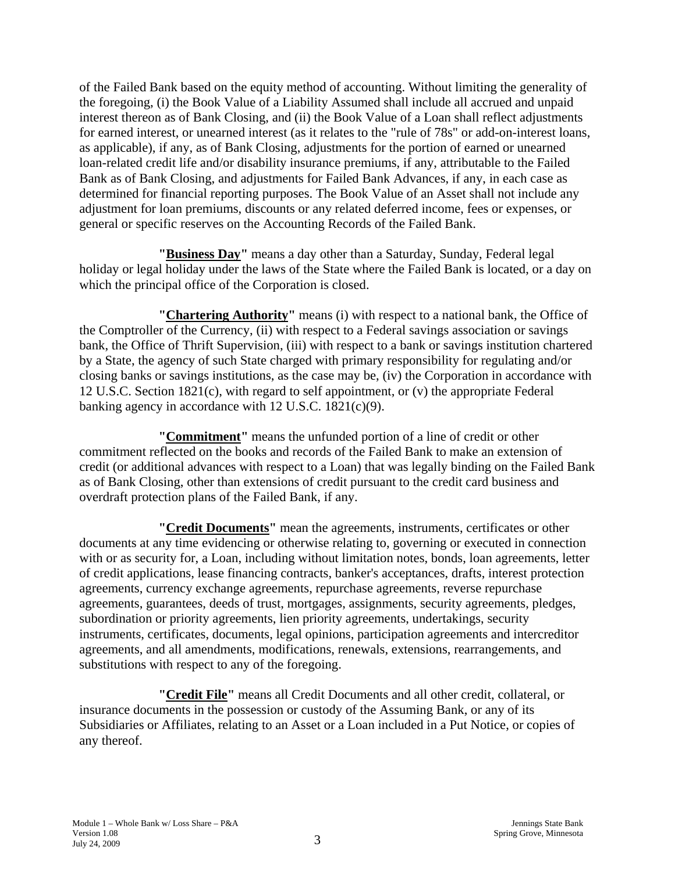<span id="page-6-0"></span>of the Failed Bank based on the equity method of accounting. Without limiting the generality of the foregoing, (i) the Book Value of a Liability Assumed shall include all accrued and unpaid interest thereon as of Bank Closing, and (ii) the Book Value of a Loan shall reflect adjustments for earned interest, or unearned interest (as it relates to the "rule of 78s" or add-on-interest loans, as applicable), if any, as of Bank Closing, adjustments for the portion of earned or unearned loan-related credit life and/or disability insurance premiums, if any, attributable to the Failed Bank as of Bank Closing, and adjustments for Failed Bank Advances, if any, in each case as determined for financial reporting purposes. The Book Value of an Asset shall not include any adjustment for loan premiums, discounts or any related deferred income, fees or expenses, or general or specific reserves on the Accounting Records of the Failed Bank.

**"Business Day"** means a day other than a Saturday, Sunday, Federal legal holiday or legal holiday under the laws of the State where the Failed Bank is located, or a day on which the principal office of the Corporation is closed.

**"Chartering Authority"** means (i) with respect to a national bank, the Office of the Comptroller of the Currency, (ii) with respect to a Federal savings association or savings bank, the Office of Thrift Supervision, (iii) with respect to a bank or savings institution chartered by a State, the agency of such State charged with primary responsibility for regulating and/or closing banks or savings institutions, as the case may be, (iv) the Corporation in accordance with 12 U.S.C. Section 1821(c), with regard to self appointment, or (v) the appropriate Federal banking agency in accordance with 12 U.S.C. 1821(c)(9).

**"Commitment"** means the unfunded portion of a line of credit or other commitment reflected on the books and records of the Failed Bank to make an extension of credit (or additional advances with respect to a Loan) that was legally binding on the Failed Bank as of Bank Closing, other than extensions of credit pursuant to the credit card business and overdraft protection plans of the Failed Bank, if any.

**"Credit Documents"** mean the agreements, instruments, certificates or other documents at any time evidencing or otherwise relating to, governing or executed in connection with or as security for, a Loan, including without limitation notes, bonds, loan agreements, letter of credit applications, lease financing contracts, banker's acceptances, drafts, interest protection agreements, currency exchange agreements, repurchase agreements, reverse repurchase agreements, guarantees, deeds of trust, mortgages, assignments, security agreements, pledges, subordination or priority agreements, lien priority agreements, undertakings, security instruments, certificates, documents, legal opinions, participation agreements and intercreditor agreements, and all amendments, modifications, renewals, extensions, rearrangements, and substitutions with respect to any of the foregoing.

**"Credit File"** means all Credit Documents and all other credit, collateral, or insurance documents in the possession or custody of the Assuming Bank, or any of its Subsidiaries or Affiliates, relating to an Asset or a Loan included in a Put Notice, or copies of any thereof.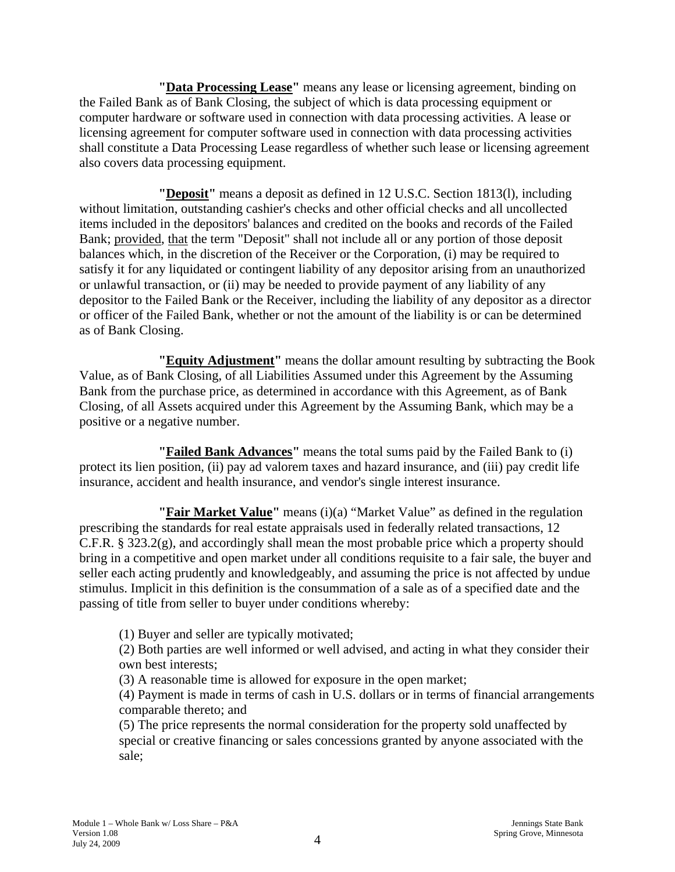**"Data Processing Lease"** means any lease or licensing agreement, binding on the Failed Bank as of Bank Closing, the subject of which is data processing equipment or computer hardware or software used in connection with data processing activities. A lease or licensing agreement for computer software used in connection with data processing activities shall constitute a Data Processing Lease regardless of whether such lease or licensing agreement also covers data processing equipment.

**"Deposit"** means a deposit as defined in 12 U.S.C. Section 1813(l), including without limitation, outstanding cashier's checks and other official checks and all uncollected items included in the depositors' balances and credited on the books and records of the Failed Bank; provided, that the term "Deposit" shall not include all or any portion of those deposit balances which, in the discretion of the Receiver or the Corporation, (i) may be required to satisfy it for any liquidated or contingent liability of any depositor arising from an unauthorized or unlawful transaction, or (ii) may be needed to provide payment of any liability of any depositor to the Failed Bank or the Receiver, including the liability of any depositor as a director or officer of the Failed Bank, whether or not the amount of the liability is or can be determined as of Bank Closing.

**"Equity Adjustment"** means the dollar amount resulting by subtracting the Book Value, as of Bank Closing, of all Liabilities Assumed under this Agreement by the Assuming Bank from the purchase price, as determined in accordance with this Agreement, as of Bank Closing, of all Assets acquired under this Agreement by the Assuming Bank, which may be a positive or a negative number.

**"Failed Bank Advances"** means the total sums paid by the Failed Bank to (i) protect its lien position, (ii) pay ad valorem taxes and hazard insurance, and (iii) pay credit life insurance, accident and health insurance, and vendor's single interest insurance.

**"Fair Market Value"** means (i)(a) "Market Value" as defined in the regulation prescribing the standards for real estate appraisals used in federally related transactions, 12 C.F.R. § 323.2(g), and accordingly shall mean the most probable price which a property should bring in a competitive and open market under all conditions requisite to a fair sale, the buyer and seller each acting prudently and knowledgeably, and assuming the price is not affected by undue stimulus. Implicit in this definition is the consummation of a sale as of a specified date and the passing of title from seller to buyer under conditions whereby:

(1) Buyer and seller are typically motivated;

(2) Both parties are well informed or well advised, and acting in what they consider their own best interests;

(3) A reasonable time is allowed for exposure in the open market;

(4) Payment is made in terms of cash in U.S. dollars or in terms of financial arrangements comparable thereto; and

(5) The price represents the normal consideration for the property sold unaffected by special or creative financing or sales concessions granted by anyone associated with the sale;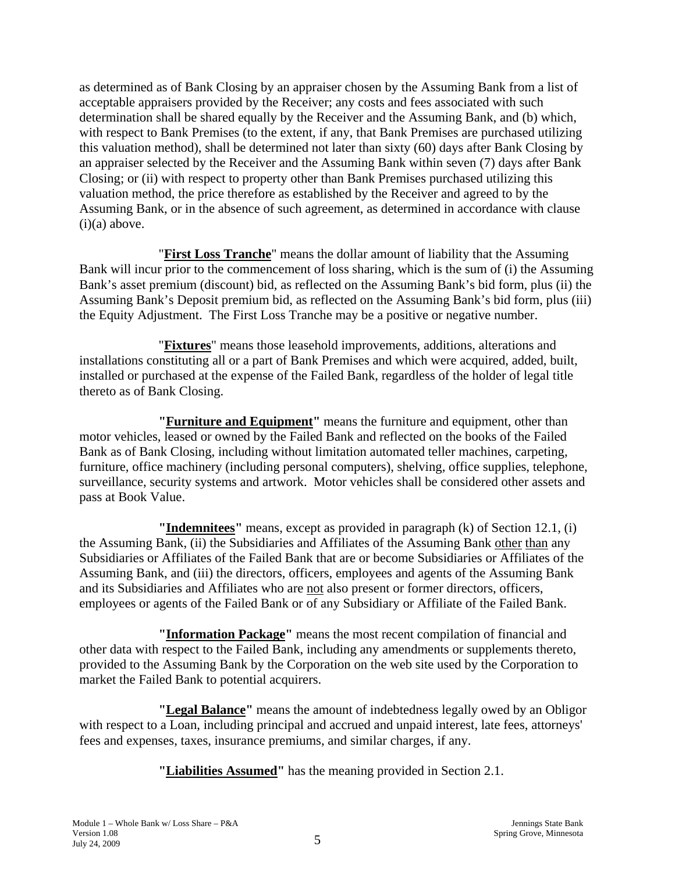as determined as of Bank Closing by an appraiser chosen by the Assuming Bank from a list of acceptable appraisers provided by the Receiver; any costs and fees associated with such determination shall be shared equally by the Receiver and the Assuming Bank, and (b) which, with respect to Bank Premises (to the extent, if any, that Bank Premises are purchased utilizing this valuation method), shall be determined not later than sixty (60) days after Bank Closing by an appraiser selected by the Receiver and the Assuming Bank within seven (7) days after Bank Closing; or (ii) with respect to property other than Bank Premises purchased utilizing this valuation method, the price therefore as established by the Receiver and agreed to by the Assuming Bank, or in the absence of such agreement, as determined in accordance with clause  $(i)(a)$  above.

"**First Loss Tranche**" means the dollar amount of liability that the Assuming Bank will incur prior to the commencement of loss sharing, which is the sum of (i) the Assuming Bank's asset premium (discount) bid, as reflected on the Assuming Bank's bid form, plus (ii) the Assuming Bank's Deposit premium bid, as reflected on the Assuming Bank's bid form, plus (iii) the Equity Adjustment. The First Loss Tranche may be a positive or negative number.

"**Fixtures**" means those leasehold improvements, additions, alterations and installations constituting all or a part of Bank Premises and which were acquired, added, built, installed or purchased at the expense of the Failed Bank, regardless of the holder of legal title thereto as of Bank Closing.

**"Furniture and Equipment"** means the furniture and equipment, other than motor vehicles, leased or owned by the Failed Bank and reflected on the books of the Failed Bank as of Bank Closing, including without limitation automated teller machines, carpeting, furniture, office machinery (including personal computers), shelving, office supplies, telephone, surveillance, security systems and artwork. Motor vehicles shall be considered other assets and pass at Book Value.

**"Indemnitees"** means, except as provided in paragraph (k) of Section 12.1, (i) the Assuming Bank, (ii) the Subsidiaries and Affiliates of the Assuming Bank other than any Subsidiaries or Affiliates of the Failed Bank that are or become Subsidiaries or Affiliates of the Assuming Bank, and (iii) the directors, officers, employees and agents of the Assuming Bank and its Subsidiaries and Affiliates who are not also present or former directors, officers, employees or agents of the Failed Bank or of any Subsidiary or Affiliate of the Failed Bank.

**"Information Package"** means the most recent compilation of financial and other data with respect to the Failed Bank, including any amendments or supplements thereto, provided to the Assuming Bank by the Corporation on the web site used by the Corporation to market the Failed Bank to potential acquirers.

**"Legal Balance"** means the amount of indebtedness legally owed by an Obligor with respect to a Loan, including principal and accrued and unpaid interest, late fees, attorneys' fees and expenses, taxes, insurance premiums, and similar charges, if any.

 **"Liabilities Assumed"** has the meaning provided in Section 2.1.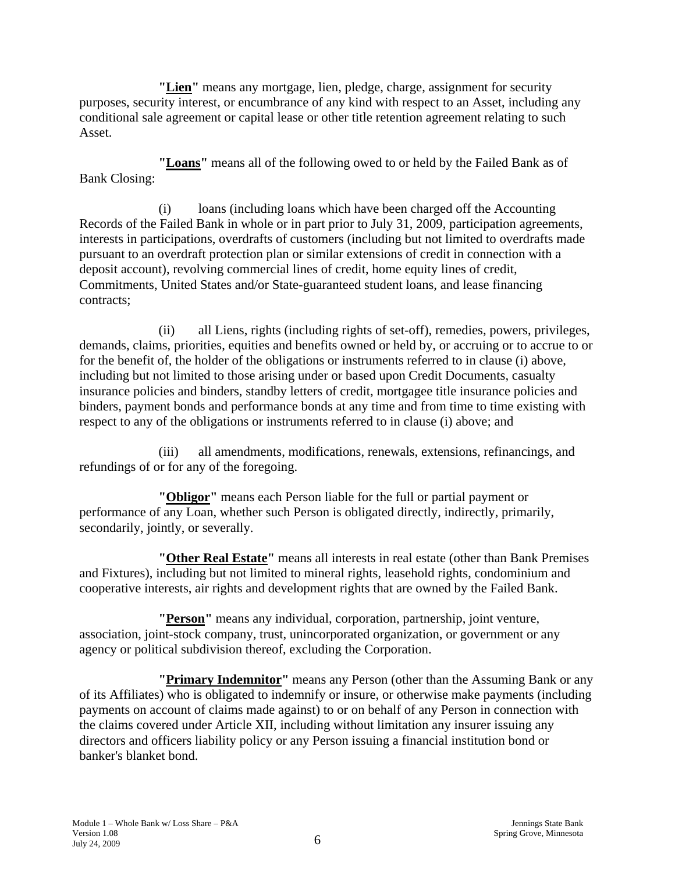**"Lien"** means any mortgage, lien, pledge, charge, assignment for security purposes, security interest, or encumbrance of any kind with respect to an Asset, including any conditional sale agreement or capital lease or other title retention agreement relating to such Asset.

**"Loans"** means all of the following owed to or held by the Failed Bank as of Bank Closing:

(i) loans (including loans which have been charged off the Accounting Records of the Failed Bank in whole or in part prior to July 31, 2009, participation agreements, interests in participations, overdrafts of customers (including but not limited to overdrafts made pursuant to an overdraft protection plan or similar extensions of credit in connection with a deposit account), revolving commercial lines of credit, home equity lines of credit, Commitments, United States and/or State-guaranteed student loans, and lease financing contracts;

(ii) all Liens, rights (including rights of set-off), remedies, powers, privileges, demands, claims, priorities, equities and benefits owned or held by, or accruing or to accrue to or for the benefit of, the holder of the obligations or instruments referred to in clause (i) above, including but not limited to those arising under or based upon Credit Documents, casualty insurance policies and binders, standby letters of credit, mortgagee title insurance policies and binders, payment bonds and performance bonds at any time and from time to time existing with respect to any of the obligations or instruments referred to in clause (i) above; and

(iii) all amendments, modifications, renewals, extensions, refinancings, and refundings of or for any of the foregoing.

**"Obligor"** means each Person liable for the full or partial payment or performance of any Loan, whether such Person is obligated directly, indirectly, primarily, secondarily, jointly, or severally.

**"Other Real Estate"** means all interests in real estate (other than Bank Premises and Fixtures), including but not limited to mineral rights, leasehold rights, condominium and cooperative interests, air rights and development rights that are owned by the Failed Bank.

**"Person"** means any individual, corporation, partnership, joint venture, association, joint-stock company, trust, unincorporated organization, or government or any agency or political subdivision thereof, excluding the Corporation.

**"Primary Indemnitor"** means any Person (other than the Assuming Bank or any of its Affiliates) who is obligated to indemnify or insure, or otherwise make payments (including payments on account of claims made against) to or on behalf of any Person in connection with the claims covered under Article XII, including without limitation any insurer issuing any directors and officers liability policy or any Person issuing a financial institution bond or banker's blanket bond.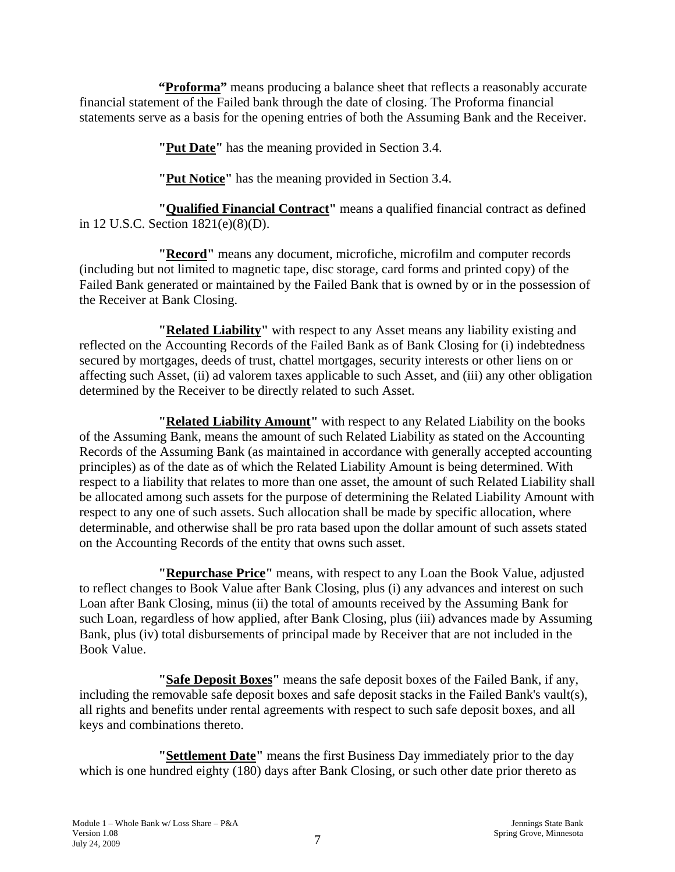**"Proforma"** means producing a balance sheet that reflects a reasonably accurate financial statement of the Failed bank through the date of closing. The Proforma financial statements serve as a basis for the opening entries of both the Assuming Bank and the Receiver.

**"Put Date"** has the meaning provided in Section 3.4.

**"Put Notice"** has the meaning provided in Section 3.4.

**"Qualified Financial Contract"** means a qualified financial contract as defined in 12 U.S.C. Section 1821(e)(8)(D).

**"Record"** means any document, microfiche, microfilm and computer records (including but not limited to magnetic tape, disc storage, card forms and printed copy) of the Failed Bank generated or maintained by the Failed Bank that is owned by or in the possession of the Receiver at Bank Closing.

**"Related Liability"** with respect to any Asset means any liability existing and reflected on the Accounting Records of the Failed Bank as of Bank Closing for (i) indebtedness secured by mortgages, deeds of trust, chattel mortgages, security interests or other liens on or affecting such Asset, (ii) ad valorem taxes applicable to such Asset, and (iii) any other obligation determined by the Receiver to be directly related to such Asset.

**"Related Liability Amount"** with respect to any Related Liability on the books of the Assuming Bank, means the amount of such Related Liability as stated on the Accounting Records of the Assuming Bank (as maintained in accordance with generally accepted accounting principles) as of the date as of which the Related Liability Amount is being determined. With respect to a liability that relates to more than one asset, the amount of such Related Liability shall be allocated among such assets for the purpose of determining the Related Liability Amount with respect to any one of such assets. Such allocation shall be made by specific allocation, where determinable, and otherwise shall be pro rata based upon the dollar amount of such assets stated on the Accounting Records of the entity that owns such asset.

 **"Repurchase Price"** means, with respect to any Loan the Book Value, adjusted to reflect changes to Book Value after Bank Closing, plus (i) any advances and interest on such Loan after Bank Closing, minus (ii) the total of amounts received by the Assuming Bank for such Loan, regardless of how applied, after Bank Closing, plus (iii) advances made by Assuming Bank, plus (iv) total disbursements of principal made by Receiver that are not included in the Book Value.

**"Safe Deposit Boxes"** means the safe deposit boxes of the Failed Bank, if any, including the removable safe deposit boxes and safe deposit stacks in the Failed Bank's vault(s), all rights and benefits under rental agreements with respect to such safe deposit boxes, and all keys and combinations thereto.

**"Settlement Date"** means the first Business Day immediately prior to the day which is one hundred eighty (180) days after Bank Closing, or such other date prior thereto as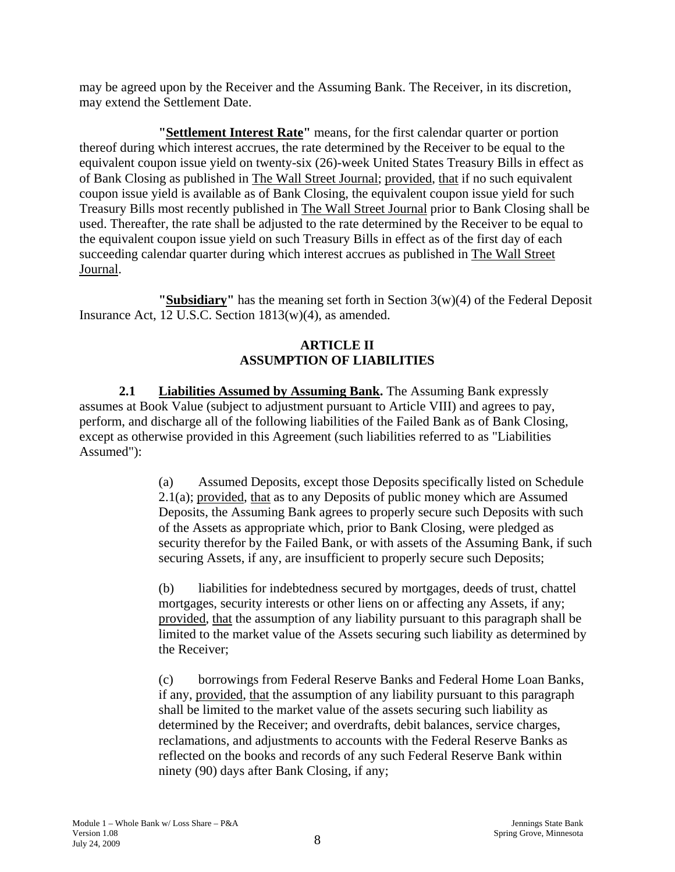may be agreed upon by the Receiver and the Assuming Bank. The Receiver, in its discretion, may extend the Settlement Date.

**"Settlement Interest Rate"** means, for the first calendar quarter or portion thereof during which interest accrues, the rate determined by the Receiver to be equal to the equivalent coupon issue yield on twenty-six (26)-week United States Treasury Bills in effect as of Bank Closing as published in The Wall Street Journal; provided, that if no such equivalent coupon issue yield is available as of Bank Closing, the equivalent coupon issue yield for such Treasury Bills most recently published in The Wall Street Journal prior to Bank Closing shall be used. Thereafter, the rate shall be adjusted to the rate determined by the Receiver to be equal to the equivalent coupon issue yield on such Treasury Bills in effect as of the first day of each succeeding calendar quarter during which interest accrues as published in The Wall Street Journal.

**"Subsidiary"** has the meaning set forth in Section 3(w)(4) of the Federal Deposit Insurance Act, 12 U.S.C. Section 1813(w)(4), as amended.

## **ARTICLE II ASSUMPTION OF LIABILITIES**

<span id="page-11-1"></span><span id="page-11-0"></span> **2.1 Liabilities Assumed by Assuming Bank.** The Assuming Bank expressly assumes at Book Value (subject to adjustment pursuant to Article VIII) and agrees to pay, perform, and discharge all of the following liabilities of the Failed Bank as of Bank Closing, except as otherwise provided in this Agreement (such liabilities referred to as "Liabilities Assumed"):

> (a) Assumed Deposits, except those Deposits specifically listed on Schedule 2.1(a); provided, that as to any Deposits of public money which are Assumed Deposits, the Assuming Bank agrees to properly secure such Deposits with such of the Assets as appropriate which, prior to Bank Closing, were pledged as security therefor by the Failed Bank, or with assets of the Assuming Bank, if such securing Assets, if any, are insufficient to properly secure such Deposits;

(b) liabilities for indebtedness secured by mortgages, deeds of trust, chattel mortgages, security interests or other liens on or affecting any Assets, if any; provided, that the assumption of any liability pursuant to this paragraph shall be limited to the market value of the Assets securing such liability as determined by the Receiver;

(c) borrowings from Federal Reserve Banks and Federal Home Loan Banks, if any, provided, that the assumption of any liability pursuant to this paragraph shall be limited to the market value of the assets securing such liability as determined by the Receiver; and overdrafts, debit balances, service charges, reclamations, and adjustments to accounts with the Federal Reserve Banks as reflected on the books and records of any such Federal Reserve Bank within ninety (90) days after Bank Closing, if any;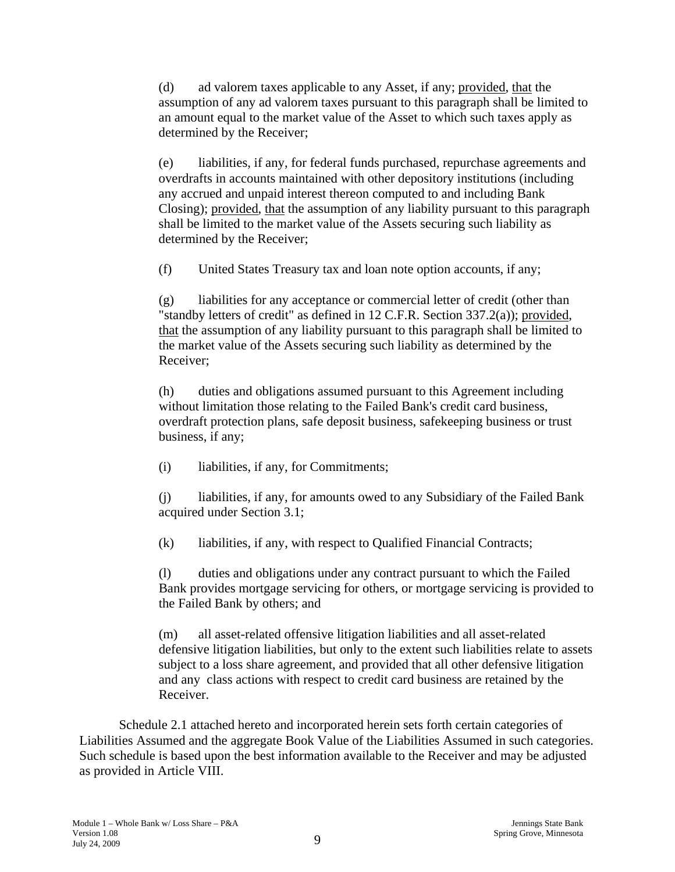(d) ad valorem taxes applicable to any Asset, if any; provided, that the assumption of any ad valorem taxes pursuant to this paragraph shall be limited to an amount equal to the market value of the Asset to which such taxes apply as determined by the Receiver;

(e) liabilities, if any, for federal funds purchased, repurchase agreements and overdrafts in accounts maintained with other depository institutions (including any accrued and unpaid interest thereon computed to and including Bank Closing); provided, that the assumption of any liability pursuant to this paragraph shall be limited to the market value of the Assets securing such liability as determined by the Receiver;

(f) United States Treasury tax and loan note option accounts, if any;

(g) liabilities for any acceptance or commercial letter of credit (other than "standby letters of credit" as defined in 12 C.F.R. Section 337.2(a)); provided, that the assumption of any liability pursuant to this paragraph shall be limited to the market value of the Assets securing such liability as determined by the Receiver;

(h) duties and obligations assumed pursuant to this Agreement including without limitation those relating to the Failed Bank's credit card business, overdraft protection plans, safe deposit business, safekeeping business or trust business, if any;

(i) liabilities, if any, for Commitments;

(j) liabilities, if any, for amounts owed to any Subsidiary of the Failed Bank acquired under Section 3.1;

(k) liabilities, if any, with respect to Qualified Financial Contracts;

(l) duties and obligations under any contract pursuant to which the Failed Bank provides mortgage servicing for others, or mortgage servicing is provided to the Failed Bank by others; and

(m) all asset-related offensive litigation liabilities and all asset-related defensive litigation liabilities, but only to the extent such liabilities relate to assets subject to a loss share agreement, and provided that all other defensive litigation and any class actions with respect to credit card business are retained by the Receiver.

Schedule 2.1 attached hereto and incorporated herein sets forth certain categories of Liabilities Assumed and the aggregate Book Value of the Liabilities Assumed in such categories. Such schedule is based upon the best information available to the Receiver and may be adjusted as provided in Article VIII.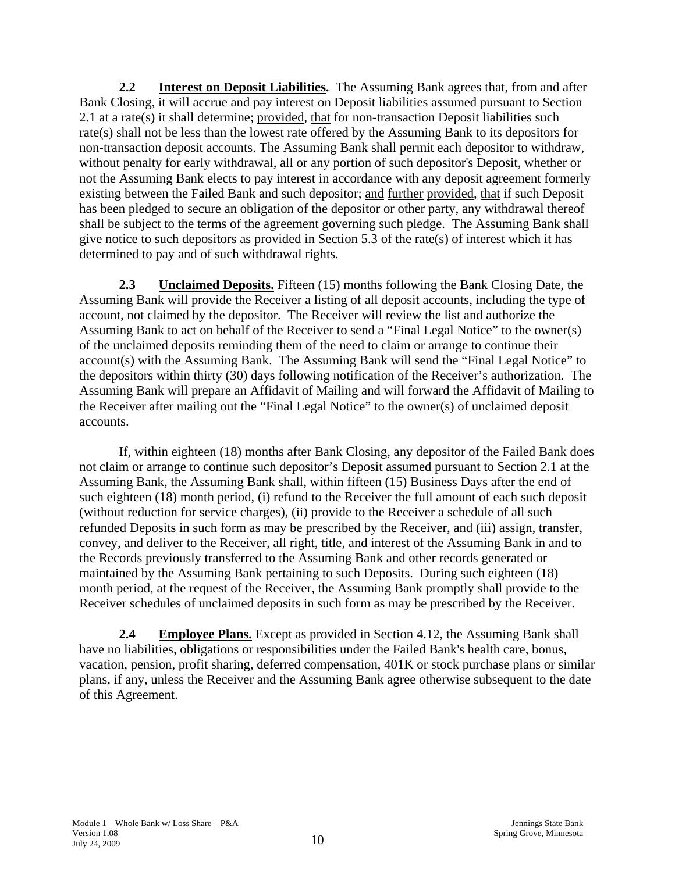<span id="page-13-0"></span>**2.2** Interest on Deposit Liabilities. The Assuming Bank agrees that, from and after Bank Closing, it will accrue and pay interest on Deposit liabilities assumed pursuant to Section 2.1 at a rate(s) it shall determine; provided, that for non-transaction Deposit liabilities such rate(s) shall not be less than the lowest rate offered by the Assuming Bank to its depositors for non-transaction deposit accounts. The Assuming Bank shall permit each depositor to withdraw, without penalty for early withdrawal, all or any portion of such depositor's Deposit, whether or not the Assuming Bank elects to pay interest in accordance with any deposit agreement formerly existing between the Failed Bank and such depositor; and further provided, that if such Deposit has been pledged to secure an obligation of the depositor or other party, any withdrawal thereof shall be subject to the terms of the agreement governing such pledge. The Assuming Bank shall give notice to such depositors as provided in Section 5.3 of the rate(s) of interest which it has determined to pay and of such withdrawal rights.

<span id="page-13-1"></span>**2.3 Unclaimed Deposits.** Fifteen (15) months following the Bank Closing Date, the Assuming Bank will provide the Receiver a listing of all deposit accounts, including the type of account, not claimed by the depositor. The Receiver will review the list and authorize the Assuming Bank to act on behalf of the Receiver to send a "Final Legal Notice" to the owner(s) of the unclaimed deposits reminding them of the need to claim or arrange to continue their account(s) with the Assuming Bank. The Assuming Bank will send the "Final Legal Notice" to the depositors within thirty (30) days following notification of the Receiver's authorization. The Assuming Bank will prepare an Affidavit of Mailing and will forward the Affidavit of Mailing to the Receiver after mailing out the "Final Legal Notice" to the owner(s) of unclaimed deposit accounts.

If, within eighteen (18) months after Bank Closing, any depositor of the Failed Bank does not claim or arrange to continue such depositor's Deposit assumed pursuant to Section 2.1 at the Assuming Bank, the Assuming Bank shall, within fifteen (15) Business Days after the end of such eighteen (18) month period, (i) refund to the Receiver the full amount of each such deposit (without reduction for service charges), (ii) provide to the Receiver a schedule of all such refunded Deposits in such form as may be prescribed by the Receiver, and (iii) assign, transfer, convey, and deliver to the Receiver, all right, title, and interest of the Assuming Bank in and to the Records previously transferred to the Assuming Bank and other records generated or maintained by the Assuming Bank pertaining to such Deposits. During such eighteen (18) month period, at the request of the Receiver, the Assuming Bank promptly shall provide to the Receiver schedules of unclaimed deposits in such form as may be prescribed by the Receiver.

<span id="page-13-2"></span>**2.4 Employee Plans.** Except as provided in Section 4.12, the Assuming Bank shall have no liabilities, obligations or responsibilities under the Failed Bank's health care, bonus, vacation, pension, profit sharing, deferred compensation, 401K or stock purchase plans or similar plans, if any, unless the Receiver and the Assuming Bank agree otherwise subsequent to the date of this Agreement.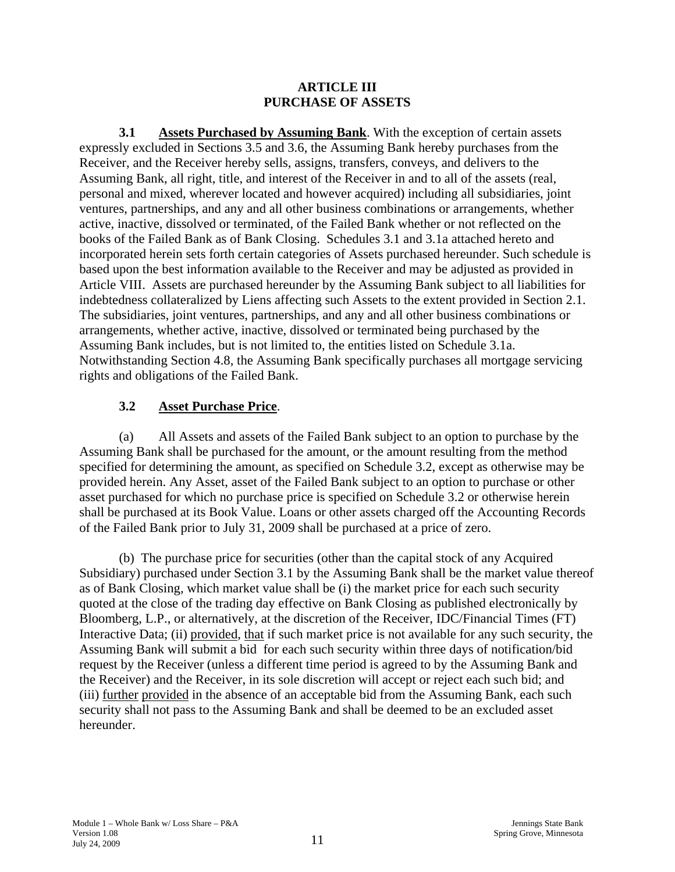#### **ARTICLE III PURCHASE OF ASSETS**

<span id="page-14-1"></span><span id="page-14-0"></span>Assuming Bank includes, but is not limited to, the entities listed on Schedule 3.1a. **3.1** Assets Purchased by Assuming Bank. With the exception of certain assets expressly excluded in Sections 3.5 and 3.6, the Assuming Bank hereby purchases from the Receiver, and the Receiver hereby sells, assigns, transfers, conveys, and delivers to the Assuming Bank, all right, title, and interest of the Receiver in and to all of the assets (real, personal and mixed, wherever located and however acquired) including all subsidiaries, joint ventures, partnerships, and any and all other business combinations or arrangements, whether active, inactive, dissolved or terminated, of the Failed Bank whether or not reflected on the books of the Failed Bank as of Bank Closing. Schedules 3.1 and 3.1a attached hereto and incorporated herein sets forth certain categories of Assets purchased hereunder. Such schedule is based upon the best information available to the Receiver and may be adjusted as provided in Article VIII. Assets are purchased hereunder by the Assuming Bank subject to all liabilities for indebtedness collateralized by Liens affecting such Assets to the extent provided in Section 2.1. The subsidiaries, joint ventures, partnerships, and any and all other business combinations or arrangements, whether active, inactive, dissolved or terminated being purchased by the Notwithstanding Section 4.8, the Assuming Bank specifically purchases all mortgage servicing rights and obligations of the Failed Bank.

### **3.2 Asset Purchase Price**.

<span id="page-14-2"></span>(a) All Assets and assets of the Failed Bank subject to an option to purchase by the Assuming Bank shall be purchased for the amount, or the amount resulting from the method specified for determining the amount, as specified on Schedule 3.2, except as otherwise may be provided herein. Any Asset, asset of the Failed Bank subject to an option to purchase or other asset purchased for which no purchase price is specified on Schedule 3.2 or otherwise herein shall be purchased at its Book Value. Loans or other assets charged off the Accounting Records of the Failed Bank prior to July 31, 2009 shall be purchased at a price of zero.

(b) The purchase price for securities (other than the capital stock of any Acquired Subsidiary) purchased under Section 3.1 by the Assuming Bank shall be the market value thereof as of Bank Closing, which market value shall be (i) the market price for each such security quoted at the close of the trading day effective on Bank Closing as published electronically by Bloomberg, L.P., or alternatively, at the discretion of the Receiver, IDC/Financial Times (FT) Interactive Data; (ii) provided, that if such market price is not available for any such security, the Assuming Bank will submit a bid for each such security within three days of notification/bid request by the Receiver (unless a different time period is agreed to by the Assuming Bank and the Receiver) and the Receiver, in its sole discretion will accept or reject each such bid; and (iii) further provided in the absence of an acceptable bid from the Assuming Bank, each such security shall not pass to the Assuming Bank and shall be deemed to be an excluded asset hereunder.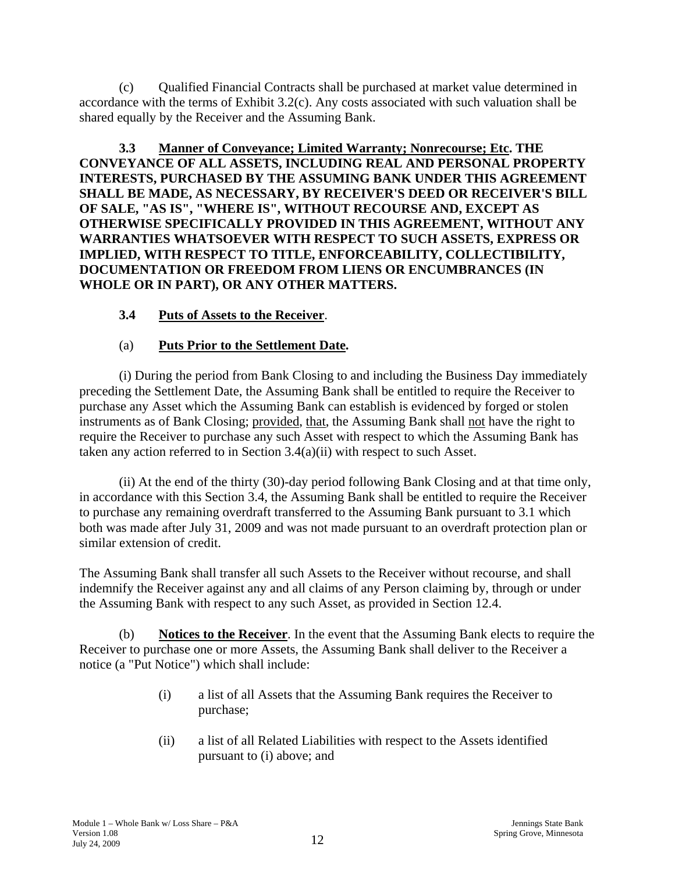(c) Qualified Financial Contracts shall be purchased at market value determined in accordance with the terms of Exhibit 3.2(c). Any costs associated with such valuation shall be shared equally by the Receiver and the Assuming Bank.

<span id="page-15-0"></span>**3.3 Manner of Conveyance; Limited Warranty; Nonrecourse; Etc. THE CONVEYANCE OF ALL ASSETS, INCLUDING REAL AND PERSONAL PROPERTY INTERESTS, PURCHASED BY THE ASSUMING BANK UNDER THIS AGREEMENT SHALL BE MADE, AS NECESSARY, BY RECEIVER'S DEED OR RECEIVER'S BILL OF SALE, "AS IS", "WHERE IS", WITHOUT RECOURSE AND, EXCEPT AS OTHERWISE SPECIFICALLY PROVIDED IN THIS AGREEMENT, WITHOUT ANY WARRANTIES WHATSOEVER WITH RESPECT TO SUCH ASSETS, EXPRESS OR IMPLIED, WITH RESPECT TO TITLE, ENFORCEABILITY, COLLECTIBILITY, DOCUMENTATION OR FREEDOM FROM LIENS OR ENCUMBRANCES (IN WHOLE OR IN PART), OR ANY OTHER MATTERS.** 

### **3.4 Puts of Assets to the Receiver**.

### (a) **Puts Prior to the Settlement Date.**

<span id="page-15-1"></span>(i) During the period from Bank Closing to and including the Business Day immediately preceding the Settlement Date, the Assuming Bank shall be entitled to require the Receiver to purchase any Asset which the Assuming Bank can establish is evidenced by forged or stolen instruments as of Bank Closing; provided, that, the Assuming Bank shall not have the right to require the Receiver to purchase any such Asset with respect to which the Assuming Bank has taken any action referred to in Section 3.4(a)(ii) with respect to such Asset.

(ii) At the end of the thirty (30)-day period following Bank Closing and at that time only, in accordance with this Section 3.4, the Assuming Bank shall be entitled to require the Receiver to purchase any remaining overdraft transferred to the Assuming Bank pursuant to 3.1 which both was made after July 31, 2009 and was not made pursuant to an overdraft protection plan or similar extension of credit.

The Assuming Bank shall transfer all such Assets to the Receiver without recourse, and shall indemnify the Receiver against any and all claims of any Person claiming by, through or under the Assuming Bank with respect to any such Asset, as provided in Section 12.4.

(b) **Notices to the Receiver**. In the event that the Assuming Bank elects to require the Receiver to purchase one or more Assets, the Assuming Bank shall deliver to the Receiver a notice (a "Put Notice") which shall include:

- (i) a list of all Assets that the Assuming Bank requires the Receiver to purchase;
- (ii) a list of all Related Liabilities with respect to the Assets identified pursuant to (i) above; and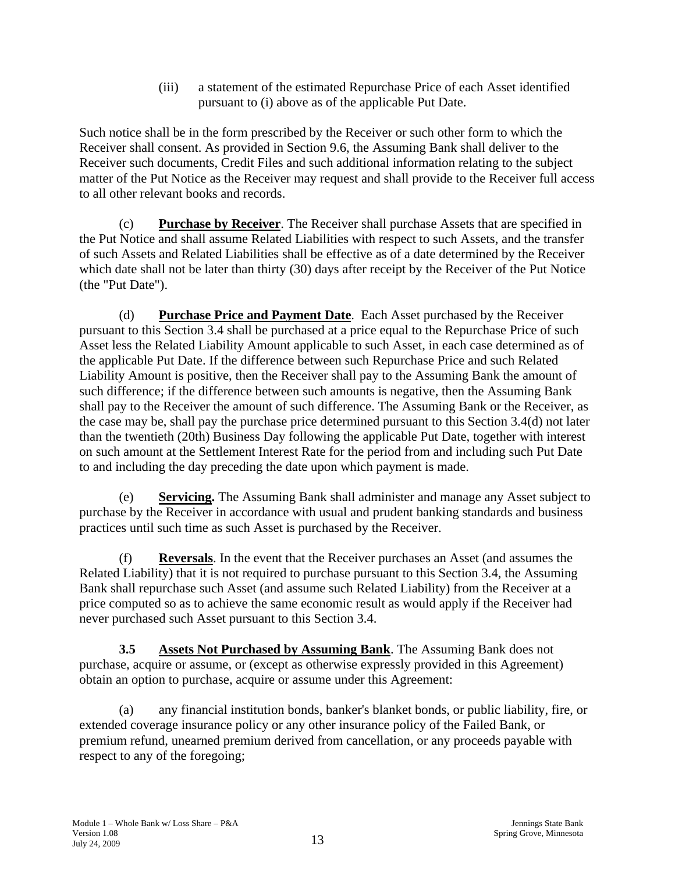(iii) a statement of the estimated Repurchase Price of each Asset identified pursuant to (i) above as of the applicable Put Date.

Such notice shall be in the form prescribed by the Receiver or such other form to which the Receiver shall consent. As provided in Section 9.6, the Assuming Bank shall deliver to the Receiver such documents, Credit Files and such additional information relating to the subject matter of the Put Notice as the Receiver may request and shall provide to the Receiver full access to all other relevant books and records.

(c) **Purchase by Receiver**. The Receiver shall purchase Assets that are specified in the Put Notice and shall assume Related Liabilities with respect to such Assets, and the transfer of such Assets and Related Liabilities shall be effective as of a date determined by the Receiver which date shall not be later than thirty (30) days after receipt by the Receiver of the Put Notice (the "Put Date").

(d) **Purchase Price and Payment Date**. Each Asset purchased by the Receiver pursuant to this Section 3.4 shall be purchased at a price equal to the Repurchase Price of such Asset less the Related Liability Amount applicable to such Asset, in each case determined as of the applicable Put Date. If the difference between such Repurchase Price and such Related Liability Amount is positive, then the Receiver shall pay to the Assuming Bank the amount of such difference; if the difference between such amounts is negative, then the Assuming Bank shall pay to the Receiver the amount of such difference. The Assuming Bank or the Receiver, as the case may be, shall pay the purchase price determined pursuant to this Section 3.4(d) not later than the twentieth (20th) Business Day following the applicable Put Date, together with interest on such amount at the Settlement Interest Rate for the period from and including such Put Date to and including the day preceding the date upon which payment is made.

(e) **Servicing.** The Assuming Bank shall administer and manage any Asset subject to purchase by the Receiver in accordance with usual and prudent banking standards and business practices until such time as such Asset is purchased by the Receiver.

(f) **Reversals**. In the event that the Receiver purchases an Asset (and assumes the Related Liability) that it is not required to purchase pursuant to this Section 3.4, the Assuming Bank shall repurchase such Asset (and assume such Related Liability) from the Receiver at a price computed so as to achieve the same economic result as would apply if the Receiver had never purchased such Asset pursuant to this Section 3.4.

<span id="page-16-0"></span>**3.5 Assets Not Purchased by Assuming Bank**. The Assuming Bank does not purchase, acquire or assume, or (except as otherwise expressly provided in this Agreement) obtain an option to purchase, acquire or assume under this Agreement:

(a) any financial institution bonds, banker's blanket bonds, or public liability, fire, or extended coverage insurance policy or any other insurance policy of the Failed Bank, or premium refund, unearned premium derived from cancellation, or any proceeds payable with respect to any of the foregoing;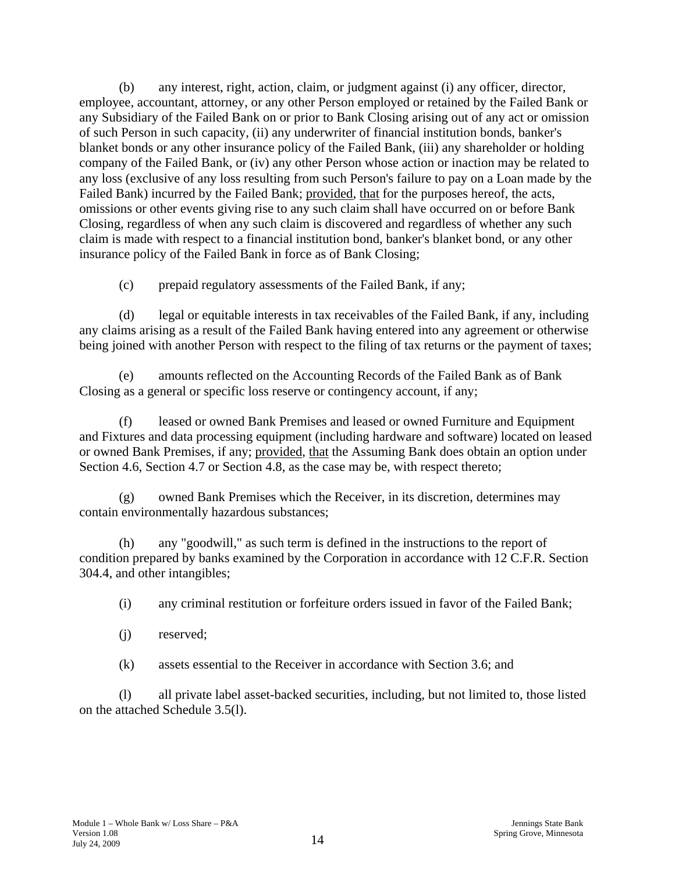(b) any interest, right, action, claim, or judgment against (i) any officer, director, employee, accountant, attorney, or any other Person employed or retained by the Failed Bank or any Subsidiary of the Failed Bank on or prior to Bank Closing arising out of any act or omission of such Person in such capacity, (ii) any underwriter of financial institution bonds, banker's blanket bonds or any other insurance policy of the Failed Bank, (iii) any shareholder or holding company of the Failed Bank, or (iv) any other Person whose action or inaction may be related to any loss (exclusive of any loss resulting from such Person's failure to pay on a Loan made by the Failed Bank) incurred by the Failed Bank; provided, that for the purposes hereof, the acts, omissions or other events giving rise to any such claim shall have occurred on or before Bank Closing, regardless of when any such claim is discovered and regardless of whether any such claim is made with respect to a financial institution bond, banker's blanket bond, or any other insurance policy of the Failed Bank in force as of Bank Closing;

(c) prepaid regulatory assessments of the Failed Bank, if any;

(d) legal or equitable interests in tax receivables of the Failed Bank, if any, including any claims arising as a result of the Failed Bank having entered into any agreement or otherwise being joined with another Person with respect to the filing of tax returns or the payment of taxes;

(e) amounts reflected on the Accounting Records of the Failed Bank as of Bank Closing as a general or specific loss reserve or contingency account, if any;

(f) leased or owned Bank Premises and leased or owned Furniture and Equipment and Fixtures and data processing equipment (including hardware and software) located on leased or owned Bank Premises, if any; provided, that the Assuming Bank does obtain an option under Section 4.6, Section 4.7 or Section 4.8, as the case may be, with respect thereto;

(g) owned Bank Premises which the Receiver, in its discretion, determines may contain environmentally hazardous substances;

(h) any "goodwill," as such term is defined in the instructions to the report of condition prepared by banks examined by the Corporation in accordance with 12 C.F.R. Section 304.4, and other intangibles;

(i) any criminal restitution or forfeiture orders issued in favor of the Failed Bank;

(j) reserved;

(k) assets essential to the Receiver in accordance with Section 3.6; and

(l) all private label asset-backed securities, including, but not limited to, those listed on the attached Schedule 3.5(l).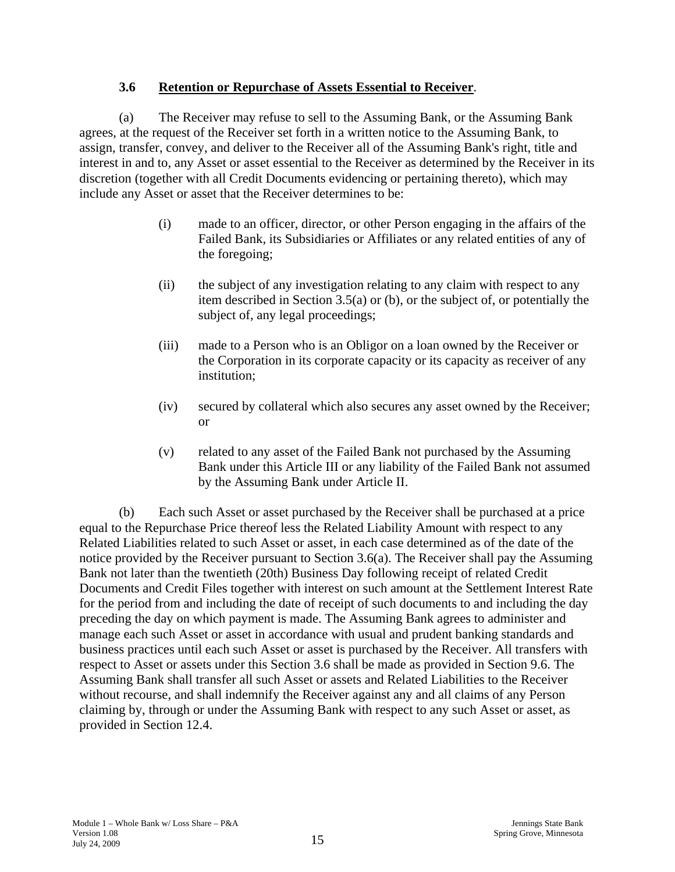### **3.6 Retention or Repurchase of Assets Essential to Receiver**.

<span id="page-18-0"></span>(a) The Receiver may refuse to sell to the Assuming Bank, or the Assuming Bank agrees, at the request of the Receiver set forth in a written notice to the Assuming Bank, to assign, transfer, convey, and deliver to the Receiver all of the Assuming Bank's right, title and interest in and to, any Asset or asset essential to the Receiver as determined by the Receiver in its discretion (together with all Credit Documents evidencing or pertaining thereto), which may include any Asset or asset that the Receiver determines to be:

- (i) made to an officer, director, or other Person engaging in the affairs of the Failed Bank, its Subsidiaries or Affiliates or any related entities of any of the foregoing;
- (ii) the subject of any investigation relating to any claim with respect to any item described in Section 3.5(a) or (b), or the subject of, or potentially the subject of, any legal proceedings;
- (iii) made to a Person who is an Obligor on a loan owned by the Receiver or the Corporation in its corporate capacity or its capacity as receiver of any institution;
- (iv) secured by collateral which also secures any asset owned by the Receiver; or
- (v) related to any asset of the Failed Bank not purchased by the Assuming Bank under this Article III or any liability of the Failed Bank not assumed by the Assuming Bank under Article II.

(b) Each such Asset or asset purchased by the Receiver shall be purchased at a price equal to the Repurchase Price thereof less the Related Liability Amount with respect to any Related Liabilities related to such Asset or asset, in each case determined as of the date of the notice provided by the Receiver pursuant to Section 3.6(a). The Receiver shall pay the Assuming Bank not later than the twentieth (20th) Business Day following receipt of related Credit Documents and Credit Files together with interest on such amount at the Settlement Interest Rate for the period from and including the date of receipt of such documents to and including the day preceding the day on which payment is made. The Assuming Bank agrees to administer and manage each such Asset or asset in accordance with usual and prudent banking standards and business practices until each such Asset or asset is purchased by the Receiver. All transfers with respect to Asset or assets under this Section 3.6 shall be made as provided in Section 9.6. The Assuming Bank shall transfer all such Asset or assets and Related Liabilities to the Receiver without recourse, and shall indemnify the Receiver against any and all claims of any Person claiming by, through or under the Assuming Bank with respect to any such Asset or asset, as provided in Section 12.4.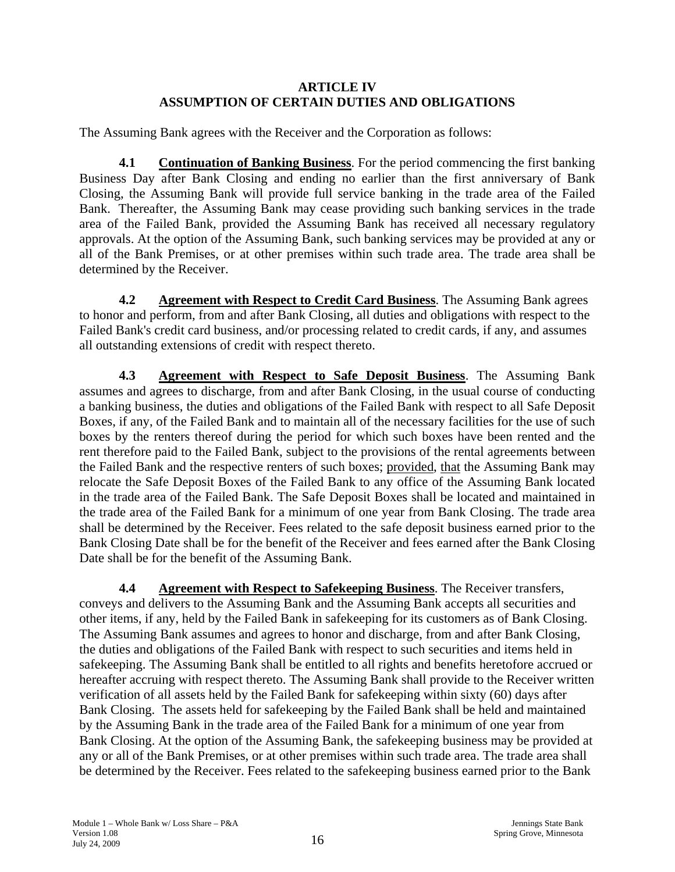### **ARTICLE IV ASSUMPTION OF CERTAIN DUTIES AND OBLIGATIONS**

<span id="page-19-0"></span>The Assuming Bank agrees with the Receiver and the Corporation as follows:

<span id="page-19-1"></span>**4.1** Continuation of Banking Business. For the period commencing the first banking Business Day after Bank Closing and ending no earlier than the first anniversary of Bank Closing, the Assuming Bank will provide full service banking in the trade area of the Failed Bank. Thereafter, the Assuming Bank may cease providing such banking services in the trade area of the Failed Bank, provided the Assuming Bank has received all necessary regulatory approvals. At the option of the Assuming Bank, such banking services may be provided at any or all of the Bank Premises, or at other premises within such trade area. The trade area shall be determined by the Receiver.

**4.2 Agreement with Respect to Credit Card Business**. The Assuming Bank agrees to honor and perform, from and after Bank Closing, all duties and obligations with respect to the Failed Bank's credit card business, and/or processing related to credit cards, if any, and assumes all outstanding extensions of credit with respect thereto.

**4.3 Agreement with Respect to Safe Deposit Business**. The Assuming Bank assumes and agrees to discharge, from and after Bank Closing, in the usual course of conducting a banking business, the duties and obligations of the Failed Bank with respect to all Safe Deposit Boxes, if any, of the Failed Bank and to maintain all of the necessary facilities for the use of such boxes by the renters thereof during the period for which such boxes have been rented and the rent therefore paid to the Failed Bank, subject to the provisions of the rental agreements between the Failed Bank and the respective renters of such boxes; provided, that the Assuming Bank may relocate the Safe Deposit Boxes of the Failed Bank to any office of the Assuming Bank located in the trade area of the Failed Bank. The Safe Deposit Boxes shall be located and maintained in the trade area of the Failed Bank for a minimum of one year from Bank Closing. The trade area shall be determined by the Receiver. Fees related to the safe deposit business earned prior to the Bank Closing Date shall be for the benefit of the Receiver and fees earned after the Bank Closing Date shall be for the benefit of the Assuming Bank.

**4.4 Agreement with Respect to Safekeeping Business**. The Receiver transfers, conveys and delivers to the Assuming Bank and the Assuming Bank accepts all securities and other items, if any, held by the Failed Bank in safekeeping for its customers as of Bank Closing. The Assuming Bank assumes and agrees to honor and discharge, from and after Bank Closing, the duties and obligations of the Failed Bank with respect to such securities and items held in safekeeping. The Assuming Bank shall be entitled to all rights and benefits heretofore accrued or hereafter accruing with respect thereto. The Assuming Bank shall provide to the Receiver written verification of all assets held by the Failed Bank for safekeeping within sixty (60) days after Bank Closing. The assets held for safekeeping by the Failed Bank shall be held and maintained by the Assuming Bank in the trade area of the Failed Bank for a minimum of one year from Bank Closing. At the option of the Assuming Bank, the safekeeping business may be provided at any or all of the Bank Premises, or at other premises within such trade area. The trade area shall be determined by the Receiver. Fees related to the safekeeping business earned prior to the Bank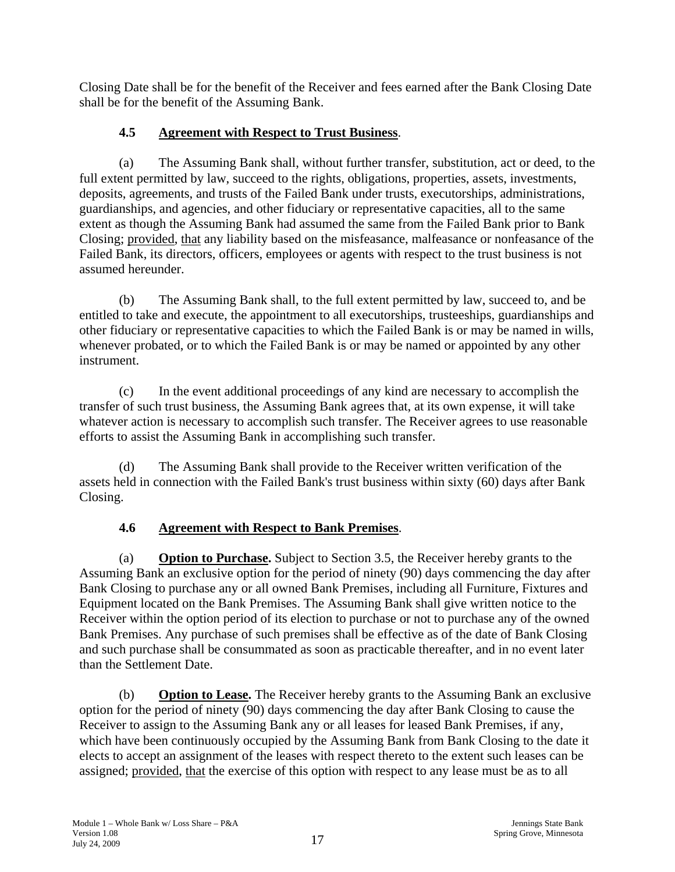Closing Date shall be for the benefit of the Receiver and fees earned after the Bank Closing Date shall be for the benefit of the Assuming Bank.

# **4.5 Agreement with Respect to Trust Business**.

<span id="page-20-0"></span>(a) The Assuming Bank shall, without further transfer, substitution, act or deed, to the full extent permitted by law, succeed to the rights, obligations, properties, assets, investments, deposits, agreements, and trusts of the Failed Bank under trusts, executorships, administrations, guardianships, and agencies, and other fiduciary or representative capacities, all to the same extent as though the Assuming Bank had assumed the same from the Failed Bank prior to Bank Closing; provided, that any liability based on the misfeasance, malfeasance or nonfeasance of the Failed Bank, its directors, officers, employees or agents with respect to the trust business is not assumed hereunder.

(b) The Assuming Bank shall, to the full extent permitted by law, succeed to, and be entitled to take and execute, the appointment to all executorships, trusteeships, guardianships and other fiduciary or representative capacities to which the Failed Bank is or may be named in wills, whenever probated, or to which the Failed Bank is or may be named or appointed by any other instrument.

(c) In the event additional proceedings of any kind are necessary to accomplish the transfer of such trust business, the Assuming Bank agrees that, at its own expense, it will take whatever action is necessary to accomplish such transfer. The Receiver agrees to use reasonable efforts to assist the Assuming Bank in accomplishing such transfer.

(d) The Assuming Bank shall provide to the Receiver written verification of the assets held in connection with the Failed Bank's trust business within sixty (60) days after Bank Closing.

# **4.6 Agreement with Respect to Bank Premises**.

<span id="page-20-1"></span>(a) **Option to Purchase.** Subject to Section 3.5, the Receiver hereby grants to the Assuming Bank an exclusive option for the period of ninety (90) days commencing the day after Bank Closing to purchase any or all owned Bank Premises, including all Furniture, Fixtures and Equipment located on the Bank Premises. The Assuming Bank shall give written notice to the Receiver within the option period of its election to purchase or not to purchase any of the owned Bank Premises. Any purchase of such premises shall be effective as of the date of Bank Closing and such purchase shall be consummated as soon as practicable thereafter, and in no event later than the Settlement Date.

(b) **Option to Lease.** The Receiver hereby grants to the Assuming Bank an exclusive option for the period of ninety (90) days commencing the day after Bank Closing to cause the Receiver to assign to the Assuming Bank any or all leases for leased Bank Premises, if any, which have been continuously occupied by the Assuming Bank from Bank Closing to the date it elects to accept an assignment of the leases with respect thereto to the extent such leases can be assigned; provided, that the exercise of this option with respect to any lease must be as to all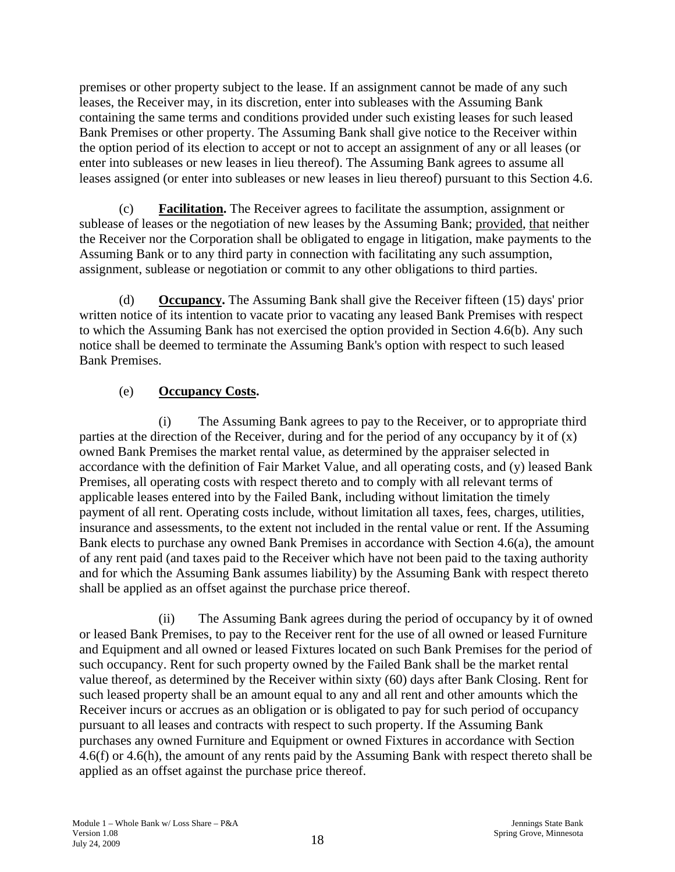premises or other property subject to the lease. If an assignment cannot be made of any such leases, the Receiver may, in its discretion, enter into subleases with the Assuming Bank containing the same terms and conditions provided under such existing leases for such leased Bank Premises or other property. The Assuming Bank shall give notice to the Receiver within the option period of its election to accept or not to accept an assignment of any or all leases (or enter into subleases or new leases in lieu thereof). The Assuming Bank agrees to assume all leases assigned (or enter into subleases or new leases in lieu thereof) pursuant to this Section 4.6.

(c) **Facilitation.** The Receiver agrees to facilitate the assumption, assignment or sublease of leases or the negotiation of new leases by the Assuming Bank; provided, that neither the Receiver nor the Corporation shall be obligated to engage in litigation, make payments to the Assuming Bank or to any third party in connection with facilitating any such assumption, assignment, sublease or negotiation or commit to any other obligations to third parties.

(d) **Occupancy.** The Assuming Bank shall give the Receiver fifteen (15) days' prior written notice of its intention to vacate prior to vacating any leased Bank Premises with respect to which the Assuming Bank has not exercised the option provided in Section 4.6(b). Any such notice shall be deemed to terminate the Assuming Bank's option with respect to such leased Bank Premises.

## (e) **Occupancy Costs.**

(i) The Assuming Bank agrees to pay to the Receiver, or to appropriate third parties at the direction of the Receiver, during and for the period of any occupancy by it of (x) owned Bank Premises the market rental value, as determined by the appraiser selected in accordance with the definition of Fair Market Value, and all operating costs, and (y) leased Bank Premises, all operating costs with respect thereto and to comply with all relevant terms of applicable leases entered into by the Failed Bank, including without limitation the timely payment of all rent. Operating costs include, without limitation all taxes, fees, charges, utilities, insurance and assessments, to the extent not included in the rental value or rent. If the Assuming Bank elects to purchase any owned Bank Premises in accordance with Section 4.6(a), the amount of any rent paid (and taxes paid to the Receiver which have not been paid to the taxing authority and for which the Assuming Bank assumes liability) by the Assuming Bank with respect thereto shall be applied as an offset against the purchase price thereof.

(ii) The Assuming Bank agrees during the period of occupancy by it of owned or leased Bank Premises, to pay to the Receiver rent for the use of all owned or leased Furniture and Equipment and all owned or leased Fixtures located on such Bank Premises for the period of such occupancy. Rent for such property owned by the Failed Bank shall be the market rental value thereof, as determined by the Receiver within sixty (60) days after Bank Closing. Rent for such leased property shall be an amount equal to any and all rent and other amounts which the Receiver incurs or accrues as an obligation or is obligated to pay for such period of occupancy pursuant to all leases and contracts with respect to such property. If the Assuming Bank purchases any owned Furniture and Equipment or owned Fixtures in accordance with Section 4.6(f) or 4.6(h), the amount of any rents paid by the Assuming Bank with respect thereto shall be applied as an offset against the purchase price thereof.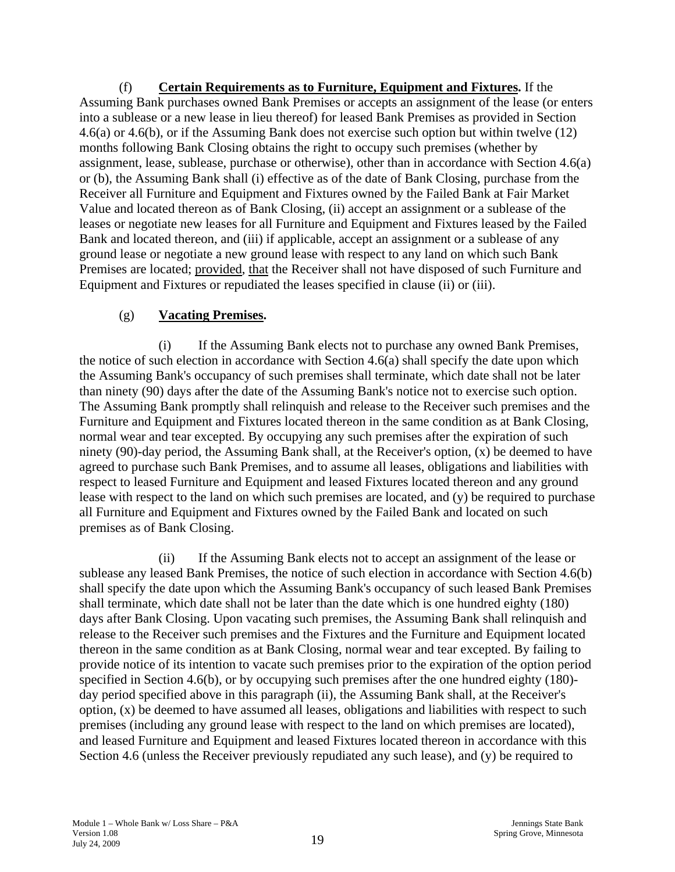(f) **Certain Requirements as to Furniture, Equipment and Fixtures.** If the Assuming Bank purchases owned Bank Premises or accepts an assignment of the lease (or enters into a sublease or a new lease in lieu thereof) for leased Bank Premises as provided in Section 4.6(a) or 4.6(b), or if the Assuming Bank does not exercise such option but within twelve (12) months following Bank Closing obtains the right to occupy such premises (whether by assignment, lease, sublease, purchase or otherwise), other than in accordance with Section 4.6(a) or (b), the Assuming Bank shall (i) effective as of the date of Bank Closing, purchase from the Receiver all Furniture and Equipment and Fixtures owned by the Failed Bank at Fair Market Value and located thereon as of Bank Closing, (ii) accept an assignment or a sublease of the leases or negotiate new leases for all Furniture and Equipment and Fixtures leased by the Failed Bank and located thereon, and (iii) if applicable, accept an assignment or a sublease of any ground lease or negotiate a new ground lease with respect to any land on which such Bank Premises are located; provided, that the Receiver shall not have disposed of such Furniture and Equipment and Fixtures or repudiated the leases specified in clause (ii) or (iii).

### (g) **Vacating Premises.**

(i) If the Assuming Bank elects not to purchase any owned Bank Premises, the notice of such election in accordance with Section 4.6(a) shall specify the date upon which the Assuming Bank's occupancy of such premises shall terminate, which date shall not be later than ninety (90) days after the date of the Assuming Bank's notice not to exercise such option. The Assuming Bank promptly shall relinquish and release to the Receiver such premises and the Furniture and Equipment and Fixtures located thereon in the same condition as at Bank Closing, normal wear and tear excepted. By occupying any such premises after the expiration of such ninety (90)-day period, the Assuming Bank shall, at the Receiver's option, (x) be deemed to have agreed to purchase such Bank Premises, and to assume all leases, obligations and liabilities with respect to leased Furniture and Equipment and leased Fixtures located thereon and any ground lease with respect to the land on which such premises are located, and (y) be required to purchase all Furniture and Equipment and Fixtures owned by the Failed Bank and located on such premises as of Bank Closing.

(ii) If the Assuming Bank elects not to accept an assignment of the lease or sublease any leased Bank Premises, the notice of such election in accordance with Section 4.6(b) shall specify the date upon which the Assuming Bank's occupancy of such leased Bank Premises shall terminate, which date shall not be later than the date which is one hundred eighty (180) days after Bank Closing. Upon vacating such premises, the Assuming Bank shall relinquish and release to the Receiver such premises and the Fixtures and the Furniture and Equipment located thereon in the same condition as at Bank Closing, normal wear and tear excepted. By failing to provide notice of its intention to vacate such premises prior to the expiration of the option period specified in Section 4.6(b), or by occupying such premises after the one hundred eighty (180) day period specified above in this paragraph (ii), the Assuming Bank shall, at the Receiver's option, (x) be deemed to have assumed all leases, obligations and liabilities with respect to such premises (including any ground lease with respect to the land on which premises are located), and leased Furniture and Equipment and leased Fixtures located thereon in accordance with this Section 4.6 (unless the Receiver previously repudiated any such lease), and (y) be required to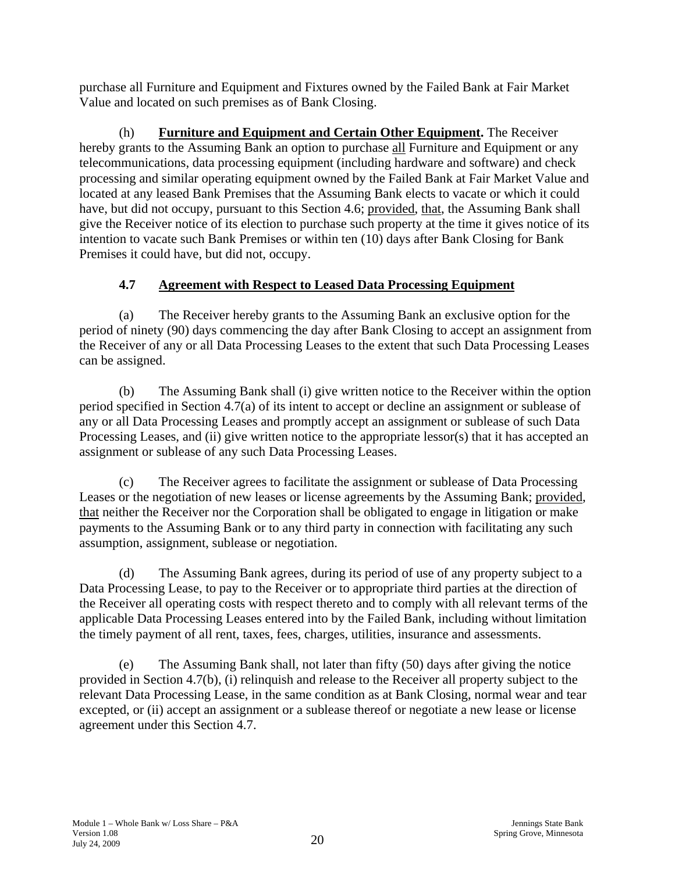purchase all Furniture and Equipment and Fixtures owned by the Failed Bank at Fair Market Value and located on such premises as of Bank Closing.

(h) **Furniture and Equipment and Certain Other Equipment.** The Receiver hereby grants to the Assuming Bank an option to purchase all Furniture and Equipment or any telecommunications, data processing equipment (including hardware and software) and check processing and similar operating equipment owned by the Failed Bank at Fair Market Value and located at any leased Bank Premises that the Assuming Bank elects to vacate or which it could have, but did not occupy, pursuant to this Section 4.6; provided, that, the Assuming Bank shall give the Receiver notice of its election to purchase such property at the time it gives notice of its intention to vacate such Bank Premises or within ten (10) days after Bank Closing for Bank Premises it could have, but did not, occupy.

# **4.7 Agreement with Respect to Leased Data Processing Equipment**

<span id="page-23-0"></span>(a) The Receiver hereby grants to the Assuming Bank an exclusive option for the period of ninety (90) days commencing the day after Bank Closing to accept an assignment from the Receiver of any or all Data Processing Leases to the extent that such Data Processing Leases can be assigned.

(b) The Assuming Bank shall (i) give written notice to the Receiver within the option period specified in Section 4.7(a) of its intent to accept or decline an assignment or sublease of any or all Data Processing Leases and promptly accept an assignment or sublease of such Data Processing Leases, and (ii) give written notice to the appropriate lessor(s) that it has accepted an assignment or sublease of any such Data Processing Leases.

(c) The Receiver agrees to facilitate the assignment or sublease of Data Processing Leases or the negotiation of new leases or license agreements by the Assuming Bank; provided, that neither the Receiver nor the Corporation shall be obligated to engage in litigation or make payments to the Assuming Bank or to any third party in connection with facilitating any such assumption, assignment, sublease or negotiation.

(d) The Assuming Bank agrees, during its period of use of any property subject to a Data Processing Lease, to pay to the Receiver or to appropriate third parties at the direction of the Receiver all operating costs with respect thereto and to comply with all relevant terms of the applicable Data Processing Leases entered into by the Failed Bank, including without limitation the timely payment of all rent, taxes, fees, charges, utilities, insurance and assessments.

(e) The Assuming Bank shall, not later than fifty (50) days after giving the notice provided in Section 4.7(b), (i) relinquish and release to the Receiver all property subject to the relevant Data Processing Lease, in the same condition as at Bank Closing, normal wear and tear excepted, or (ii) accept an assignment or a sublease thereof or negotiate a new lease or license agreement under this Section 4.7.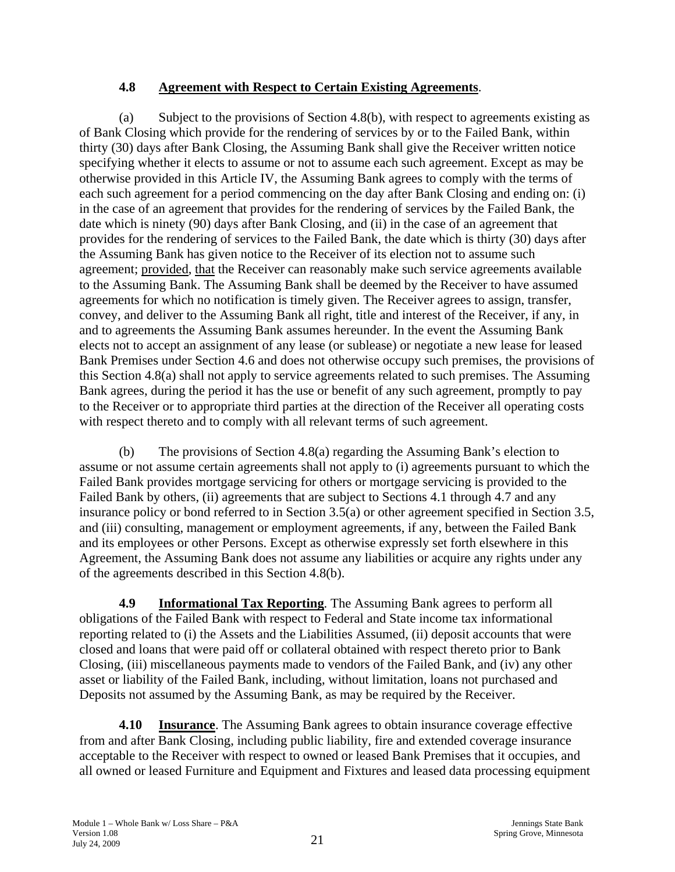### **4.8 Agreement with Respect to Certain Existing Agreements**.

(a) Subject to the provisions of Section 4.8(b), with respect to agreements existing as of Bank Closing which provide for the rendering of services by or to the Failed Bank, within thirty (30) days after Bank Closing, the Assuming Bank shall give the Receiver written notice specifying whether it elects to assume or not to assume each such agreement. Except as may be otherwise provided in this Article IV, the Assuming Bank agrees to comply with the terms of each such agreement for a period commencing on the day after Bank Closing and ending on: (i) in the case of an agreement that provides for the rendering of services by the Failed Bank, the date which is ninety (90) days after Bank Closing, and (ii) in the case of an agreement that provides for the rendering of services to the Failed Bank, the date which is thirty (30) days after the Assuming Bank has given notice to the Receiver of its election not to assume such agreement; provided, that the Receiver can reasonably make such service agreements available to the Assuming Bank. The Assuming Bank shall be deemed by the Receiver to have assumed agreements for which no notification is timely given. The Receiver agrees to assign, transfer, convey, and deliver to the Assuming Bank all right, title and interest of the Receiver, if any, in and to agreements the Assuming Bank assumes hereunder. In the event the Assuming Bank elects not to accept an assignment of any lease (or sublease) or negotiate a new lease for leased Bank Premises under Section 4.6 and does not otherwise occupy such premises, the provisions of this Section 4.8(a) shall not apply to service agreements related to such premises. The Assuming Bank agrees, during the period it has the use or benefit of any such agreement, promptly to pay to the Receiver or to appropriate third parties at the direction of the Receiver all operating costs with respect thereto and to comply with all relevant terms of such agreement.

(b) The provisions of Section 4.8(a) regarding the Assuming Bank's election to assume or not assume certain agreements shall not apply to (i) agreements pursuant to which the Failed Bank provides mortgage servicing for others or mortgage servicing is provided to the Failed Bank by others, (ii) agreements that are subject to Sections 4.1 through 4.7 and any insurance policy or bond referred to in Section 3.5(a) or other agreement specified in Section 3.5, and (iii) consulting, management or employment agreements, if any, between the Failed Bank and its employees or other Persons. Except as otherwise expressly set forth elsewhere in this Agreement, the Assuming Bank does not assume any liabilities or acquire any rights under any of the agreements described in this Section 4.8(b).

<span id="page-24-1"></span>**4.9** Informational Tax Reporting. The Assuming Bank agrees to perform all obligations of the Failed Bank with respect to Federal and State income tax informational reporting related to (i) the Assets and the Liabilities Assumed, (ii) deposit accounts that were closed and loans that were paid off or collateral obtained with respect thereto prior to Bank Closing, (iii) miscellaneous payments made to vendors of the Failed Bank, and (iv) any other asset or liability of the Failed Bank, including, without limitation, loans not purchased and Deposits not assumed by the Assuming Bank, as may be required by the Receiver.

<span id="page-24-2"></span><span id="page-24-0"></span>**4.10 Insurance**. The Assuming Bank agrees to obtain insurance coverage effective from and after Bank Closing, including public liability, fire and extended coverage insurance acceptable to the Receiver with respect to owned or leased Bank Premises that it occupies, and all owned or leased Furniture and Equipment and Fixtures and leased data processing equipment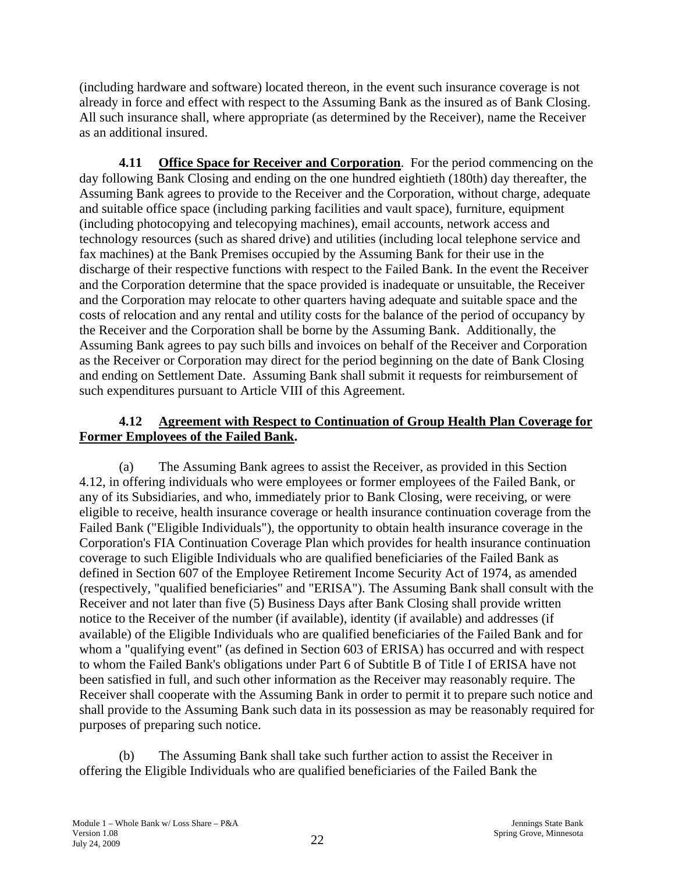(including hardware and software) located thereon, in the event such insurance coverage is not already in force and effect with respect to the Assuming Bank as the insured as of Bank Closing. All such insurance shall, where appropriate (as determined by the Receiver), name the Receiver as an additional insured.

<span id="page-25-0"></span>**4.11** Office Space for Receiver and Corporation. For the period commencing on the day following Bank Closing and ending on the one hundred eightieth (180th) day thereafter, the Assuming Bank agrees to provide to the Receiver and the Corporation, without charge, adequate and suitable office space (including parking facilities and vault space), furniture, equipment (including photocopying and telecopying machines), email accounts, network access and technology resources (such as shared drive) and utilities (including local telephone service and fax machines) at the Bank Premises occupied by the Assuming Bank for their use in the discharge of their respective functions with respect to the Failed Bank. In the event the Receiver and the Corporation determine that the space provided is inadequate or unsuitable, the Receiver and the Corporation may relocate to other quarters having adequate and suitable space and the costs of relocation and any rental and utility costs for the balance of the period of occupancy by the Receiver and the Corporation shall be borne by the Assuming Bank. Additionally, the Assuming Bank agrees to pay such bills and invoices on behalf of the Receiver and Corporation as the Receiver or Corporation may direct for the period beginning on the date of Bank Closing and ending on Settlement Date. Assuming Bank shall submit it requests for reimbursement of such expenditures pursuant to Article VIII of this Agreement.

### <span id="page-25-1"></span>**4.12 Agreement with Respect to Continuation of Group Health Plan Coverage for Former Employees of the Failed Bank.**

(a) The Assuming Bank agrees to assist the Receiver, as provided in this Section 4.12, in offering individuals who were employees or former employees of the Failed Bank, or any of its Subsidiaries, and who, immediately prior to Bank Closing, were receiving, or were eligible to receive, health insurance coverage or health insurance continuation coverage from the Failed Bank ("Eligible Individuals"), the opportunity to obtain health insurance coverage in the Corporation's FIA Continuation Coverage Plan which provides for health insurance continuation coverage to such Eligible Individuals who are qualified beneficiaries of the Failed Bank as defined in Section 607 of the Employee Retirement Income Security Act of 1974, as amended (respectively, "qualified beneficiaries" and "ERISA"). The Assuming Bank shall consult with the Receiver and not later than five (5) Business Days after Bank Closing shall provide written notice to the Receiver of the number (if available), identity (if available) and addresses (if available) of the Eligible Individuals who are qualified beneficiaries of the Failed Bank and for whom a "qualifying event" (as defined in Section 603 of ERISA) has occurred and with respect to whom the Failed Bank's obligations under Part 6 of Subtitle B of Title I of ERISA have not been satisfied in full, and such other information as the Receiver may reasonably require. The Receiver shall cooperate with the Assuming Bank in order to permit it to prepare such notice and shall provide to the Assuming Bank such data in its possession as may be reasonably required for purposes of preparing such notice.

(b) The Assuming Bank shall take such further action to assist the Receiver in offering the Eligible Individuals who are qualified beneficiaries of the Failed Bank the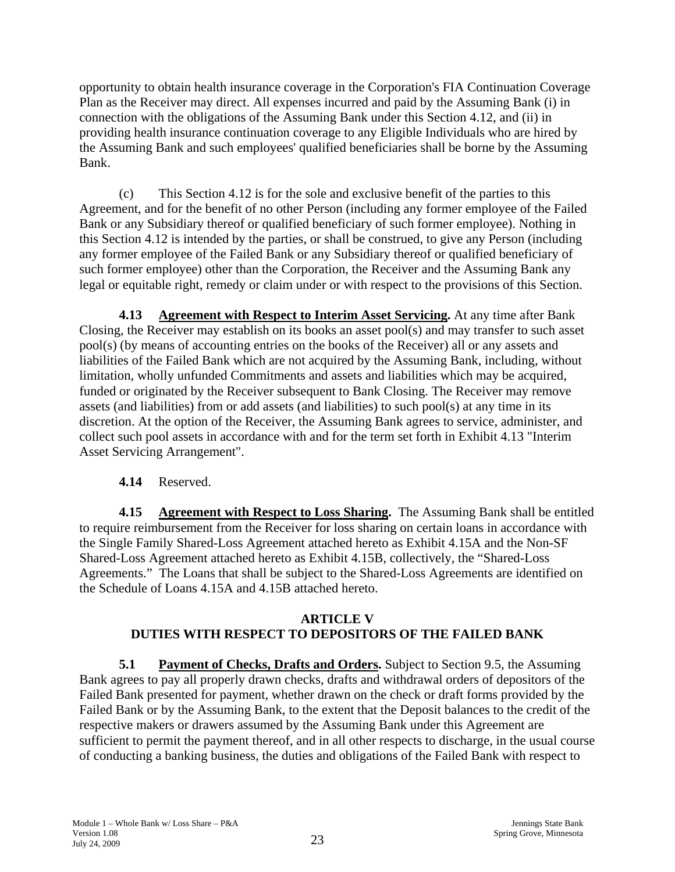opportunity to obtain health insurance coverage in the Corporation's FIA Continuation Coverage Plan as the Receiver may direct. All expenses incurred and paid by the Assuming Bank (i) in connection with the obligations of the Assuming Bank under this Section 4.12, and (ii) in providing health insurance continuation coverage to any Eligible Individuals who are hired by the Assuming Bank and such employees' qualified beneficiaries shall be borne by the Assuming Bank.

(c) This Section 4.12 is for the sole and exclusive benefit of the parties to this Agreement, and for the benefit of no other Person (including any former employee of the Failed Bank or any Subsidiary thereof or qualified beneficiary of such former employee). Nothing in this Section 4.12 is intended by the parties, or shall be construed, to give any Person (including any former employee of the Failed Bank or any Subsidiary thereof or qualified beneficiary of such former employee) other than the Corporation, the Receiver and the Assuming Bank any legal or equitable right, remedy or claim under or with respect to the provisions of this Section.

<span id="page-26-0"></span>**4.13 Agreement with Respect to Interim Asset Servicing.** At any time after Bank Closing, the Receiver may establish on its books an asset pool(s) and may transfer to such asset pool(s) (by means of accounting entries on the books of the Receiver) all or any assets and liabilities of the Failed Bank which are not acquired by the Assuming Bank, including, without limitation, wholly unfunded Commitments and assets and liabilities which may be acquired, funded or originated by the Receiver subsequent to Bank Closing. The Receiver may remove assets (and liabilities) from or add assets (and liabilities) to such pool(s) at any time in its discretion. At the option of the Receiver, the Assuming Bank agrees to service, administer, and collect such pool assets in accordance with and for the term set forth in Exhibit 4.13 "Interim Asset Servicing Arrangement".

### **4.14** Reserved.

**4.15 Agreement with Respect to Loss Sharing.** The Assuming Bank shall be entitled to require reimbursement from the Receiver for loss sharing on certain loans in accordance with the Single Family Shared-Loss Agreement attached hereto as Exhibit 4.15A and the Non-SF Shared-Loss Agreement attached hereto as Exhibit 4.15B, collectively, the "Shared-Loss Agreements." The Loans that shall be subject to the Shared-Loss Agreements are identified on the Schedule of Loans 4.15A and 4.15B attached hereto.

### **ARTICLE V DUTIES WITH RESPECT TO DEPOSITORS OF THE FAILED BANK**

<span id="page-26-2"></span><span id="page-26-1"></span> **5.1 Payment of Checks, Drafts and Orders.** Subject to Section 9.5, the Assuming Bank agrees to pay all properly drawn checks, drafts and withdrawal orders of depositors of the Failed Bank presented for payment, whether drawn on the check or draft forms provided by the Failed Bank or by the Assuming Bank, to the extent that the Deposit balances to the credit of the respective makers or drawers assumed by the Assuming Bank under this Agreement are sufficient to permit the payment thereof, and in all other respects to discharge, in the usual course of conducting a banking business, the duties and obligations of the Failed Bank with respect to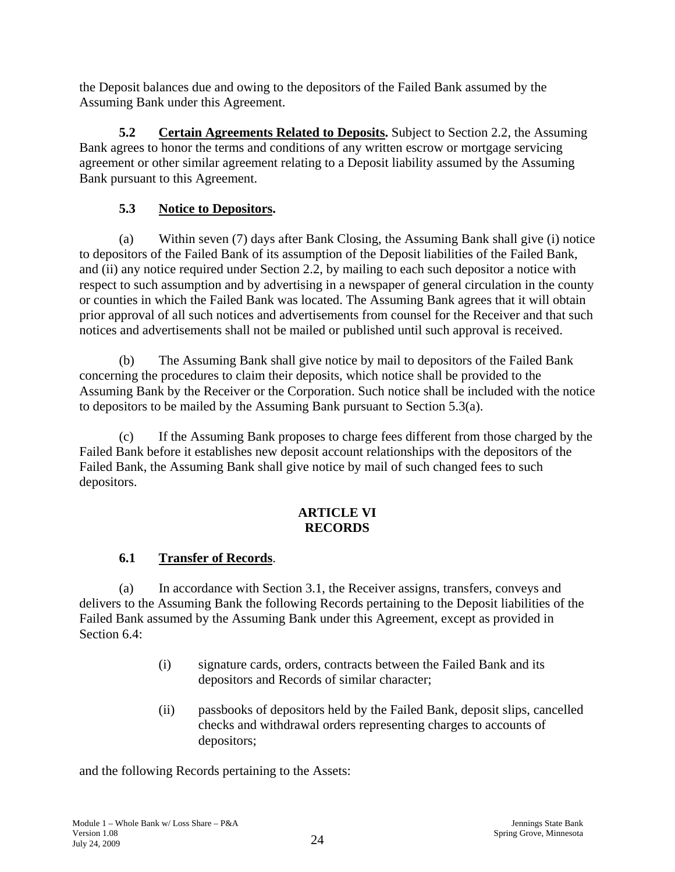the Deposit balances due and owing to the depositors of the Failed Bank assumed by the Assuming Bank under this Agreement.

<span id="page-27-0"></span>**5.2** Certain Agreements Related to Deposits. Subject to Section 2.2, the Assuming Bank agrees to honor the terms and conditions of any written escrow or mortgage servicing agreement or other similar agreement relating to a Deposit liability assumed by the Assuming Bank pursuant to this Agreement.

## **5.3 Notice to Depositors.**

<span id="page-27-1"></span>(a) Within seven (7) days after Bank Closing, the Assuming Bank shall give (i) notice to depositors of the Failed Bank of its assumption of the Deposit liabilities of the Failed Bank, and (ii) any notice required under Section 2.2, by mailing to each such depositor a notice with respect to such assumption and by advertising in a newspaper of general circulation in the county or counties in which the Failed Bank was located. The Assuming Bank agrees that it will obtain prior approval of all such notices and advertisements from counsel for the Receiver and that such notices and advertisements shall not be mailed or published until such approval is received.

(b) The Assuming Bank shall give notice by mail to depositors of the Failed Bank concerning the procedures to claim their deposits, which notice shall be provided to the Assuming Bank by the Receiver or the Corporation. Such notice shall be included with the notice to depositors to be mailed by the Assuming Bank pursuant to Section 5.3(a).

(c) If the Assuming Bank proposes to charge fees different from those charged by the Failed Bank before it establishes new deposit account relationships with the depositors of the Failed Bank, the Assuming Bank shall give notice by mail of such changed fees to such depositors.

### **ARTICLE VI RECORDS**

### **6.1 Transfer of Records**.

<span id="page-27-3"></span><span id="page-27-2"></span>(a) In accordance with Section 3.1, the Receiver assigns, transfers, conveys and delivers to the Assuming Bank the following Records pertaining to the Deposit liabilities of the Failed Bank assumed by the Assuming Bank under this Agreement, except as provided in Section 6.4:

- (i) signature cards, orders, contracts between the Failed Bank and its depositors and Records of similar character;
- (ii) passbooks of depositors held by the Failed Bank, deposit slips, cancelled checks and withdrawal orders representing charges to accounts of depositors;

and the following Records pertaining to the Assets: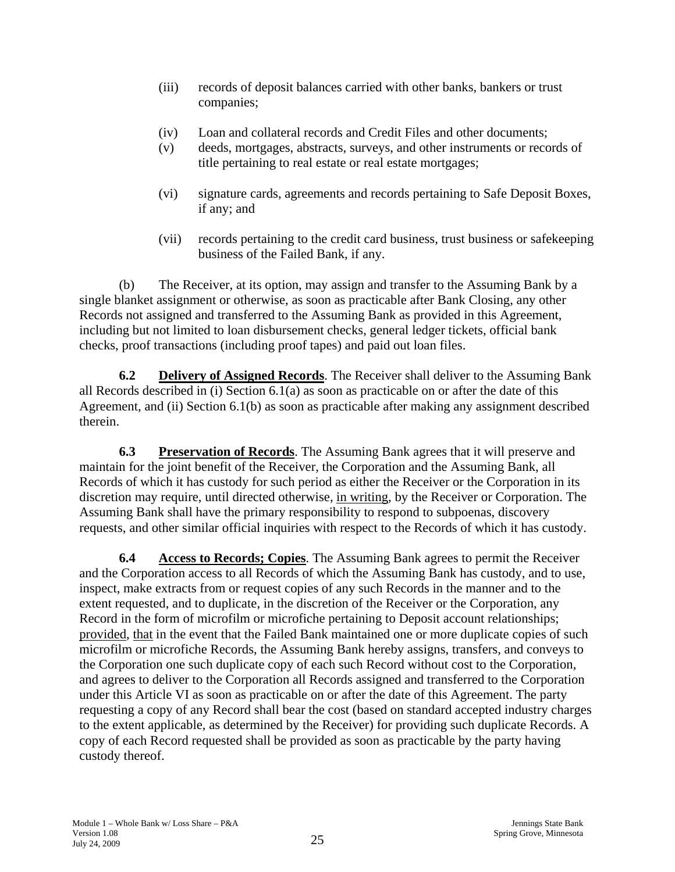- (iii) records of deposit balances carried with other banks, bankers or trust companies;
- (iv) Loan and collateral records and Credit Files and other documents;
- (v) deeds, mortgages, abstracts, surveys, and other instruments or records of title pertaining to real estate or real estate mortgages;
- (vi) signature cards, agreements and records pertaining to Safe Deposit Boxes, if any; and
- (vii) records pertaining to the credit card business, trust business or safekeeping business of the Failed Bank, if any.

(b) The Receiver, at its option, may assign and transfer to the Assuming Bank by a single blanket assignment or otherwise, as soon as practicable after Bank Closing, any other Records not assigned and transferred to the Assuming Bank as provided in this Agreement, including but not limited to loan disbursement checks, general ledger tickets, official bank checks, proof transactions (including proof tapes) and paid out loan files.

<span id="page-28-0"></span>**6.2 Delivery of Assigned Records**. The Receiver shall deliver to the Assuming Bank all Records described in (i) Section 6.1(a) as soon as practicable on or after the date of this Agreement, and (ii) Section 6.1(b) as soon as practicable after making any assignment described therein.

<span id="page-28-1"></span>**6.3 Preservation of Records**. The Assuming Bank agrees that it will preserve and maintain for the joint benefit of the Receiver, the Corporation and the Assuming Bank, all Records of which it has custody for such period as either the Receiver or the Corporation in its discretion may require, until directed otherwise, in writing, by the Receiver or Corporation. The Assuming Bank shall have the primary responsibility to respond to subpoenas, discovery requests, and other similar official inquiries with respect to the Records of which it has custody.

**6.4 Access to Records; Copies**. The Assuming Bank agrees to permit the Receiver and the Corporation access to all Records of which the Assuming Bank has custody, and to use, inspect, make extracts from or request copies of any such Records in the manner and to the extent requested, and to duplicate, in the discretion of the Receiver or the Corporation, any Record in the form of microfilm or microfiche pertaining to Deposit account relationships; provided, that in the event that the Failed Bank maintained one or more duplicate copies of such microfilm or microfiche Records, the Assuming Bank hereby assigns, transfers, and conveys to the Corporation one such duplicate copy of each such Record without cost to the Corporation, and agrees to deliver to the Corporation all Records assigned and transferred to the Corporation under this Article VI as soon as practicable on or after the date of this Agreement. The party requesting a copy of any Record shall bear the cost (based on standard accepted industry charges to the extent applicable, as determined by the Receiver) for providing such duplicate Records. A copy of each Record requested shall be provided as soon as practicable by the party having custody thereof.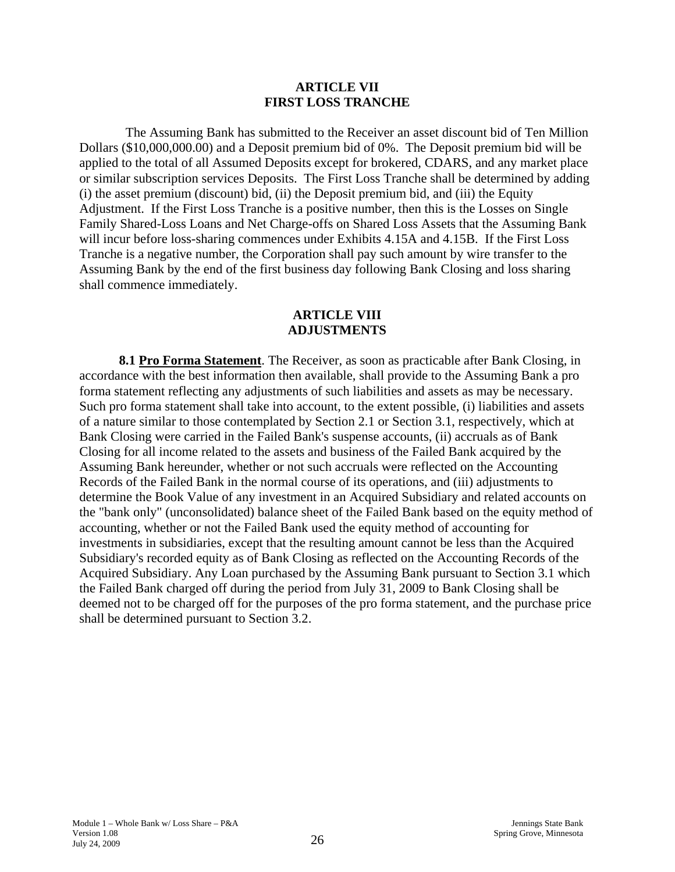#### **ARTICLE VII FIRST LOSS TRANCHE**

 The Assuming Bank has submitted to the Receiver an asset discount bid of Ten Million Dollars (\$10,000,000.00) and a Deposit premium bid of 0%. The Deposit premium bid will be applied to the total of all Assumed Deposits except for brokered, CDARS, and any market place or similar subscription services Deposits. The First Loss Tranche shall be determined by adding (i) the asset premium (discount) bid, (ii) the Deposit premium bid, and (iii) the Equity Adjustment. If the First Loss Tranche is a positive number, then this is the Losses on Single Family Shared-Loss Loans and Net Charge-offs on Shared Loss Assets that the Assuming Bank will incur before loss-sharing commences under Exhibits 4.15A and 4.15B. If the First Loss Tranche is a negative number, the Corporation shall pay such amount by wire transfer to the Assuming Bank by the end of the first business day following Bank Closing and loss sharing shall commence immediately.

#### **ARTICLE VIII ADJUSTMENTS**

<span id="page-29-1"></span><span id="page-29-0"></span>**8.1 Pro Forma Statement**. The Receiver, as soon as practicable after Bank Closing, in accordance with the best information then available, shall provide to the Assuming Bank a pro forma statement reflecting any adjustments of such liabilities and assets as may be necessary. Such pro forma statement shall take into account, to the extent possible, (i) liabilities and assets of a nature similar to those contemplated by Section 2.1 or Section 3.1, respectively, which at Bank Closing were carried in the Failed Bank's suspense accounts, (ii) accruals as of Bank Closing for all income related to the assets and business of the Failed Bank acquired by the Assuming Bank hereunder, whether or not such accruals were reflected on the Accounting Records of the Failed Bank in the normal course of its operations, and (iii) adjustments to determine the Book Value of any investment in an Acquired Subsidiary and related accounts on the "bank only" (unconsolidated) balance sheet of the Failed Bank based on the equity method of accounting, whether or not the Failed Bank used the equity method of accounting for investments in subsidiaries, except that the resulting amount cannot be less than the Acquired Subsidiary's recorded equity as of Bank Closing as reflected on the Accounting Records of the Acquired Subsidiary. Any Loan purchased by the Assuming Bank pursuant to Section 3.1 which the Failed Bank charged off during the period from July 31, 2009 to Bank Closing shall be deemed not to be charged off for the purposes of the pro forma statement, and the purchase price shall be determined pursuant to Section 3.2.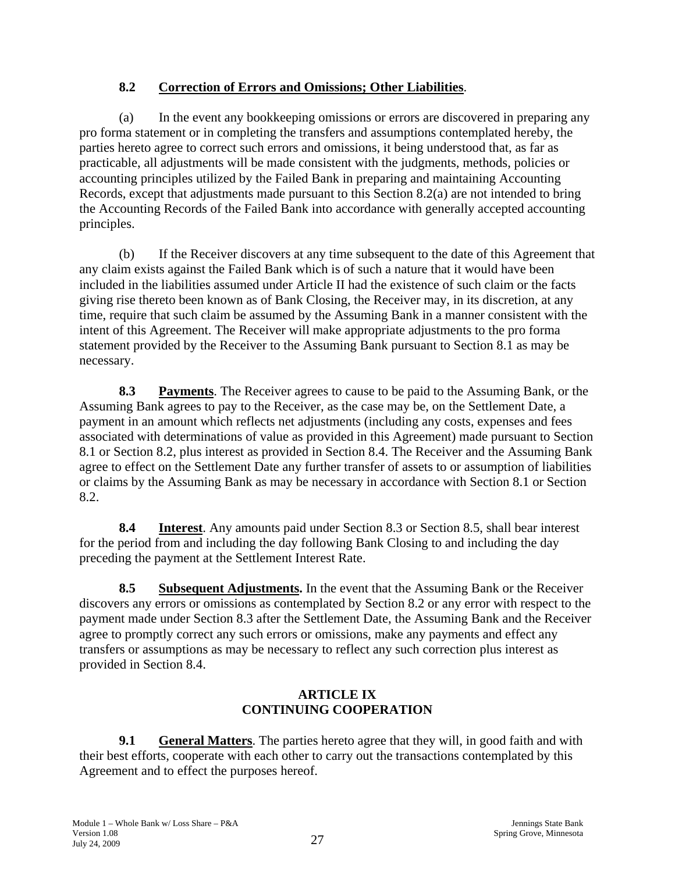## **8.2 Correction of Errors and Omissions; Other Liabilities**.

(a) In the event any bookkeeping omissions or errors are discovered in preparing any pro forma statement or in completing the transfers and assumptions contemplated hereby, the parties hereto agree to correct such errors and omissions, it being understood that, as far as practicable, all adjustments will be made consistent with the judgments, methods, policies or accounting principles utilized by the Failed Bank in preparing and maintaining Accounting Records, except that adjustments made pursuant to this Section 8.2(a) are not intended to bring the Accounting Records of the Failed Bank into accordance with generally accepted accounting principles.

(b) If the Receiver discovers at any time subsequent to the date of this Agreement that any claim exists against the Failed Bank which is of such a nature that it would have been included in the liabilities assumed under Article II had the existence of such claim or the facts giving rise thereto been known as of Bank Closing, the Receiver may, in its discretion, at any time, require that such claim be assumed by the Assuming Bank in a manner consistent with the intent of this Agreement. The Receiver will make appropriate adjustments to the pro forma statement provided by the Receiver to the Assuming Bank pursuant to Section 8.1 as may be necessary.

<span id="page-30-0"></span>**8.3 Payments**. The Receiver agrees to cause to be paid to the Assuming Bank, or the Assuming Bank agrees to pay to the Receiver, as the case may be, on the Settlement Date, a payment in an amount which reflects net adjustments (including any costs, expenses and fees associated with determinations of value as provided in this Agreement) made pursuant to Section 8.1 or Section 8.2, plus interest as provided in Section 8.4. The Receiver and the Assuming Bank agree to effect on the Settlement Date any further transfer of assets to or assumption of liabilities or claims by the Assuming Bank as may be necessary in accordance with Section 8.1 or Section 8.2.

<span id="page-30-1"></span>**8.4 Interest**. Any amounts paid under Section 8.3 or Section 8.5, shall bear interest for the period from and including the day following Bank Closing to and including the day preceding the payment at the Settlement Interest Rate.

<span id="page-30-2"></span>**8.5 Subsequent Adjustments.** In the event that the Assuming Bank or the Receiver discovers any errors or omissions as contemplated by Section 8.2 or any error with respect to the payment made under Section 8.3 after the Settlement Date, the Assuming Bank and the Receiver agree to promptly correct any such errors or omissions, make any payments and effect any transfers or assumptions as may be necessary to reflect any such correction plus interest as provided in Section 8.4.

### **ARTICLE IX CONTINUING COOPERATION**

<span id="page-30-4"></span><span id="page-30-3"></span>**9.1** General Matters. The parties hereto agree that they will, in good faith and with their best efforts, cooperate with each other to carry out the transactions contemplated by this Agreement and to effect the purposes hereof.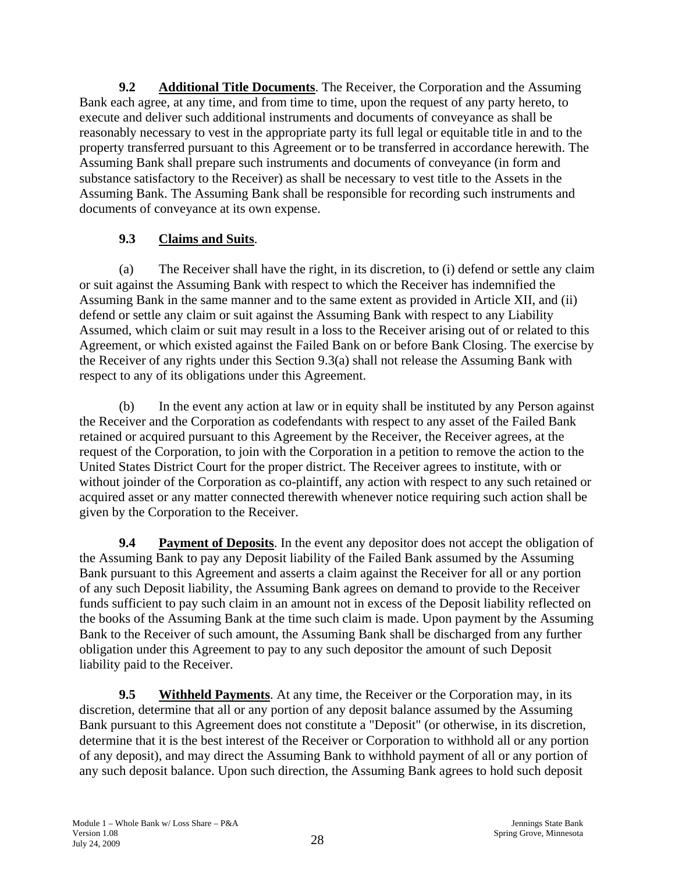<span id="page-31-0"></span> **9.2 Additional Title Documents**. The Receiver, the Corporation and the Assuming Bank each agree, at any time, and from time to time, upon the request of any party hereto, to execute and deliver such additional instruments and documents of conveyance as shall be reasonably necessary to vest in the appropriate party its full legal or equitable title in and to the property transferred pursuant to this Agreement or to be transferred in accordance herewith. The Assuming Bank shall prepare such instruments and documents of conveyance (in form and substance satisfactory to the Receiver) as shall be necessary to vest title to the Assets in the Assuming Bank. The Assuming Bank shall be responsible for recording such instruments and documents of conveyance at its own expense.

## **9.3 Claims and Suits**.

<span id="page-31-1"></span>(a) The Receiver shall have the right, in its discretion, to (i) defend or settle any claim or suit against the Assuming Bank with respect to which the Receiver has indemnified the Assuming Bank in the same manner and to the same extent as provided in Article XII, and (ii) defend or settle any claim or suit against the Assuming Bank with respect to any Liability Assumed, which claim or suit may result in a loss to the Receiver arising out of or related to this Agreement, or which existed against the Failed Bank on or before Bank Closing. The exercise by the Receiver of any rights under this Section 9.3(a) shall not release the Assuming Bank with respect to any of its obligations under this Agreement.

(b) In the event any action at law or in equity shall be instituted by any Person against the Receiver and the Corporation as codefendants with respect to any asset of the Failed Bank retained or acquired pursuant to this Agreement by the Receiver, the Receiver agrees, at the request of the Corporation, to join with the Corporation in a petition to remove the action to the United States District Court for the proper district. The Receiver agrees to institute, with or without joinder of the Corporation as co-plaintiff, any action with respect to any such retained or acquired asset or any matter connected therewith whenever notice requiring such action shall be given by the Corporation to the Receiver.

<span id="page-31-2"></span>**9.4** Payment of Deposits. In the event any depositor does not accept the obligation of the Assuming Bank to pay any Deposit liability of the Failed Bank assumed by the Assuming Bank pursuant to this Agreement and asserts a claim against the Receiver for all or any portion of any such Deposit liability, the Assuming Bank agrees on demand to provide to the Receiver funds sufficient to pay such claim in an amount not in excess of the Deposit liability reflected on the books of the Assuming Bank at the time such claim is made. Upon payment by the Assuming Bank to the Receiver of such amount, the Assuming Bank shall be discharged from any further obligation under this Agreement to pay to any such depositor the amount of such Deposit liability paid to the Receiver.

<span id="page-31-3"></span>**9.5** Withheld Payments. At any time, the Receiver or the Corporation may, in its discretion, determine that all or any portion of any deposit balance assumed by the Assuming Bank pursuant to this Agreement does not constitute a "Deposit" (or otherwise, in its discretion, determine that it is the best interest of the Receiver or Corporation to withhold all or any portion of any deposit), and may direct the Assuming Bank to withhold payment of all or any portion of any such deposit balance. Upon such direction, the Assuming Bank agrees to hold such deposit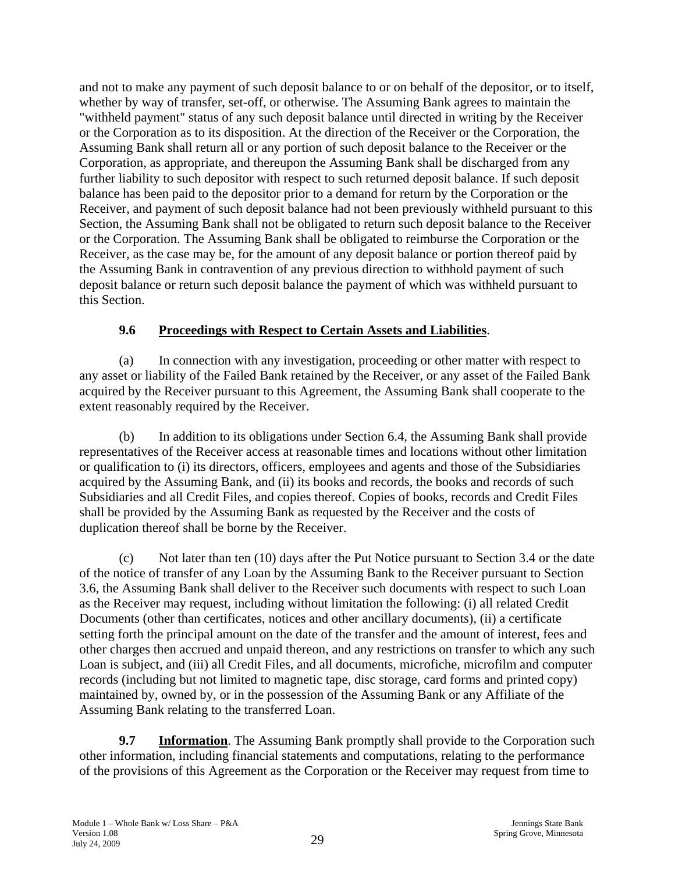and not to make any payment of such deposit balance to or on behalf of the depositor, or to itself, whether by way of transfer, set-off, or otherwise. The Assuming Bank agrees to maintain the "withheld payment" status of any such deposit balance until directed in writing by the Receiver or the Corporation as to its disposition. At the direction of the Receiver or the Corporation, the Assuming Bank shall return all or any portion of such deposit balance to the Receiver or the Corporation, as appropriate, and thereupon the Assuming Bank shall be discharged from any further liability to such depositor with respect to such returned deposit balance. If such deposit balance has been paid to the depositor prior to a demand for return by the Corporation or the Receiver, and payment of such deposit balance had not been previously withheld pursuant to this Section, the Assuming Bank shall not be obligated to return such deposit balance to the Receiver or the Corporation. The Assuming Bank shall be obligated to reimburse the Corporation or the Receiver, as the case may be, for the amount of any deposit balance or portion thereof paid by the Assuming Bank in contravention of any previous direction to withhold payment of such deposit balance or return such deposit balance the payment of which was withheld pursuant to this Section.

## **9.6 Proceedings with Respect to Certain Assets and Liabilities**.

<span id="page-32-0"></span>(a) In connection with any investigation, proceeding or other matter with respect to any asset or liability of the Failed Bank retained by the Receiver, or any asset of the Failed Bank acquired by the Receiver pursuant to this Agreement, the Assuming Bank shall cooperate to the extent reasonably required by the Receiver.

(b) In addition to its obligations under Section 6.4, the Assuming Bank shall provide representatives of the Receiver access at reasonable times and locations without other limitation or qualification to (i) its directors, officers, employees and agents and those of the Subsidiaries acquired by the Assuming Bank, and (ii) its books and records, the books and records of such Subsidiaries and all Credit Files, and copies thereof. Copies of books, records and Credit Files shall be provided by the Assuming Bank as requested by the Receiver and the costs of duplication thereof shall be borne by the Receiver.

(c) Not later than ten (10) days after the Put Notice pursuant to Section 3.4 or the date of the notice of transfer of any Loan by the Assuming Bank to the Receiver pursuant to Section 3.6, the Assuming Bank shall deliver to the Receiver such documents with respect to such Loan as the Receiver may request, including without limitation the following: (i) all related Credit Documents (other than certificates, notices and other ancillary documents), (ii) a certificate setting forth the principal amount on the date of the transfer and the amount of interest, fees and other charges then accrued and unpaid thereon, and any restrictions on transfer to which any such Loan is subject, and (iii) all Credit Files, and all documents, microfiche, microfilm and computer records (including but not limited to magnetic tape, disc storage, card forms and printed copy) maintained by, owned by, or in the possession of the Assuming Bank or any Affiliate of the Assuming Bank relating to the transferred Loan.

<span id="page-32-1"></span>**9.7 Information**. The Assuming Bank promptly shall provide to the Corporation such other information, including financial statements and computations, relating to the performance of the provisions of this Agreement as the Corporation or the Receiver may request from time to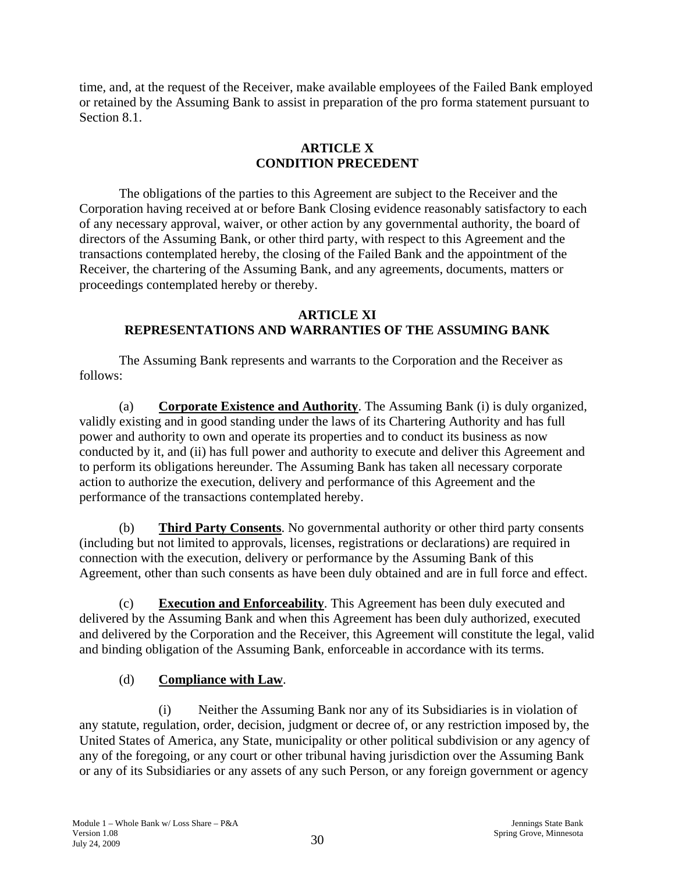time, and, at the request of the Receiver, make available employees of the Failed Bank employed or retained by the Assuming Bank to assist in preparation of the pro forma statement pursuant to Section 8.1.

### **ARTICLE X CONDITION PRECEDENT**

<span id="page-33-0"></span>The obligations of the parties to this Agreement are subject to the Receiver and the Corporation having received at or before Bank Closing evidence reasonably satisfactory to each of any necessary approval, waiver, or other action by any governmental authority, the board of directors of the Assuming Bank, or other third party, with respect to this Agreement and the transactions contemplated hereby, the closing of the Failed Bank and the appointment of the Receiver, the chartering of the Assuming Bank, and any agreements, documents, matters or proceedings contemplated hereby or thereby.

### **ARTICLE XI REPRESENTATIONS AND WARRANTIES OF THE ASSUMING BANK**

<span id="page-33-1"></span>The Assuming Bank represents and warrants to the Corporation and the Receiver as follows:

(a) **Corporate Existence and Authority**. The Assuming Bank (i) is duly organized, validly existing and in good standing under the laws of its Chartering Authority and has full power and authority to own and operate its properties and to conduct its business as now conducted by it, and (ii) has full power and authority to execute and deliver this Agreement and to perform its obligations hereunder. The Assuming Bank has taken all necessary corporate action to authorize the execution, delivery and performance of this Agreement and the performance of the transactions contemplated hereby.

(b) **Third Party Consents**. No governmental authority or other third party consents (including but not limited to approvals, licenses, registrations or declarations) are required in connection with the execution, delivery or performance by the Assuming Bank of this Agreement, other than such consents as have been duly obtained and are in full force and effect.

(c) **Execution and Enforceability**. This Agreement has been duly executed and delivered by the Assuming Bank and when this Agreement has been duly authorized, executed and delivered by the Corporation and the Receiver, this Agreement will constitute the legal, valid and binding obligation of the Assuming Bank, enforceable in accordance with its terms.

### (d) **Compliance with Law**.

(i) Neither the Assuming Bank nor any of its Subsidiaries is in violation of any statute, regulation, order, decision, judgment or decree of, or any restriction imposed by, the United States of America, any State, municipality or other political subdivision or any agency of any of the foregoing, or any court or other tribunal having jurisdiction over the Assuming Bank or any of its Subsidiaries or any assets of any such Person, or any foreign government or agency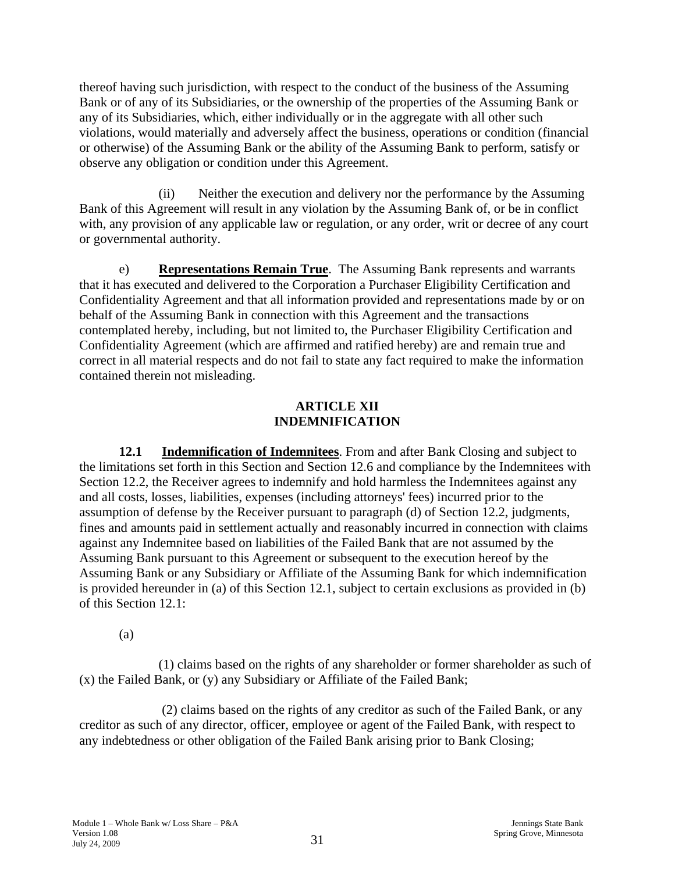thereof having such jurisdiction, with respect to the conduct of the business of the Assuming Bank or of any of its Subsidiaries, or the ownership of the properties of the Assuming Bank or any of its Subsidiaries, which, either individually or in the aggregate with all other such violations, would materially and adversely affect the business, operations or condition (financial or otherwise) of the Assuming Bank or the ability of the Assuming Bank to perform, satisfy or observe any obligation or condition under this Agreement.

(ii) Neither the execution and delivery nor the performance by the Assuming Bank of this Agreement will result in any violation by the Assuming Bank of, or be in conflict with, any provision of any applicable law or regulation, or any order, writ or decree of any court or governmental authority.

e) **Representations Remain True**. The Assuming Bank represents and warrants that it has executed and delivered to the Corporation a Purchaser Eligibility Certification and Confidentiality Agreement and that all information provided and representations made by or on behalf of the Assuming Bank in connection with this Agreement and the transactions contemplated hereby, including, but not limited to, the Purchaser Eligibility Certification and Confidentiality Agreement (which are affirmed and ratified hereby) are and remain true and correct in all material respects and do not fail to state any fact required to make the information contained therein not misleading.

### **ARTICLE XII INDEMNIFICATION**

<span id="page-34-0"></span>**12.1 Indemnification of Indemnitees**. From and after Bank Closing and subject to the limitations set forth in this Section and Section 12.6 and compliance by the Indemnitees with Section 12.2, the Receiver agrees to indemnify and hold harmless the Indemnitees against any and all costs, losses, liabilities, expenses (including attorneys' fees) incurred prior to the assumption of defense by the Receiver pursuant to paragraph (d) of Section 12.2, judgments, fines and amounts paid in settlement actually and reasonably incurred in connection with claims against any Indemnitee based on liabilities of the Failed Bank that are not assumed by the Assuming Bank pursuant to this Agreement or subsequent to the execution hereof by the Assuming Bank or any Subsidiary or Affiliate of the Assuming Bank for which indemnification is provided hereunder in (a) of this Section 12.1, subject to certain exclusions as provided in (b) of this Section 12.1:

(a)

(1) claims based on the rights of any shareholder or former shareholder as such of (x) the Failed Bank, or (y) any Subsidiary or Affiliate of the Failed Bank;

(2) claims based on the rights of any creditor as such of the Failed Bank, or any creditor as such of any director, officer, employee or agent of the Failed Bank, with respect to any indebtedness or other obligation of the Failed Bank arising prior to Bank Closing;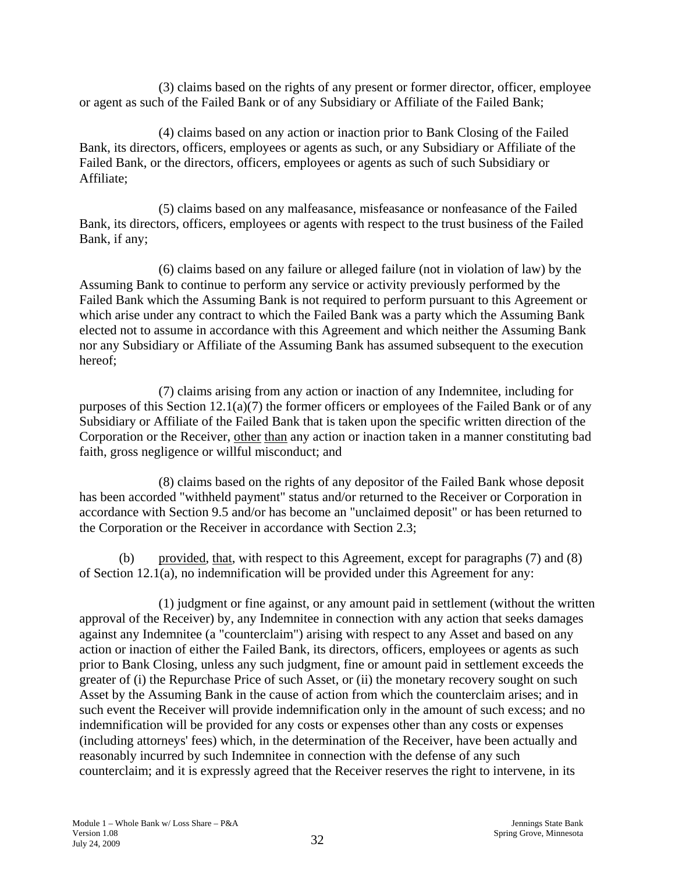(3) claims based on the rights of any present or former director, officer, employee or agent as such of the Failed Bank or of any Subsidiary or Affiliate of the Failed Bank;

(4) claims based on any action or inaction prior to Bank Closing of the Failed Bank, its directors, officers, employees or agents as such, or any Subsidiary or Affiliate of the Failed Bank, or the directors, officers, employees or agents as such of such Subsidiary or Affiliate;

(5) claims based on any malfeasance, misfeasance or nonfeasance of the Failed Bank, its directors, officers, employees or agents with respect to the trust business of the Failed Bank, if any;

(6) claims based on any failure or alleged failure (not in violation of law) by the Assuming Bank to continue to perform any service or activity previously performed by the Failed Bank which the Assuming Bank is not required to perform pursuant to this Agreement or which arise under any contract to which the Failed Bank was a party which the Assuming Bank elected not to assume in accordance with this Agreement and which neither the Assuming Bank nor any Subsidiary or Affiliate of the Assuming Bank has assumed subsequent to the execution hereof;

(7) claims arising from any action or inaction of any Indemnitee, including for purposes of this Section 12.1(a)(7) the former officers or employees of the Failed Bank or of any Subsidiary or Affiliate of the Failed Bank that is taken upon the specific written direction of the Corporation or the Receiver, other than any action or inaction taken in a manner constituting bad faith, gross negligence or willful misconduct; and

(8) claims based on the rights of any depositor of the Failed Bank whose deposit has been accorded "withheld payment" status and/or returned to the Receiver or Corporation in accordance with Section 9.5 and/or has become an "unclaimed deposit" or has been returned to the Corporation or the Receiver in accordance with Section 2.3;

(b) provided, that, with respect to this Agreement, except for paragraphs (7) and (8) of Section 12.1(a), no indemnification will be provided under this Agreement for any:

(1) judgment or fine against, or any amount paid in settlement (without the written approval of the Receiver) by, any Indemnitee in connection with any action that seeks damages against any Indemnitee (a "counterclaim") arising with respect to any Asset and based on any action or inaction of either the Failed Bank, its directors, officers, employees or agents as such prior to Bank Closing, unless any such judgment, fine or amount paid in settlement exceeds the greater of (i) the Repurchase Price of such Asset, or (ii) the monetary recovery sought on such Asset by the Assuming Bank in the cause of action from which the counterclaim arises; and in such event the Receiver will provide indemnification only in the amount of such excess; and no indemnification will be provided for any costs or expenses other than any costs or expenses (including attorneys' fees) which, in the determination of the Receiver, have been actually and reasonably incurred by such Indemnitee in connection with the defense of any such counterclaim; and it is expressly agreed that the Receiver reserves the right to intervene, in its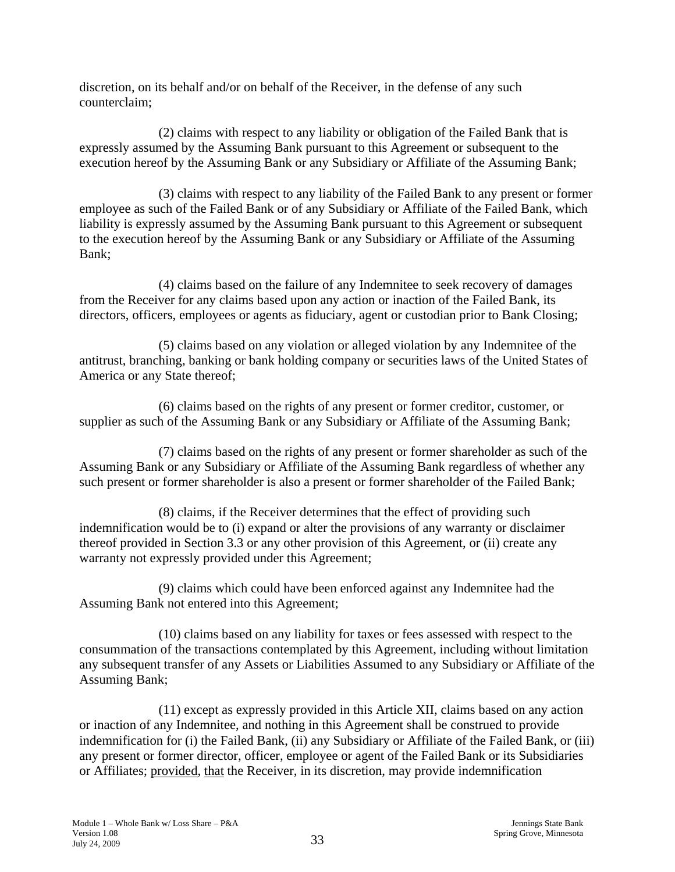discretion, on its behalf and/or on behalf of the Receiver, in the defense of any such counterclaim;

(2) claims with respect to any liability or obligation of the Failed Bank that is expressly assumed by the Assuming Bank pursuant to this Agreement or subsequent to the execution hereof by the Assuming Bank or any Subsidiary or Affiliate of the Assuming Bank;

(3) claims with respect to any liability of the Failed Bank to any present or former employee as such of the Failed Bank or of any Subsidiary or Affiliate of the Failed Bank, which liability is expressly assumed by the Assuming Bank pursuant to this Agreement or subsequent to the execution hereof by the Assuming Bank or any Subsidiary or Affiliate of the Assuming Bank;

(4) claims based on the failure of any Indemnitee to seek recovery of damages from the Receiver for any claims based upon any action or inaction of the Failed Bank, its directors, officers, employees or agents as fiduciary, agent or custodian prior to Bank Closing;

(5) claims based on any violation or alleged violation by any Indemnitee of the antitrust, branching, banking or bank holding company or securities laws of the United States of America or any State thereof;

(6) claims based on the rights of any present or former creditor, customer, or supplier as such of the Assuming Bank or any Subsidiary or Affiliate of the Assuming Bank;

(7) claims based on the rights of any present or former shareholder as such of the Assuming Bank or any Subsidiary or Affiliate of the Assuming Bank regardless of whether any such present or former shareholder is also a present or former shareholder of the Failed Bank;

(8) claims, if the Receiver determines that the effect of providing such indemnification would be to (i) expand or alter the provisions of any warranty or disclaimer thereof provided in Section 3.3 or any other provision of this Agreement, or (ii) create any warranty not expressly provided under this Agreement;

(9) claims which could have been enforced against any Indemnitee had the Assuming Bank not entered into this Agreement;

(10) claims based on any liability for taxes or fees assessed with respect to the consummation of the transactions contemplated by this Agreement, including without limitation any subsequent transfer of any Assets or Liabilities Assumed to any Subsidiary or Affiliate of the Assuming Bank;

(11) except as expressly provided in this Article XII, claims based on any action or inaction of any Indemnitee, and nothing in this Agreement shall be construed to provide indemnification for (i) the Failed Bank, (ii) any Subsidiary or Affiliate of the Failed Bank, or (iii) any present or former director, officer, employee or agent of the Failed Bank or its Subsidiaries or Affiliates; provided, that the Receiver, in its discretion, may provide indemnification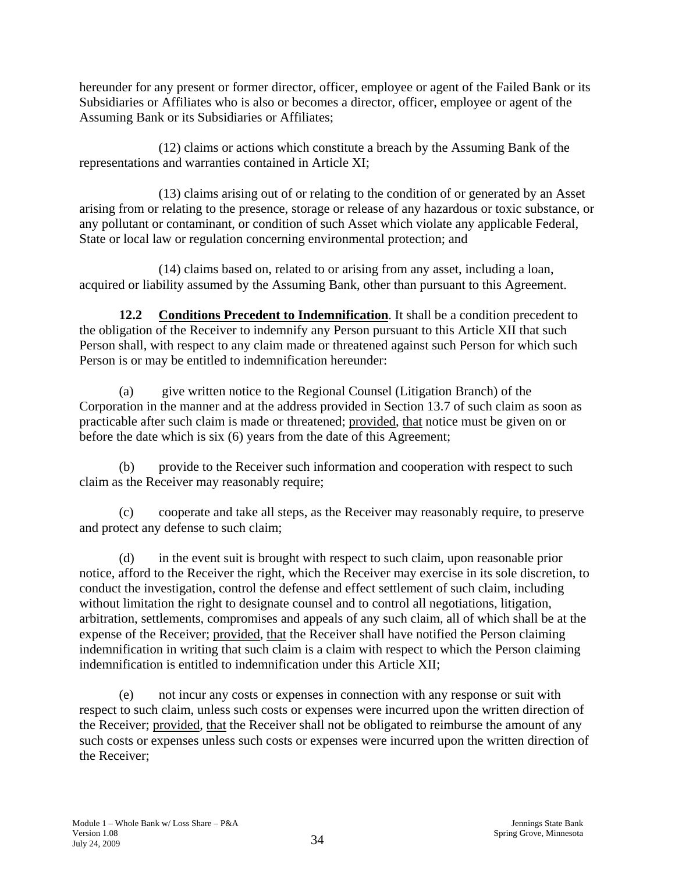hereunder for any present or former director, officer, employee or agent of the Failed Bank or its Subsidiaries or Affiliates who is also or becomes a director, officer, employee or agent of the Assuming Bank or its Subsidiaries or Affiliates;

(12) claims or actions which constitute a breach by the Assuming Bank of the representations and warranties contained in Article XI;

(13) claims arising out of or relating to the condition of or generated by an Asset arising from or relating to the presence, storage or release of any hazardous or toxic substance, or any pollutant or contaminant, or condition of such Asset which violate any applicable Federal, State or local law or regulation concerning environmental protection; and

(14) claims based on, related to or arising from any asset, including a loan, acquired or liability assumed by the Assuming Bank, other than pursuant to this Agreement.

**12.2 Conditions Precedent to Indemnification**. It shall be a condition precedent to the obligation of the Receiver to indemnify any Person pursuant to this Article XII that such Person shall, with respect to any claim made or threatened against such Person for which such Person is or may be entitled to indemnification hereunder:

(a) give written notice to the Regional Counsel (Litigation Branch) of the Corporation in the manner and at the address provided in Section 13.7 of such claim as soon as practicable after such claim is made or threatened; provided, that notice must be given on or before the date which is six (6) years from the date of this Agreement;

(b) provide to the Receiver such information and cooperation with respect to such claim as the Receiver may reasonably require;

(c) cooperate and take all steps, as the Receiver may reasonably require, to preserve and protect any defense to such claim;

(d) in the event suit is brought with respect to such claim, upon reasonable prior notice, afford to the Receiver the right, which the Receiver may exercise in its sole discretion, to conduct the investigation, control the defense and effect settlement of such claim, including without limitation the right to designate counsel and to control all negotiations, litigation, arbitration, settlements, compromises and appeals of any such claim, all of which shall be at the expense of the Receiver; provided, that the Receiver shall have notified the Person claiming indemnification in writing that such claim is a claim with respect to which the Person claiming indemnification is entitled to indemnification under this Article XII;

(e) not incur any costs or expenses in connection with any response or suit with respect to such claim, unless such costs or expenses were incurred upon the written direction of the Receiver; provided, that the Receiver shall not be obligated to reimburse the amount of any such costs or expenses unless such costs or expenses were incurred upon the written direction of the Receiver;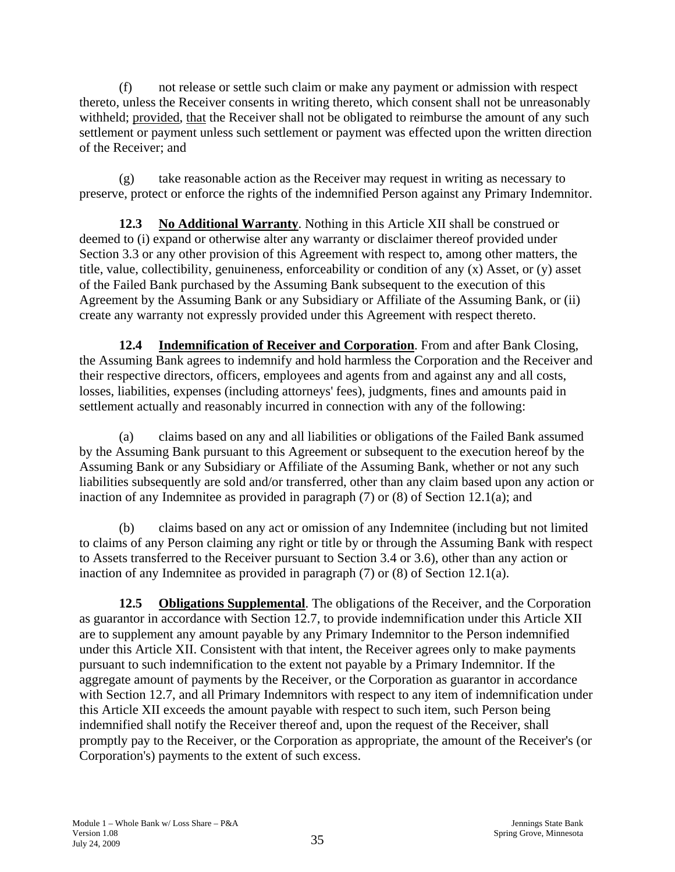(f) not release or settle such claim or make any payment or admission with respect thereto, unless the Receiver consents in writing thereto, which consent shall not be unreasonably withheld; provided, that the Receiver shall not be obligated to reimburse the amount of any such settlement or payment unless such settlement or payment was effected upon the written direction of the Receiver; and

(g) take reasonable action as the Receiver may request in writing as necessary to preserve, protect or enforce the rights of the indemnified Person against any Primary Indemnitor.

**12.3 No Additional Warranty**. Nothing in this Article XII shall be construed or deemed to (i) expand or otherwise alter any warranty or disclaimer thereof provided under Section 3.3 or any other provision of this Agreement with respect to, among other matters, the title, value, collectibility, genuineness, enforceability or condition of any (x) Asset, or (y) asset of the Failed Bank purchased by the Assuming Bank subsequent to the execution of this Agreement by the Assuming Bank or any Subsidiary or Affiliate of the Assuming Bank, or (ii) create any warranty not expressly provided under this Agreement with respect thereto.

12.4 **Indemnification of Receiver and Corporation**. From and after Bank Closing, the Assuming Bank agrees to indemnify and hold harmless the Corporation and the Receiver and their respective directors, officers, employees and agents from and against any and all costs, losses, liabilities, expenses (including attorneys' fees), judgments, fines and amounts paid in settlement actually and reasonably incurred in connection with any of the following:

(a) claims based on any and all liabilities or obligations of the Failed Bank assumed by the Assuming Bank pursuant to this Agreement or subsequent to the execution hereof by the Assuming Bank or any Subsidiary or Affiliate of the Assuming Bank, whether or not any such liabilities subsequently are sold and/or transferred, other than any claim based upon any action or inaction of any Indemnitee as provided in paragraph (7) or (8) of Section 12.1(a); and

(b) claims based on any act or omission of any Indemnitee (including but not limited to claims of any Person claiming any right or title by or through the Assuming Bank with respect to Assets transferred to the Receiver pursuant to Section 3.4 or 3.6), other than any action or inaction of any Indemnitee as provided in paragraph (7) or (8) of Section 12.1(a).

**12.5 Obligations Supplemental**. The obligations of the Receiver, and the Corporation as guarantor in accordance with Section 12.7, to provide indemnification under this Article XII are to supplement any amount payable by any Primary Indemnitor to the Person indemnified under this Article XII. Consistent with that intent, the Receiver agrees only to make payments pursuant to such indemnification to the extent not payable by a Primary Indemnitor. If the aggregate amount of payments by the Receiver, or the Corporation as guarantor in accordance with Section 12.7, and all Primary Indemnitors with respect to any item of indemnification under this Article XII exceeds the amount payable with respect to such item, such Person being indemnified shall notify the Receiver thereof and, upon the request of the Receiver, shall promptly pay to the Receiver, or the Corporation as appropriate, the amount of the Receiver's (or Corporation's) payments to the extent of such excess.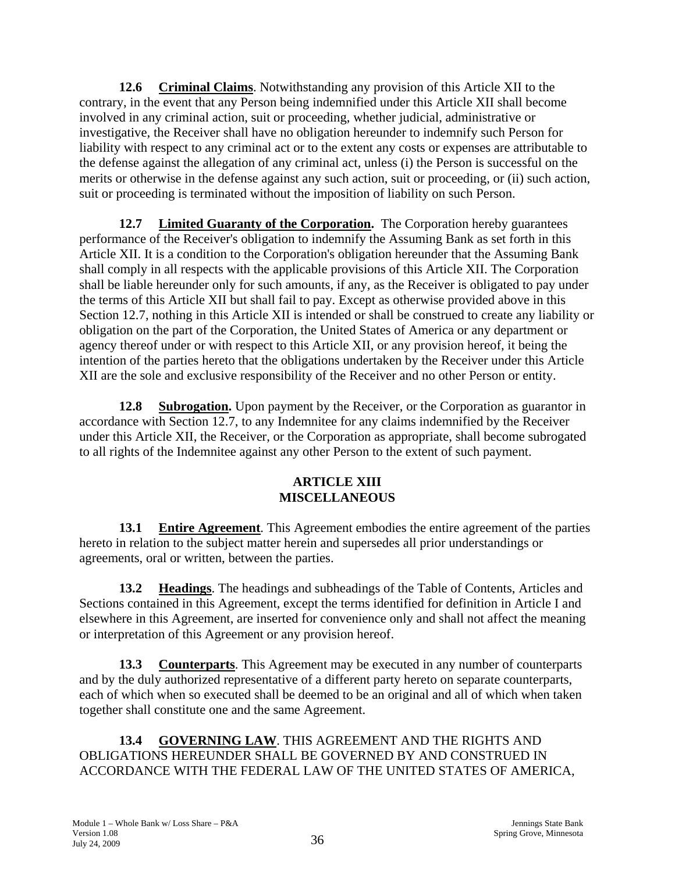**12.6 Criminal Claims**. Notwithstanding any provision of this Article XII to the contrary, in the event that any Person being indemnified under this Article XII shall become involved in any criminal action, suit or proceeding, whether judicial, administrative or investigative, the Receiver shall have no obligation hereunder to indemnify such Person for liability with respect to any criminal act or to the extent any costs or expenses are attributable to the defense against the allegation of any criminal act, unless (i) the Person is successful on the merits or otherwise in the defense against any such action, suit or proceeding, or (ii) such action, suit or proceeding is terminated without the imposition of liability on such Person.

**12.7 Limited Guaranty of the Corporation.** The Corporation hereby guarantees performance of the Receiver's obligation to indemnify the Assuming Bank as set forth in this Article XII. It is a condition to the Corporation's obligation hereunder that the Assuming Bank shall comply in all respects with the applicable provisions of this Article XII. The Corporation shall be liable hereunder only for such amounts, if any, as the Receiver is obligated to pay under the terms of this Article XII but shall fail to pay. Except as otherwise provided above in this Section 12.7, nothing in this Article XII is intended or shall be construed to create any liability or obligation on the part of the Corporation, the United States of America or any department or agency thereof under or with respect to this Article XII, or any provision hereof, it being the intention of the parties hereto that the obligations undertaken by the Receiver under this Article XII are the sole and exclusive responsibility of the Receiver and no other Person or entity.

**12.8** Subrogation. Upon payment by the Receiver, or the Corporation as guarantor in accordance with Section 12.7, to any Indemnitee for any claims indemnified by the Receiver under this Article XII, the Receiver, or the Corporation as appropriate, shall become subrogated to all rights of the Indemnitee against any other Person to the extent of such payment.

## **ARTICLE XIII MISCELLANEOUS**

**13.1 Entire Agreement**. This Agreement embodies the entire agreement of the parties hereto in relation to the subject matter herein and supersedes all prior understandings or agreements, oral or written, between the parties.

**13.2 Headings**. The headings and subheadings of the Table of Contents, Articles and Sections contained in this Agreement, except the terms identified for definition in Article I and elsewhere in this Agreement, are inserted for convenience only and shall not affect the meaning or interpretation of this Agreement or any provision hereof.

**13.3 Counterparts**. This Agreement may be executed in any number of counterparts and by the duly authorized representative of a different party hereto on separate counterparts, each of which when so executed shall be deemed to be an original and all of which when taken together shall constitute one and the same Agreement.

**13.4 GOVERNING LAW**. THIS AGREEMENT AND THE RIGHTS AND OBLIGATIONS HEREUNDER SHALL BE GOVERNED BY AND CONSTRUED IN ACCORDANCE WITH THE FEDERAL LAW OF THE UNITED STATES OF AMERICA,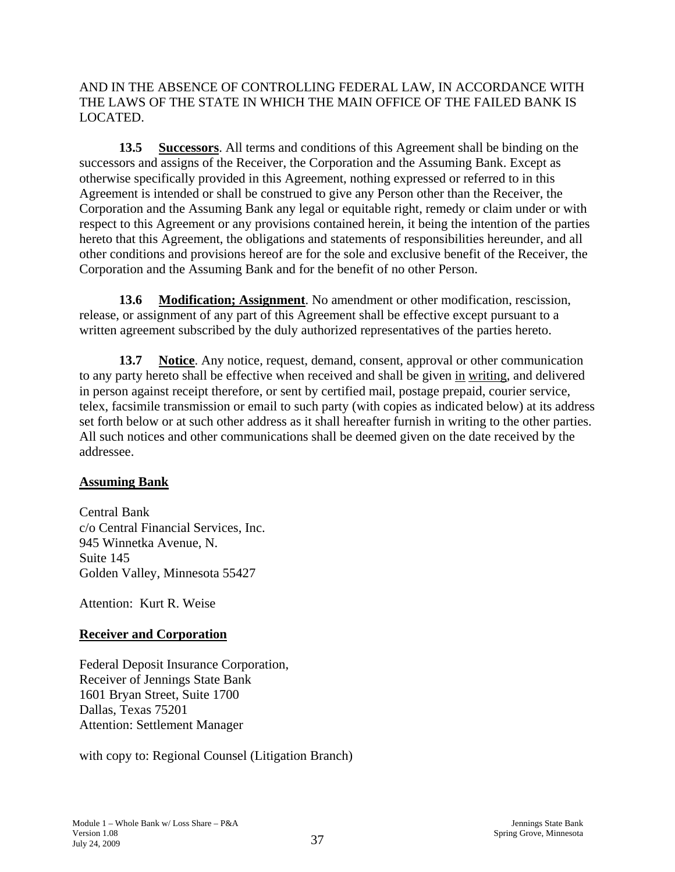AND IN THE ABSENCE OF CONTROLLING FEDERAL LAW, IN ACCORDANCE WITH THE LAWS OF THE STATE IN WHICH THE MAIN OFFICE OF THE FAILED BANK IS LOCATED.

 **13.5 Successors**. All terms and conditions of this Agreement shall be binding on the successors and assigns of the Receiver, the Corporation and the Assuming Bank. Except as otherwise specifically provided in this Agreement, nothing expressed or referred to in this Agreement is intended or shall be construed to give any Person other than the Receiver, the Corporation and the Assuming Bank any legal or equitable right, remedy or claim under or with respect to this Agreement or any provisions contained herein, it being the intention of the parties hereto that this Agreement, the obligations and statements of responsibilities hereunder, and all other conditions and provisions hereof are for the sole and exclusive benefit of the Receiver, the Corporation and the Assuming Bank and for the benefit of no other Person.

**13.6 Modification; Assignment**. No amendment or other modification, rescission, release, or assignment of any part of this Agreement shall be effective except pursuant to a written agreement subscribed by the duly authorized representatives of the parties hereto.

**13.7** Notice. Any notice, request, demand, consent, approval or other communication to any party hereto shall be effective when received and shall be given in writing, and delivered in person against receipt therefore, or sent by certified mail, postage prepaid, courier service, telex, facsimile transmission or email to such party (with copies as indicated below) at its address set forth below or at such other address as it shall hereafter furnish in writing to the other parties. All such notices and other communications shall be deemed given on the date received by the addressee.

# **Assuming Bank**

Central Bank c/o Central Financial Services, Inc. 945 Winnetka Avenue, N. Suite 145 Golden Valley, Minnesota 55427

Attention: Kurt R. Weise

# **Receiver and Corporation**

Federal Deposit Insurance Corporation, Receiver of Jennings State Bank 1601 Bryan Street, Suite 1700 Dallas, Texas 75201 Attention: Settlement Manager

with copy to: Regional Counsel (Litigation Branch)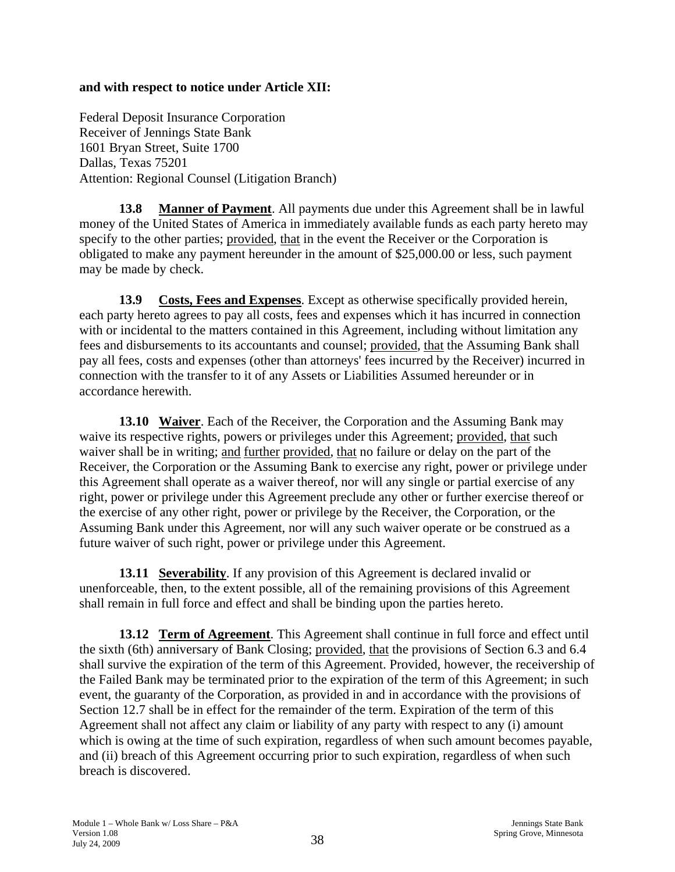### **and with respect to notice under Article XII:**

Federal Deposit Insurance Corporation Receiver of Jennings State Bank 1601 Bryan Street, Suite 1700 Dallas, Texas 75201 Attention: Regional Counsel (Litigation Branch)

 **13.8 Manner of Payment**. All payments due under this Agreement shall be in lawful money of the United States of America in immediately available funds as each party hereto may specify to the other parties; provided, that in the event the Receiver or the Corporation is obligated to make any payment hereunder in the amount of \$25,000.00 or less, such payment may be made by check.

**13.9 Costs, Fees and Expenses**. Except as otherwise specifically provided herein, each party hereto agrees to pay all costs, fees and expenses which it has incurred in connection with or incidental to the matters contained in this Agreement, including without limitation any fees and disbursements to its accountants and counsel; provided, that the Assuming Bank shall pay all fees, costs and expenses (other than attorneys' fees incurred by the Receiver) incurred in connection with the transfer to it of any Assets or Liabilities Assumed hereunder or in accordance herewith.

**13.10 Waiver**. Each of the Receiver, the Corporation and the Assuming Bank may waive its respective rights, powers or privileges under this Agreement; provided, that such waiver shall be in writing; and further provided, that no failure or delay on the part of the Receiver, the Corporation or the Assuming Bank to exercise any right, power or privilege under this Agreement shall operate as a waiver thereof, nor will any single or partial exercise of any right, power or privilege under this Agreement preclude any other or further exercise thereof or the exercise of any other right, power or privilege by the Receiver, the Corporation, or the Assuming Bank under this Agreement, nor will any such waiver operate or be construed as a future waiver of such right, power or privilege under this Agreement.

**13.11 Severability**. If any provision of this Agreement is declared invalid or unenforceable, then, to the extent possible, all of the remaining provisions of this Agreement shall remain in full force and effect and shall be binding upon the parties hereto.

**13.12 Term of Agreement**. This Agreement shall continue in full force and effect until the sixth (6th) anniversary of Bank Closing; provided, that the provisions of Section 6.3 and 6.4 shall survive the expiration of the term of this Agreement. Provided, however, the receivership of the Failed Bank may be terminated prior to the expiration of the term of this Agreement; in such event, the guaranty of the Corporation, as provided in and in accordance with the provisions of Section 12.7 shall be in effect for the remainder of the term. Expiration of the term of this Agreement shall not affect any claim or liability of any party with respect to any (i) amount which is owing at the time of such expiration, regardless of when such amount becomes payable, and (ii) breach of this Agreement occurring prior to such expiration, regardless of when such breach is discovered.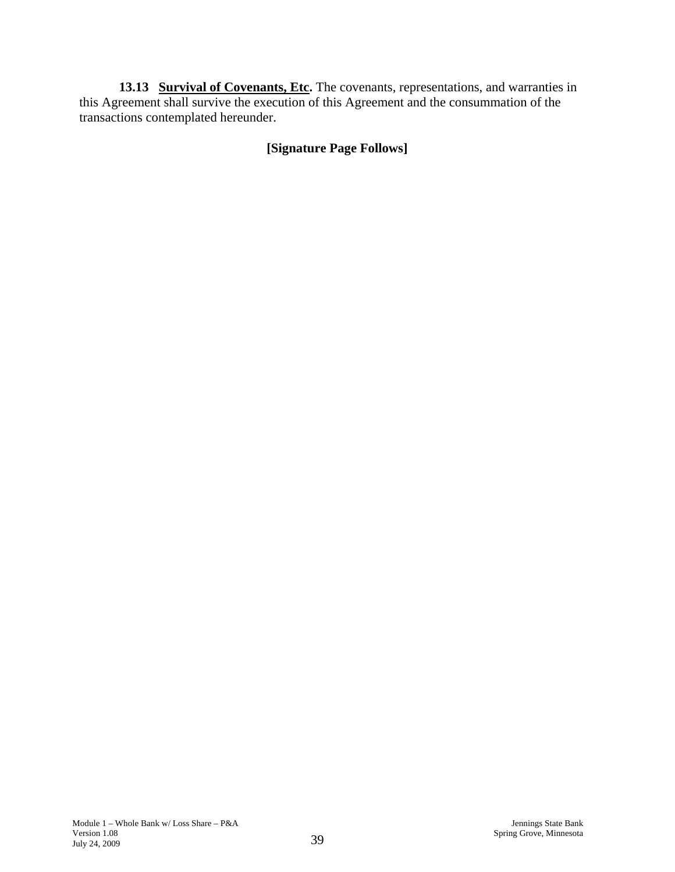**13.13 Survival of Covenants, Etc.** The covenants, representations, and warranties in this Agreement shall survive the execution of this Agreement and the consummation of the transactions contemplated hereunder.

# **[Signature Page Follows]**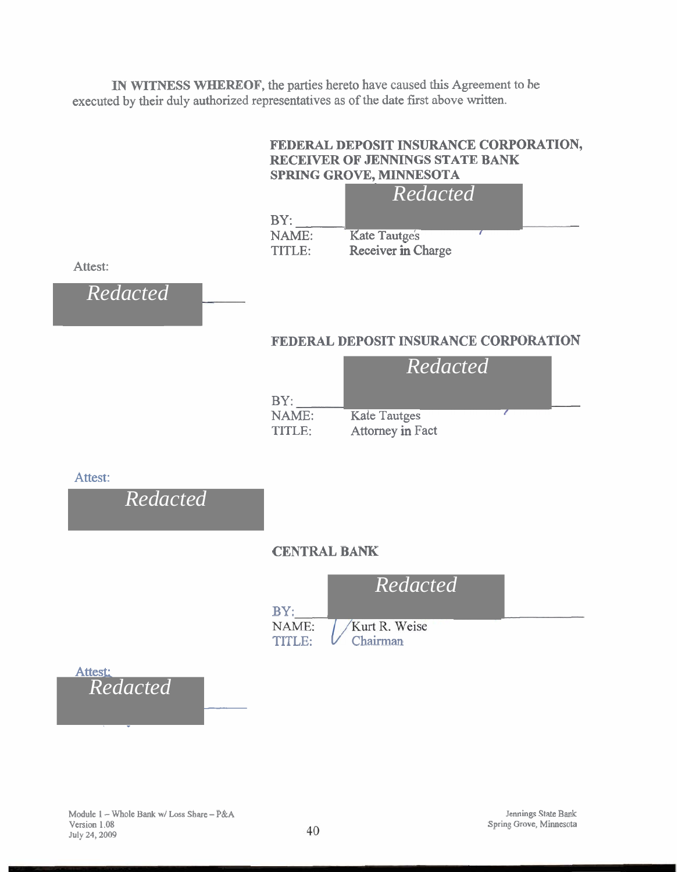**IN WITNESS WHEREOF, the parties hereto have caused this Agreement to be executed by their duly authorized representatives as of the date first above written.** 

## **FEDERAL DEPOSIT INSURANCE CORPORATION, RECEIVER OF JENNINGS STATE BANK SPRING GROVE, MINNESOTA**

|                 | Redacted                                  |  |
|-----------------|-------------------------------------------|--|
| BY:             |                                           |  |
| NAME:<br>TITLE: | <b>Kate Tautges</b><br>Receiver in Charge |  |

**Attest:** 

*Redacted*

# **FEDERAL DEPOSIT INSURANCE CORPORATION**

|                 | Redacted                                |  |
|-----------------|-----------------------------------------|--|
| BY:             |                                         |  |
| NAME:<br>TITLE: | <b>Kate Tautges</b><br>Attorney in Fact |  |

**Attest:** 

*Redacted*

# **CENTRAL BANK**



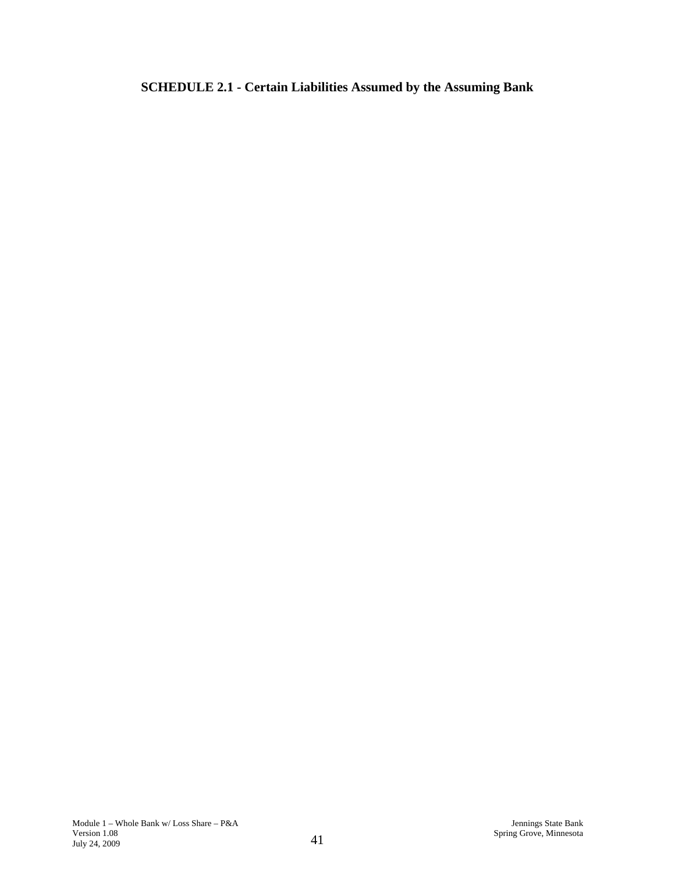**SCHEDULE 2.1 - Certain Liabilities Assumed by the Assuming Bank**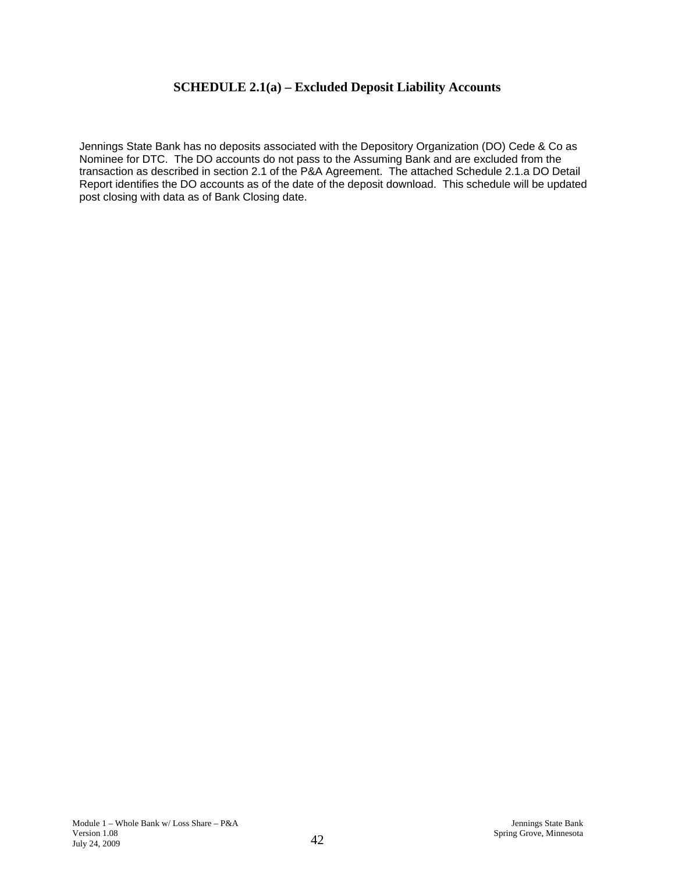## **SCHEDULE 2.1(a) – Excluded Deposit Liability Accounts**

Jennings State Bank has no deposits associated with the Depository Organization (DO) Cede & Co as Nominee for DTC. The DO accounts do not pass to the Assuming Bank and are excluded from the transaction as described in section 2.1 of the P&A Agreement. The attached Schedule 2.1.a DO Detail Report identifies the DO accounts as of the date of the deposit download. This schedule will be updated post closing with data as of Bank Closing date.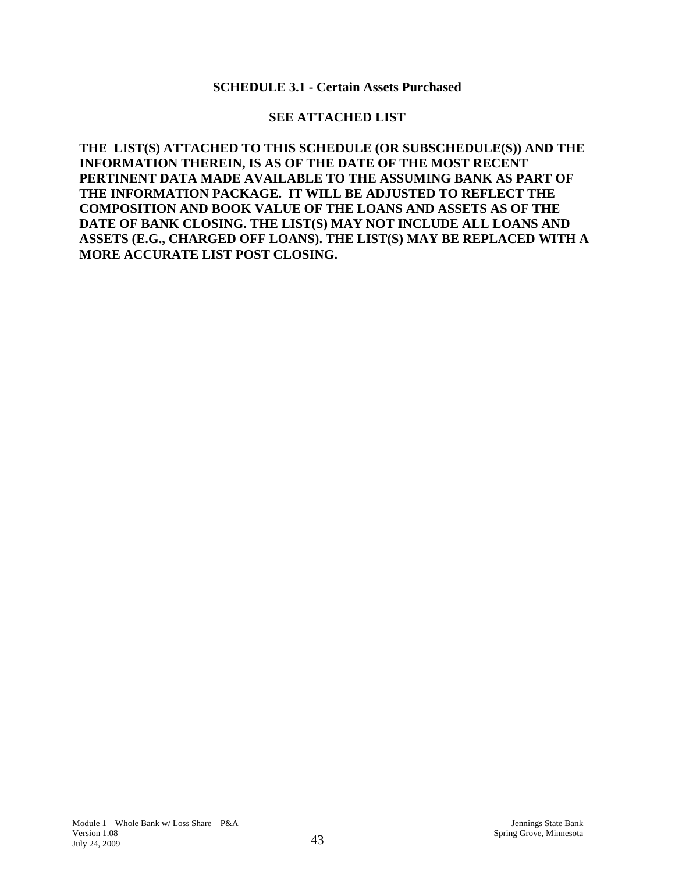### **SCHEDULE 3.1 - Certain Assets Purchased**

### **SEE ATTACHED LIST**

THE LIST(S) ATTACHED TO THIS SCHEDULE (OR SUBSCHEDULE(S)) AND THE **INFORMATION THEREIN, IS AS OF THE DATE OF THE MOST RECENT PERTINENT DATA MADE AVAILABLE TO THE ASSUMING BANK AS PART OF THE INFORMATION PACKAGE. IT WILL BE ADJUSTED TO REFLECT THE COMPOSITION AND BOOK VALUE OF THE LOANS AND ASSETS AS OF THE DATE OF BANK CLOSING. THE LIST(S) MAY NOT INCLUDE ALL LOANS AND ASSETS (E.G., CHARGED OFF LOANS). THE LIST(S) MAY BE REPLACED WITH A MORE ACCURATE LIST POST CLOSING.**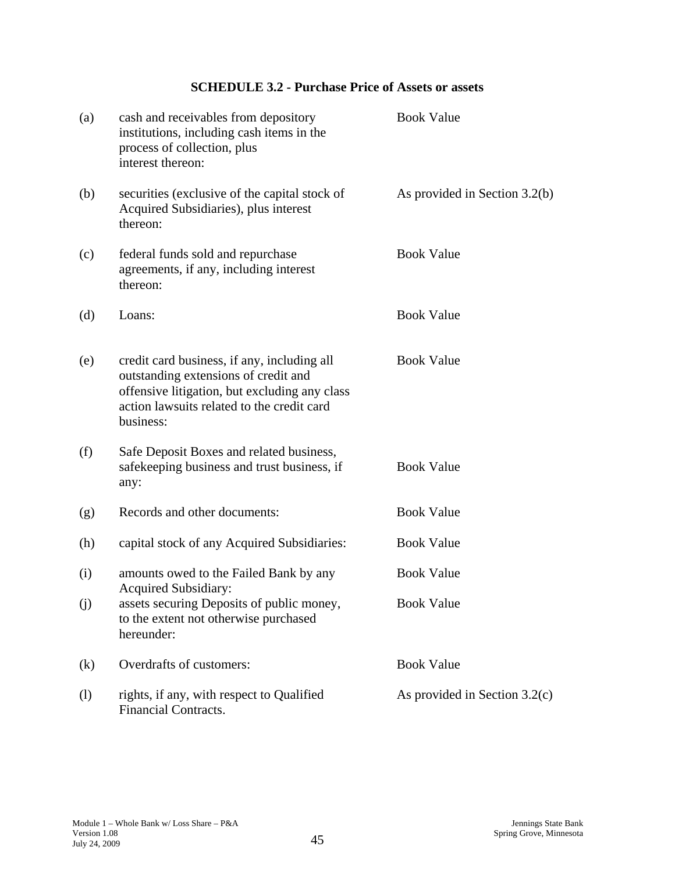# **SCHEDULE 3.2 - Purchase Price of Assets or assets**

| (a) | cash and receivables from depository<br>institutions, including cash items in the<br>process of collection, plus<br>interest thereon:                                                           | <b>Book Value</b>               |
|-----|-------------------------------------------------------------------------------------------------------------------------------------------------------------------------------------------------|---------------------------------|
| (b) | securities (exclusive of the capital stock of<br>Acquired Subsidiaries), plus interest<br>thereon:                                                                                              | As provided in Section $3.2(b)$ |
| (c) | federal funds sold and repurchase<br>agreements, if any, including interest<br>thereon:                                                                                                         | <b>Book Value</b>               |
| (d) | Loans:                                                                                                                                                                                          | <b>Book Value</b>               |
| (e) | credit card business, if any, including all<br>outstanding extensions of credit and<br>offensive litigation, but excluding any class<br>action lawsuits related to the credit card<br>business: | <b>Book Value</b>               |
| (f) | Safe Deposit Boxes and related business,<br>safekeeping business and trust business, if<br>any:                                                                                                 | <b>Book Value</b>               |
| (g) | Records and other documents:                                                                                                                                                                    | <b>Book Value</b>               |
| (h) | capital stock of any Acquired Subsidiaries:                                                                                                                                                     | <b>Book Value</b>               |
| (i) | amounts owed to the Failed Bank by any                                                                                                                                                          | <b>Book Value</b>               |
| (j) | <b>Acquired Subsidiary:</b><br>assets securing Deposits of public money,<br>to the extent not otherwise purchased<br>hereunder:                                                                 | <b>Book Value</b>               |
| (k) | Overdrafts of customers:                                                                                                                                                                        | <b>Book Value</b>               |
| (1) | rights, if any, with respect to Qualified<br>Financial Contracts.                                                                                                                               | As provided in Section $3.2(c)$ |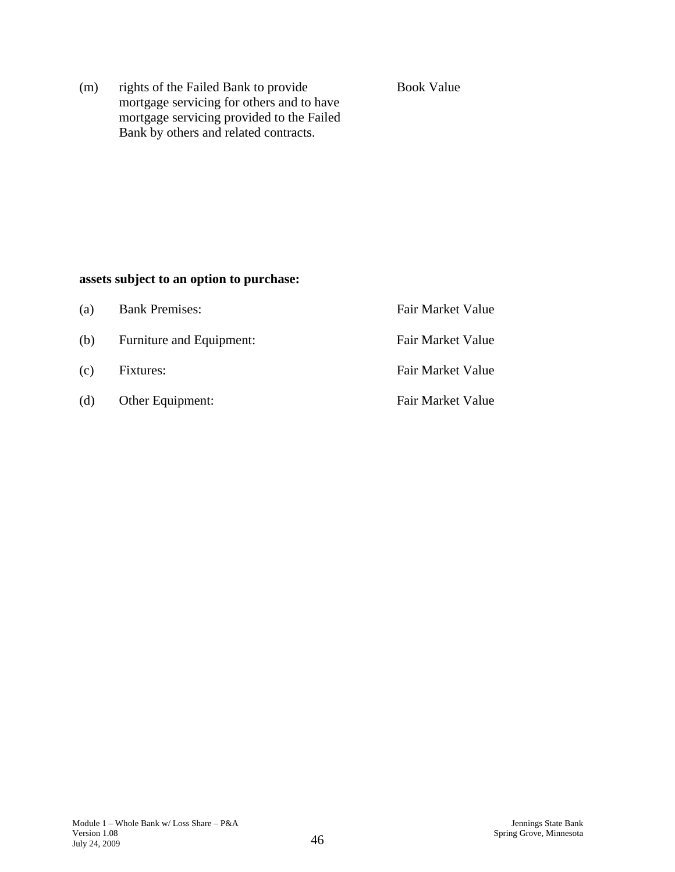(m) rights of the Failed Bank to provide Book Value mortgage servicing for others and to have mortgage servicing provided to the Failed Bank by others and related contracts.

### **assets subject to an option to purchase:**

| (a) | <b>Bank Premises:</b>    | Fair Market Value |
|-----|--------------------------|-------------------|
| (b) | Furniture and Equipment: | Fair Market Value |
| (c) | Fixtures:                | Fair Market Value |
| (d) | Other Equipment:         | Fair Market Value |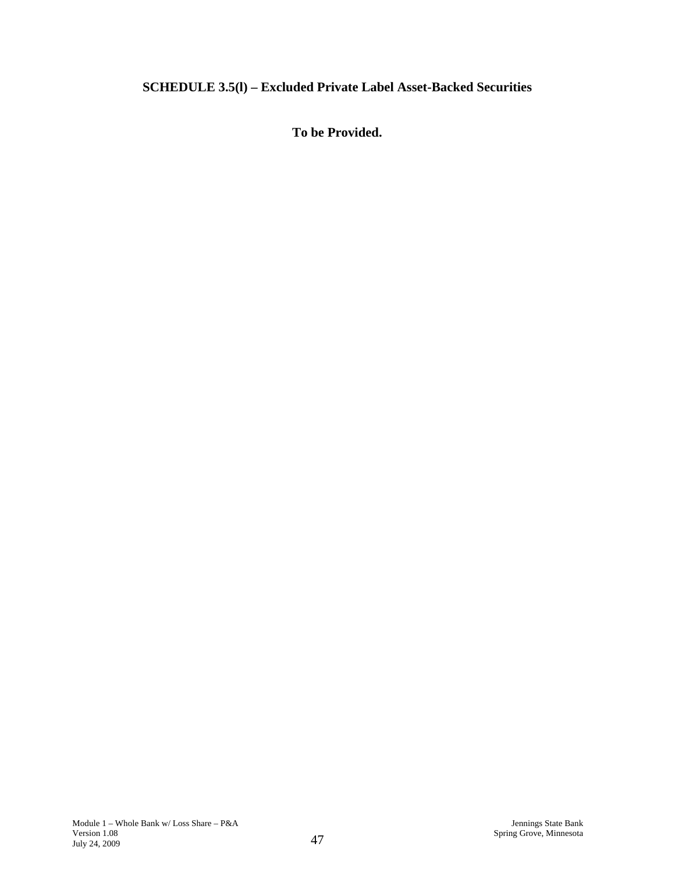# **SCHEDULE 3.5(l) – Excluded Private Label Asset-Backed Securities**

**To be Provided.**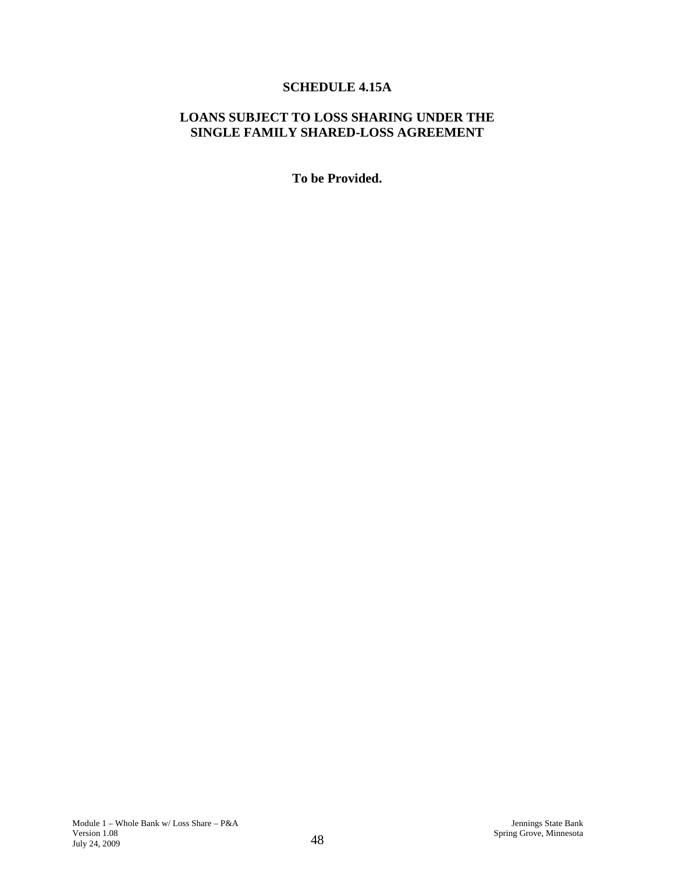## **SCHEDULE 4.15A**

### **LOANS SUBJECT TO LOSS SHARING UNDER THE SINGLE FAMILY SHARED-LOSS AGREEMENT**

**To be Provided.**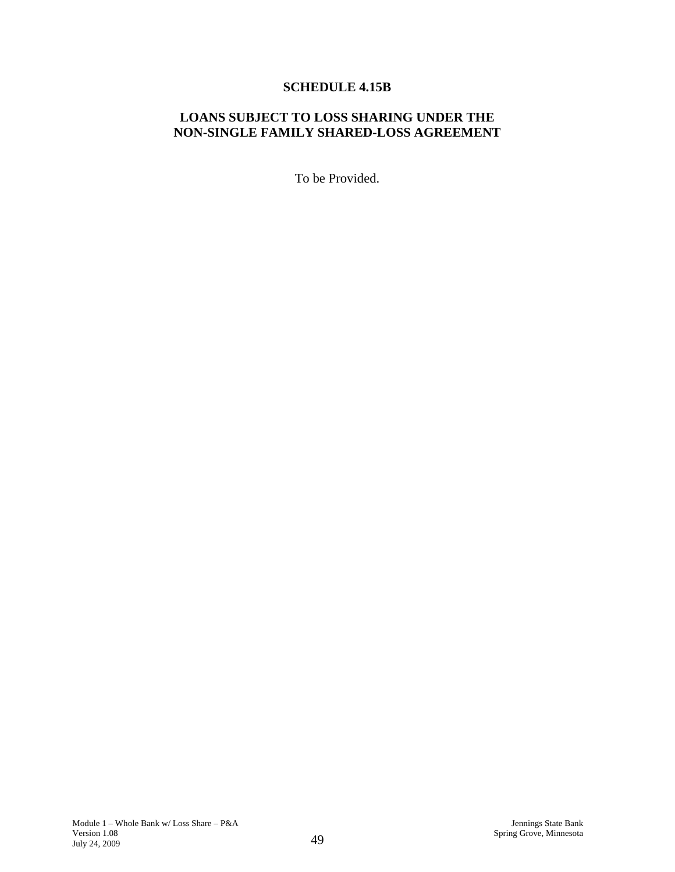### **SCHEDULE 4.15B**

## **LOANS SUBJECT TO LOSS SHARING UNDER THE NON-SINGLE FAMILY SHARED-LOSS AGREEMENT**

To be Provided.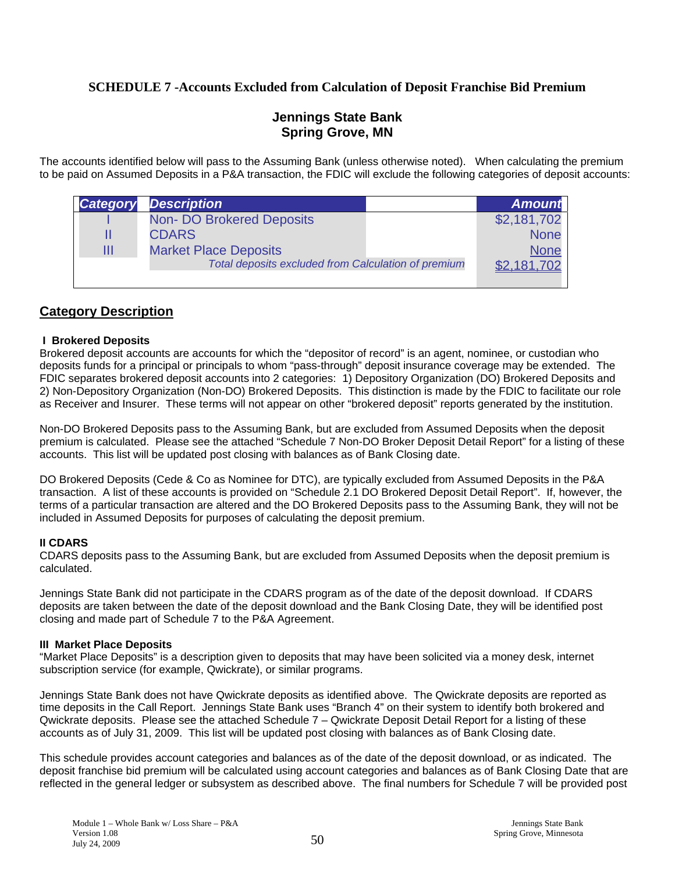## **SCHEDULE 7 -Accounts Excluded from Calculation of Deposit Franchise Bid Premium**

### **Jennings State Bank Spring Grove, MN**

The accounts identified below will pass to the Assuming Bank (unless otherwise noted). When calculating the premium to be paid on Assumed Deposits in a P&A transaction, the FDIC will exclude the following categories of deposit accounts:

| <b>Category</b> | <b>Description</b>                                  | <b>Amount</b> |
|-----------------|-----------------------------------------------------|---------------|
|                 | <b>Non-DO Brokered Deposits</b>                     | \$2,181,702   |
|                 | <b>CDARS</b>                                        | <b>None</b>   |
| Ш               | <b>Market Place Deposits</b>                        | <b>None</b>   |
|                 | Total deposits excluded from Calculation of premium | .181.702      |
|                 |                                                     |               |

## **Category Description**

#### **I Brokered Deposits**

Brokered deposit accounts are accounts for which the "depositor of record" is an agent, nominee, or custodian who deposits funds for a principal or principals to whom "pass-through" deposit insurance coverage may be extended. The FDIC separates brokered deposit accounts into 2 categories: 1) Depository Organization (DO) Brokered Deposits and 2) Non-Depository Organization (Non-DO) Brokered Deposits. This distinction is made by the FDIC to facilitate our role as Receiver and Insurer. These terms will not appear on other "brokered deposit" reports generated by the institution.

Non-DO Brokered Deposits pass to the Assuming Bank, but are excluded from Assumed Deposits when the deposit premium is calculated. Please see the attached "Schedule 7 Non-DO Broker Deposit Detail Report" for a listing of these accounts. This list will be updated post closing with balances as of Bank Closing date.

DO Brokered Deposits (Cede & Co as Nominee for DTC), are typically excluded from Assumed Deposits in the P&A transaction. A list of these accounts is provided on "Schedule 2.1 DO Brokered Deposit Detail Report". If, however, the terms of a particular transaction are altered and the DO Brokered Deposits pass to the Assuming Bank, they will not be included in Assumed Deposits for purposes of calculating the deposit premium.

#### **II CDARS**

CDARS deposits pass to the Assuming Bank, but are excluded from Assumed Deposits when the deposit premium is calculated.

Jennings State Bank did not participate in the CDARS program as of the date of the deposit download. If CDARS deposits are taken between the date of the deposit download and the Bank Closing Date, they will be identified post closing and made part of Schedule 7 to the P&A Agreement.

#### **III Market Place Deposits**

"Market Place Deposits" is a description given to deposits that may have been solicited via a money desk, internet subscription service (for example, Qwickrate), or similar programs.

Jennings State Bank does not have Qwickrate deposits as identified above. The Qwickrate deposits are reported as time deposits in the Call Report. Jennings State Bank uses "Branch 4" on their system to identify both brokered and Qwickrate deposits. Please see the attached Schedule 7 – Qwickrate Deposit Detail Report for a listing of these accounts as of July 31, 2009. This list will be updated post closing with balances as of Bank Closing date.

This schedule provides account categories and balances as of the date of the deposit download, or as indicated. The deposit franchise bid premium will be calculated using account categories and balances as of Bank Closing Date that are reflected in the general ledger or subsystem as described above. The final numbers for Schedule 7 will be provided post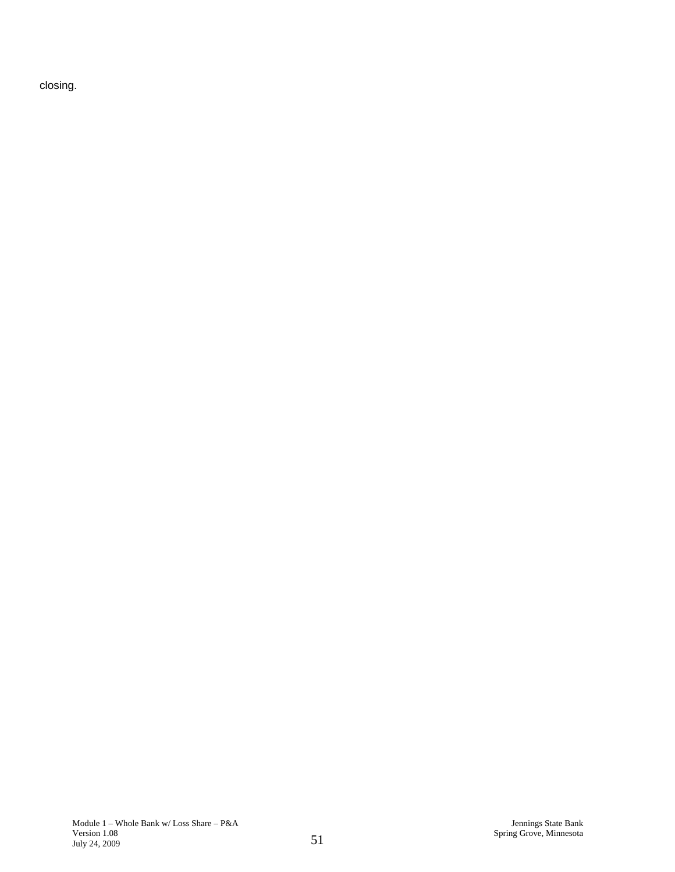closing.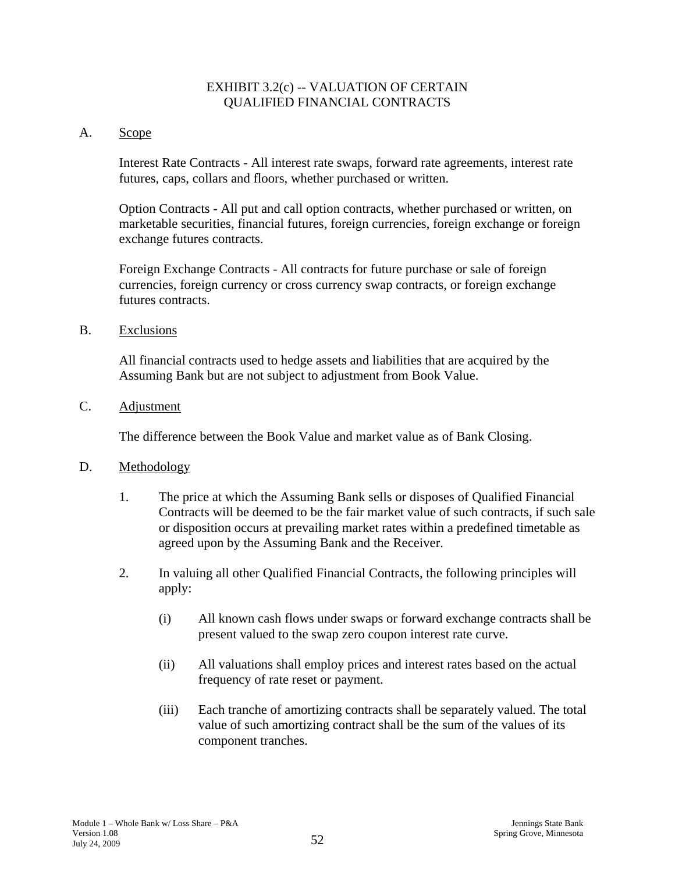### EXHIBIT 3.2(c) -- VALUATION OF CERTAIN QUALIFIED FINANCIAL CONTRACTS

### A. Scope

Interest Rate Contracts - All interest rate swaps, forward rate agreements, interest rate futures, caps, collars and floors, whether purchased or written.

Option Contracts - All put and call option contracts, whether purchased or written, on marketable securities, financial futures, foreign currencies, foreign exchange or foreign exchange futures contracts.

Foreign Exchange Contracts - All contracts for future purchase or sale of foreign currencies, foreign currency or cross currency swap contracts, or foreign exchange futures contracts.

B. Exclusions

All financial contracts used to hedge assets and liabilities that are acquired by the Assuming Bank but are not subject to adjustment from Book Value.

C. Adjustment

The difference between the Book Value and market value as of Bank Closing.

### D. Methodology

- 1. The price at which the Assuming Bank sells or disposes of Qualified Financial Contracts will be deemed to be the fair market value of such contracts, if such sale or disposition occurs at prevailing market rates within a predefined timetable as agreed upon by the Assuming Bank and the Receiver.
- 2. In valuing all other Qualified Financial Contracts, the following principles will apply:
	- (i) All known cash flows under swaps or forward exchange contracts shall be present valued to the swap zero coupon interest rate curve.
	- (ii) All valuations shall employ prices and interest rates based on the actual frequency of rate reset or payment.
	- (iii) Each tranche of amortizing contracts shall be separately valued. The total value of such amortizing contract shall be the sum of the values of its component tranches.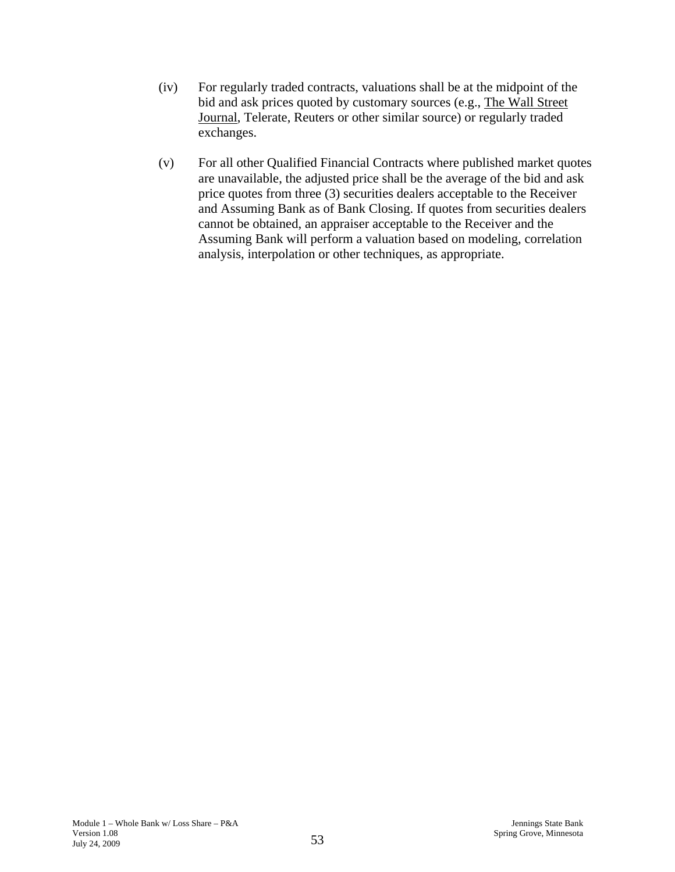- (iv) For regularly traded contracts, valuations shall be at the midpoint of the bid and ask prices quoted by customary sources (e.g., The Wall Street Journal, Telerate, Reuters or other similar source) or regularly traded exchanges.
- (v) For all other Qualified Financial Contracts where published market quotes are unavailable, the adjusted price shall be the average of the bid and ask price quotes from three (3) securities dealers acceptable to the Receiver and Assuming Bank as of Bank Closing. If quotes from securities dealers cannot be obtained, an appraiser acceptable to the Receiver and the Assuming Bank will perform a valuation based on modeling, correlation analysis, interpolation or other techniques, as appropriate.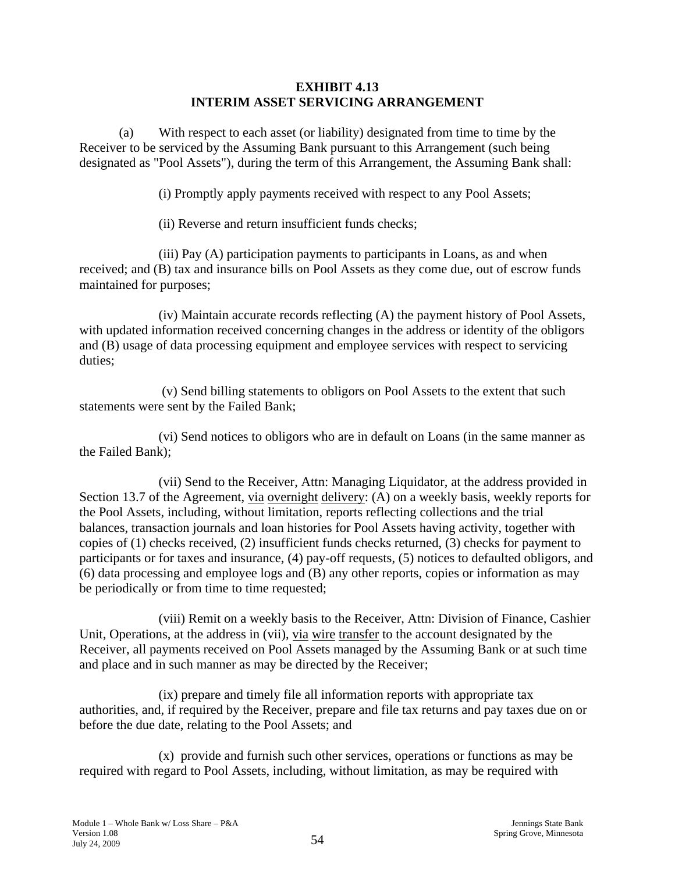### **EXHIBIT 4.13 INTERIM ASSET SERVICING ARRANGEMENT**

(a) With respect to each asset (or liability) designated from time to time by the Receiver to be serviced by the Assuming Bank pursuant to this Arrangement (such being designated as "Pool Assets"), during the term of this Arrangement, the Assuming Bank shall:

(i) Promptly apply payments received with respect to any Pool Assets;

(ii) Reverse and return insufficient funds checks;

(iii) Pay (A) participation payments to participants in Loans, as and when received; and (B) tax and insurance bills on Pool Assets as they come due, out of escrow funds maintained for purposes;

(iv) Maintain accurate records reflecting (A) the payment history of Pool Assets, with updated information received concerning changes in the address or identity of the obligors and (B) usage of data processing equipment and employee services with respect to servicing duties;

 (v) Send billing statements to obligors on Pool Assets to the extent that such statements were sent by the Failed Bank;

(vi) Send notices to obligors who are in default on Loans (in the same manner as the Failed Bank);

(vii) Send to the Receiver, Attn: Managing Liquidator, at the address provided in Section 13.7 of the Agreement, via overnight delivery: (A) on a weekly basis, weekly reports for the Pool Assets, including, without limitation, reports reflecting collections and the trial balances, transaction journals and loan histories for Pool Assets having activity, together with copies of (1) checks received, (2) insufficient funds checks returned, (3) checks for payment to participants or for taxes and insurance, (4) pay-off requests, (5) notices to defaulted obligors, and (6) data processing and employee logs and (B) any other reports, copies or information as may be periodically or from time to time requested;

(viii) Remit on a weekly basis to the Receiver, Attn: Division of Finance, Cashier Unit, Operations, at the address in (vii), via wire transfer to the account designated by the Receiver, all payments received on Pool Assets managed by the Assuming Bank or at such time and place and in such manner as may be directed by the Receiver;

(ix) prepare and timely file all information reports with appropriate tax authorities, and, if required by the Receiver, prepare and file tax returns and pay taxes due on or before the due date, relating to the Pool Assets; and

(x) provide and furnish such other services, operations or functions as may be required with regard to Pool Assets, including, without limitation, as may be required with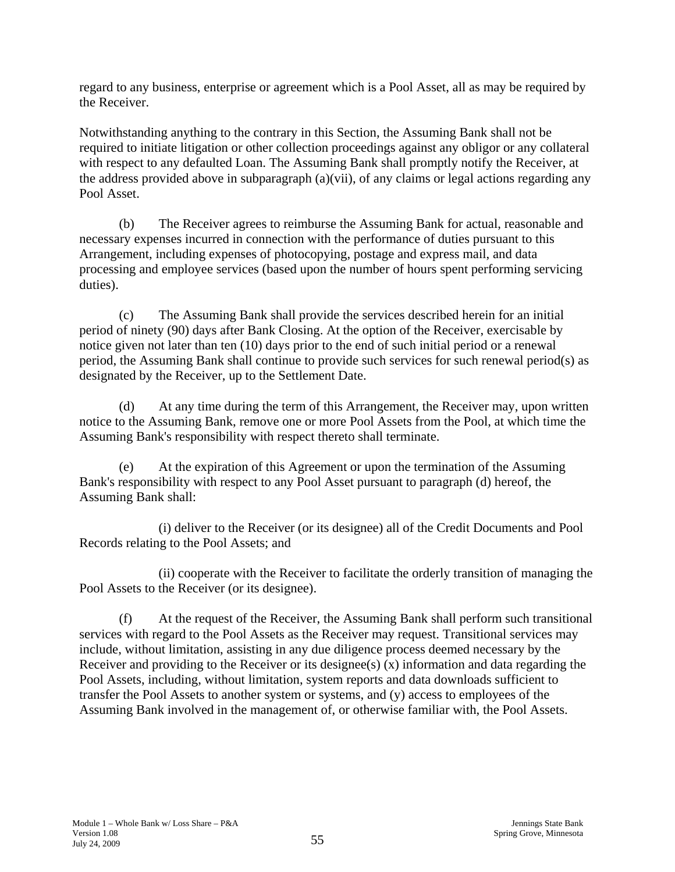regard to any business, enterprise or agreement which is a Pool Asset, all as may be required by the Receiver.

Notwithstanding anything to the contrary in this Section, the Assuming Bank shall not be required to initiate litigation or other collection proceedings against any obligor or any collateral with respect to any defaulted Loan. The Assuming Bank shall promptly notify the Receiver, at the address provided above in subparagraph (a)(vii), of any claims or legal actions regarding any Pool Asset.

(b) The Receiver agrees to reimburse the Assuming Bank for actual, reasonable and necessary expenses incurred in connection with the performance of duties pursuant to this Arrangement, including expenses of photocopying, postage and express mail, and data processing and employee services (based upon the number of hours spent performing servicing duties).

(c) The Assuming Bank shall provide the services described herein for an initial period of ninety (90) days after Bank Closing. At the option of the Receiver, exercisable by notice given not later than ten (10) days prior to the end of such initial period or a renewal period, the Assuming Bank shall continue to provide such services for such renewal period(s) as designated by the Receiver, up to the Settlement Date.

(d) At any time during the term of this Arrangement, the Receiver may, upon written notice to the Assuming Bank, remove one or more Pool Assets from the Pool, at which time the Assuming Bank's responsibility with respect thereto shall terminate.

(e) At the expiration of this Agreement or upon the termination of the Assuming Bank's responsibility with respect to any Pool Asset pursuant to paragraph (d) hereof, the Assuming Bank shall:

(i) deliver to the Receiver (or its designee) all of the Credit Documents and Pool Records relating to the Pool Assets; and

(ii) cooperate with the Receiver to facilitate the orderly transition of managing the Pool Assets to the Receiver (or its designee).

(f) At the request of the Receiver, the Assuming Bank shall perform such transitional services with regard to the Pool Assets as the Receiver may request. Transitional services may include, without limitation, assisting in any due diligence process deemed necessary by the Receiver and providing to the Receiver or its designee(s) (x) information and data regarding the Pool Assets, including, without limitation, system reports and data downloads sufficient to transfer the Pool Assets to another system or systems, and (y) access to employees of the Assuming Bank involved in the management of, or otherwise familiar with, the Pool Assets.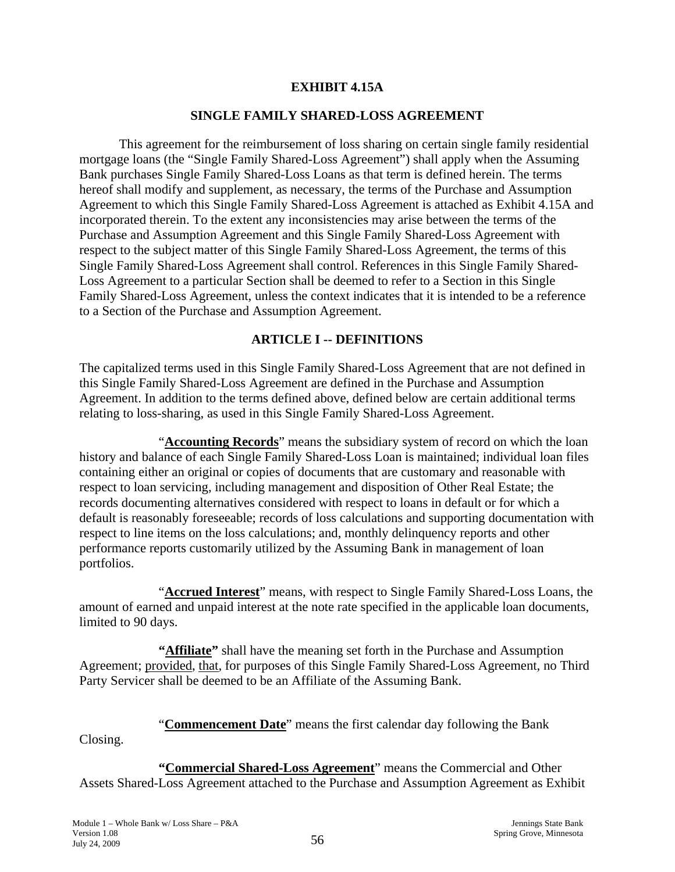### **EXHIBIT 4.15A**

### **SINGLE FAMILY SHARED-LOSS AGREEMENT**

This agreement for the reimbursement of loss sharing on certain single family residential mortgage loans (the "Single Family Shared-Loss Agreement") shall apply when the Assuming Bank purchases Single Family Shared-Loss Loans as that term is defined herein. The terms hereof shall modify and supplement, as necessary, the terms of the Purchase and Assumption Agreement to which this Single Family Shared-Loss Agreement is attached as Exhibit 4.15A and incorporated therein. To the extent any inconsistencies may arise between the terms of the Purchase and Assumption Agreement and this Single Family Shared-Loss Agreement with respect to the subject matter of this Single Family Shared-Loss Agreement, the terms of this Single Family Shared-Loss Agreement shall control. References in this Single Family Shared-Loss Agreement to a particular Section shall be deemed to refer to a Section in this Single Family Shared-Loss Agreement, unless the context indicates that it is intended to be a reference to a Section of the Purchase and Assumption Agreement.

### **ARTICLE I -- DEFINITIONS**

The capitalized terms used in this Single Family Shared-Loss Agreement that are not defined in this Single Family Shared-Loss Agreement are defined in the Purchase and Assumption Agreement. In addition to the terms defined above, defined below are certain additional terms relating to loss-sharing, as used in this Single Family Shared-Loss Agreement.

"**Accounting Records**" means the subsidiary system of record on which the loan history and balance of each Single Family Shared-Loss Loan is maintained; individual loan files containing either an original or copies of documents that are customary and reasonable with respect to loan servicing, including management and disposition of Other Real Estate; the records documenting alternatives considered with respect to loans in default or for which a default is reasonably foreseeable; records of loss calculations and supporting documentation with respect to line items on the loss calculations; and, monthly delinquency reports and other performance reports customarily utilized by the Assuming Bank in management of loan portfolios.

"**Accrued Interest**" means, with respect to Single Family Shared-Loss Loans, the amount of earned and unpaid interest at the note rate specified in the applicable loan documents, limited to 90 days.

**"Affiliate"** shall have the meaning set forth in the Purchase and Assumption Agreement; provided, that, for purposes of this Single Family Shared-Loss Agreement, no Third Party Servicer shall be deemed to be an Affiliate of the Assuming Bank.

"**Commencement Date**" means the first calendar day following the Bank

Closing.

**"Commercial Shared-Loss Agreement**" means the Commercial and Other Assets Shared-Loss Agreement attached to the Purchase and Assumption Agreement as Exhibit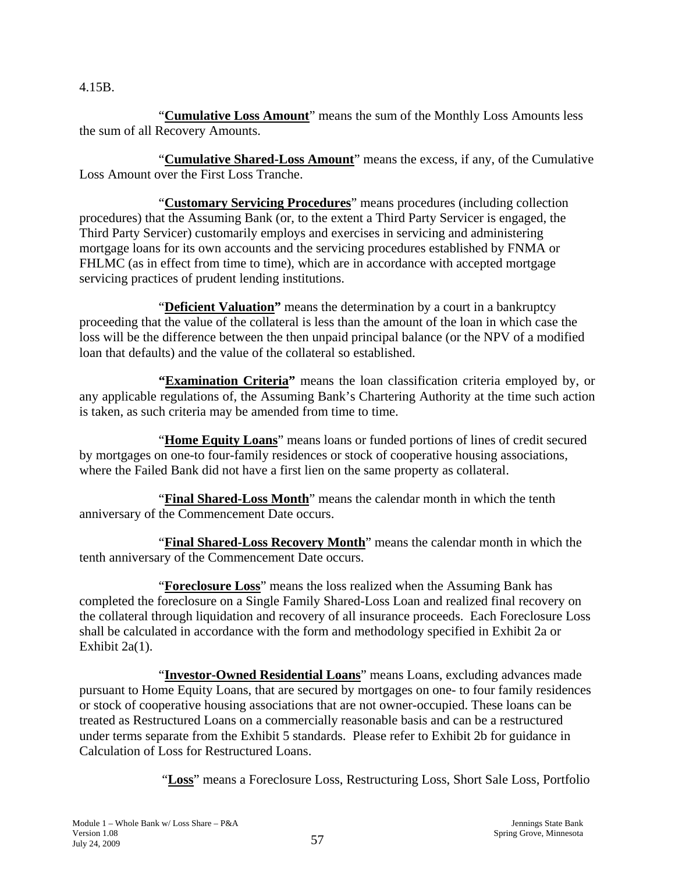4.15B.

"**Cumulative Loss Amount**" means the sum of the Monthly Loss Amounts less the sum of all Recovery Amounts.

"**Cumulative Shared-Loss Amount**" means the excess, if any, of the Cumulative Loss Amount over the First Loss Tranche.

"**Customary Servicing Procedures**" means procedures (including collection procedures) that the Assuming Bank (or, to the extent a Third Party Servicer is engaged, the Third Party Servicer) customarily employs and exercises in servicing and administering mortgage loans for its own accounts and the servicing procedures established by FNMA or FHLMC (as in effect from time to time), which are in accordance with accepted mortgage servicing practices of prudent lending institutions.

"**Deficient Valuation"** means the determination by a court in a bankruptcy proceeding that the value of the collateral is less than the amount of the loan in which case the loss will be the difference between the then unpaid principal balance (or the NPV of a modified loan that defaults) and the value of the collateral so established.

**"Examination Criteria"** means the loan classification criteria employed by, or any applicable regulations of, the Assuming Bank's Chartering Authority at the time such action is taken, as such criteria may be amended from time to time.

"**Home Equity Loans**" means loans or funded portions of lines of credit secured by mortgages on one-to four-family residences or stock of cooperative housing associations, where the Failed Bank did not have a first lien on the same property as collateral.

"**Final Shared-Loss Month**" means the calendar month in which the tenth anniversary of the Commencement Date occurs.

"**Final Shared-Loss Recovery Month**" means the calendar month in which the tenth anniversary of the Commencement Date occurs.

"**Foreclosure Loss**" means the loss realized when the Assuming Bank has completed the foreclosure on a Single Family Shared-Loss Loan and realized final recovery on the collateral through liquidation and recovery of all insurance proceeds. Each Foreclosure Loss shall be calculated in accordance with the form and methodology specified in Exhibit 2a or Exhibit 2a(1).

"**Investor-Owned Residential Loans**" means Loans, excluding advances made pursuant to Home Equity Loans, that are secured by mortgages on one- to four family residences or stock of cooperative housing associations that are not owner-occupied. These loans can be treated as Restructured Loans on a commercially reasonable basis and can be a restructured under terms separate from the Exhibit 5 standards. Please refer to Exhibit 2b for guidance in Calculation of Loss for Restructured Loans.

"**Loss**" means a Foreclosure Loss, Restructuring Loss, Short Sale Loss, Portfolio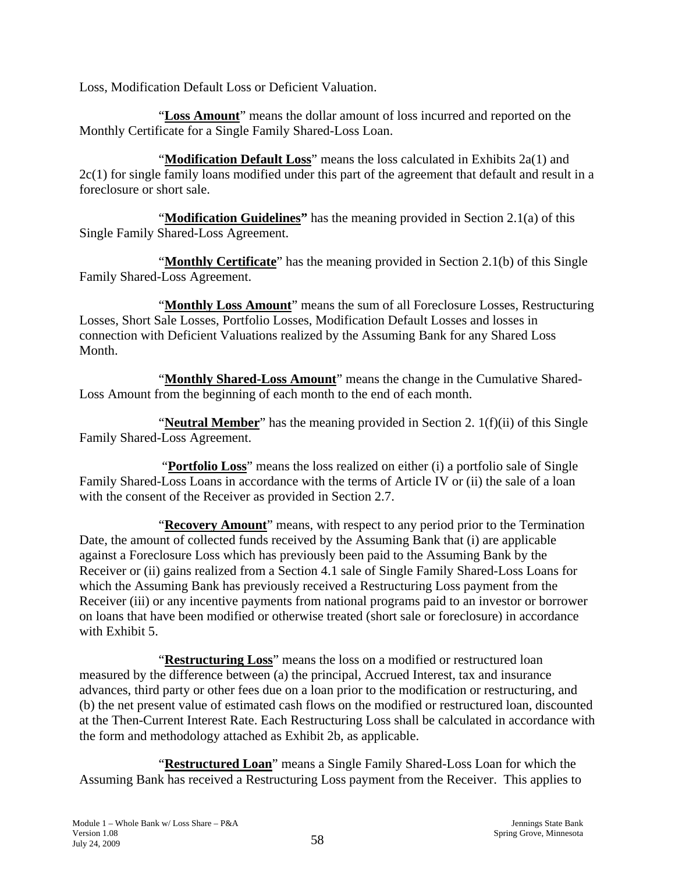Loss, Modification Default Loss or Deficient Valuation.

"**Loss Amount**" means the dollar amount of loss incurred and reported on the Monthly Certificate for a Single Family Shared-Loss Loan.

"**Modification Default Loss**" means the loss calculated in Exhibits 2a(1) and 2c(1) for single family loans modified under this part of the agreement that default and result in a foreclosure or short sale.

"**Modification Guidelines**" has the meaning provided in Section 2.1(a) of this Single Family Shared-Loss Agreement.

"**Monthly Certificate**" has the meaning provided in Section 2.1(b) of this Single Family Shared-Loss Agreement.

"**Monthly Loss Amount**" means the sum of all Foreclosure Losses, Restructuring Losses, Short Sale Losses, Portfolio Losses, Modification Default Losses and losses in connection with Deficient Valuations realized by the Assuming Bank for any Shared Loss Month.

"**Monthly Shared-Loss Amount**" means the change in the Cumulative Shared-Loss Amount from the beginning of each month to the end of each month.

**"Neutral Member**" has the meaning provided in Section 2. 1(f)(ii) of this Single Family Shared-Loss Agreement.

"**Portfolio Loss**" means the loss realized on either (i) a portfolio sale of Single Family Shared-Loss Loans in accordance with the terms of Article IV or (ii) the sale of a loan with the consent of the Receiver as provided in Section 2.7.

"**Recovery Amount**" means, with respect to any period prior to the Termination Date, the amount of collected funds received by the Assuming Bank that (i) are applicable against a Foreclosure Loss which has previously been paid to the Assuming Bank by the Receiver or (ii) gains realized from a Section 4.1 sale of Single Family Shared-Loss Loans for which the Assuming Bank has previously received a Restructuring Loss payment from the Receiver (iii) or any incentive payments from national programs paid to an investor or borrower on loans that have been modified or otherwise treated (short sale or foreclosure) in accordance with Exhibit 5.

"**Restructuring Loss**" means the loss on a modified or restructured loan measured by the difference between (a) the principal, Accrued Interest, tax and insurance advances, third party or other fees due on a loan prior to the modification or restructuring, and (b) the net present value of estimated cash flows on the modified or restructured loan, discounted at the Then-Current Interest Rate. Each Restructuring Loss shall be calculated in accordance with the form and methodology attached as Exhibit 2b, as applicable.

"**Restructured Loan**" means a Single Family Shared-Loss Loan for which the Assuming Bank has received a Restructuring Loss payment from the Receiver. This applies to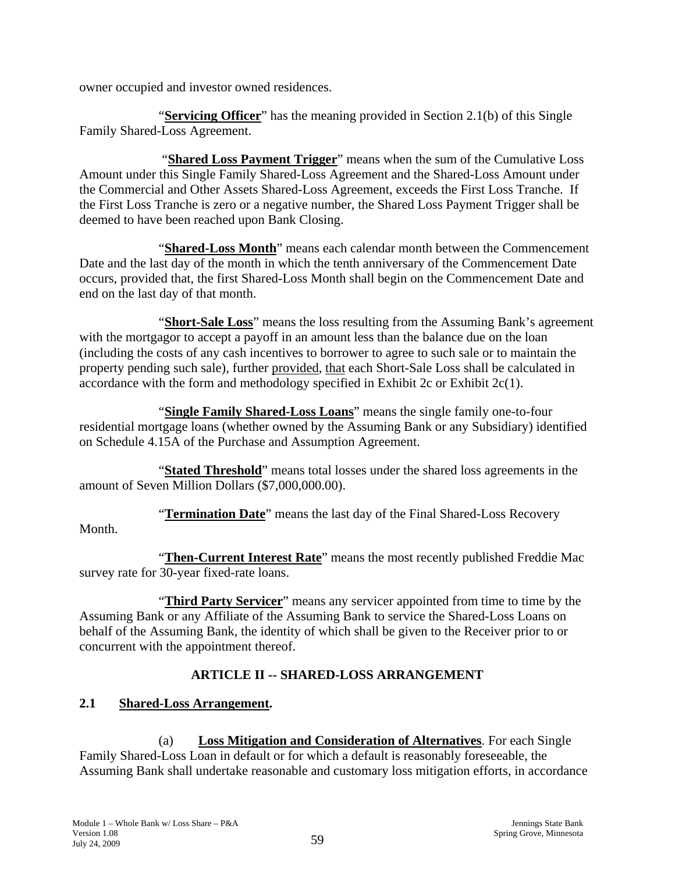owner occupied and investor owned residences.

**Servicing Officer**" has the meaning provided in Section 2.1(b) of this Single Family Shared-Loss Agreement.

"**Shared Loss Payment Trigger**" means when the sum of the Cumulative Loss Amount under this Single Family Shared-Loss Agreement and the Shared-Loss Amount under the Commercial and Other Assets Shared-Loss Agreement, exceeds the First Loss Tranche. If the First Loss Tranche is zero or a negative number, the Shared Loss Payment Trigger shall be deemed to have been reached upon Bank Closing.

"**Shared-Loss Month**" means each calendar month between the Commencement Date and the last day of the month in which the tenth anniversary of the Commencement Date occurs, provided that, the first Shared-Loss Month shall begin on the Commencement Date and end on the last day of that month.

"**Short-Sale Loss**" means the loss resulting from the Assuming Bank's agreement with the mortgagor to accept a payoff in an amount less than the balance due on the loan (including the costs of any cash incentives to borrower to agree to such sale or to maintain the property pending such sale), further provided, that each Short-Sale Loss shall be calculated in accordance with the form and methodology specified in Exhibit 2c or Exhibit  $2c(1)$ .

"**Single Family Shared-Loss Loans**" means the single family one-to-four residential mortgage loans (whether owned by the Assuming Bank or any Subsidiary) identified on Schedule 4.15A of the Purchase and Assumption Agreement.

"**Stated Threshold**" means total losses under the shared loss agreements in the amount of Seven Million Dollars (\$7,000,000.00).

"**Termination Date**" means the last day of the Final Shared-Loss Recovery Month.

"**Then-Current Interest Rate**" means the most recently published Freddie Mac survey rate for 30-year fixed-rate loans.

"**Third Party Servicer**" means any servicer appointed from time to time by the Assuming Bank or any Affiliate of the Assuming Bank to service the Shared-Loss Loans on behalf of the Assuming Bank, the identity of which shall be given to the Receiver prior to or concurrent with the appointment thereof.

# **ARTICLE II -- SHARED-LOSS ARRANGEMENT**

# **2.1 Shared-Loss Arrangement.**

(a) **Loss Mitigation and Consideration of Alternatives**. For each Single Family Shared-Loss Loan in default or for which a default is reasonably foreseeable, the Assuming Bank shall undertake reasonable and customary loss mitigation efforts, in accordance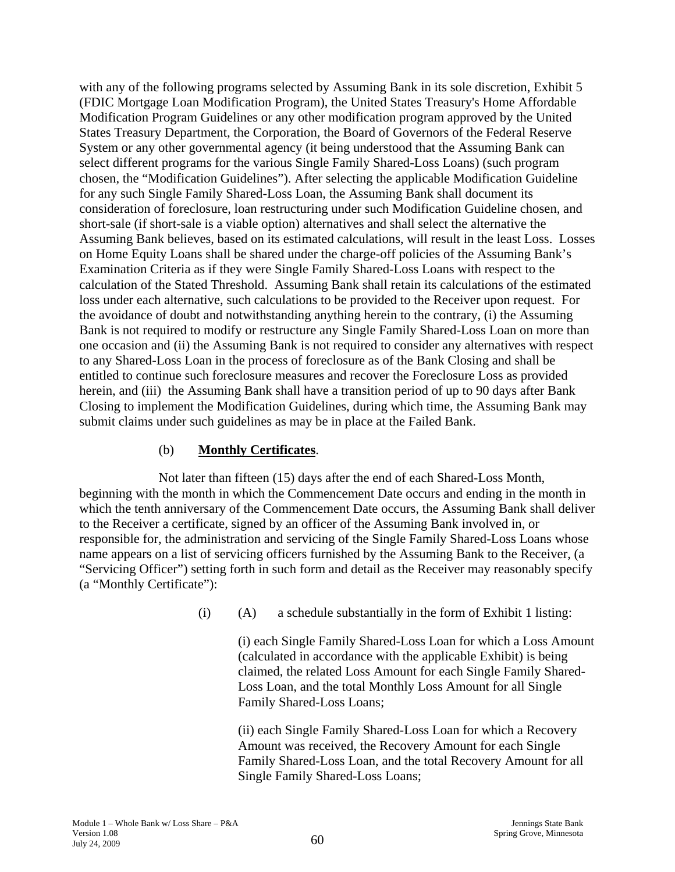with any of the following programs selected by Assuming Bank in its sole discretion, Exhibit 5 (FDIC Mortgage Loan Modification Program), the United States Treasury's Home Affordable Modification Program Guidelines or any other modification program approved by the United States Treasury Department, the Corporation, the Board of Governors of the Federal Reserve System or any other governmental agency (it being understood that the Assuming Bank can select different programs for the various Single Family Shared-Loss Loans) (such program chosen, the "Modification Guidelines"). After selecting the applicable Modification Guideline for any such Single Family Shared-Loss Loan, the Assuming Bank shall document its consideration of foreclosure, loan restructuring under such Modification Guideline chosen, and short-sale (if short-sale is a viable option) alternatives and shall select the alternative the Assuming Bank believes, based on its estimated calculations, will result in the least Loss. Losses on Home Equity Loans shall be shared under the charge-off policies of the Assuming Bank's Examination Criteria as if they were Single Family Shared-Loss Loans with respect to the calculation of the Stated Threshold. Assuming Bank shall retain its calculations of the estimated loss under each alternative, such calculations to be provided to the Receiver upon request. For the avoidance of doubt and notwithstanding anything herein to the contrary, (i) the Assuming Bank is not required to modify or restructure any Single Family Shared-Loss Loan on more than one occasion and (ii) the Assuming Bank is not required to consider any alternatives with respect to any Shared-Loss Loan in the process of foreclosure as of the Bank Closing and shall be entitled to continue such foreclosure measures and recover the Foreclosure Loss as provided herein, and (iii) the Assuming Bank shall have a transition period of up to 90 days after Bank Closing to implement the Modification Guidelines, during which time, the Assuming Bank may submit claims under such guidelines as may be in place at the Failed Bank.

### (b) **Monthly Certificates**.

Not later than fifteen (15) days after the end of each Shared-Loss Month, beginning with the month in which the Commencement Date occurs and ending in the month in which the tenth anniversary of the Commencement Date occurs, the Assuming Bank shall deliver to the Receiver a certificate, signed by an officer of the Assuming Bank involved in, or responsible for, the administration and servicing of the Single Family Shared-Loss Loans whose name appears on a list of servicing officers furnished by the Assuming Bank to the Receiver, (a "Servicing Officer") setting forth in such form and detail as the Receiver may reasonably specify (a "Monthly Certificate"):

(i) (A) a schedule substantially in the form of Exhibit 1 listing:

(i) each Single Family Shared-Loss Loan for which a Loss Amount (calculated in accordance with the applicable Exhibit) is being claimed, the related Loss Amount for each Single Family Shared-Loss Loan, and the total Monthly Loss Amount for all Single Family Shared-Loss Loans;

(ii) each Single Family Shared-Loss Loan for which a Recovery Amount was received, the Recovery Amount for each Single Family Shared-Loss Loan, and the total Recovery Amount for all Single Family Shared-Loss Loans;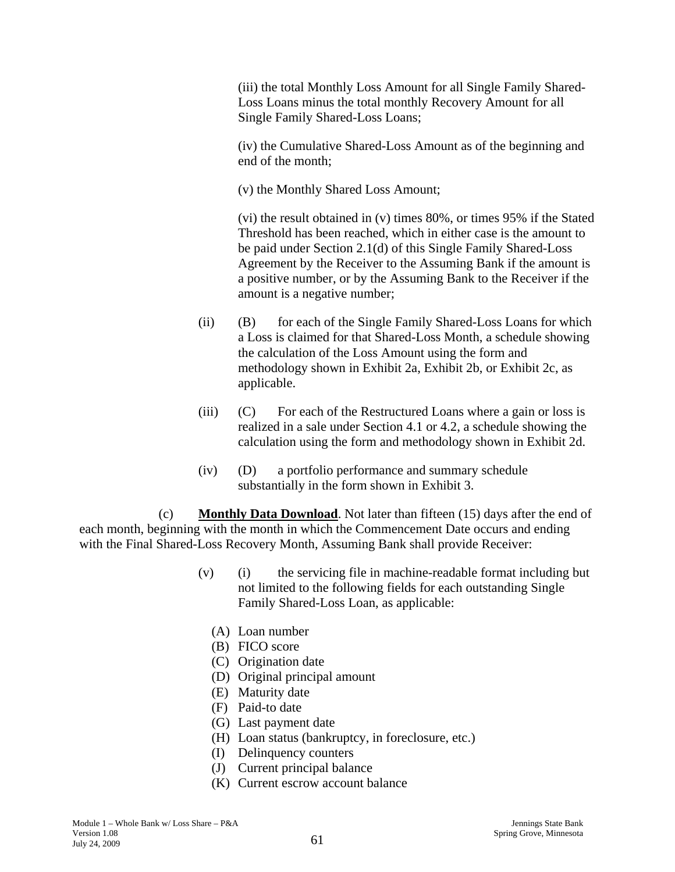(iii) the total Monthly Loss Amount for all Single Family Shared-Loss Loans minus the total monthly Recovery Amount for all Single Family Shared-Loss Loans;

(iv) the Cumulative Shared-Loss Amount as of the beginning and end of the month;

(v) the Monthly Shared Loss Amount;

(vi) the result obtained in (v) times 80%, or times 95% if the Stated Threshold has been reached, which in either case is the amount to be paid under Section 2.1(d) of this Single Family Shared-Loss Agreement by the Receiver to the Assuming Bank if the amount is a positive number, or by the Assuming Bank to the Receiver if the amount is a negative number;

- (ii) (B) for each of the Single Family Shared-Loss Loans for which a Loss is claimed for that Shared-Loss Month, a schedule showing the calculation of the Loss Amount using the form and methodology shown in Exhibit 2a, Exhibit 2b, or Exhibit 2c, as applicable.
- (iii) (C) For each of the Restructured Loans where a gain or loss is realized in a sale under Section 4.1 or 4.2, a schedule showing the calculation using the form and methodology shown in Exhibit 2d.
- (iv) (D) a portfolio performance and summary schedule substantially in the form shown in Exhibit 3.

(c) **Monthly Data Download**. Not later than fifteen (15) days after the end of each month, beginning with the month in which the Commencement Date occurs and ending with the Final Shared-Loss Recovery Month, Assuming Bank shall provide Receiver:

- $(v)$  (i) the servicing file in machine-readable format including but not limited to the following fields for each outstanding Single Family Shared-Loss Loan, as applicable:
	- (A) Loan number
	- (B) FICO score
	- (C) Origination date
	- (D) Original principal amount
	- (E) Maturity date
	- (F) Paid-to date
	- (G) Last payment date
	- (H) Loan status (bankruptcy, in foreclosure, etc.)
	- (I) Delinquency counters
	- (J) Current principal balance
	- (K) Current escrow account balance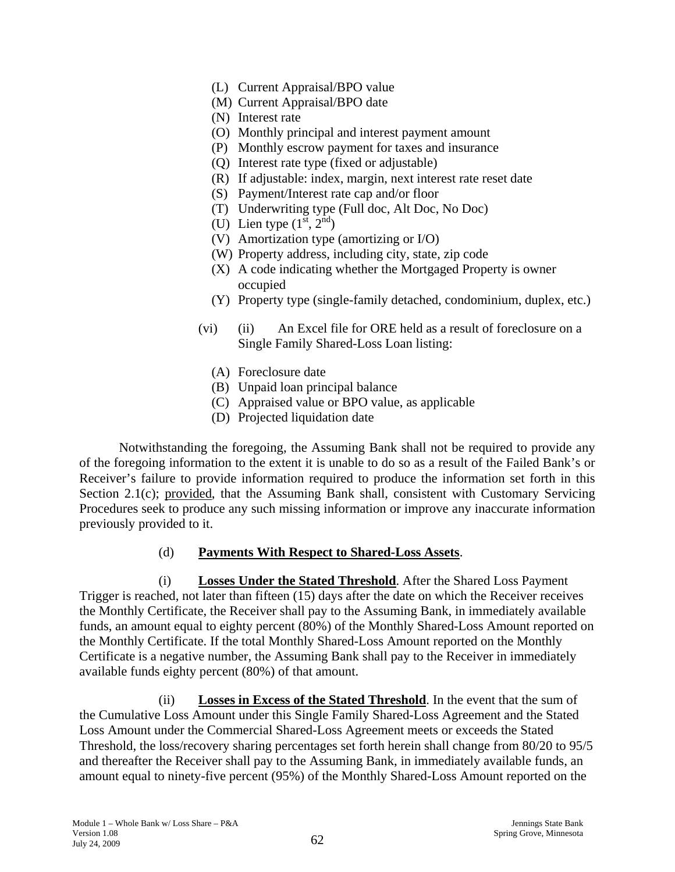- (L) Current Appraisal/BPO value
- (M) Current Appraisal/BPO date
- (N) Interest rate
- (O) Monthly principal and interest payment amount
- (P) Monthly escrow payment for taxes and insurance
- (Q) Interest rate type (fixed or adjustable)
- (R) If adjustable: index, margin, next interest rate reset date
- (S) Payment/Interest rate cap and/or floor
- (T) Underwriting type (Full doc, Alt Doc, No Doc)
- (U) Lien type  $(1<sup>st</sup>, 2<sup>nd</sup>)$
- (V) Amortization type (amortizing or I/O)
- (W) Property address, including city, state, zip code
- (X) A code indicating whether the Mortgaged Property is owner occupied
- (Y) Property type (single-family detached, condominium, duplex, etc.)
- (vi) (ii) An Excel file for ORE held as a result of foreclosure on a Single Family Shared-Loss Loan listing:
	- (A) Foreclosure date
	- (B) Unpaid loan principal balance
	- (C) Appraised value or BPO value, as applicable
	- (D) Projected liquidation date

Notwithstanding the foregoing, the Assuming Bank shall not be required to provide any of the foregoing information to the extent it is unable to do so as a result of the Failed Bank's or Receiver's failure to provide information required to produce the information set forth in this Section 2.1(c); provided, that the Assuming Bank shall, consistent with Customary Servicing Procedures seek to produce any such missing information or improve any inaccurate information previously provided to it.

### (d) **Payments With Respect to Shared-Loss Assets**.

(i) **Losses Under the Stated Threshold**. After the Shared Loss Payment Trigger is reached, not later than fifteen (15) days after the date on which the Receiver receives the Monthly Certificate, the Receiver shall pay to the Assuming Bank, in immediately available funds, an amount equal to eighty percent (80%) of the Monthly Shared-Loss Amount reported on the Monthly Certificate. If the total Monthly Shared-Loss Amount reported on the Monthly Certificate is a negative number, the Assuming Bank shall pay to the Receiver in immediately available funds eighty percent (80%) of that amount.

(ii) **Losses in Excess of the Stated Threshold**. In the event that the sum of the Cumulative Loss Amount under this Single Family Shared-Loss Agreement and the Stated Loss Amount under the Commercial Shared-Loss Agreement meets or exceeds the Stated Threshold, the loss/recovery sharing percentages set forth herein shall change from 80/20 to 95/5 and thereafter the Receiver shall pay to the Assuming Bank, in immediately available funds, an amount equal to ninety-five percent (95%) of the Monthly Shared-Loss Amount reported on the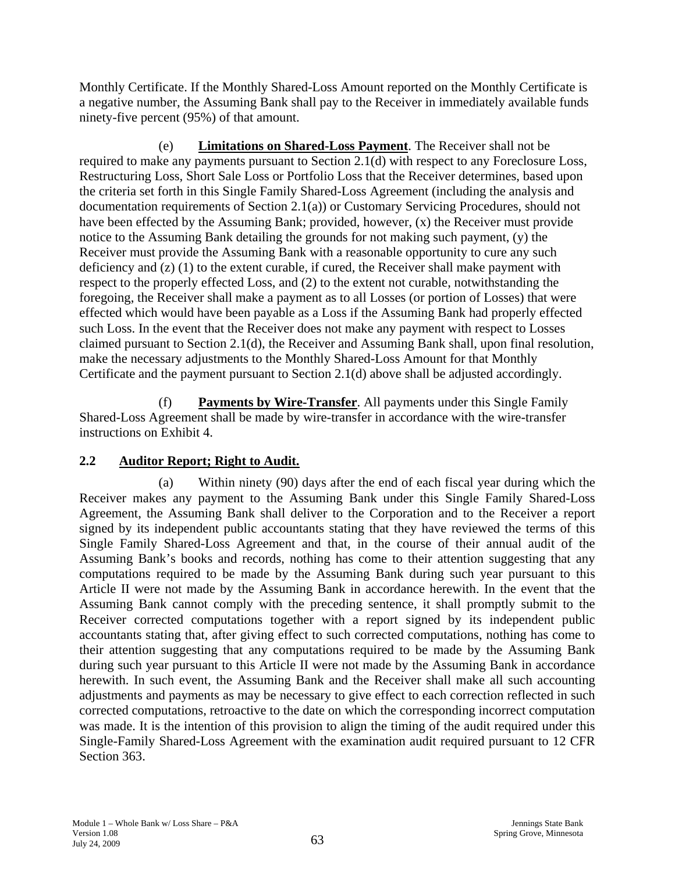Monthly Certificate. If the Monthly Shared-Loss Amount reported on the Monthly Certificate is a negative number, the Assuming Bank shall pay to the Receiver in immediately available funds ninety-five percent (95%) of that amount.

(e) **Limitations on Shared-Loss Payment**. The Receiver shall not be required to make any payments pursuant to Section 2.1(d) with respect to any Foreclosure Loss, Restructuring Loss, Short Sale Loss or Portfolio Loss that the Receiver determines, based upon the criteria set forth in this Single Family Shared-Loss Agreement (including the analysis and documentation requirements of Section 2.1(a)) or Customary Servicing Procedures, should not have been effected by the Assuming Bank; provided, however, (x) the Receiver must provide notice to the Assuming Bank detailing the grounds for not making such payment, (y) the Receiver must provide the Assuming Bank with a reasonable opportunity to cure any such deficiency and (z) (1) to the extent curable, if cured, the Receiver shall make payment with respect to the properly effected Loss, and (2) to the extent not curable, notwithstanding the foregoing, the Receiver shall make a payment as to all Losses (or portion of Losses) that were effected which would have been payable as a Loss if the Assuming Bank had properly effected such Loss. In the event that the Receiver does not make any payment with respect to Losses claimed pursuant to Section 2.1(d), the Receiver and Assuming Bank shall, upon final resolution, make the necessary adjustments to the Monthly Shared-Loss Amount for that Monthly Certificate and the payment pursuant to Section 2.1(d) above shall be adjusted accordingly.

(f) **Payments by Wire-Transfer**. All payments under this Single Family Shared-Loss Agreement shall be made by wire-transfer in accordance with the wire-transfer instructions on Exhibit 4.

# **2.2 Auditor Report; Right to Audit.**

(a) Within ninety (90) days after the end of each fiscal year during which the Receiver makes any payment to the Assuming Bank under this Single Family Shared-Loss Agreement, the Assuming Bank shall deliver to the Corporation and to the Receiver a report signed by its independent public accountants stating that they have reviewed the terms of this Single Family Shared-Loss Agreement and that, in the course of their annual audit of the Assuming Bank's books and records, nothing has come to their attention suggesting that any computations required to be made by the Assuming Bank during such year pursuant to this Article II were not made by the Assuming Bank in accordance herewith. In the event that the Assuming Bank cannot comply with the preceding sentence, it shall promptly submit to the Receiver corrected computations together with a report signed by its independent public accountants stating that, after giving effect to such corrected computations, nothing has come to their attention suggesting that any computations required to be made by the Assuming Bank during such year pursuant to this Article II were not made by the Assuming Bank in accordance herewith. In such event, the Assuming Bank and the Receiver shall make all such accounting adjustments and payments as may be necessary to give effect to each correction reflected in such corrected computations, retroactive to the date on which the corresponding incorrect computation was made. It is the intention of this provision to align the timing of the audit required under this Single-Family Shared-Loss Agreement with the examination audit required pursuant to 12 CFR Section 363.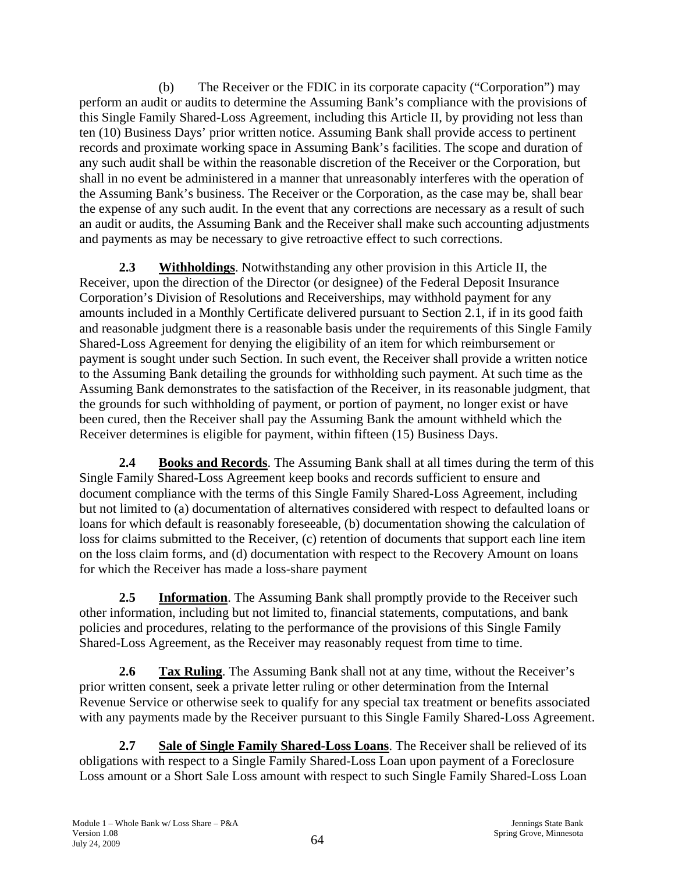(b) The Receiver or the FDIC in its corporate capacity ("Corporation") may perform an audit or audits to determine the Assuming Bank's compliance with the provisions of this Single Family Shared-Loss Agreement, including this Article II, by providing not less than ten (10) Business Days' prior written notice. Assuming Bank shall provide access to pertinent records and proximate working space in Assuming Bank's facilities. The scope and duration of any such audit shall be within the reasonable discretion of the Receiver or the Corporation, but shall in no event be administered in a manner that unreasonably interferes with the operation of the Assuming Bank's business. The Receiver or the Corporation, as the case may be, shall bear the expense of any such audit. In the event that any corrections are necessary as a result of such an audit or audits, the Assuming Bank and the Receiver shall make such accounting adjustments and payments as may be necessary to give retroactive effect to such corrections.

**2.3 Withholdings**. Notwithstanding any other provision in this Article II, the Receiver, upon the direction of the Director (or designee) of the Federal Deposit Insurance Corporation's Division of Resolutions and Receiverships, may withhold payment for any amounts included in a Monthly Certificate delivered pursuant to Section 2.1, if in its good faith and reasonable judgment there is a reasonable basis under the requirements of this Single Family Shared-Loss Agreement for denying the eligibility of an item for which reimbursement or payment is sought under such Section. In such event, the Receiver shall provide a written notice to the Assuming Bank detailing the grounds for withholding such payment. At such time as the Assuming Bank demonstrates to the satisfaction of the Receiver, in its reasonable judgment, that the grounds for such withholding of payment, or portion of payment, no longer exist or have been cured, then the Receiver shall pay the Assuming Bank the amount withheld which the Receiver determines is eligible for payment, within fifteen (15) Business Days.

**2.4 Books and Records**. The Assuming Bank shall at all times during the term of this Single Family Shared-Loss Agreement keep books and records sufficient to ensure and document compliance with the terms of this Single Family Shared-Loss Agreement, including but not limited to (a) documentation of alternatives considered with respect to defaulted loans or loans for which default is reasonably foreseeable, (b) documentation showing the calculation of loss for claims submitted to the Receiver, (c) retention of documents that support each line item on the loss claim forms, and (d) documentation with respect to the Recovery Amount on loans for which the Receiver has made a loss-share payment

**2.5 Information**. The Assuming Bank shall promptly provide to the Receiver such other information, including but not limited to, financial statements, computations, and bank policies and procedures, relating to the performance of the provisions of this Single Family Shared-Loss Agreement, as the Receiver may reasonably request from time to time.

**2.6** Tax Ruling. The Assuming Bank shall not at any time, without the Receiver's prior written consent, seek a private letter ruling or other determination from the Internal Revenue Service or otherwise seek to qualify for any special tax treatment or benefits associated with any payments made by the Receiver pursuant to this Single Family Shared-Loss Agreement.

**2.7 Sale of Single Family Shared-Loss Loans**. The Receiver shall be relieved of its obligations with respect to a Single Family Shared-Loss Loan upon payment of a Foreclosure Loss amount or a Short Sale Loss amount with respect to such Single Family Shared-Loss Loan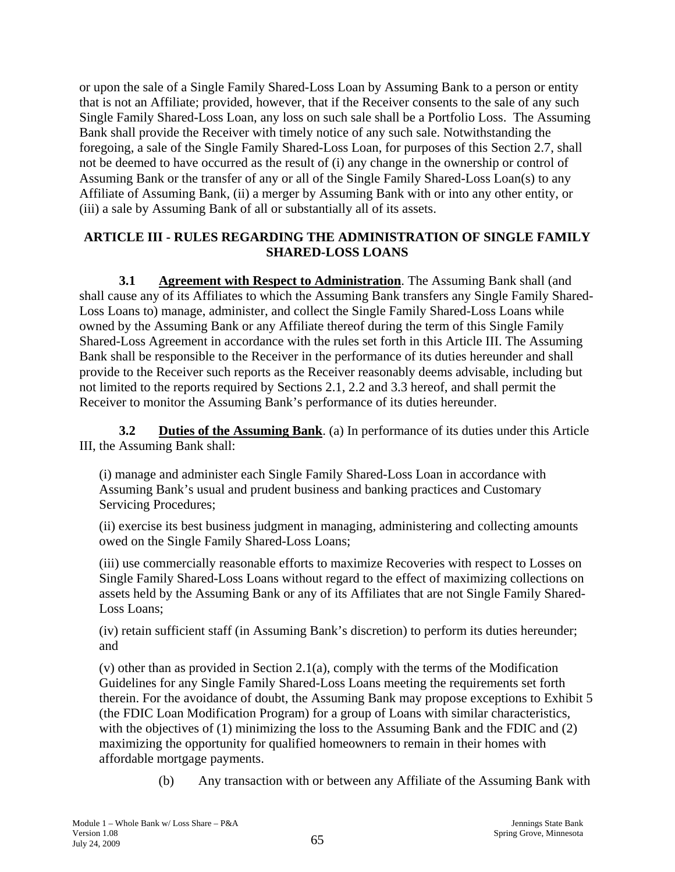or upon the sale of a Single Family Shared-Loss Loan by Assuming Bank to a person or entity that is not an Affiliate; provided, however, that if the Receiver consents to the sale of any such Single Family Shared-Loss Loan, any loss on such sale shall be a Portfolio Loss. The Assuming Bank shall provide the Receiver with timely notice of any such sale. Notwithstanding the foregoing, a sale of the Single Family Shared-Loss Loan, for purposes of this Section 2.7, shall not be deemed to have occurred as the result of (i) any change in the ownership or control of Assuming Bank or the transfer of any or all of the Single Family Shared-Loss Loan(s) to any Affiliate of Assuming Bank, (ii) a merger by Assuming Bank with or into any other entity, or (iii) a sale by Assuming Bank of all or substantially all of its assets.

## **ARTICLE III - RULES REGARDING THE ADMINISTRATION OF SINGLE FAMILY SHARED-LOSS LOANS**

**3.1 Agreement with Respect to Administration**. The Assuming Bank shall (and shall cause any of its Affiliates to which the Assuming Bank transfers any Single Family Shared-Loss Loans to) manage, administer, and collect the Single Family Shared-Loss Loans while owned by the Assuming Bank or any Affiliate thereof during the term of this Single Family Shared-Loss Agreement in accordance with the rules set forth in this Article III. The Assuming Bank shall be responsible to the Receiver in the performance of its duties hereunder and shall provide to the Receiver such reports as the Receiver reasonably deems advisable, including but not limited to the reports required by Sections 2.1, 2.2 and 3.3 hereof, and shall permit the Receiver to monitor the Assuming Bank's performance of its duties hereunder.

**3.2 Duties of the Assuming Bank**. (a) In performance of its duties under this Article III, the Assuming Bank shall:

(i) manage and administer each Single Family Shared-Loss Loan in accordance with Assuming Bank's usual and prudent business and banking practices and Customary Servicing Procedures;

(ii) exercise its best business judgment in managing, administering and collecting amounts owed on the Single Family Shared-Loss Loans;

(iii) use commercially reasonable efforts to maximize Recoveries with respect to Losses on Single Family Shared-Loss Loans without regard to the effect of maximizing collections on assets held by the Assuming Bank or any of its Affiliates that are not Single Family Shared-Loss Loans;

(iv) retain sufficient staff (in Assuming Bank's discretion) to perform its duties hereunder; and

(v) other than as provided in Section 2.1(a), comply with the terms of the Modification Guidelines for any Single Family Shared-Loss Loans meeting the requirements set forth therein. For the avoidance of doubt, the Assuming Bank may propose exceptions to Exhibit 5 (the FDIC Loan Modification Program) for a group of Loans with similar characteristics, with the objectives of (1) minimizing the loss to the Assuming Bank and the FDIC and (2) maximizing the opportunity for qualified homeowners to remain in their homes with affordable mortgage payments.

(b) Any transaction with or between any Affiliate of the Assuming Bank with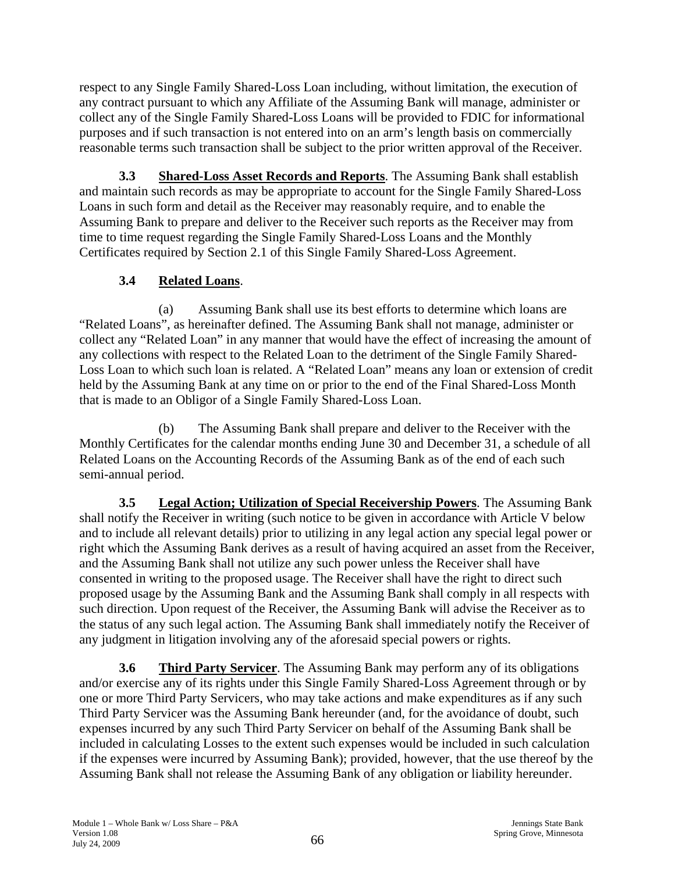respect to any Single Family Shared-Loss Loan including, without limitation, the execution of any contract pursuant to which any Affiliate of the Assuming Bank will manage, administer or collect any of the Single Family Shared-Loss Loans will be provided to FDIC for informational purposes and if such transaction is not entered into on an arm's length basis on commercially reasonable terms such transaction shall be subject to the prior written approval of the Receiver.

**3.3 Shared-Loss Asset Records and Reports**. The Assuming Bank shall establish and maintain such records as may be appropriate to account for the Single Family Shared-Loss Loans in such form and detail as the Receiver may reasonably require, and to enable the Assuming Bank to prepare and deliver to the Receiver such reports as the Receiver may from time to time request regarding the Single Family Shared-Loss Loans and the Monthly Certificates required by Section 2.1 of this Single Family Shared-Loss Agreement.

# **3.4 Related Loans**.

(a) Assuming Bank shall use its best efforts to determine which loans are "Related Loans", as hereinafter defined. The Assuming Bank shall not manage, administer or collect any "Related Loan" in any manner that would have the effect of increasing the amount of any collections with respect to the Related Loan to the detriment of the Single Family Shared-Loss Loan to which such loan is related. A "Related Loan" means any loan or extension of credit held by the Assuming Bank at any time on or prior to the end of the Final Shared-Loss Month that is made to an Obligor of a Single Family Shared-Loss Loan.

(b) The Assuming Bank shall prepare and deliver to the Receiver with the Monthly Certificates for the calendar months ending June 30 and December 31, a schedule of all Related Loans on the Accounting Records of the Assuming Bank as of the end of each such semi-annual period.

**3.5 Legal Action; Utilization of Special Receivership Powers**. The Assuming Bank shall notify the Receiver in writing (such notice to be given in accordance with Article V below and to include all relevant details) prior to utilizing in any legal action any special legal power or right which the Assuming Bank derives as a result of having acquired an asset from the Receiver, and the Assuming Bank shall not utilize any such power unless the Receiver shall have consented in writing to the proposed usage. The Receiver shall have the right to direct such proposed usage by the Assuming Bank and the Assuming Bank shall comply in all respects with such direction. Upon request of the Receiver, the Assuming Bank will advise the Receiver as to the status of any such legal action. The Assuming Bank shall immediately notify the Receiver of any judgment in litigation involving any of the aforesaid special powers or rights.

**3.6 Third Party Servicer**. The Assuming Bank may perform any of its obligations and/or exercise any of its rights under this Single Family Shared-Loss Agreement through or by one or more Third Party Servicers, who may take actions and make expenditures as if any such Third Party Servicer was the Assuming Bank hereunder (and, for the avoidance of doubt, such expenses incurred by any such Third Party Servicer on behalf of the Assuming Bank shall be included in calculating Losses to the extent such expenses would be included in such calculation if the expenses were incurred by Assuming Bank); provided, however, that the use thereof by the Assuming Bank shall not release the Assuming Bank of any obligation or liability hereunder.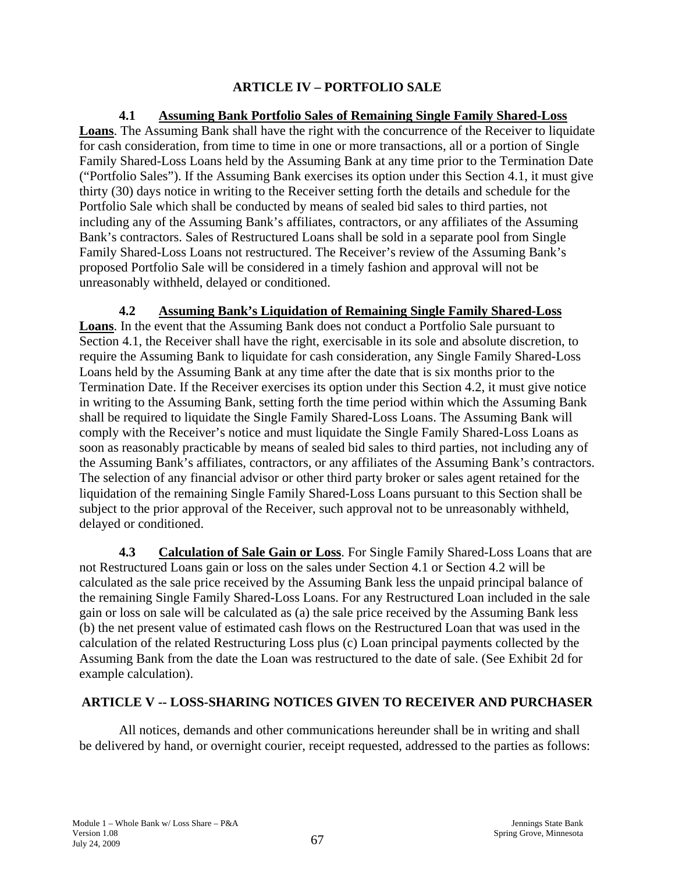## **ARTICLE IV – PORTFOLIO SALE**

### **4.1 Assuming Bank Portfolio Sales of Remaining Single Family Shared-Loss**

**Loans**. The Assuming Bank shall have the right with the concurrence of the Receiver to liquidate for cash consideration, from time to time in one or more transactions, all or a portion of Single Family Shared-Loss Loans held by the Assuming Bank at any time prior to the Termination Date ("Portfolio Sales"). If the Assuming Bank exercises its option under this Section 4.1, it must give thirty (30) days notice in writing to the Receiver setting forth the details and schedule for the Portfolio Sale which shall be conducted by means of sealed bid sales to third parties, not including any of the Assuming Bank's affiliates, contractors, or any affiliates of the Assuming Bank's contractors. Sales of Restructured Loans shall be sold in a separate pool from Single Family Shared-Loss Loans not restructured. The Receiver's review of the Assuming Bank's proposed Portfolio Sale will be considered in a timely fashion and approval will not be unreasonably withheld, delayed or conditioned.

### **4.2 Assuming Bank's Liquidation of Remaining Single Family Shared-Loss**

**Loans**. In the event that the Assuming Bank does not conduct a Portfolio Sale pursuant to Section 4.1, the Receiver shall have the right, exercisable in its sole and absolute discretion, to require the Assuming Bank to liquidate for cash consideration, any Single Family Shared-Loss Loans held by the Assuming Bank at any time after the date that is six months prior to the Termination Date. If the Receiver exercises its option under this Section 4.2, it must give notice in writing to the Assuming Bank, setting forth the time period within which the Assuming Bank shall be required to liquidate the Single Family Shared-Loss Loans. The Assuming Bank will comply with the Receiver's notice and must liquidate the Single Family Shared-Loss Loans as soon as reasonably practicable by means of sealed bid sales to third parties, not including any of the Assuming Bank's affiliates, contractors, or any affiliates of the Assuming Bank's contractors. The selection of any financial advisor or other third party broker or sales agent retained for the liquidation of the remaining Single Family Shared-Loss Loans pursuant to this Section shall be subject to the prior approval of the Receiver, such approval not to be unreasonably withheld, delayed or conditioned.

**4.3 Calculation of Sale Gain or Loss**. For Single Family Shared-Loss Loans that are not Restructured Loans gain or loss on the sales under Section 4.1 or Section 4.2 will be calculated as the sale price received by the Assuming Bank less the unpaid principal balance of the remaining Single Family Shared-Loss Loans. For any Restructured Loan included in the sale gain or loss on sale will be calculated as (a) the sale price received by the Assuming Bank less (b) the net present value of estimated cash flows on the Restructured Loan that was used in the calculation of the related Restructuring Loss plus (c) Loan principal payments collected by the Assuming Bank from the date the Loan was restructured to the date of sale. (See Exhibit 2d for example calculation).

### **ARTICLE V -- LOSS-SHARING NOTICES GIVEN TO RECEIVER AND PURCHASER**

All notices, demands and other communications hereunder shall be in writing and shall be delivered by hand, or overnight courier, receipt requested, addressed to the parties as follows: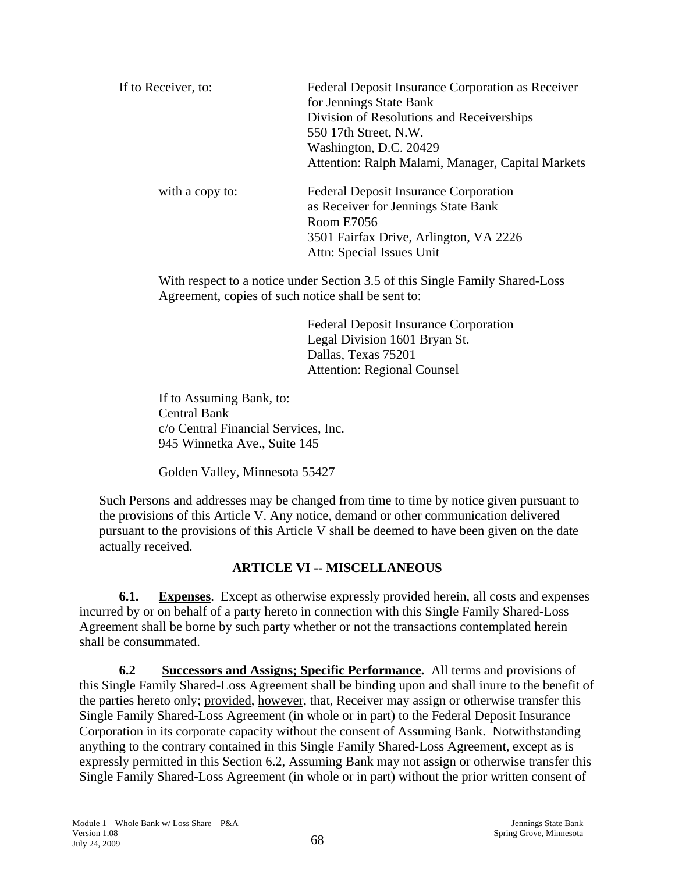| If to Receiver, to: | Federal Deposit Insurance Corporation as Receiver<br>for Jennings State Bank |  |
|---------------------|------------------------------------------------------------------------------|--|
|                     | Division of Resolutions and Receiverships                                    |  |
|                     | 550 17th Street, N.W.                                                        |  |
|                     | Washington, D.C. 20429                                                       |  |
|                     | Attention: Ralph Malami, Manager, Capital Markets                            |  |
| with a copy to:     | <b>Federal Deposit Insurance Corporation</b>                                 |  |
|                     | as Receiver for Jennings State Bank                                          |  |
|                     | Room E7056                                                                   |  |
|                     | 3501 Fairfax Drive, Arlington, VA 2226                                       |  |
|                     | Attn: Special Issues Unit                                                    |  |

With respect to a notice under Section 3.5 of this Single Family Shared-Loss Agreement, copies of such notice shall be sent to:

> Federal Deposit Insurance Corporation Legal Division 1601 Bryan St. Dallas, Texas 75201 Attention: Regional Counsel

If to Assuming Bank, to: Central Bank c/o Central Financial Services, Inc. 945 Winnetka Ave., Suite 145

Golden Valley, Minnesota 55427

Such Persons and addresses may be changed from time to time by notice given pursuant to the provisions of this Article V. Any notice, demand or other communication delivered pursuant to the provisions of this Article V shall be deemed to have been given on the date actually received.

# **ARTICLE VI -- MISCELLANEOUS**

**6.1. Expenses**. Except as otherwise expressly provided herein, all costs and expenses incurred by or on behalf of a party hereto in connection with this Single Family Shared-Loss Agreement shall be borne by such party whether or not the transactions contemplated herein shall be consummated.

**6.2** Successors and Assigns; Specific Performance. All terms and provisions of this Single Family Shared-Loss Agreement shall be binding upon and shall inure to the benefit of the parties hereto only; provided, however, that, Receiver may assign or otherwise transfer this Single Family Shared-Loss Agreement (in whole or in part) to the Federal Deposit Insurance Corporation in its corporate capacity without the consent of Assuming Bank. Notwithstanding anything to the contrary contained in this Single Family Shared-Loss Agreement, except as is expressly permitted in this Section 6.2, Assuming Bank may not assign or otherwise transfer this Single Family Shared-Loss Agreement (in whole or in part) without the prior written consent of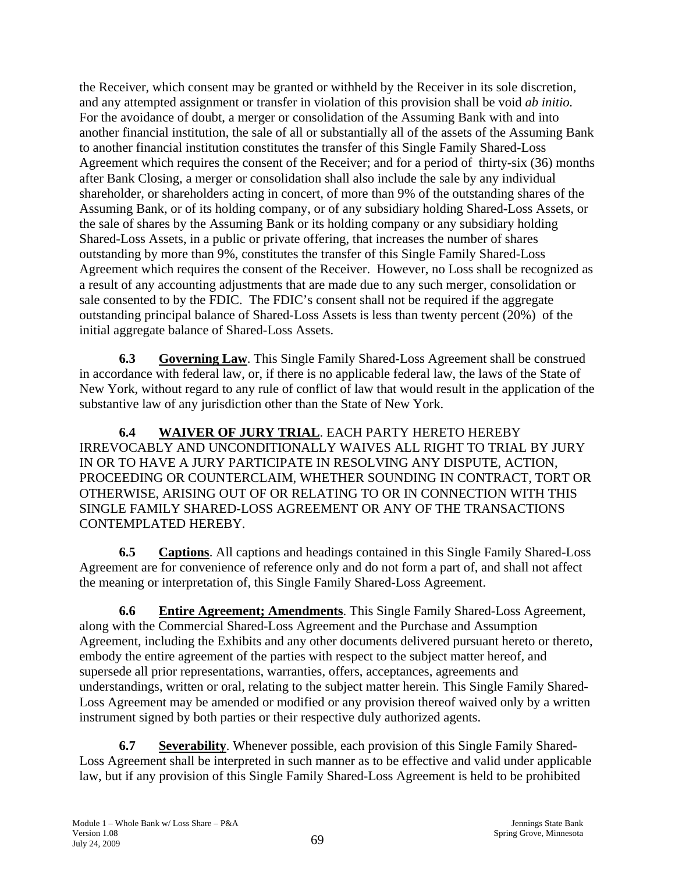the Receiver, which consent may be granted or withheld by the Receiver in its sole discretion, and any attempted assignment or transfer in violation of this provision shall be void *ab initio.*  For the avoidance of doubt, a merger or consolidation of the Assuming Bank with and into another financial institution, the sale of all or substantially all of the assets of the Assuming Bank to another financial institution constitutes the transfer of this Single Family Shared-Loss Agreement which requires the consent of the Receiver; and for a period of thirty-six (36) months after Bank Closing, a merger or consolidation shall also include the sale by any individual shareholder, or shareholders acting in concert, of more than 9% of the outstanding shares of the Assuming Bank, or of its holding company, or of any subsidiary holding Shared-Loss Assets, or the sale of shares by the Assuming Bank or its holding company or any subsidiary holding Shared-Loss Assets, in a public or private offering, that increases the number of shares outstanding by more than 9%, constitutes the transfer of this Single Family Shared-Loss Agreement which requires the consent of the Receiver. However, no Loss shall be recognized as a result of any accounting adjustments that are made due to any such merger, consolidation or sale consented to by the FDIC. The FDIC's consent shall not be required if the aggregate outstanding principal balance of Shared-Loss Assets is less than twenty percent (20%) of the initial aggregate balance of Shared-Loss Assets.

**6.3 Governing Law**. This Single Family Shared-Loss Agreement shall be construed in accordance with federal law, or, if there is no applicable federal law, the laws of the State of New York, without regard to any rule of conflict of law that would result in the application of the substantive law of any jurisdiction other than the State of New York.

**6.4 WAIVER OF JURY TRIAL**. EACH PARTY HERETO HEREBY IRREVOCABLY AND UNCONDITIONALLY WAIVES ALL RIGHT TO TRIAL BY JURY IN OR TO HAVE A JURY PARTICIPATE IN RESOLVING ANY DISPUTE, ACTION, PROCEEDING OR COUNTERCLAIM, WHETHER SOUNDING IN CONTRACT, TORT OR OTHERWISE, ARISING OUT OF OR RELATING TO OR IN CONNECTION WITH THIS SINGLE FAMILY SHARED-LOSS AGREEMENT OR ANY OF THE TRANSACTIONS CONTEMPLATED HEREBY.

**6.5 Captions**. All captions and headings contained in this Single Family Shared-Loss Agreement are for convenience of reference only and do not form a part of, and shall not affect the meaning or interpretation of, this Single Family Shared-Loss Agreement.

**6.6 Entire Agreement; Amendments**. This Single Family Shared-Loss Agreement, along with the Commercial Shared-Loss Agreement and the Purchase and Assumption Agreement, including the Exhibits and any other documents delivered pursuant hereto or thereto, embody the entire agreement of the parties with respect to the subject matter hereof, and supersede all prior representations, warranties, offers, acceptances, agreements and understandings, written or oral, relating to the subject matter herein. This Single Family Shared-Loss Agreement may be amended or modified or any provision thereof waived only by a written instrument signed by both parties or their respective duly authorized agents.

**6.7 Severability**. Whenever possible, each provision of this Single Family Shared-Loss Agreement shall be interpreted in such manner as to be effective and valid under applicable law, but if any provision of this Single Family Shared-Loss Agreement is held to be prohibited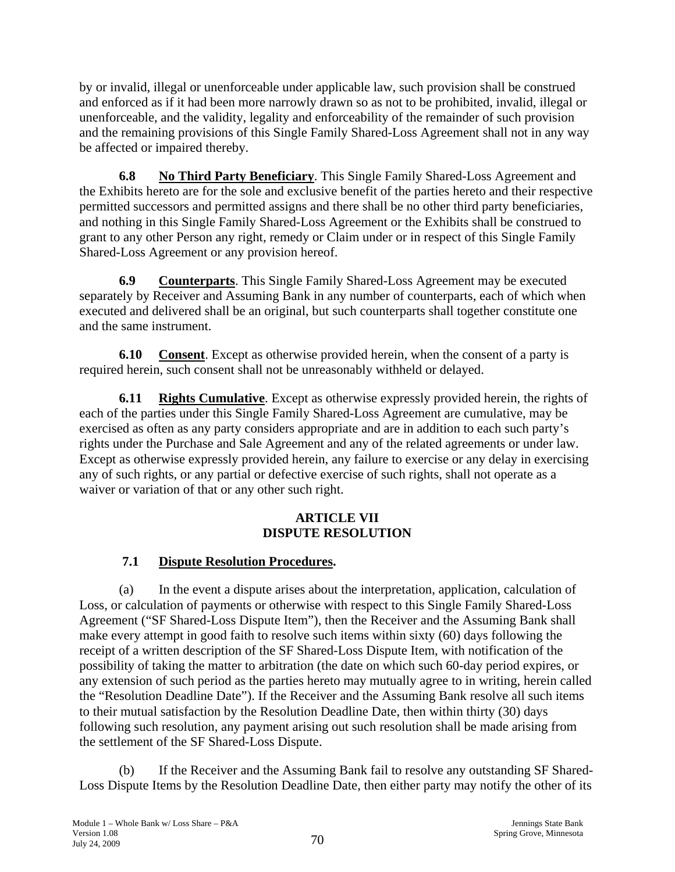by or invalid, illegal or unenforceable under applicable law, such provision shall be construed and enforced as if it had been more narrowly drawn so as not to be prohibited, invalid, illegal or unenforceable, and the validity, legality and enforceability of the remainder of such provision and the remaining provisions of this Single Family Shared-Loss Agreement shall not in any way be affected or impaired thereby.

**6.8 No Third Party Beneficiary**. This Single Family Shared-Loss Agreement and the Exhibits hereto are for the sole and exclusive benefit of the parties hereto and their respective permitted successors and permitted assigns and there shall be no other third party beneficiaries, and nothing in this Single Family Shared-Loss Agreement or the Exhibits shall be construed to grant to any other Person any right, remedy or Claim under or in respect of this Single Family Shared-Loss Agreement or any provision hereof.

**6.9 Counterparts**. This Single Family Shared-Loss Agreement may be executed separately by Receiver and Assuming Bank in any number of counterparts, each of which when executed and delivered shall be an original, but such counterparts shall together constitute one and the same instrument.

**6.10** Consent. Except as otherwise provided herein, when the consent of a party is required herein, such consent shall not be unreasonably withheld or delayed.

**6.11 Rights Cumulative**. Except as otherwise expressly provided herein, the rights of each of the parties under this Single Family Shared-Loss Agreement are cumulative, may be exercised as often as any party considers appropriate and are in addition to each such party's rights under the Purchase and Sale Agreement and any of the related agreements or under law. Except as otherwise expressly provided herein, any failure to exercise or any delay in exercising any of such rights, or any partial or defective exercise of such rights, shall not operate as a waiver or variation of that or any other such right.

## **ARTICLE VII DISPUTE RESOLUTION**

# **7.1 Dispute Resolution Procedures.**

(a) In the event a dispute arises about the interpretation, application, calculation of Loss, or calculation of payments or otherwise with respect to this Single Family Shared-Loss Agreement ("SF Shared-Loss Dispute Item"), then the Receiver and the Assuming Bank shall make every attempt in good faith to resolve such items within sixty (60) days following the receipt of a written description of the SF Shared-Loss Dispute Item, with notification of the possibility of taking the matter to arbitration (the date on which such 60-day period expires, or any extension of such period as the parties hereto may mutually agree to in writing, herein called the "Resolution Deadline Date"). If the Receiver and the Assuming Bank resolve all such items to their mutual satisfaction by the Resolution Deadline Date, then within thirty (30) days following such resolution, any payment arising out such resolution shall be made arising from the settlement of the SF Shared-Loss Dispute.

(b) If the Receiver and the Assuming Bank fail to resolve any outstanding SF Shared-Loss Dispute Items by the Resolution Deadline Date, then either party may notify the other of its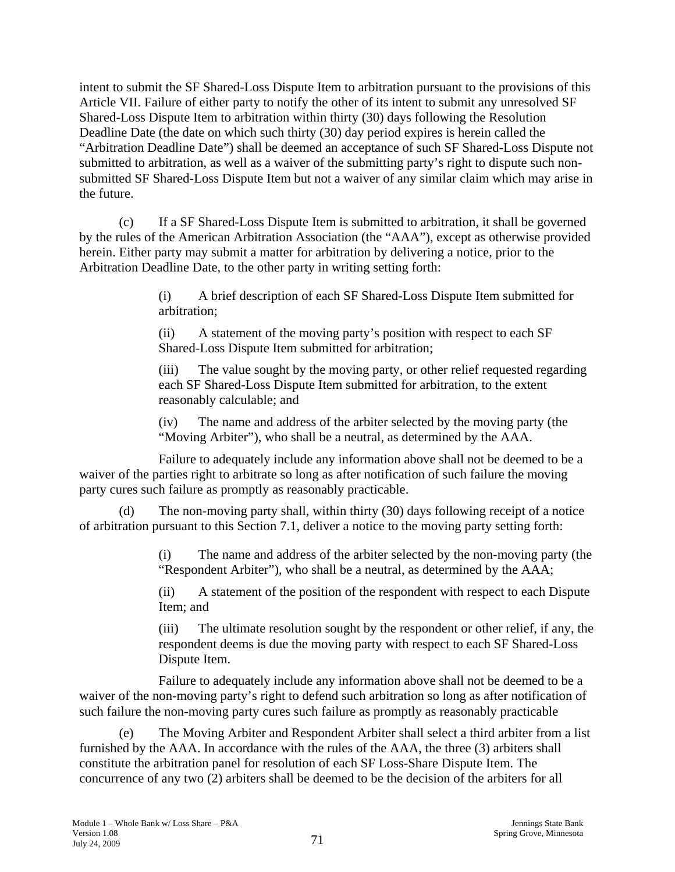intent to submit the SF Shared-Loss Dispute Item to arbitration pursuant to the provisions of this Article VII. Failure of either party to notify the other of its intent to submit any unresolved SF Shared-Loss Dispute Item to arbitration within thirty (30) days following the Resolution Deadline Date (the date on which such thirty (30) day period expires is herein called the "Arbitration Deadline Date") shall be deemed an acceptance of such SF Shared-Loss Dispute not submitted to arbitration, as well as a waiver of the submitting party's right to dispute such nonsubmitted SF Shared-Loss Dispute Item but not a waiver of any similar claim which may arise in the future.

(c) If a SF Shared-Loss Dispute Item is submitted to arbitration, it shall be governed by the rules of the American Arbitration Association (the "AAA"), except as otherwise provided herein. Either party may submit a matter for arbitration by delivering a notice, prior to the Arbitration Deadline Date, to the other party in writing setting forth:

> (i) A brief description of each SF Shared-Loss Dispute Item submitted for arbitration;

(ii) A statement of the moving party's position with respect to each SF Shared-Loss Dispute Item submitted for arbitration;

(iii) The value sought by the moving party, or other relief requested regarding each SF Shared-Loss Dispute Item submitted for arbitration, to the extent reasonably calculable; and

(iv) The name and address of the arbiter selected by the moving party (the "Moving Arbiter"), who shall be a neutral, as determined by the AAA.

Failure to adequately include any information above shall not be deemed to be a waiver of the parties right to arbitrate so long as after notification of such failure the moving party cures such failure as promptly as reasonably practicable.

(d) The non-moving party shall, within thirty (30) days following receipt of a notice of arbitration pursuant to this Section 7.1, deliver a notice to the moving party setting forth:

> (i) The name and address of the arbiter selected by the non-moving party (the "Respondent Arbiter"), who shall be a neutral, as determined by the AAA;

> (ii) A statement of the position of the respondent with respect to each Dispute Item; and

> (iii) The ultimate resolution sought by the respondent or other relief, if any, the respondent deems is due the moving party with respect to each SF Shared-Loss Dispute Item.

Failure to adequately include any information above shall not be deemed to be a waiver of the non-moving party's right to defend such arbitration so long as after notification of such failure the non-moving party cures such failure as promptly as reasonably practicable

(e) The Moving Arbiter and Respondent Arbiter shall select a third arbiter from a list furnished by the AAA. In accordance with the rules of the AAA, the three (3) arbiters shall constitute the arbitration panel for resolution of each SF Loss-Share Dispute Item. The concurrence of any two (2) arbiters shall be deemed to be the decision of the arbiters for all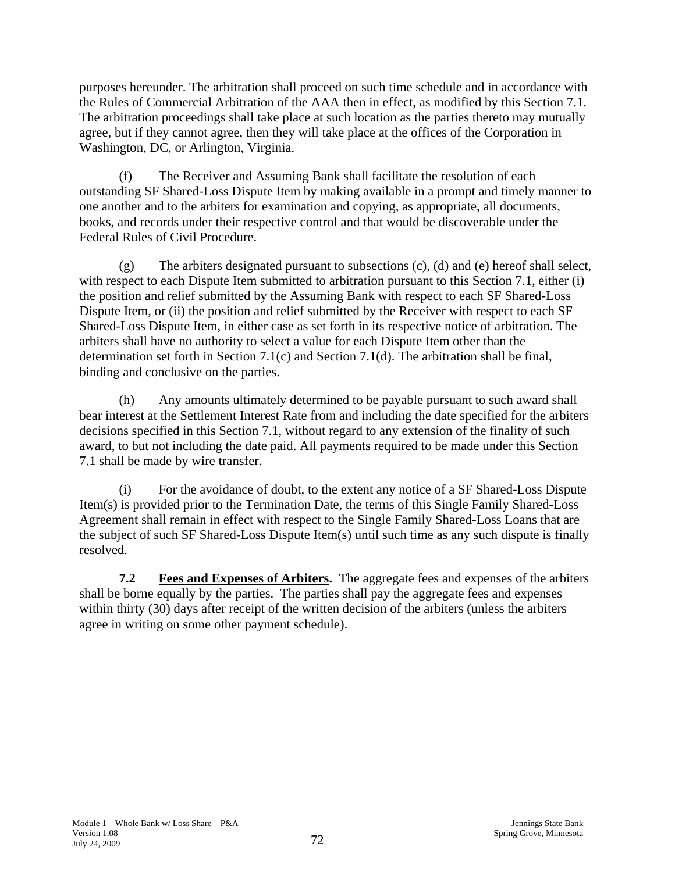purposes hereunder. The arbitration shall proceed on such time schedule and in accordance with the Rules of Commercial Arbitration of the AAA then in effect, as modified by this Section 7.1. The arbitration proceedings shall take place at such location as the parties thereto may mutually agree, but if they cannot agree, then they will take place at the offices of the Corporation in Washington, DC, or Arlington, Virginia.

(f) The Receiver and Assuming Bank shall facilitate the resolution of each outstanding SF Shared-Loss Dispute Item by making available in a prompt and timely manner to one another and to the arbiters for examination and copying, as appropriate, all documents, books, and records under their respective control and that would be discoverable under the Federal Rules of Civil Procedure.

(g) The arbiters designated pursuant to subsections (c), (d) and (e) hereof shall select, with respect to each Dispute Item submitted to arbitration pursuant to this Section 7.1, either (i) the position and relief submitted by the Assuming Bank with respect to each SF Shared-Loss Dispute Item, or (ii) the position and relief submitted by the Receiver with respect to each SF Shared-Loss Dispute Item, in either case as set forth in its respective notice of arbitration. The arbiters shall have no authority to select a value for each Dispute Item other than the determination set forth in Section 7.1(c) and Section 7.1(d). The arbitration shall be final, binding and conclusive on the parties.

(h) Any amounts ultimately determined to be payable pursuant to such award shall bear interest at the Settlement Interest Rate from and including the date specified for the arbiters decisions specified in this Section 7.1, without regard to any extension of the finality of such award, to but not including the date paid. All payments required to be made under this Section 7.1 shall be made by wire transfer.

(i) For the avoidance of doubt, to the extent any notice of a SF Shared-Loss Dispute Item(s) is provided prior to the Termination Date, the terms of this Single Family Shared-Loss Agreement shall remain in effect with respect to the Single Family Shared-Loss Loans that are the subject of such SF Shared-Loss Dispute Item(s) until such time as any such dispute is finally resolved.

**7.2 Fees and Expenses of Arbiters.** The aggregate fees and expenses of the arbiters shall be borne equally by the parties. The parties shall pay the aggregate fees and expenses within thirty (30) days after receipt of the written decision of the arbiters (unless the arbiters agree in writing on some other payment schedule).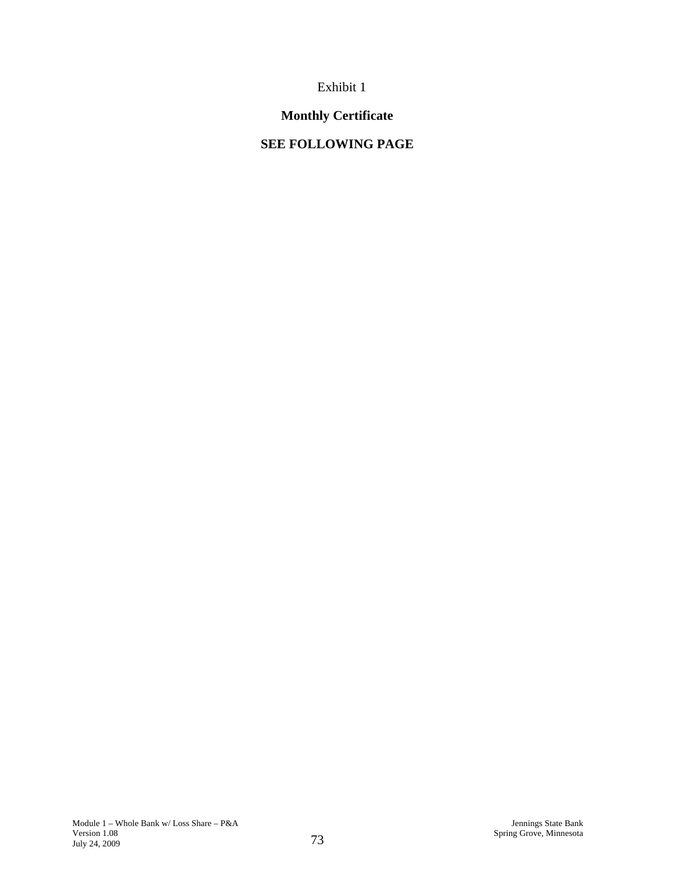Exhibit 1

## **Monthly Certificate**

# **SEE FOLLOWING PAGE**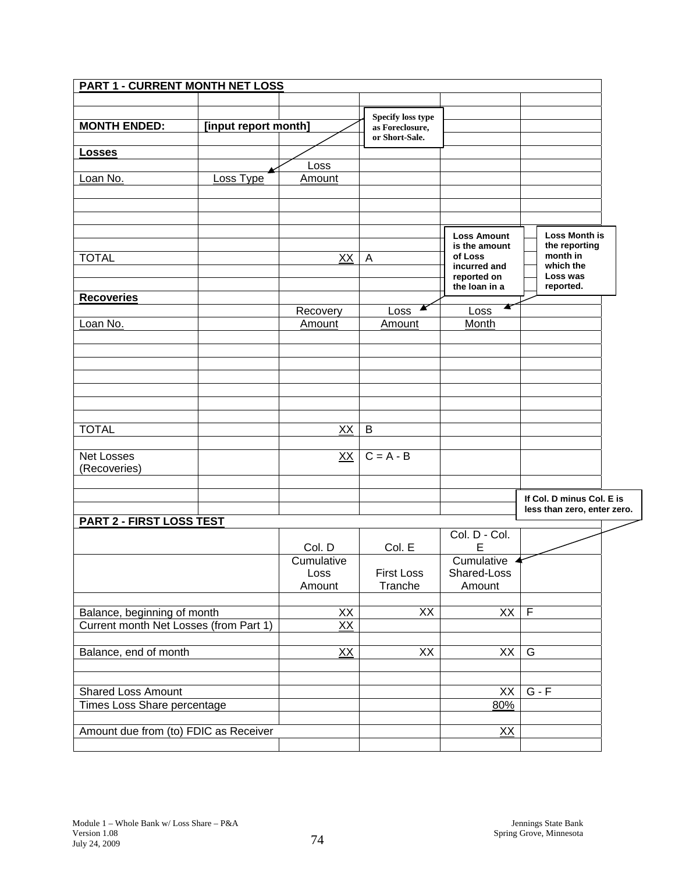| <b>PART 1 - CURRENT MONTH NET LOSS</b>                                |                      |                 |                                   |                             |                             |
|-----------------------------------------------------------------------|----------------------|-----------------|-----------------------------------|-----------------------------|-----------------------------|
|                                                                       |                      |                 |                                   |                             |                             |
|                                                                       |                      |                 | Specify loss type                 |                             |                             |
| <b>MONTH ENDED:</b>                                                   | [input report month] |                 | as Foreclosure,<br>or Short-Sale. |                             |                             |
|                                                                       |                      |                 |                                   |                             |                             |
| <b>Losses</b>                                                         |                      |                 |                                   |                             |                             |
| Loan No.                                                              |                      | Loss            |                                   |                             |                             |
|                                                                       | Loss Type            | Amount          |                                   |                             |                             |
|                                                                       |                      |                 |                                   |                             |                             |
|                                                                       |                      |                 |                                   |                             |                             |
|                                                                       |                      |                 |                                   | <b>Loss Amount</b>          | Loss Month is               |
|                                                                       |                      |                 |                                   | is the amount               | the reporting               |
| <b>TOTAL</b>                                                          |                      | XX              | A                                 | of Loss                     | month in                    |
|                                                                       |                      |                 |                                   | incurred and<br>reported on | which the<br>Loss was       |
|                                                                       |                      |                 |                                   | the loan in a               | reported.                   |
| <b>Recoveries</b>                                                     |                      |                 |                                   |                             |                             |
|                                                                       |                      | Recovery        | $Loss \nightharpoonup$            | Ŧ<br>Loss                   |                             |
| Loan No.                                                              |                      | Amount          | Amount                            | Month                       |                             |
|                                                                       |                      |                 |                                   |                             |                             |
|                                                                       |                      |                 |                                   |                             |                             |
|                                                                       |                      |                 |                                   |                             |                             |
|                                                                       |                      |                 |                                   |                             |                             |
|                                                                       |                      |                 |                                   |                             |                             |
|                                                                       |                      |                 |                                   |                             |                             |
| <b>TOTAL</b>                                                          |                      | $\overline{XX}$ | $\sf B$                           |                             |                             |
|                                                                       |                      |                 |                                   |                             |                             |
| <b>Net Losses</b>                                                     |                      | XX              | $C = A - B$                       |                             |                             |
| (Recoveries)                                                          |                      |                 |                                   |                             |                             |
|                                                                       |                      |                 |                                   |                             |                             |
|                                                                       |                      |                 |                                   |                             | If Col. D minus Col. E is   |
|                                                                       |                      |                 |                                   |                             | less than zero, enter zero. |
| <b>PART 2 - FIRST LOSS TEST</b>                                       |                      |                 |                                   |                             |                             |
|                                                                       |                      |                 |                                   | Col. D - Col.               |                             |
|                                                                       |                      | Col. D          | Col. E                            | E                           |                             |
|                                                                       |                      | Cumulative      |                                   | Cumulative                  |                             |
|                                                                       |                      | Loss            | <b>First Loss</b>                 | Shared-Loss                 |                             |
|                                                                       |                      | Amount          | Tranche                           | Amount                      |                             |
|                                                                       |                      |                 |                                   |                             |                             |
| Balance, beginning of month<br>Current month Net Losses (from Part 1) |                      | XX              | XX                                | XX                          | $\mathsf F$                 |
|                                                                       |                      | XX              |                                   |                             |                             |
| Balance, end of month                                                 |                      | X X             | XX                                | XX                          | G                           |
|                                                                       |                      |                 |                                   |                             |                             |
|                                                                       |                      |                 |                                   |                             |                             |
| <b>Shared Loss Amount</b>                                             |                      |                 |                                   | XX                          | $G - F$                     |
| Times Loss Share percentage                                           |                      |                 |                                   | 80%                         |                             |
|                                                                       |                      |                 |                                   |                             |                             |
| Amount due from (to) FDIC as Receiver                                 |                      |                 |                                   | <u>XX</u>                   |                             |
|                                                                       |                      |                 |                                   |                             |                             |
|                                                                       |                      |                 |                                   |                             |                             |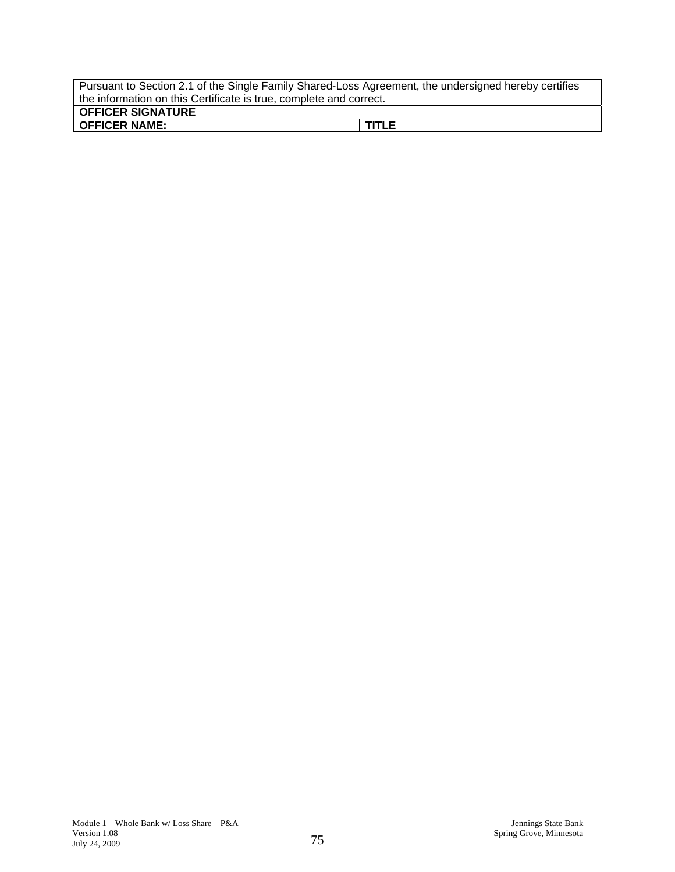| Pursuant to Section 2.1 of the Single Family Shared-Loss Agreement, the undersigned hereby certifies |  |  |  |
|------------------------------------------------------------------------------------------------------|--|--|--|
| the information on this Certificate is true, complete and correct.                                   |  |  |  |
| <b>OFFICER SIGNATURE</b>                                                                             |  |  |  |
| <b>TITLE</b><br><b>OFFICER NAME:</b>                                                                 |  |  |  |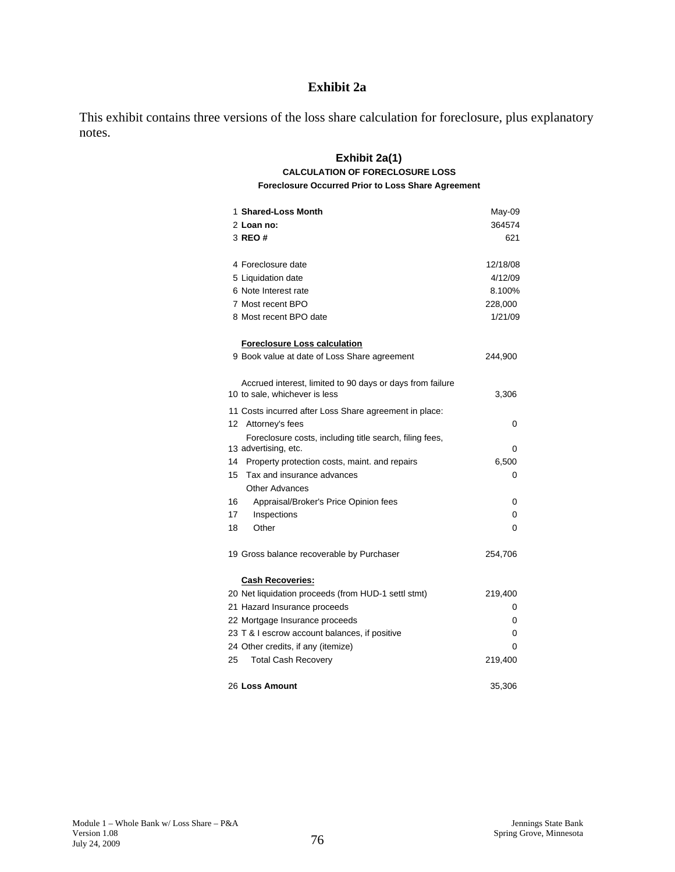### **Exhibit 2a**

This exhibit contains three versions of the loss share calculation for foreclosure, plus explanatory notes.

#### **Exhibit 2a(1) CALCULATION OF FORECLOSURE LOSS Foreclosure Occurred Prior to Loss Share Agreement**

|    | 1 Shared-Loss Month<br>2 Loan no:<br>3 REO #              | May-09<br>364574<br>621 |
|----|-----------------------------------------------------------|-------------------------|
|    | 4 Foreclosure date                                        | 12/18/08                |
|    | 5 Liquidation date                                        | 4/12/09                 |
|    | 6 Note Interest rate                                      | 8.100%                  |
|    | 7 Most recent BPO                                         | 228,000                 |
|    | 8 Most recent BPO date                                    | 1/21/09                 |
|    | <b>Foreclosure Loss calculation</b>                       |                         |
|    | 9 Book value at date of Loss Share agreement              | 244,900                 |
|    | Accrued interest, limited to 90 days or days from failure |                         |
|    | 10 to sale, whichever is less                             | 3,306                   |
|    | 11 Costs incurred after Loss Share agreement in place:    |                         |
| 12 | Attorney's fees                                           | 0                       |
|    | Foreclosure costs, including title search, filing fees,   |                         |
|    | 13 advertising, etc.                                      | 0                       |
| 14 | Property protection costs, maint. and repairs             | 6,500                   |
| 15 | Tax and insurance advances                                | 0                       |
|    | <b>Other Advances</b>                                     |                         |
| 16 | Appraisal/Broker's Price Opinion fees                     | 0                       |
| 17 | Inspections                                               | 0                       |
| 18 | Other                                                     | 0                       |
|    | 19 Gross balance recoverable by Purchaser                 | 254,706                 |
|    | <b>Cash Recoveries:</b>                                   |                         |
|    | 20 Net liquidation proceeds (from HUD-1 settl stmt)       | 219,400                 |
|    | 21 Hazard Insurance proceeds                              | 0                       |
|    | 22 Mortgage Insurance proceeds                            | 0                       |
|    | 23 T & I escrow account balances, if positive             | 0                       |
|    | 24 Other credits, if any (itemize)                        | 0                       |
| 25 | <b>Total Cash Recovery</b>                                | 219,400                 |
|    | <b>26 Loss Amount</b>                                     | 35,306                  |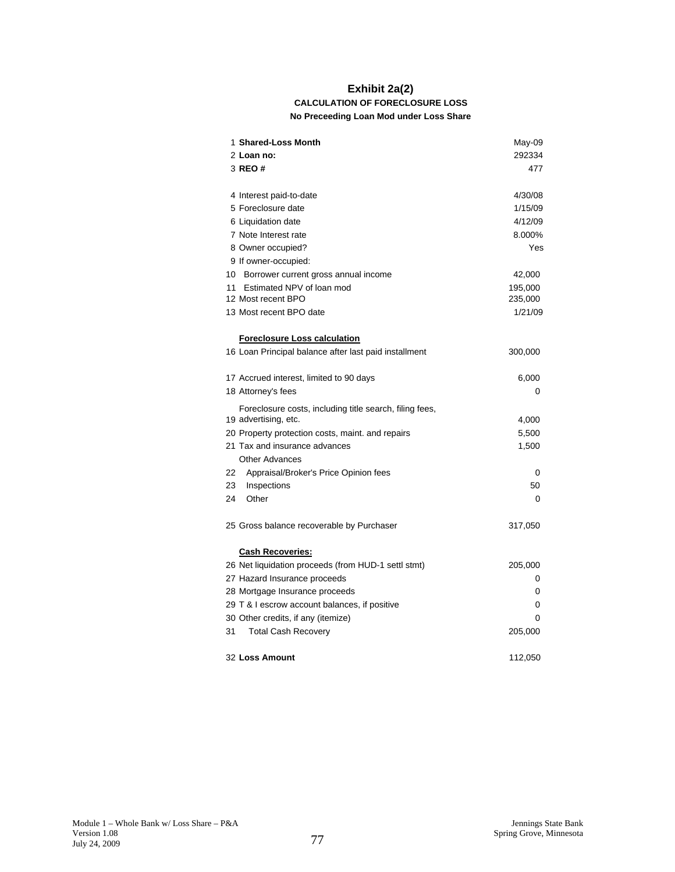#### **Exhibit 2a(2)**

#### **CALCULATION OF FORECLOSURE LOSS**

#### **No Preceeding Loan Mod under Loss Share**

| 1 Shared-Loss Month                                                             | May-09   |
|---------------------------------------------------------------------------------|----------|
| 2 Loan no:                                                                      | 292334   |
| 3 REO #                                                                         | 477      |
| 4 Interest paid-to-date                                                         | 4/30/08  |
| 5 Foreclosure date                                                              | 1/15/09  |
| 6 Liquidation date                                                              | 4/12/09  |
| 7 Note Interest rate                                                            | 8.000%   |
| 8 Owner occupied?                                                               | Yes      |
| 9 If owner-occupied:                                                            |          |
| Borrower current gross annual income<br>10                                      | 42,000   |
| 11<br>Estimated NPV of loan mod                                                 | 195,000  |
| 12 Most recent BPO                                                              | 235,000  |
| 13 Most recent BPO date                                                         | 1/21/09  |
| <b>Foreclosure Loss calculation</b>                                             |          |
| 16 Loan Principal balance after last paid installment                           | 300,000  |
| 17 Accrued interest, limited to 90 days                                         | 6,000    |
| 18 Attorney's fees                                                              | 0        |
| Foreclosure costs, including title search, filing fees,<br>19 advertising, etc. | 4,000    |
| 20 Property protection costs, maint. and repairs                                | 5,500    |
| 21 Tax and insurance advances                                                   | 1,500    |
| <b>Other Advances</b>                                                           |          |
| 22<br>Appraisal/Broker's Price Opinion fees                                     | 0        |
| 23<br>Inspections                                                               | 50       |
| 24<br>Other                                                                     | $\Omega$ |
| 25 Gross balance recoverable by Purchaser                                       | 317,050  |
| <b>Cash Recoveries:</b>                                                         |          |
| 26 Net liquidation proceeds (from HUD-1 settl stmt)                             | 205,000  |
| 27 Hazard Insurance proceeds                                                    | 0        |
| 28 Mortgage Insurance proceeds                                                  | 0        |
| 29 T & I escrow account balances, if positive                                   | 0        |
| 30 Other credits, if any (itemize)                                              | 0        |
| 31<br><b>Total Cash Recovery</b>                                                | 205,000  |
| 32 Loss Amount                                                                  | 112,050  |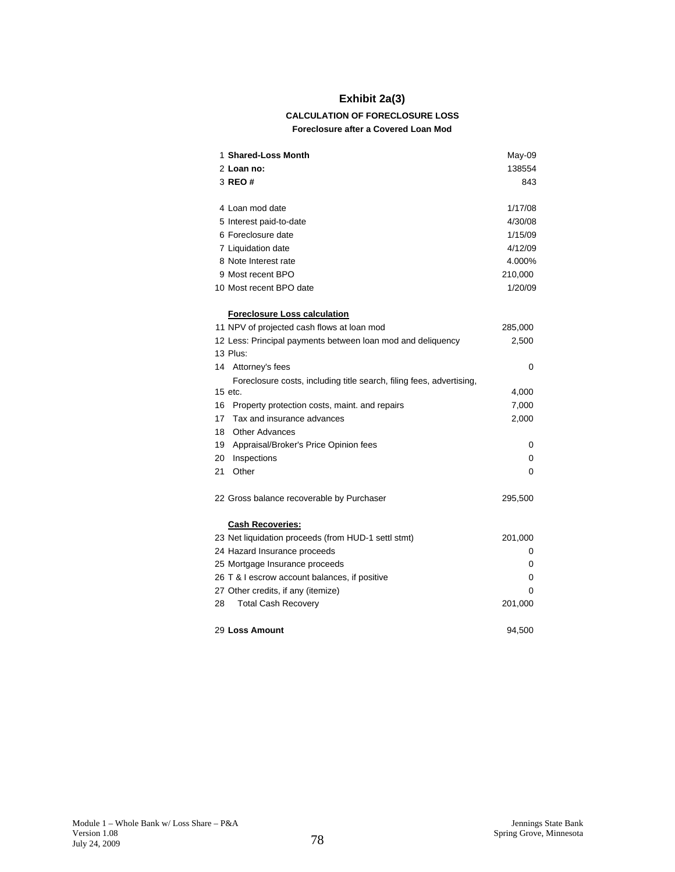## **Exhibit 2a(3)**

#### **CALCULATION OF FORECLOSURE LOSS Foreclosure after a Covered Loan Mod**

| 1 Shared-Loss Month                                                  | May-09  |
|----------------------------------------------------------------------|---------|
| 2 Loan no:                                                           | 138554  |
| 3 REO #                                                              | 843     |
|                                                                      |         |
| 4 Loan mod date                                                      | 1/17/08 |
| 5 Interest paid-to-date                                              | 4/30/08 |
| 6 Foreclosure date                                                   | 1/15/09 |
| 7 Liquidation date                                                   | 4/12/09 |
| 8 Note Interest rate                                                 | 4.000%  |
| 9 Most recent BPO                                                    | 210,000 |
| 10 Most recent BPO date                                              | 1/20/09 |
|                                                                      |         |
| <b>Foreclosure Loss calculation</b>                                  |         |
| 11 NPV of projected cash flows at loan mod                           | 285,000 |
| 12 Less: Principal payments between loan mod and deliquency          | 2,500   |
| 13 Plus:                                                             |         |
| Attorney's fees<br>14                                                | 0       |
| Foreclosure costs, including title search, filing fees, advertising, |         |
| 15 etc.                                                              | 4,000   |
| 16<br>Property protection costs, maint. and repairs                  | 7,000   |
| 17<br>Tax and insurance advances                                     | 2,000   |
| 18<br><b>Other Advances</b>                                          |         |
| 19 Appraisal/Broker's Price Opinion fees                             | 0       |
| 20<br>Inspections                                                    | 0       |
| 21<br>Other                                                          | 0       |
|                                                                      |         |
| 22 Gross balance recoverable by Purchaser                            | 295,500 |
| <b>Cash Recoveries:</b>                                              |         |
| 23 Net liquidation proceeds (from HUD-1 settl stmt)                  | 201,000 |
| 24 Hazard Insurance proceeds                                         | 0       |
| 25 Mortgage Insurance proceeds                                       | 0       |
| 26 T & I escrow account balances, if positive                        | 0       |
| 27 Other credits, if any (itemize)                                   | 0       |
| 28<br><b>Total Cash Recovery</b>                                     | 201,000 |
|                                                                      |         |
| 29 Loss Amount                                                       | 94,500  |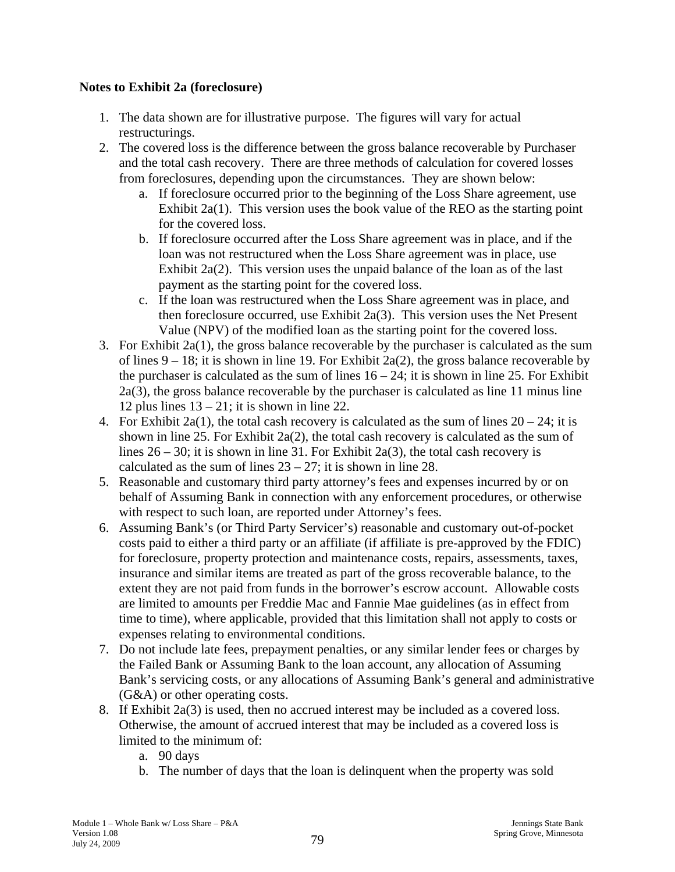## **Notes to Exhibit 2a (foreclosure)**

- 1. The data shown are for illustrative purpose. The figures will vary for actual restructurings.
- 2. The covered loss is the difference between the gross balance recoverable by Purchaser and the total cash recovery. There are three methods of calculation for covered losses from foreclosures, depending upon the circumstances. They are shown below:
	- a. If foreclosure occurred prior to the beginning of the Loss Share agreement, use Exhibit 2a(1). This version uses the book value of the REO as the starting point for the covered loss.
	- b. If foreclosure occurred after the Loss Share agreement was in place, and if the loan was not restructured when the Loss Share agreement was in place, use Exhibit 2a(2). This version uses the unpaid balance of the loan as of the last payment as the starting point for the covered loss.
	- c. If the loan was restructured when the Loss Share agreement was in place, and then foreclosure occurred, use Exhibit 2a(3). This version uses the Net Present Value (NPV) of the modified loan as the starting point for the covered loss.
- 3. For Exhibit  $2a(1)$ , the gross balance recoverable by the purchaser is calculated as the sum of lines  $9 - 18$ ; it is shown in line 19. For Exhibit 2a(2), the gross balance recoverable by the purchaser is calculated as the sum of lines  $16 - 24$ ; it is shown in line 25. For Exhibit 2a(3), the gross balance recoverable by the purchaser is calculated as line 11 minus line 12 plus lines  $13 - 21$ ; it is shown in line 22.
- 4. For Exhibit 2a(1), the total cash recovery is calculated as the sum of lines  $20 24$ ; it is shown in line 25. For Exhibit 2a(2), the total cash recovery is calculated as the sum of lines  $26 - 30$ ; it is shown in line 31. For Exhibit 2a(3), the total cash recovery is calculated as the sum of lines  $23 - 27$ ; it is shown in line 28.
- 5. Reasonable and customary third party attorney's fees and expenses incurred by or on behalf of Assuming Bank in connection with any enforcement procedures, or otherwise with respect to such loan, are reported under Attorney's fees.
- 6. Assuming Bank's (or Third Party Servicer's) reasonable and customary out-of-pocket costs paid to either a third party or an affiliate (if affiliate is pre-approved by the FDIC) for foreclosure, property protection and maintenance costs, repairs, assessments, taxes, insurance and similar items are treated as part of the gross recoverable balance, to the extent they are not paid from funds in the borrower's escrow account. Allowable costs are limited to amounts per Freddie Mac and Fannie Mae guidelines (as in effect from time to time), where applicable, provided that this limitation shall not apply to costs or expenses relating to environmental conditions.
- 7. Do not include late fees, prepayment penalties, or any similar lender fees or charges by the Failed Bank or Assuming Bank to the loan account, any allocation of Assuming Bank's servicing costs, or any allocations of Assuming Bank's general and administrative (G&A) or other operating costs.
- 8. If Exhibit  $2a(3)$  is used, then no accrued interest may be included as a covered loss. Otherwise, the amount of accrued interest that may be included as a covered loss is limited to the minimum of:
	- a. 90 days
	- b. The number of days that the loan is delinquent when the property was sold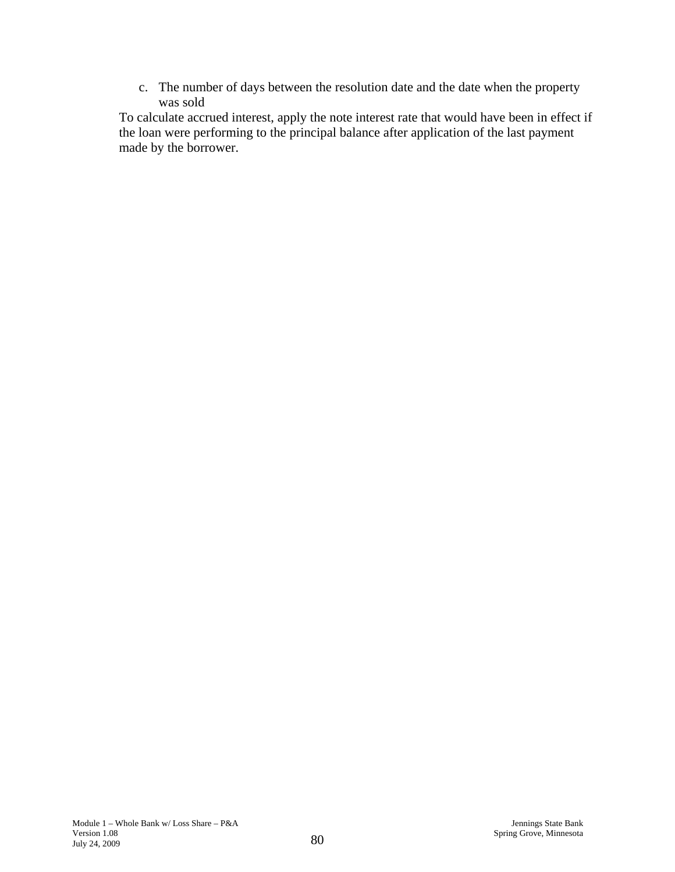c. The number of days between the resolution date and the date when the property was sold

To calculate accrued interest, apply the note interest rate that would have been in effect if the loan were performing to the principal balance after application of the last payment made by the borrower.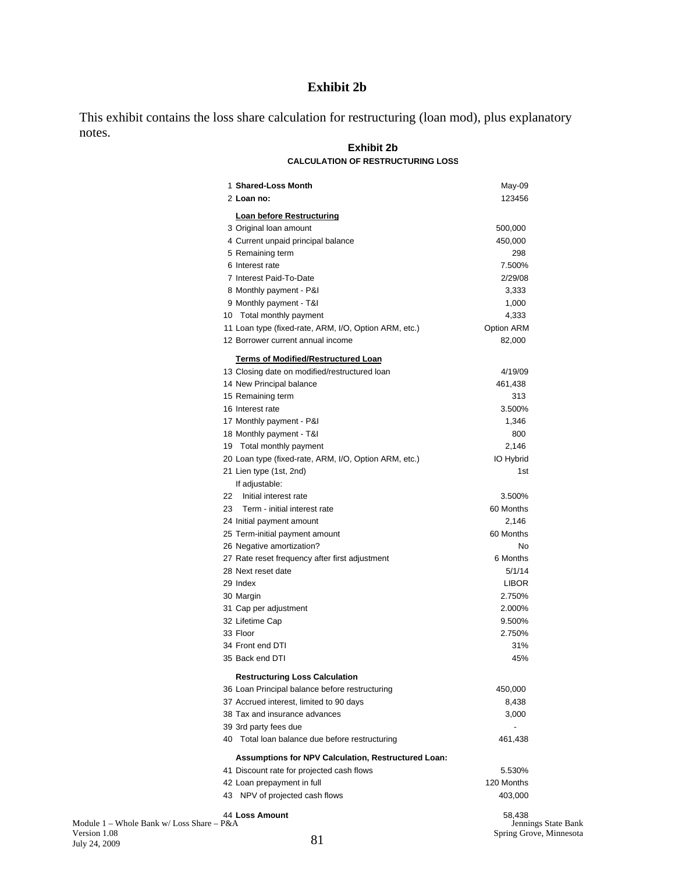# **Exhibit 2b**

This exhibit contains the loss share calculation for restructuring (loan mod), plus explanatory notes.

#### **Exhibit 2b CALCULATION OF RESTRUCTURING LOSS**

|                                                          | 1 Shared-Loss Month                                   | May-09                                        |
|----------------------------------------------------------|-------------------------------------------------------|-----------------------------------------------|
|                                                          | 2 Loan no:                                            | 123456                                        |
|                                                          | <b>Loan before Restructuring</b>                      |                                               |
|                                                          | 3 Original loan amount                                | 500,000                                       |
|                                                          | 4 Current unpaid principal balance                    | 450,000                                       |
|                                                          | 5 Remaining term                                      | 298                                           |
|                                                          | 6 Interest rate                                       | 7.500%                                        |
|                                                          | 7 Interest Paid-To-Date                               | 2/29/08                                       |
|                                                          | 8 Monthly payment - P&I                               | 3,333                                         |
|                                                          | 9 Monthly payment - T&I                               | 1,000                                         |
|                                                          | 10 Total monthly payment                              | 4,333                                         |
|                                                          | 11 Loan type (fixed-rate, ARM, I/O, Option ARM, etc.) | <b>Option ARM</b>                             |
|                                                          | 12 Borrower current annual income                     | 82,000                                        |
|                                                          | <b>Terms of Modified/Restructured Loan</b>            |                                               |
|                                                          | 13 Closing date on modified/restructured loan         | 4/19/09                                       |
|                                                          | 14 New Principal balance                              | 461,438                                       |
|                                                          | 15 Remaining term                                     | 313                                           |
|                                                          | 16 Interest rate                                      | 3.500%                                        |
|                                                          | 17 Monthly payment - P&I                              | 1,346                                         |
|                                                          | 18 Monthly payment - T&I                              | 800                                           |
|                                                          | 19 Total monthly payment                              | 2,146                                         |
|                                                          | 20 Loan type (fixed-rate, ARM, I/O, Option ARM, etc.) | IO Hybrid                                     |
|                                                          | 21 Lien type (1st, 2nd)                               | 1st                                           |
|                                                          | If adjustable:                                        |                                               |
| 22                                                       | Initial interest rate                                 | 3.500%                                        |
| 23                                                       | Term - initial interest rate                          | 60 Months                                     |
|                                                          | 24 Initial payment amount                             | 2,146                                         |
|                                                          | 25 Term-initial payment amount                        | 60 Months                                     |
|                                                          | 26 Negative amortization?                             | No                                            |
|                                                          | 27 Rate reset frequency after first adjustment        | 6 Months                                      |
|                                                          | 28 Next reset date                                    | 5/1/14                                        |
|                                                          | 29 Index                                              | <b>LIBOR</b>                                  |
|                                                          | 30 Margin                                             | 2.750%                                        |
|                                                          | 31 Cap per adjustment                                 | 2.000%                                        |
|                                                          | 32 Lifetime Cap                                       | 9.500%                                        |
|                                                          | 33 Floor                                              | 2.750%                                        |
|                                                          | 34 Front end DTI                                      | 31%                                           |
|                                                          | 35 Back end DTI                                       | 45%                                           |
|                                                          | <b>Restructuring Loss Calculation</b>                 |                                               |
|                                                          | 36 Loan Principal balance before restructuring        | 450,000                                       |
|                                                          | 37 Accrued interest, limited to 90 days               | 8,438                                         |
|                                                          | 38 Tax and insurance advances                         | 3,000                                         |
|                                                          | 39 3rd party fees due                                 |                                               |
|                                                          | 40 Total loan balance due before restructuring        | 461,438                                       |
|                                                          | Assumptions for NPV Calculation, Restructured Loan:   |                                               |
|                                                          | 41 Discount rate for projected cash flows             | 5.530%                                        |
|                                                          | 42 Loan prepayment in full                            | 120 Months                                    |
|                                                          | 43 NPV of projected cash flows                        | 403,000                                       |
|                                                          | 44 Loss Amount                                        | 58,438                                        |
| Module 1 – Whole Bank w/ Loss Share – P&A<br>Vercion 100 |                                                       | Jennings State Bank<br>Corina Croya Minnagota |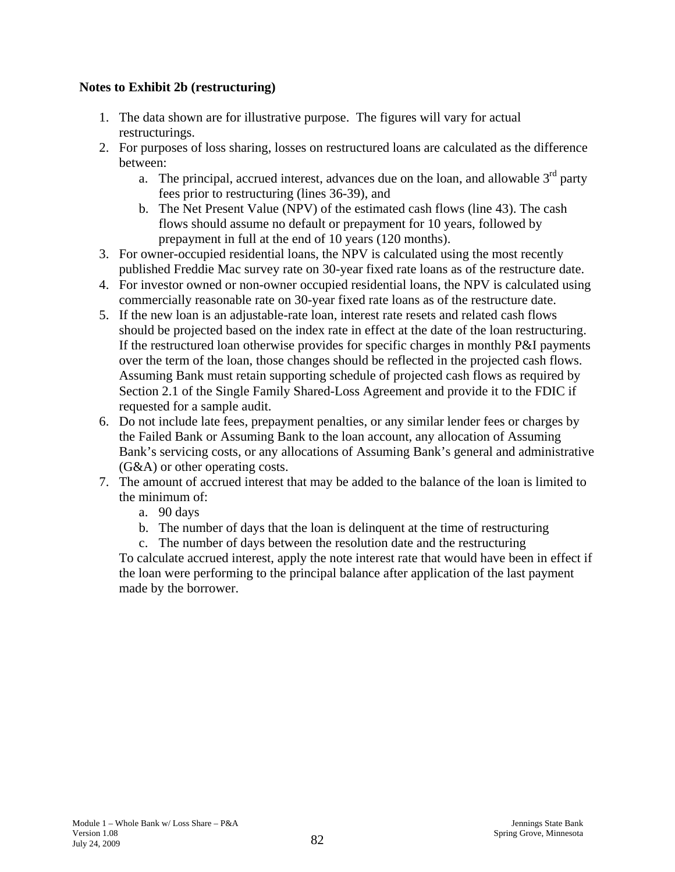### **Notes to Exhibit 2b (restructuring)**

- 1. The data shown are for illustrative purpose. The figures will vary for actual restructurings.
- 2. For purposes of loss sharing, losses on restructured loans are calculated as the difference between:
	- a. The principal, accrued interest, advances due on the loan, and allowable  $3<sup>rd</sup>$  party fees prior to restructuring (lines 36-39), and
	- b. The Net Present Value (NPV) of the estimated cash flows (line 43). The cash flows should assume no default or prepayment for 10 years, followed by prepayment in full at the end of 10 years (120 months).
- 3. For owner-occupied residential loans, the NPV is calculated using the most recently published Freddie Mac survey rate on 30-year fixed rate loans as of the restructure date.
- 4. For investor owned or non-owner occupied residential loans, the NPV is calculated using commercially reasonable rate on 30-year fixed rate loans as of the restructure date.
- 5. If the new loan is an adjustable-rate loan, interest rate resets and related cash flows should be projected based on the index rate in effect at the date of the loan restructuring. If the restructured loan otherwise provides for specific charges in monthly P&I payments over the term of the loan, those changes should be reflected in the projected cash flows. Assuming Bank must retain supporting schedule of projected cash flows as required by Section 2.1 of the Single Family Shared-Loss Agreement and provide it to the FDIC if requested for a sample audit.
- 6. Do not include late fees, prepayment penalties, or any similar lender fees or charges by the Failed Bank or Assuming Bank to the loan account, any allocation of Assuming Bank's servicing costs, or any allocations of Assuming Bank's general and administrative (G&A) or other operating costs.
- 7. The amount of accrued interest that may be added to the balance of the loan is limited to the minimum of:
	- a. 90 days
	- b. The number of days that the loan is delinquent at the time of restructuring

c. The number of days between the resolution date and the restructuring To calculate accrued interest, apply the note interest rate that would have been in effect if the loan were performing to the principal balance after application of the last payment made by the borrower.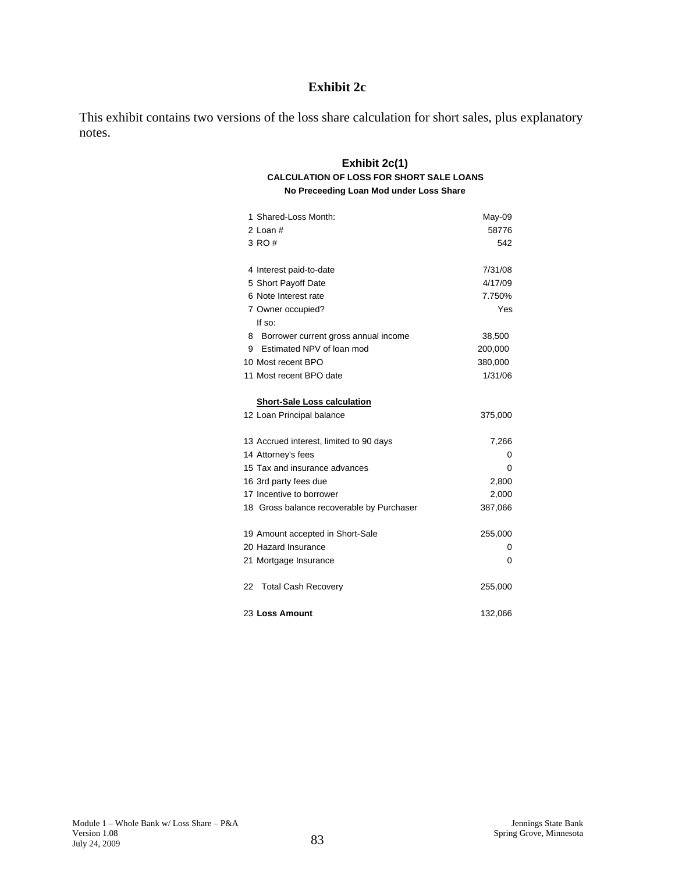### **Exhibit 2c**

This exhibit contains two versions of the loss share calculation for short sales, plus explanatory notes.

#### **Exhibit 2c(1) CALCULATION OF LOSS FOR SHORT SALE LOANS No Preceeding Loan Mod under Loss Share**

| 1 Shared-Loss Month:                      | May-09  |
|-------------------------------------------|---------|
| 2 Loan #                                  | 58776   |
| 3 RO #                                    | 542     |
|                                           |         |
| 4 Interest paid-to-date                   | 7/31/08 |
| 5 Short Payoff Date                       | 4/17/09 |
| 6 Note Interest rate                      | 7.750%  |
| 7 Owner occupied?                         | Yes     |
| If so:                                    |         |
| Borrower current gross annual income<br>8 | 38,500  |
| Estimated NPV of loan mod<br>9            | 200,000 |
| 10 Most recent BPO                        | 380,000 |
| 11 Most recent BPO date                   | 1/31/06 |
|                                           |         |
| <b>Short-Sale Loss calculation</b>        |         |
| 12 Loan Principal balance                 | 375,000 |
|                                           |         |
| 13 Accrued interest, limited to 90 days   | 7,266   |
| 14 Attorney's fees                        | 0       |
| 15 Tax and insurance advances             | 0       |
| 16 3rd party fees due                     | 2,800   |
| 17 Incentive to borrower                  | 2,000   |
| 18 Gross balance recoverable by Purchaser | 387,066 |
|                                           |         |
| 19 Amount accepted in Short-Sale          | 255,000 |
| 20 Hazard Insurance                       | 0       |
| 21 Mortgage Insurance                     | 0       |
|                                           |         |
| 22 Total Cash Recovery                    | 255,000 |
|                                           |         |
| 23 Loss Amount                            | 132,066 |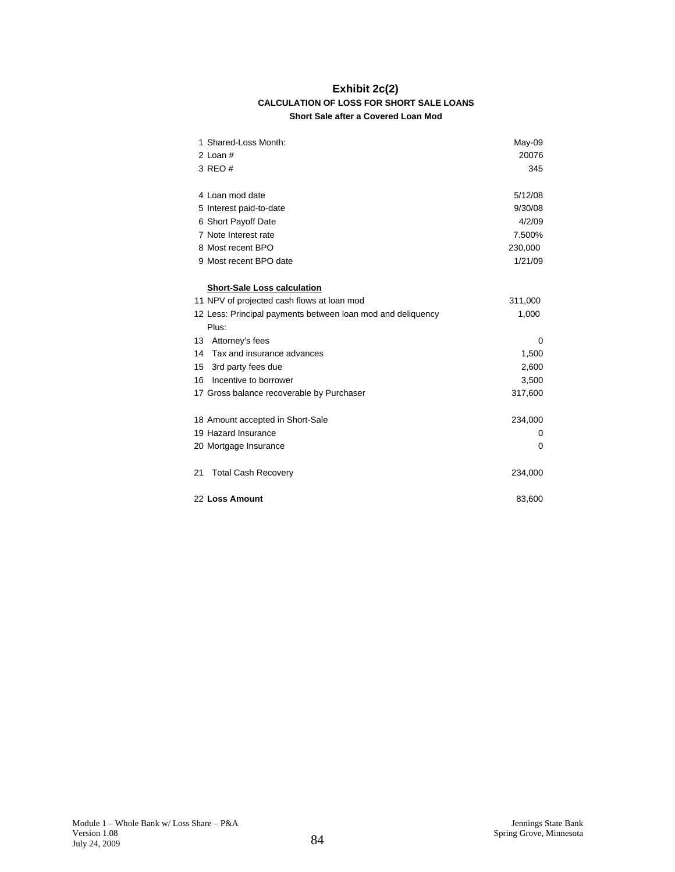#### **Exhibit 2c(2) CALCULATION OF LOSS FOR SHORT SALE LOANS Short Sale after a Covered Loan Mod**

| 1 Shared-Loss Month:                                        | May-09  |
|-------------------------------------------------------------|---------|
| 2 Loan $#$                                                  | 20076   |
| 3 REO #                                                     | 345     |
|                                                             |         |
| 4 Loan mod date                                             | 5/12/08 |
| 5 Interest paid-to-date                                     | 9/30/08 |
| 6 Short Payoff Date                                         | 4/2/09  |
| 7 Note Interest rate                                        | 7.500%  |
| 8 Most recent BPO                                           | 230,000 |
| 9 Most recent BPO date                                      | 1/21/09 |
|                                                             |         |
| <b>Short-Sale Loss calculation</b>                          |         |
| 11 NPV of projected cash flows at loan mod                  | 311,000 |
| 12 Less: Principal payments between loan mod and deliquency | 1,000   |
| Plus:                                                       |         |
| Attorney's fees<br>13                                       | 0       |
| Tax and insurance advances<br>14                            | 1,500   |
| 3rd party fees due<br>15                                    | 2,600   |
| 16<br>Incentive to borrower                                 | 3,500   |
| 17 Gross balance recoverable by Purchaser                   | 317,600 |
|                                                             |         |
| 18 Amount accepted in Short-Sale                            | 234,000 |
| 19 Hazard Insurance                                         | 0       |
| 20 Mortgage Insurance                                       | 0       |
|                                                             |         |
| <b>Total Cash Recovery</b><br>21                            | 234,000 |
|                                                             |         |
| 22 Loss Amount                                              | 83,600  |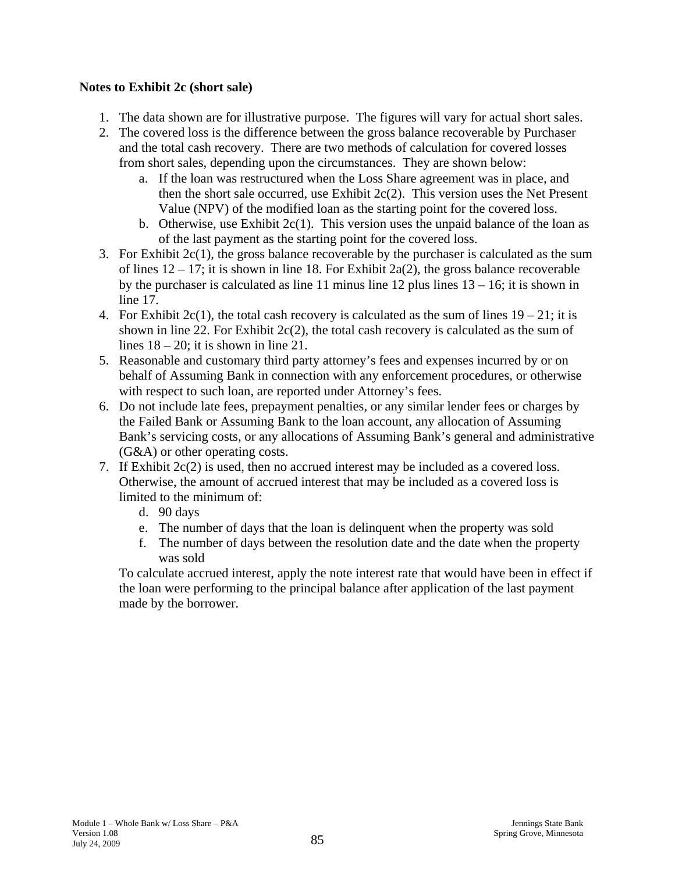### **Notes to Exhibit 2c (short sale)**

- 1. The data shown are for illustrative purpose. The figures will vary for actual short sales.
- 2. The covered loss is the difference between the gross balance recoverable by Purchaser and the total cash recovery. There are two methods of calculation for covered losses from short sales, depending upon the circumstances. They are shown below:
	- a. If the loan was restructured when the Loss Share agreement was in place, and then the short sale occurred, use Exhibit  $2c(2)$ . This version uses the Net Present Value (NPV) of the modified loan as the starting point for the covered loss.
	- b. Otherwise, use Exhibit  $2c(1)$ . This version uses the unpaid balance of the loan as of the last payment as the starting point for the covered loss.
- 3. For Exhibit  $2c(1)$ , the gross balance recoverable by the purchaser is calculated as the sum of lines  $12 - 17$ ; it is shown in line 18. For Exhibit 2a(2), the gross balance recoverable by the purchaser is calculated as line 11 minus line 12 plus lines 13 – 16; it is shown in line 17.
- 4. For Exhibit 2c(1), the total cash recovery is calculated as the sum of lines  $19 21$ ; it is shown in line 22. For Exhibit  $2c(2)$ , the total cash recovery is calculated as the sum of lines  $18 - 20$ ; it is shown in line 21.
- 5. Reasonable and customary third party attorney's fees and expenses incurred by or on behalf of Assuming Bank in connection with any enforcement procedures, or otherwise with respect to such loan, are reported under Attorney's fees.
- 6. Do not include late fees, prepayment penalties, or any similar lender fees or charges by the Failed Bank or Assuming Bank to the loan account, any allocation of Assuming Bank's servicing costs, or any allocations of Assuming Bank's general and administrative (G&A) or other operating costs.
- 7. If Exhibit  $2c(2)$  is used, then no accrued interest may be included as a covered loss. Otherwise, the amount of accrued interest that may be included as a covered loss is limited to the minimum of:
	- d. 90 days
	- e. The number of days that the loan is delinquent when the property was sold
	- f. The number of days between the resolution date and the date when the property was sold

To calculate accrued interest, apply the note interest rate that would have been in effect if the loan were performing to the principal balance after application of the last payment made by the borrower.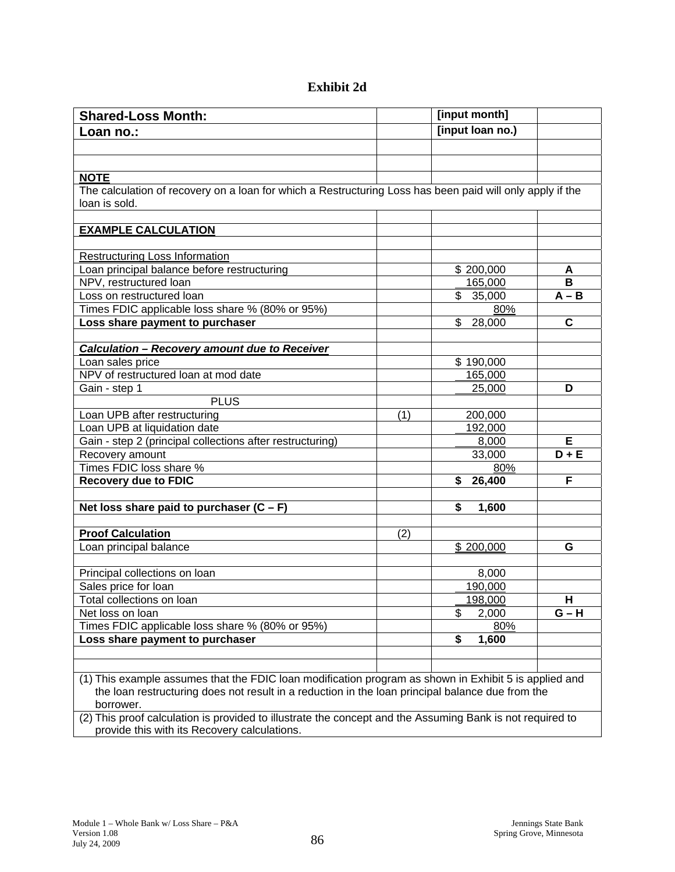# **Exhibit 2d**

| <b>Shared-Loss Month:</b>                                                                                                                                                                                 | [input month] |                    |         |
|-----------------------------------------------------------------------------------------------------------------------------------------------------------------------------------------------------------|---------------|--------------------|---------|
| Loan no.:                                                                                                                                                                                                 |               | [input loan no.)   |         |
|                                                                                                                                                                                                           |               |                    |         |
|                                                                                                                                                                                                           |               |                    |         |
| <b>NOTE</b>                                                                                                                                                                                               |               |                    |         |
| The calculation of recovery on a loan for which a Restructuring Loss has been paid will only apply if the                                                                                                 |               |                    |         |
| loan is sold.                                                                                                                                                                                             |               |                    |         |
|                                                                                                                                                                                                           |               |                    |         |
| <b>EXAMPLE CALCULATION</b>                                                                                                                                                                                |               |                    |         |
|                                                                                                                                                                                                           |               |                    |         |
| <b>Restructuring Loss Information</b>                                                                                                                                                                     |               |                    |         |
| Loan principal balance before restructuring                                                                                                                                                               |               | \$200,000          | A       |
| NPV, restructured loan                                                                                                                                                                                    |               | 165,000            | B       |
| Loss on restructured loan                                                                                                                                                                                 |               | \$35,000           | $A - B$ |
| Times FDIC applicable loss share % (80% or 95%)                                                                                                                                                           |               | 80%                |         |
| Loss share payment to purchaser                                                                                                                                                                           |               | \$28,000           | C       |
|                                                                                                                                                                                                           |               |                    |         |
| Calculation - Recovery amount due to Receiver                                                                                                                                                             |               |                    |         |
| Loan sales price                                                                                                                                                                                          |               | \$190,000          |         |
| NPV of restructured loan at mod date                                                                                                                                                                      |               | 165,000            |         |
| Gain - step 1                                                                                                                                                                                             |               | 25,000             | D       |
| <b>PLUS</b>                                                                                                                                                                                               |               |                    |         |
| Loan UPB after restructuring                                                                                                                                                                              | (1)           | 200,000<br>192,000 |         |
| Loan UPB at liquidation date<br>Gain - step 2 (principal collections after restructuring)                                                                                                                 |               | 8,000              | Е       |
| Recovery amount                                                                                                                                                                                           |               | 33,000             | $D + E$ |
| Times FDIC loss share %                                                                                                                                                                                   |               | 80%                |         |
| <b>Recovery due to FDIC</b>                                                                                                                                                                               |               | \$26,400           | F       |
|                                                                                                                                                                                                           |               |                    |         |
| Net loss share paid to purchaser $(C - F)$                                                                                                                                                                |               | \$<br>1,600        |         |
|                                                                                                                                                                                                           |               |                    |         |
| <b>Proof Calculation</b>                                                                                                                                                                                  | (2)           |                    |         |
| Loan principal balance                                                                                                                                                                                    |               | \$200,000          | G       |
|                                                                                                                                                                                                           |               |                    |         |
| Principal collections on loan                                                                                                                                                                             |               | 8,000              |         |
| Sales price for loan                                                                                                                                                                                      |               | 190,000            |         |
| Total collections on loan                                                                                                                                                                                 |               | 198,000            | H       |
| Net loss on loan                                                                                                                                                                                          |               | \$<br>2,000        | G – H   |
| Times FDIC applicable loss share % (80% or 95%)                                                                                                                                                           |               | 80%                |         |
| Loss share payment to purchaser                                                                                                                                                                           |               | 1,600<br>\$        |         |
|                                                                                                                                                                                                           |               |                    |         |
|                                                                                                                                                                                                           |               |                    |         |
| (1) This example assumes that the FDIC loan modification program as shown in Exhibit 5 is applied and<br>the loan restructuring does not result in a reduction in the loan principal balance due from the |               |                    |         |
| borrower.                                                                                                                                                                                                 |               |                    |         |
| (2) This proof calculation is provided to illustrate the concept and the Assuming Bank is not required to                                                                                                 |               |                    |         |
| provide this with its Recovery calculations.                                                                                                                                                              |               |                    |         |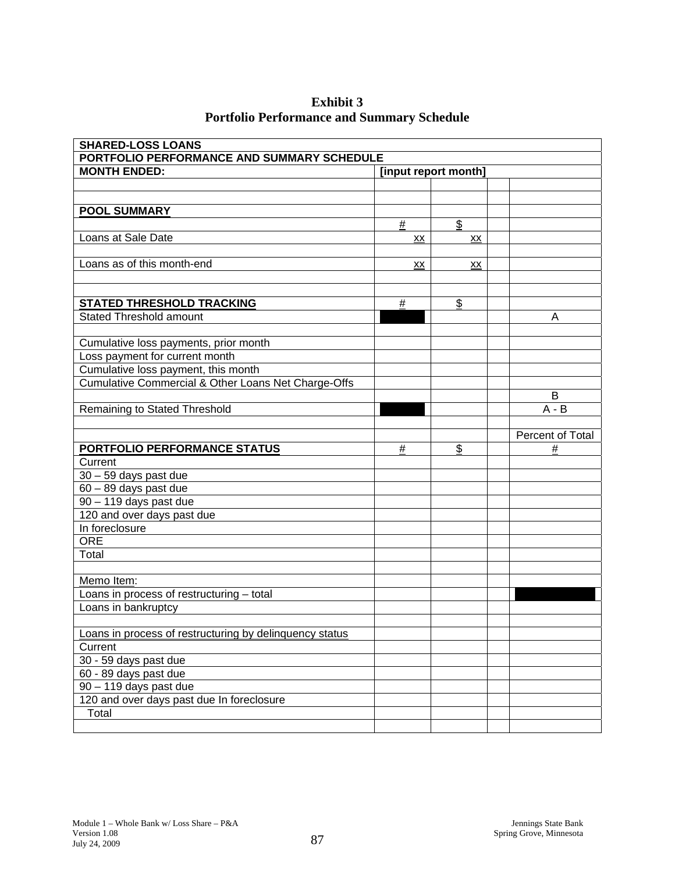| <b>SHARED-LOSS LOANS</b><br>PORTFOLIO PERFORMANCE AND SUMMARY SCHEDULE |      |    |                  |
|------------------------------------------------------------------------|------|----|------------------|
| <b>MONTH ENDED:</b><br>[input report month]                            |      |    |                  |
|                                                                        |      |    |                  |
|                                                                        |      |    |                  |
| <b>POOL SUMMARY</b>                                                    |      |    |                  |
|                                                                        | $\#$ | \$ |                  |
| Loans at Sale Date                                                     | XX   | XX |                  |
|                                                                        |      |    |                  |
| Loans as of this month-end                                             | XX   | XX |                  |
| <b>STATED THRESHOLD TRACKING</b>                                       | $\#$ | \$ |                  |
| <b>Stated Threshold amount</b>                                         |      |    | A                |
|                                                                        |      |    |                  |
| Cumulative loss payments, prior month                                  |      |    |                  |
| Loss payment for current month                                         |      |    |                  |
| Cumulative loss payment, this month                                    |      |    |                  |
| Cumulative Commercial & Other Loans Net Charge-Offs                    |      |    |                  |
|                                                                        |      |    | B                |
| Remaining to Stated Threshold                                          |      |    | $A - B$          |
|                                                                        |      |    |                  |
|                                                                        |      |    | Percent of Total |
| <b>PORTFOLIO PERFORMANCE STATUS</b>                                    | $\#$ | \$ | $\#$             |
| Current                                                                |      |    |                  |
| $30 - 59$ days past due                                                |      |    |                  |
| $60 - 89$ days past due                                                |      |    |                  |
| $90 - 119$ days past due                                               |      |    |                  |
| 120 and over days past due                                             |      |    |                  |
| In foreclosure                                                         |      |    |                  |
| <b>ORE</b>                                                             |      |    |                  |
| Total                                                                  |      |    |                  |
|                                                                        |      |    |                  |
| Memo Item:                                                             |      |    |                  |
| Loans in process of restructuring - total                              |      |    |                  |
| Loans in bankruptcy                                                    |      |    |                  |
|                                                                        |      |    |                  |
| Loans in process of restructuring by delinquency status                |      |    |                  |
| Current                                                                |      |    |                  |
| 30 - 59 days past due                                                  |      |    |                  |
| 60 - 89 days past due                                                  |      |    |                  |
| $90 - 119$ days past due                                               |      |    |                  |
| 120 and over days past due In foreclosure                              |      |    |                  |
| Total                                                                  |      |    |                  |
|                                                                        |      |    |                  |

## **Exhibit 3 Portfolio Performance and Summary Schedule**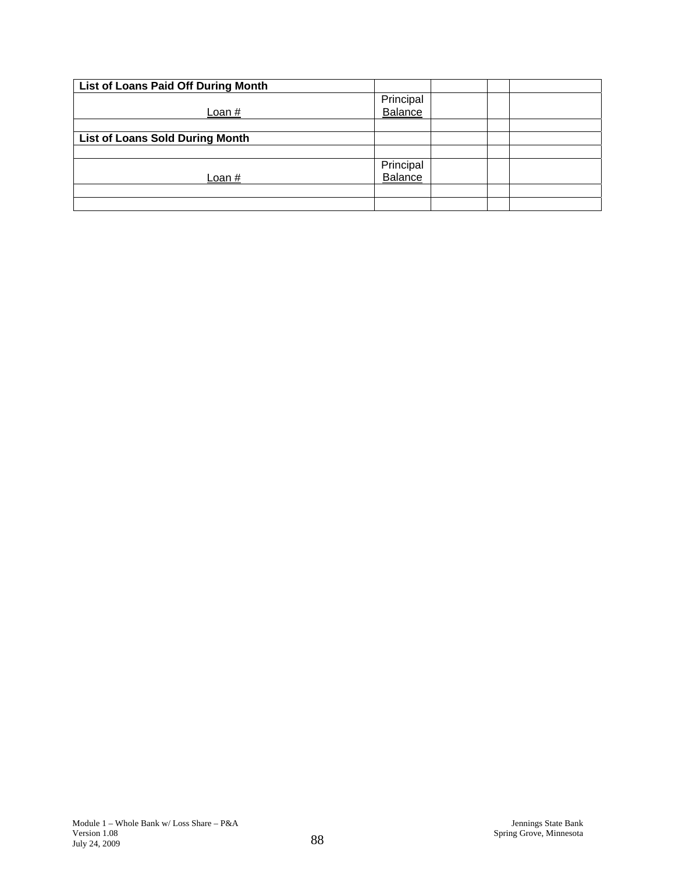| List of Loans Paid Off During Month    |                      |  |
|----------------------------------------|----------------------|--|
|                                        | Principal            |  |
| Loan #                                 | Balance              |  |
|                                        |                      |  |
| <b>List of Loans Sold During Month</b> |                      |  |
|                                        |                      |  |
|                                        | Principal<br>Balance |  |
| Loan #                                 |                      |  |
|                                        |                      |  |
|                                        |                      |  |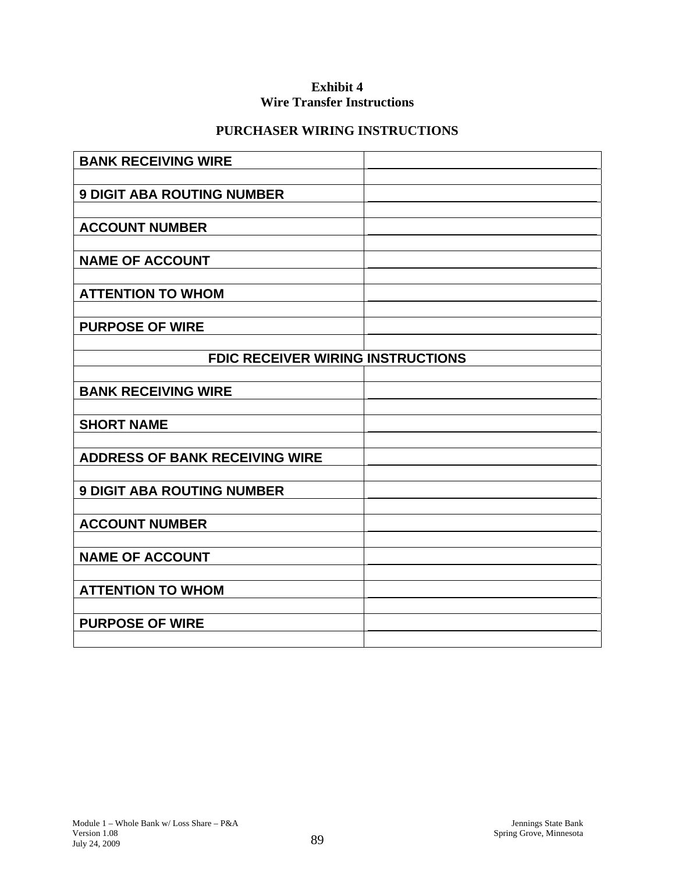### **Exhibit 4 Wire Transfer Instructions**

# **PURCHASER WIRING INSTRUCTIONS**

| <b>BANK RECEIVING WIRE</b>            |  |
|---------------------------------------|--|
|                                       |  |
| <b>9 DIGIT ABA ROUTING NUMBER</b>     |  |
|                                       |  |
| <b>ACCOUNT NUMBER</b>                 |  |
|                                       |  |
| <b>NAME OF ACCOUNT</b>                |  |
|                                       |  |
| <b>ATTENTION TO WHOM</b>              |  |
| <b>PURPOSE OF WIRE</b>                |  |
|                                       |  |
| FDIC RECEIVER WIRING INSTRUCTIONS     |  |
|                                       |  |
| <b>BANK RECEIVING WIRE</b>            |  |
|                                       |  |
| <b>SHORT NAME</b>                     |  |
|                                       |  |
| <b>ADDRESS OF BANK RECEIVING WIRE</b> |  |
|                                       |  |
| <b>9 DIGIT ABA ROUTING NUMBER</b>     |  |
|                                       |  |
| <b>ACCOUNT NUMBER</b>                 |  |
|                                       |  |
| <b>NAME OF ACCOUNT</b>                |  |
| <b>ATTENTION TO WHOM</b>              |  |
|                                       |  |
| <b>PURPOSE OF WIRE</b>                |  |
|                                       |  |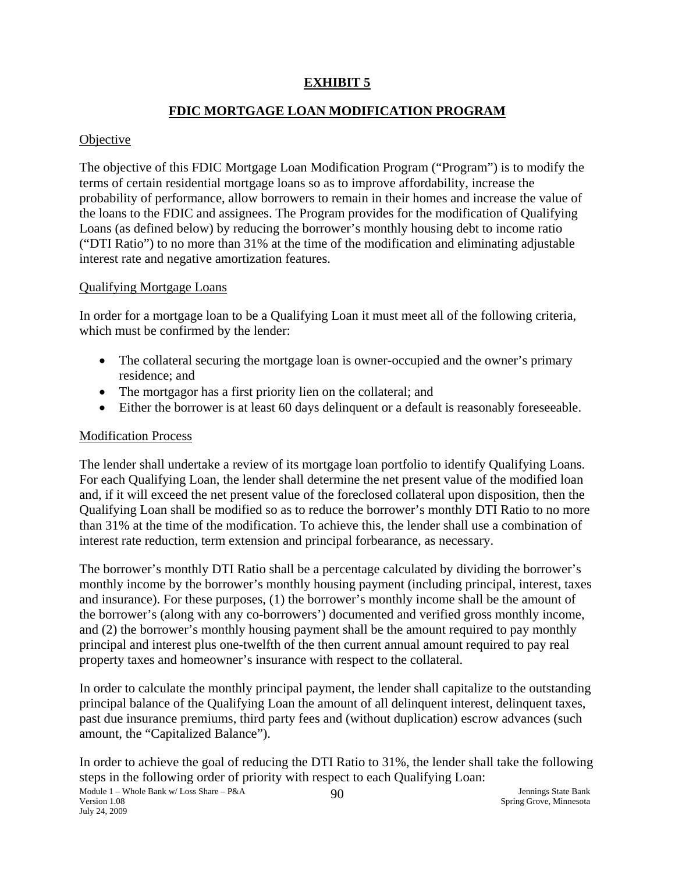# **EXHIBIT 5**

## **FDIC MORTGAGE LOAN MODIFICATION PROGRAM**

### **Objective**

The objective of this FDIC Mortgage Loan Modification Program ("Program") is to modify the terms of certain residential mortgage loans so as to improve affordability, increase the probability of performance, allow borrowers to remain in their homes and increase the value of the loans to the FDIC and assignees. The Program provides for the modification of Qualifying Loans (as defined below) by reducing the borrower's monthly housing debt to income ratio ("DTI Ratio") to no more than 31% at the time of the modification and eliminating adjustable interest rate and negative amortization features.

### Qualifying Mortgage Loans

In order for a mortgage loan to be a Qualifying Loan it must meet all of the following criteria, which must be confirmed by the lender:

- The collateral securing the mortgage loan is owner-occupied and the owner's primary residence; and
- The mortgagor has a first priority lien on the collateral; and
- Either the borrower is at least 60 days delinquent or a default is reasonably foreseeable.

### Modification Process

The lender shall undertake a review of its mortgage loan portfolio to identify Qualifying Loans. For each Qualifying Loan, the lender shall determine the net present value of the modified loan and, if it will exceed the net present value of the foreclosed collateral upon disposition, then the Qualifying Loan shall be modified so as to reduce the borrower's monthly DTI Ratio to no more than 31% at the time of the modification. To achieve this, the lender shall use a combination of interest rate reduction, term extension and principal forbearance, as necessary.

The borrower's monthly DTI Ratio shall be a percentage calculated by dividing the borrower's monthly income by the borrower's monthly housing payment (including principal, interest, taxes and insurance). For these purposes, (1) the borrower's monthly income shall be the amount of the borrower's (along with any co-borrowers') documented and verified gross monthly income, and (2) the borrower's monthly housing payment shall be the amount required to pay monthly principal and interest plus one-twelfth of the then current annual amount required to pay real property taxes and homeowner's insurance with respect to the collateral.

In order to calculate the monthly principal payment, the lender shall capitalize to the outstanding principal balance of the Qualifying Loan the amount of all delinquent interest, delinquent taxes, past due insurance premiums, third party fees and (without duplication) escrow advances (such amount, the "Capitalized Balance").

In order to achieve the goal of reducing the DTI Ratio to 31%, the lender shall take the following steps in the following order of priority with respect to each Qualifying Loan: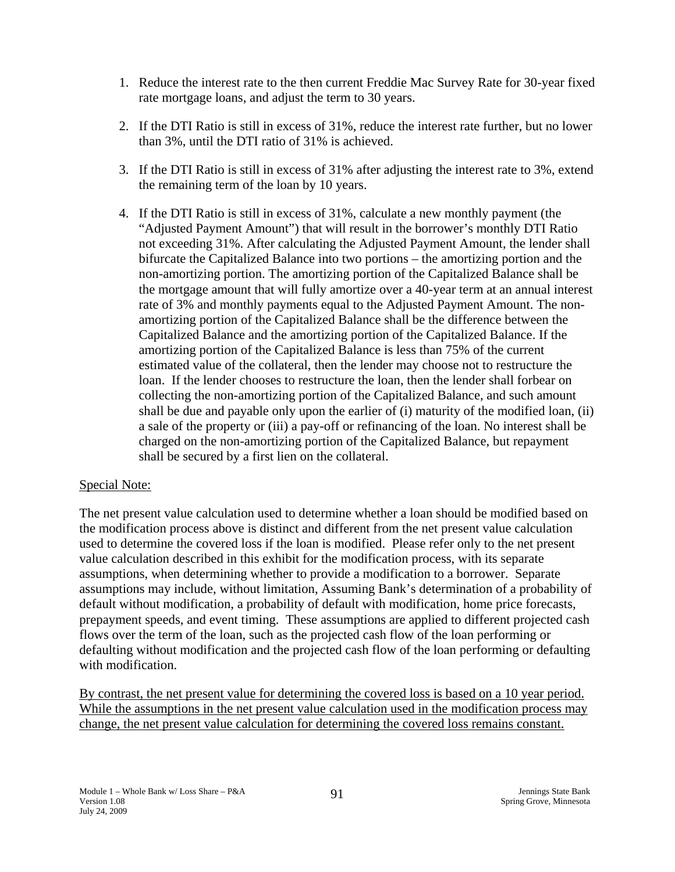- 1. Reduce the interest rate to the then current Freddie Mac Survey Rate for 30-year fixed rate mortgage loans, and adjust the term to 30 years.
- 2. If the DTI Ratio is still in excess of  $31\%$ , reduce the interest rate further, but no lower than 3%, until the DTI ratio of 31% is achieved.
- 3. If the DTI Ratio is still in excess of 31% after adjusting the interest rate to 3%, extend the remaining term of the loan by 10 years.
- 4. If the DTI Ratio is still in excess of 31%, calculate a new monthly payment (the "Adjusted Payment Amount") that will result in the borrower's monthly DTI Ratio not exceeding 31%. After calculating the Adjusted Payment Amount, the lender shall bifurcate the Capitalized Balance into two portions – the amortizing portion and the non-amortizing portion. The amortizing portion of the Capitalized Balance shall be the mortgage amount that will fully amortize over a 40-year term at an annual interest rate of 3% and monthly payments equal to the Adjusted Payment Amount. The nonamortizing portion of the Capitalized Balance shall be the difference between the Capitalized Balance and the amortizing portion of the Capitalized Balance. If the amortizing portion of the Capitalized Balance is less than 75% of the current estimated value of the collateral, then the lender may choose not to restructure the loan. If the lender chooses to restructure the loan, then the lender shall forbear on collecting the non-amortizing portion of the Capitalized Balance, and such amount shall be due and payable only upon the earlier of (i) maturity of the modified loan, (ii) a sale of the property or (iii) a pay-off or refinancing of the loan. No interest shall be charged on the non-amortizing portion of the Capitalized Balance, but repayment shall be secured by a first lien on the collateral.

## Special Note:

The net present value calculation used to determine whether a loan should be modified based on the modification process above is distinct and different from the net present value calculation used to determine the covered loss if the loan is modified. Please refer only to the net present value calculation described in this exhibit for the modification process, with its separate assumptions, when determining whether to provide a modification to a borrower. Separate assumptions may include, without limitation, Assuming Bank's determination of a probability of default without modification, a probability of default with modification, home price forecasts, prepayment speeds, and event timing. These assumptions are applied to different projected cash flows over the term of the loan, such as the projected cash flow of the loan performing or defaulting without modification and the projected cash flow of the loan performing or defaulting with modification.

change, the net present value calculation for determining the covered loss remains constant.<br>
Module 1 – Whole Bank w/ Loss Share – P&A Jennings State Bank Spring Grove, Minnesota<br>
91 Spring Grove, Minnesota By contrast, the net present value for determining the covered loss is based on a 10 year period. While the assumptions in the net present value calculation used in the modification process may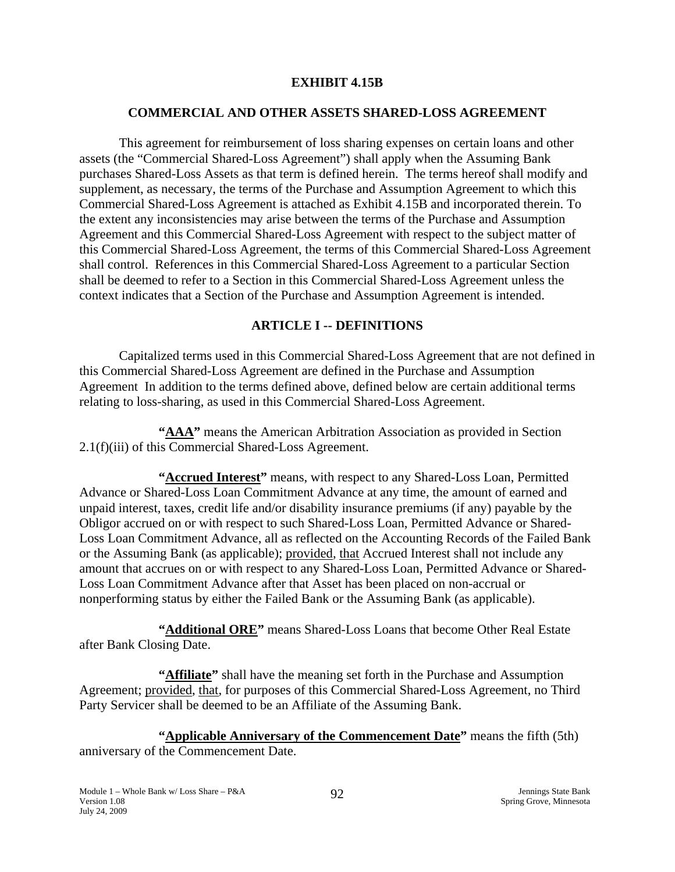#### **EXHIBIT 4.15B**

#### **COMMERCIAL AND OTHER ASSETS SHARED-LOSS AGREEMENT**

This agreement for reimbursement of loss sharing expenses on certain loans and other assets (the "Commercial Shared-Loss Agreement") shall apply when the Assuming Bank purchases Shared-Loss Assets as that term is defined herein. The terms hereof shall modify and supplement, as necessary, the terms of the Purchase and Assumption Agreement to which this Commercial Shared-Loss Agreement is attached as Exhibit 4.15B and incorporated therein. To the extent any inconsistencies may arise between the terms of the Purchase and Assumption Agreement and this Commercial Shared-Loss Agreement with respect to the subject matter of this Commercial Shared-Loss Agreement, the terms of this Commercial Shared-Loss Agreement shall control. References in this Commercial Shared-Loss Agreement to a particular Section shall be deemed to refer to a Section in this Commercial Shared-Loss Agreement unless the context indicates that a Section of the Purchase and Assumption Agreement is intended.

### **ARTICLE I -- DEFINITIONS**

Capitalized terms used in this Commercial Shared-Loss Agreement that are not defined in this Commercial Shared-Loss Agreement are defined in the Purchase and Assumption Agreement In addition to the terms defined above, defined below are certain additional terms relating to loss-sharing, as used in this Commercial Shared-Loss Agreement.

**"AAA"** means the American Arbitration Association as provided in Section 2.1(f)(iii) of this Commercial Shared-Loss Agreement.

**"Accrued Interest"** means, with respect to any Shared-Loss Loan, Permitted Advance or Shared-Loss Loan Commitment Advance at any time, the amount of earned and unpaid interest, taxes, credit life and/or disability insurance premiums (if any) payable by the Obligor accrued on or with respect to such Shared-Loss Loan, Permitted Advance or Shared-Loss Loan Commitment Advance, all as reflected on the Accounting Records of the Failed Bank or the Assuming Bank (as applicable); provided, that Accrued Interest shall not include any amount that accrues on or with respect to any Shared-Loss Loan, Permitted Advance or Shared-Loss Loan Commitment Advance after that Asset has been placed on non-accrual or nonperforming status by either the Failed Bank or the Assuming Bank (as applicable).

**"Additional ORE"** means Shared-Loss Loans that become Other Real Estate after Bank Closing Date.

**"Affiliate"** shall have the meaning set forth in the Purchase and Assumption Agreement; provided, that, for purposes of this Commercial Shared-Loss Agreement, no Third Party Servicer shall be deemed to be an Affiliate of the Assuming Bank.

**Examplicable Anniversary of the Commencement Date"** means the fifth (5th) anniversary of the Commencement Date.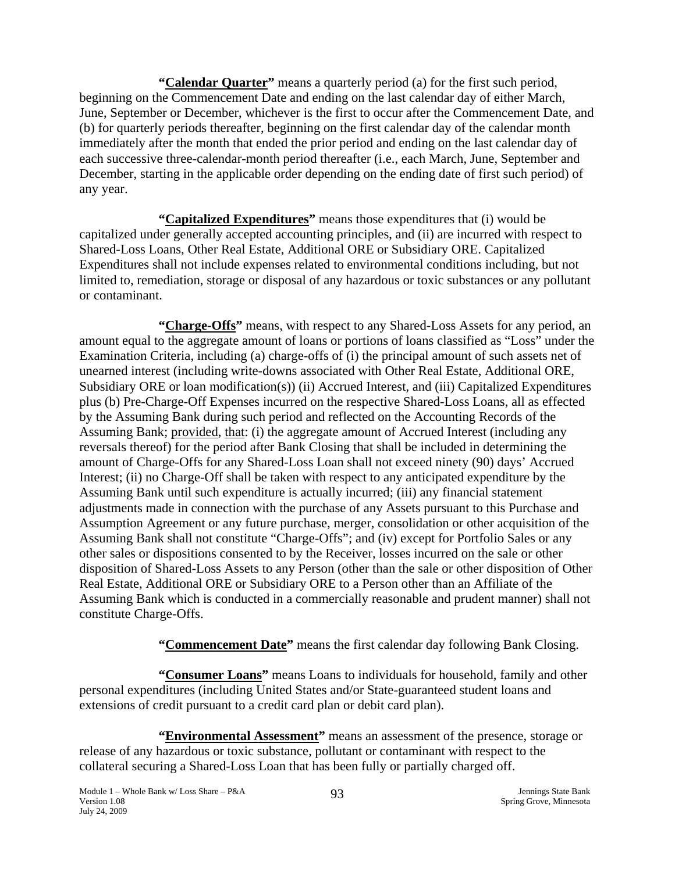**"Calendar Quarter"** means a quarterly period (a) for the first such period, beginning on the Commencement Date and ending on the last calendar day of either March, June, September or December, whichever is the first to occur after the Commencement Date, and (b) for quarterly periods thereafter, beginning on the first calendar day of the calendar month immediately after the month that ended the prior period and ending on the last calendar day of each successive three-calendar-month period thereafter (i.e., each March, June, September and December, starting in the applicable order depending on the ending date of first such period) of any year.

**"Capitalized Expenditures"** means those expenditures that (i) would be capitalized under generally accepted accounting principles, and (ii) are incurred with respect to Shared-Loss Loans, Other Real Estate, Additional ORE or Subsidiary ORE. Capitalized Expenditures shall not include expenses related to environmental conditions including, but not limited to, remediation, storage or disposal of any hazardous or toxic substances or any pollutant or contaminant.

**"Charge-Offs"** means, with respect to any Shared-Loss Assets for any period, an amount equal to the aggregate amount of loans or portions of loans classified as "Loss" under the Examination Criteria, including (a) charge-offs of (i) the principal amount of such assets net of unearned interest (including write-downs associated with Other Real Estate, Additional ORE, Subsidiary ORE or loan modification(s)) (ii) Accrued Interest, and (iii) Capitalized Expenditures plus (b) Pre-Charge-Off Expenses incurred on the respective Shared-Loss Loans, all as effected by the Assuming Bank during such period and reflected on the Accounting Records of the Assuming Bank; provided, that: (i) the aggregate amount of Accrued Interest (including any reversals thereof) for the period after Bank Closing that shall be included in determining the amount of Charge-Offs for any Shared-Loss Loan shall not exceed ninety (90) days' Accrued Interest; (ii) no Charge-Off shall be taken with respect to any anticipated expenditure by the Assuming Bank until such expenditure is actually incurred; (iii) any financial statement adjustments made in connection with the purchase of any Assets pursuant to this Purchase and Assumption Agreement or any future purchase, merger, consolidation or other acquisition of the Assuming Bank shall not constitute "Charge-Offs"; and (iv) except for Portfolio Sales or any other sales or dispositions consented to by the Receiver, losses incurred on the sale or other disposition of Shared-Loss Assets to any Person (other than the sale or other disposition of Other Real Estate, Additional ORE or Subsidiary ORE to a Person other than an Affiliate of the Assuming Bank which is conducted in a commercially reasonable and prudent manner) shall not constitute Charge-Offs.

**"Commencement Date"** means the first calendar day following Bank Closing.

**"Consumer Loans"** means Loans to individuals for household, family and other personal expenditures (including United States and/or State-guaranteed student loans and extensions of credit pursuant to a credit card plan or debit card plan).

**"Environmental Assessment"** means an assessment of the presence, storage or release of any hazardous or toxic substance, pollutant or contaminant with respect to the collateral securing a Shared-Loss Loan that has been fully or partially charged off.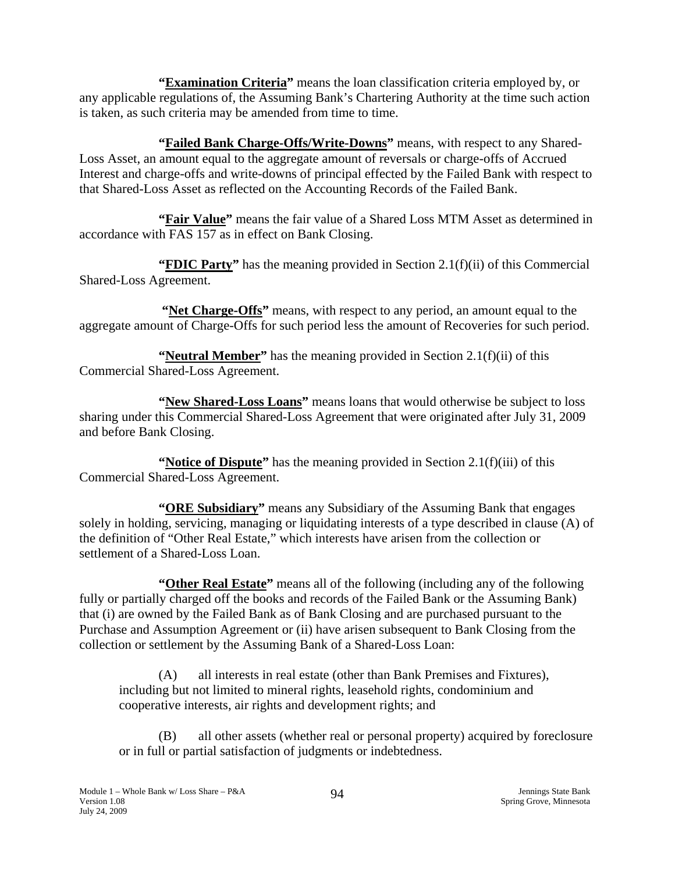**"Examination Criteria"** means the loan classification criteria employed by, or any applicable regulations of, the Assuming Bank's Chartering Authority at the time such action is taken, as such criteria may be amended from time to time.

**"Failed Bank Charge-Offs/Write-Downs"** means, with respect to any Shared-Loss Asset, an amount equal to the aggregate amount of reversals or charge-offs of Accrued Interest and charge-offs and write-downs of principal effected by the Failed Bank with respect to that Shared-Loss Asset as reflected on the Accounting Records of the Failed Bank.

**"Fair Value"** means the fair value of a Shared Loss MTM Asset as determined in accordance with FAS 157 as in effect on Bank Closing.

**"FDIC Party"** has the meaning provided in Section 2.1(f)(ii) of this Commercial Shared-Loss Agreement.

**"Net Charge-Offs"** means, with respect to any period, an amount equal to the aggregate amount of Charge-Offs for such period less the amount of Recoveries for such period.

 Commercial Shared-Loss Agreement. **"Neutral Member"** has the meaning provided in Section 2.1(f)(ii) of this

"New Shared-Loss Loans" means loans that would otherwise be subject to loss sharing under this Commercial Shared-Loss Agreement that were originated after July 31, 2009 and before Bank Closing.

**"Notice of Dispute"** has the meaning provided in Section 2.1(f)(iii) of this Commercial Shared-Loss Agreement.

**"ORE Subsidiary"** means any Subsidiary of the Assuming Bank that engages solely in holding, servicing, managing or liquidating interests of a type described in clause (A) of the definition of "Other Real Estate," which interests have arisen from the collection or settlement of a Shared-Loss Loan.

**"Other Real Estate"** means all of the following (including any of the following fully or partially charged off the books and records of the Failed Bank or the Assuming Bank) that (i) are owned by the Failed Bank as of Bank Closing and are purchased pursuant to the Purchase and Assumption Agreement or (ii) have arisen subsequent to Bank Closing from the collection or settlement by the Assuming Bank of a Shared-Loss Loan:

(A) all interests in real estate (other than Bank Premises and Fixtures), including but not limited to mineral rights, leasehold rights, condominium and cooperative interests, air rights and development rights; and

(B) all other assets (whether real or personal property) acquired by foreclosure or in full or partial satisfaction of judgments or indebtedness.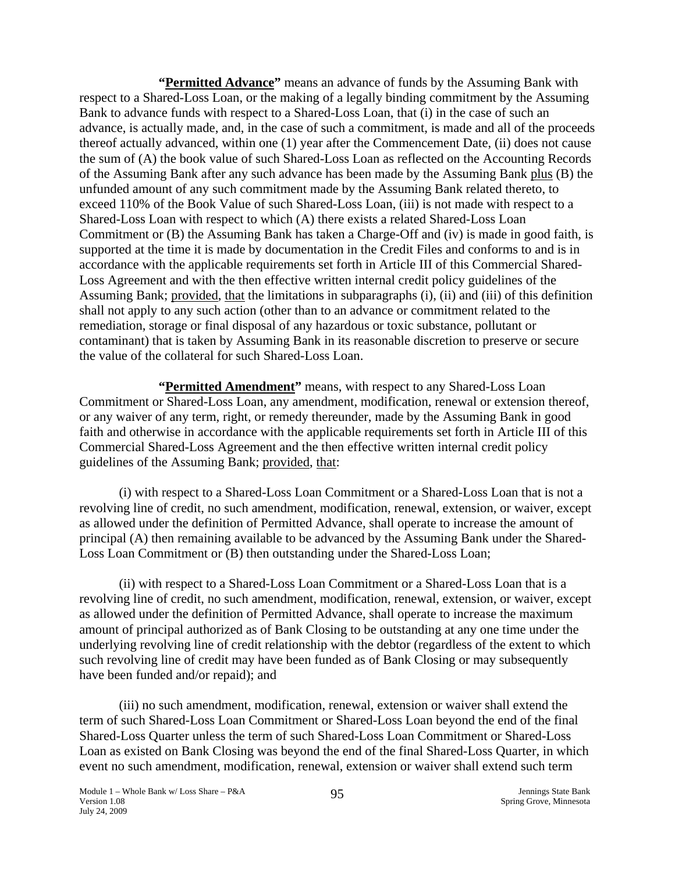**"Permitted Advance"** means an advance of funds by the Assuming Bank with respect to a Shared-Loss Loan, or the making of a legally binding commitment by the Assuming Bank to advance funds with respect to a Shared-Loss Loan, that (i) in the case of such an advance, is actually made, and, in the case of such a commitment, is made and all of the proceeds thereof actually advanced, within one (1) year after the Commencement Date, (ii) does not cause the sum of (A) the book value of such Shared-Loss Loan as reflected on the Accounting Records of the Assuming Bank after any such advance has been made by the Assuming Bank plus (B) the unfunded amount of any such commitment made by the Assuming Bank related thereto, to exceed 110% of the Book Value of such Shared-Loss Loan, (iii) is not made with respect to a Shared-Loss Loan with respect to which (A) there exists a related Shared-Loss Loan Commitment or (B) the Assuming Bank has taken a Charge-Off and (iv) is made in good faith, is supported at the time it is made by documentation in the Credit Files and conforms to and is in accordance with the applicable requirements set forth in Article III of this Commercial Shared-Loss Agreement and with the then effective written internal credit policy guidelines of the Assuming Bank; provided, that the limitations in subparagraphs (i), (ii) and (iii) of this definition shall not apply to any such action (other than to an advance or commitment related to the remediation, storage or final disposal of any hazardous or toxic substance, pollutant or contaminant) that is taken by Assuming Bank in its reasonable discretion to preserve or secure the value of the collateral for such Shared-Loss Loan.

**"Permitted Amendment"** means, with respect to any Shared-Loss Loan Commitment or Shared-Loss Loan, any amendment, modification, renewal or extension thereof, or any waiver of any term, right, or remedy thereunder, made by the Assuming Bank in good faith and otherwise in accordance with the applicable requirements set forth in Article III of this Commercial Shared-Loss Agreement and the then effective written internal credit policy guidelines of the Assuming Bank; provided, that:

(i) with respect to a Shared-Loss Loan Commitment or a Shared-Loss Loan that is not a revolving line of credit, no such amendment, modification, renewal, extension, or waiver, except as allowed under the definition of Permitted Advance, shall operate to increase the amount of principal (A) then remaining available to be advanced by the Assuming Bank under the Shared-Loss Loan Commitment or (B) then outstanding under the Shared-Loss Loan;

(ii) with respect to a Shared-Loss Loan Commitment or a Shared-Loss Loan that is a revolving line of credit, no such amendment, modification, renewal, extension, or waiver, except as allowed under the definition of Permitted Advance, shall operate to increase the maximum amount of principal authorized as of Bank Closing to be outstanding at any one time under the underlying revolving line of credit relationship with the debtor (regardless of the extent to which such revolving line of credit may have been funded as of Bank Closing or may subsequently have been funded and/or repaid); and

(iii) no such amendment, modification, renewal, extension or waiver shall extend the term of such Shared-Loss Loan Commitment or Shared-Loss Loan beyond the end of the final Shared-Loss Quarter unless the term of such Shared-Loss Loan Commitment or Shared-Loss Loan as existed on Bank Closing was beyond the end of the final Shared-Loss Quarter, in which event no such amendment, modification, renewal, extension or waiver shall extend such term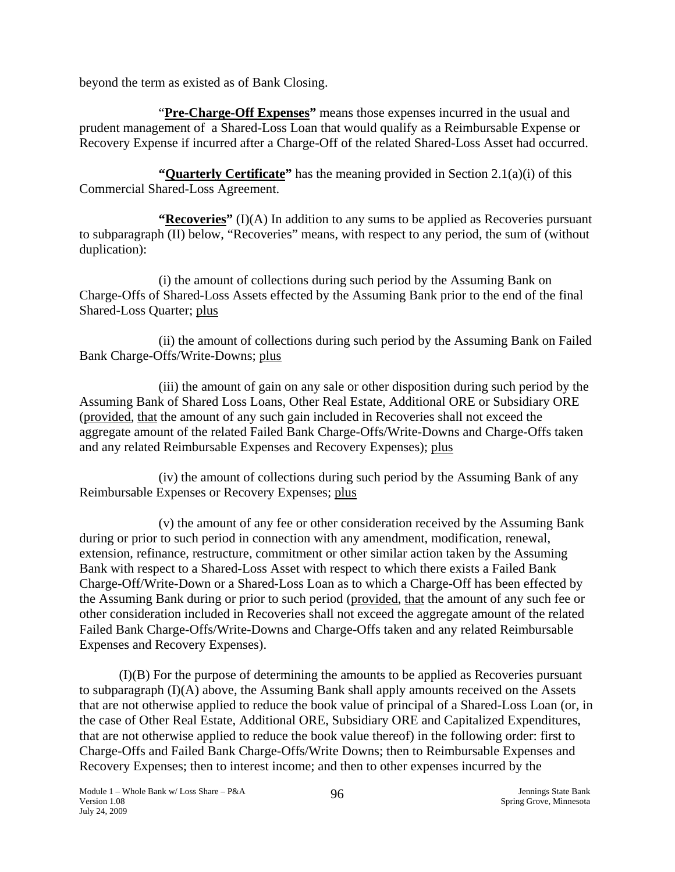beyond the term as existed as of Bank Closing.

"**Pre-Charge-Off Expenses"** means those expenses incurred in the usual and prudent management of a Shared-Loss Loan that would qualify as a Reimbursable Expense or Recovery Expense if incurred after a Charge-Off of the related Shared-Loss Asset had occurred.

**"Quarterly Certificate"** has the meaning provided in Section 2.1(a)(i) of this Commercial Shared-Loss Agreement.

**"Recoveries"** (I)(A) In addition to any sums to be applied as Recoveries pursuant to subparagraph (II) below, "Recoveries" means, with respect to any period, the sum of (without duplication):

**Shared-Loss Quarter; plus** (i) the amount of collections during such period by the Assuming Bank on Charge-Offs of Shared-Loss Assets effected by the Assuming Bank prior to the end of the final

(ii) the amount of collections during such period by the Assuming Bank on Failed Bank Charge-Offs/Write-Downs; plus

(iii) the amount of gain on any sale or other disposition during such period by the Assuming Bank of Shared Loss Loans, Other Real Estate, Additional ORE or Subsidiary ORE (provided, that the amount of any such gain included in Recoveries shall not exceed the aggregate amount of the related Failed Bank Charge-Offs/Write-Downs and Charge-Offs taken and any related Reimbursable Expenses and Recovery Expenses); plus

(iv) the amount of collections during such period by the Assuming Bank of any Reimbursable Expenses or Recovery Expenses; plus

(v) the amount of any fee or other consideration received by the Assuming Bank during or prior to such period in connection with any amendment, modification, renewal, extension, refinance, restructure, commitment or other similar action taken by the Assuming Bank with respect to a Shared-Loss Asset with respect to which there exists a Failed Bank Charge-Off/Write-Down or a Shared-Loss Loan as to which a Charge-Off has been effected by the Assuming Bank during or prior to such period (provided, that the amount of any such fee or other consideration included in Recoveries shall not exceed the aggregate amount of the related Failed Bank Charge-Offs/Write-Downs and Charge-Offs taken and any related Reimbursable Expenses and Recovery Expenses).

(I)(B) For the purpose of determining the amounts to be applied as Recoveries pursuant to subparagraph (I)(A) above, the Assuming Bank shall apply amounts received on the Assets that are not otherwise applied to reduce the book value of principal of a Shared-Loss Loan (or, in the case of Other Real Estate, Additional ORE, Subsidiary ORE and Capitalized Expenditures, that are not otherwise applied to reduce the book value thereof) in the following order: first to Charge-Offs and Failed Bank Charge-Offs/Write Downs; then to Reimbursable Expenses and Recovery Expenses; then to interest income; and then to other expenses incurred by the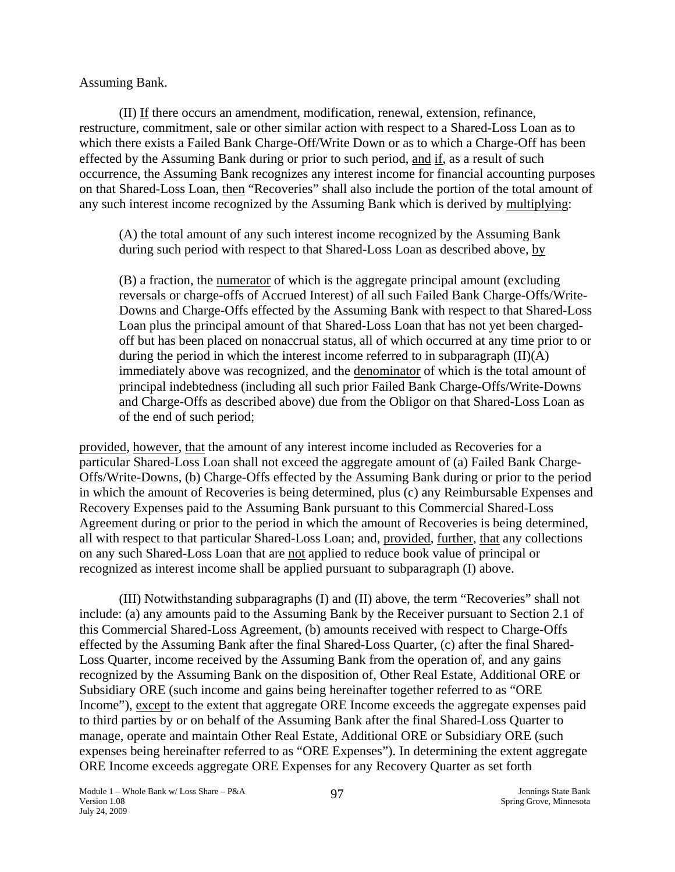Assuming Bank.

(II) If there occurs an amendment, modification, renewal, extension, refinance, restructure, commitment, sale or other similar action with respect to a Shared-Loss Loan as to which there exists a Failed Bank Charge-Off/Write Down or as to which a Charge-Off has been effected by the Assuming Bank during or prior to such period, and if, as a result of such occurrence, the Assuming Bank recognizes any interest income for financial accounting purposes on that Shared-Loss Loan, then "Recoveries" shall also include the portion of the total amount of any such interest income recognized by the Assuming Bank which is derived by multiplying:

(A) the total amount of any such interest income recognized by the Assuming Bank during such period with respect to that Shared-Loss Loan as described above, by

(B) a fraction, the numerator of which is the aggregate principal amount (excluding reversals or charge-offs of Accrued Interest) of all such Failed Bank Charge-Offs/Write-Downs and Charge-Offs effected by the Assuming Bank with respect to that Shared-Loss Loan plus the principal amount of that Shared-Loss Loan that has not yet been chargedoff but has been placed on nonaccrual status, all of which occurred at any time prior to or during the period in which the interest income referred to in subparagraph (II)(A) immediately above was recognized, and the denominator of which is the total amount of principal indebtedness (including all such prior Failed Bank Charge-Offs/Write-Downs and Charge-Offs as described above) due from the Obligor on that Shared-Loss Loan as of the end of such period;

provided, however, that the amount of any interest income included as Recoveries for a particular Shared-Loss Loan shall not exceed the aggregate amount of (a) Failed Bank Charge-Offs/Write-Downs, (b) Charge-Offs effected by the Assuming Bank during or prior to the period in which the amount of Recoveries is being determined, plus (c) any Reimbursable Expenses and Recovery Expenses paid to the Assuming Bank pursuant to this Commercial Shared-Loss Agreement during or prior to the period in which the amount of Recoveries is being determined, all with respect to that particular Shared-Loss Loan; and, provided, further, that any collections on any such Shared-Loss Loan that are not applied to reduce book value of principal or recognized as interest income shall be applied pursuant to subparagraph (I) above.

(III) Notwithstanding subparagraphs (I) and (II) above, the term "Recoveries" shall not include: (a) any amounts paid to the Assuming Bank by the Receiver pursuant to Section 2.1 of this Commercial Shared-Loss Agreement, (b) amounts received with respect to Charge-Offs effected by the Assuming Bank after the final Shared-Loss Quarter, (c) after the final Shared-Loss Quarter, income received by the Assuming Bank from the operation of, and any gains recognized by the Assuming Bank on the disposition of, Other Real Estate, Additional ORE or Subsidiary ORE (such income and gains being hereinafter together referred to as "ORE Income"), except to the extent that aggregate ORE Income exceeds the aggregate expenses paid to third parties by or on behalf of the Assuming Bank after the final Shared-Loss Quarter to manage, operate and maintain Other Real Estate, Additional ORE or Subsidiary ORE (such expenses being hereinafter referred to as "ORE Expenses"). In determining the extent aggregate ORE Income exceeds aggregate ORE Expenses for any Recovery Quarter as set forth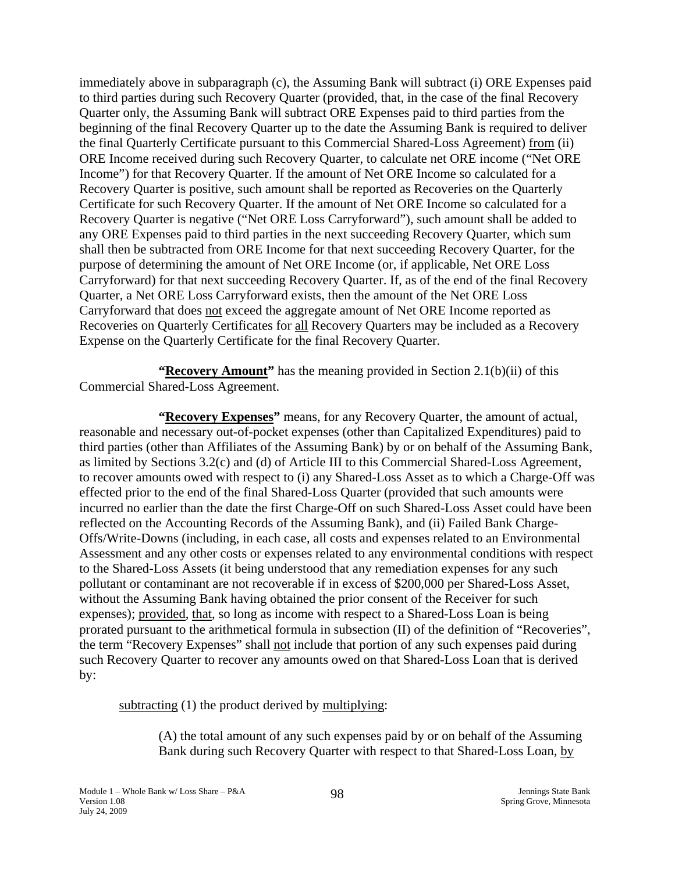immediately above in subparagraph (c), the Assuming Bank will subtract (i) ORE Expenses paid to third parties during such Recovery Quarter (provided, that, in the case of the final Recovery Quarter only, the Assuming Bank will subtract ORE Expenses paid to third parties from the beginning of the final Recovery Quarter up to the date the Assuming Bank is required to deliver the final Quarterly Certificate pursuant to this Commercial Shared-Loss Agreement) from (ii) ORE Income received during such Recovery Quarter, to calculate net ORE income ("Net ORE Income") for that Recovery Quarter. If the amount of Net ORE Income so calculated for a Recovery Quarter is positive, such amount shall be reported as Recoveries on the Quarterly Certificate for such Recovery Quarter. If the amount of Net ORE Income so calculated for a Recovery Quarter is negative ("Net ORE Loss Carryforward"), such amount shall be added to any ORE Expenses paid to third parties in the next succeeding Recovery Quarter, which sum shall then be subtracted from ORE Income for that next succeeding Recovery Quarter, for the purpose of determining the amount of Net ORE Income (or, if applicable, Net ORE Loss Carryforward) for that next succeeding Recovery Quarter. If, as of the end of the final Recovery Quarter, a Net ORE Loss Carryforward exists, then the amount of the Net ORE Loss Carryforward that does not exceed the aggregate amount of Net ORE Income reported as Recoveries on Quarterly Certificates for all Recovery Quarters may be included as a Recovery Expense on the Quarterly Certificate for the final Recovery Quarter.

**"Recovery Amount"** has the meaning provided in Section 2.1(b)(ii) of this Commercial Shared-Loss Agreement.

**"Recovery Expenses"** means, for any Recovery Quarter, the amount of actual, reasonable and necessary out-of-pocket expenses (other than Capitalized Expenditures) paid to third parties (other than Affiliates of the Assuming Bank) by or on behalf of the Assuming Bank, as limited by Sections 3.2(c) and (d) of Article III to this Commercial Shared-Loss Agreement, to recover amounts owed with respect to (i) any Shared-Loss Asset as to which a Charge-Off was effected prior to the end of the final Shared-Loss Quarter (provided that such amounts were incurred no earlier than the date the first Charge-Off on such Shared-Loss Asset could have been reflected on the Accounting Records of the Assuming Bank), and (ii) Failed Bank Charge-Offs/Write-Downs (including, in each case, all costs and expenses related to an Environmental Assessment and any other costs or expenses related to any environmental conditions with respect to the Shared-Loss Assets (it being understood that any remediation expenses for any such pollutant or contaminant are not recoverable if in excess of \$200,000 per Shared-Loss Asset, without the Assuming Bank having obtained the prior consent of the Receiver for such expenses); provided, that, so long as income with respect to a Shared-Loss Loan is being prorated pursuant to the arithmetical formula in subsection (II) of the definition of "Recoveries", the term "Recovery Expenses" shall not include that portion of any such expenses paid during such Recovery Quarter to recover any amounts owed on that Shared-Loss Loan that is derived by:

subtracting (1) the product derived by multiplying:

(A) the total amount of any such expenses paid by or on behalf of the Assuming Bank during such Recovery Quarter with respect to that Shared-Loss Loan, by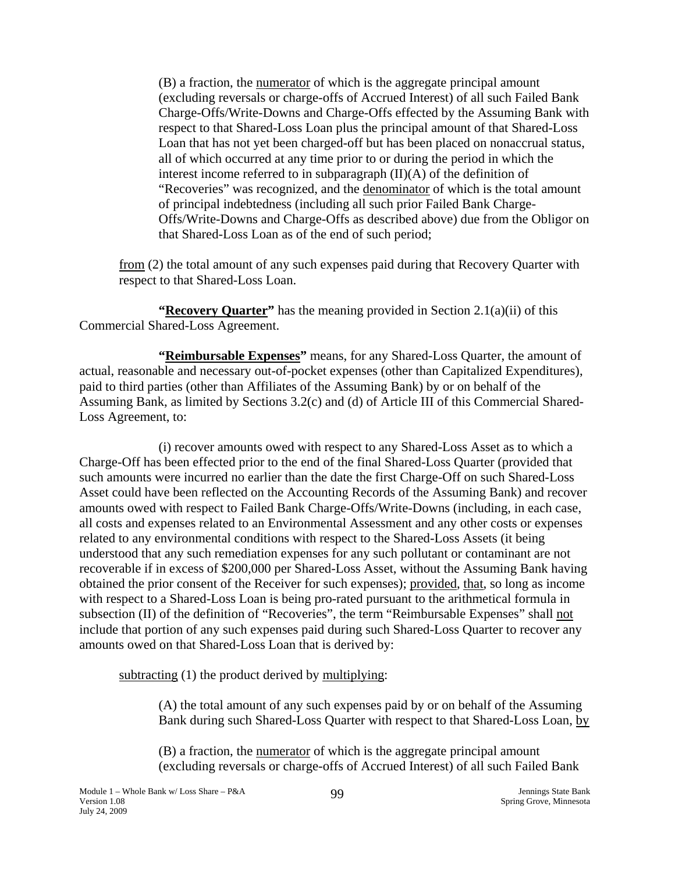(B) a fraction, the numerator of which is the aggregate principal amount (excluding reversals or charge-offs of Accrued Interest) of all such Failed Bank Charge-Offs/Write-Downs and Charge-Offs effected by the Assuming Bank with respect to that Shared-Loss Loan plus the principal amount of that Shared-Loss Loan that has not yet been charged-off but has been placed on nonaccrual status, all of which occurred at any time prior to or during the period in which the interest income referred to in subparagraph  $(II)(A)$  of the definition of "Recoveries" was recognized, and the denominator of which is the total amount of principal indebtedness (including all such prior Failed Bank Charge-Offs/Write-Downs and Charge-Offs as described above) due from the Obligor on that Shared-Loss Loan as of the end of such period;

from (2) the total amount of any such expenses paid during that Recovery Quarter with respect to that Shared-Loss Loan.

**"Recovery Quarter"** has the meaning provided in Section 2.1(a)(ii) of this Commercial Shared-Loss Agreement.

**"Reimbursable Expenses"** means, for any Shared-Loss Quarter, the amount of actual, reasonable and necessary out-of-pocket expenses (other than Capitalized Expenditures), paid to third parties (other than Affiliates of the Assuming Bank) by or on behalf of the Assuming Bank, as limited by Sections 3.2(c) and (d) of Article III of this Commercial Shared-Loss Agreement, to:

(i) recover amounts owed with respect to any Shared-Loss Asset as to which a Charge-Off has been effected prior to the end of the final Shared-Loss Quarter (provided that such amounts were incurred no earlier than the date the first Charge-Off on such Shared-Loss Asset could have been reflected on the Accounting Records of the Assuming Bank) and recover amounts owed with respect to Failed Bank Charge-Offs/Write-Downs (including, in each case, all costs and expenses related to an Environmental Assessment and any other costs or expenses related to any environmental conditions with respect to the Shared-Loss Assets (it being understood that any such remediation expenses for any such pollutant or contaminant are not recoverable if in excess of \$200,000 per Shared-Loss Asset, without the Assuming Bank having obtained the prior consent of the Receiver for such expenses); provided, that, so long as income with respect to a Shared-Loss Loan is being pro-rated pursuant to the arithmetical formula in subsection (II) of the definition of "Recoveries", the term "Reimbursable Expenses" shall not include that portion of any such expenses paid during such Shared-Loss Quarter to recover any amounts owed on that Shared-Loss Loan that is derived by:

subtracting (1) the product derived by multiplying:

(A) the total amount of any such expenses paid by or on behalf of the Assuming Bank during such Shared-Loss Quarter with respect to that Shared-Loss Loan, by

(B) a fraction, the numerator of which is the aggregate principal amount (excluding reversals or charge-offs of Accrued Interest) of all such Failed Bank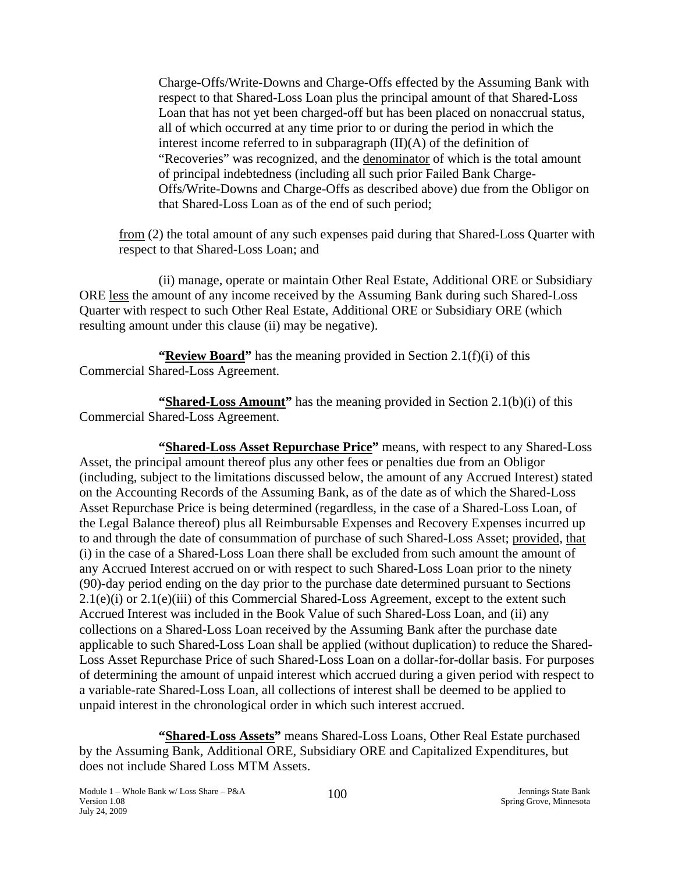Charge-Offs/Write-Downs and Charge-Offs effected by the Assuming Bank with respect to that Shared-Loss Loan plus the principal amount of that Shared-Loss Loan that has not yet been charged-off but has been placed on nonaccrual status, all of which occurred at any time prior to or during the period in which the interest income referred to in subparagraph  $(II)(A)$  of the definition of "Recoveries" was recognized, and the denominator of which is the total amount of principal indebtedness (including all such prior Failed Bank Charge-Offs/Write-Downs and Charge-Offs as described above) due from the Obligor on that Shared-Loss Loan as of the end of such period;

from (2) the total amount of any such expenses paid during that Shared-Loss Quarter with respect to that Shared-Loss Loan; and

(ii) manage, operate or maintain Other Real Estate, Additional ORE or Subsidiary ORE less the amount of any income received by the Assuming Bank during such Shared-Loss Quarter with respect to such Other Real Estate, Additional ORE or Subsidiary ORE (which resulting amount under this clause (ii) may be negative).

**"Review Board"** has the meaning provided in Section 2.1(f)(i) of this Commercial Shared-Loss Agreement.

**"Shared-Loss Amount"** has the meaning provided in Section 2.1(b)(i) of this Commercial Shared-Loss Agreement.

**"Shared-Loss Asset Repurchase Price"** means, with respect to any Shared-Loss Asset, the principal amount thereof plus any other fees or penalties due from an Obligor (including, subject to the limitations discussed below, the amount of any Accrued Interest) stated on the Accounting Records of the Assuming Bank, as of the date as of which the Shared-Loss Asset Repurchase Price is being determined (regardless, in the case of a Shared-Loss Loan, of the Legal Balance thereof) plus all Reimbursable Expenses and Recovery Expenses incurred up to and through the date of consummation of purchase of such Shared-Loss Asset; provided, that (i) in the case of a Shared-Loss Loan there shall be excluded from such amount the amount of any Accrued Interest accrued on or with respect to such Shared-Loss Loan prior to the ninety (90)-day period ending on the day prior to the purchase date determined pursuant to Sections 2.1(e)(i) or 2.1(e)(iii) of this Commercial Shared-Loss Agreement, except to the extent such Accrued Interest was included in the Book Value of such Shared-Loss Loan, and (ii) any collections on a Shared-Loss Loan received by the Assuming Bank after the purchase date applicable to such Shared-Loss Loan shall be applied (without duplication) to reduce the Shared-Loss Asset Repurchase Price of such Shared-Loss Loan on a dollar-for-dollar basis. For purposes of determining the amount of unpaid interest which accrued during a given period with respect to a variable-rate Shared-Loss Loan, all collections of interest shall be deemed to be applied to unpaid interest in the chronological order in which such interest accrued.

**"Shared-Loss Assets"** means Shared-Loss Loans, Other Real Estate purchased by the Assuming Bank, Additional ORE, Subsidiary ORE and Capitalized Expenditures, but does not include Shared Loss MTM Assets.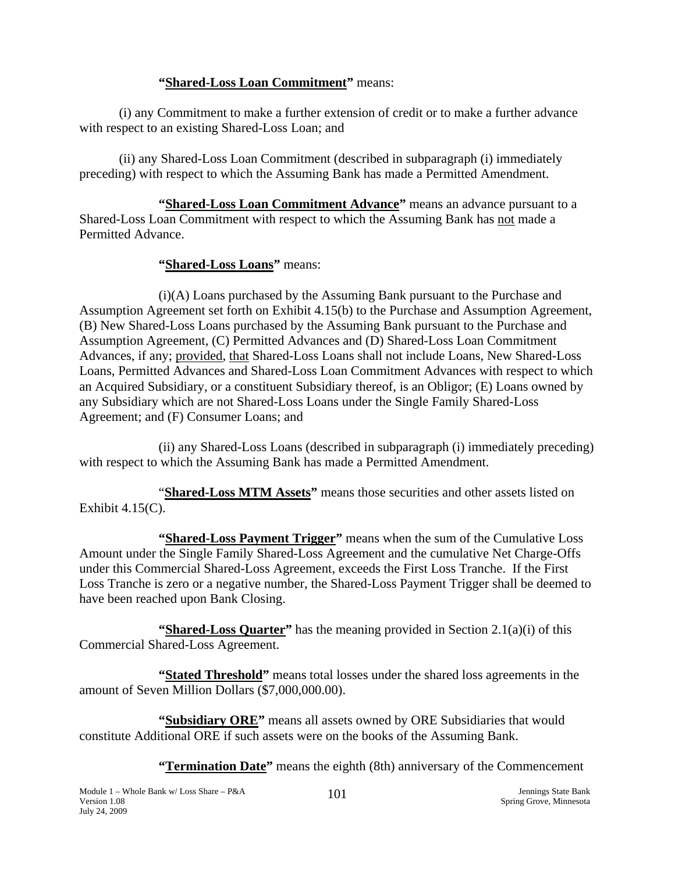## **"Shared-Loss Loan Commitment"** means:

(i) any Commitment to make a further extension of credit or to make a further advance with respect to an existing Shared-Loss Loan; and

(ii) any Shared-Loss Loan Commitment (described in subparagraph (i) immediately preceding) with respect to which the Assuming Bank has made a Permitted Amendment.

**"Shared-Loss Loan Commitment Advance"** means an advance pursuant to a Shared-Loss Loan Commitment with respect to which the Assuming Bank has not made a Permitted Advance.

## **"Shared-Loss Loans"** means:

(i)(A) Loans purchased by the Assuming Bank pursuant to the Purchase and Assumption Agreement set forth on Exhibit 4.15(b) to the Purchase and Assumption Agreement, (B) New Shared-Loss Loans purchased by the Assuming Bank pursuant to the Purchase and Assumption Agreement, (C) Permitted Advances and (D) Shared-Loss Loan Commitment Advances, if any; provided, that Shared-Loss Loans shall not include Loans, New Shared-Loss Loans, Permitted Advances and Shared-Loss Loan Commitment Advances with respect to which an Acquired Subsidiary, or a constituent Subsidiary thereof, is an Obligor; (E) Loans owned by any Subsidiary which are not Shared-Loss Loans under the Single Family Shared-Loss Agreement; and (F) Consumer Loans; and

(ii) any Shared-Loss Loans (described in subparagraph (i) immediately preceding) with respect to which the Assuming Bank has made a Permitted Amendment.

"**Shared-Loss MTM Assets"** means those securities and other assets listed on Exhibit  $4.15(C)$ .

**"Shared-Loss Payment Trigger"** means when the sum of the Cumulative Loss Amount under the Single Family Shared-Loss Agreement and the cumulative Net Charge-Offs under this Commercial Shared-Loss Agreement, exceeds the First Loss Tranche. If the First Loss Tranche is zero or a negative number, the Shared-Loss Payment Trigger shall be deemed to have been reached upon Bank Closing.

**"Shared-Loss Quarter"** has the meaning provided in Section 2.1(a)(i) of this Commercial Shared-Loss Agreement.

**"Stated Threshold"** means total losses under the shared loss agreements in the amount of Seven Million Dollars (\$7,000,000.00).

**"Subsidiary ORE"** means all assets owned by ORE Subsidiaries that would constitute Additional ORE if such assets were on the books of the Assuming Bank.

**"Termination Date"** means the eighth (8th) anniversary of the Commencement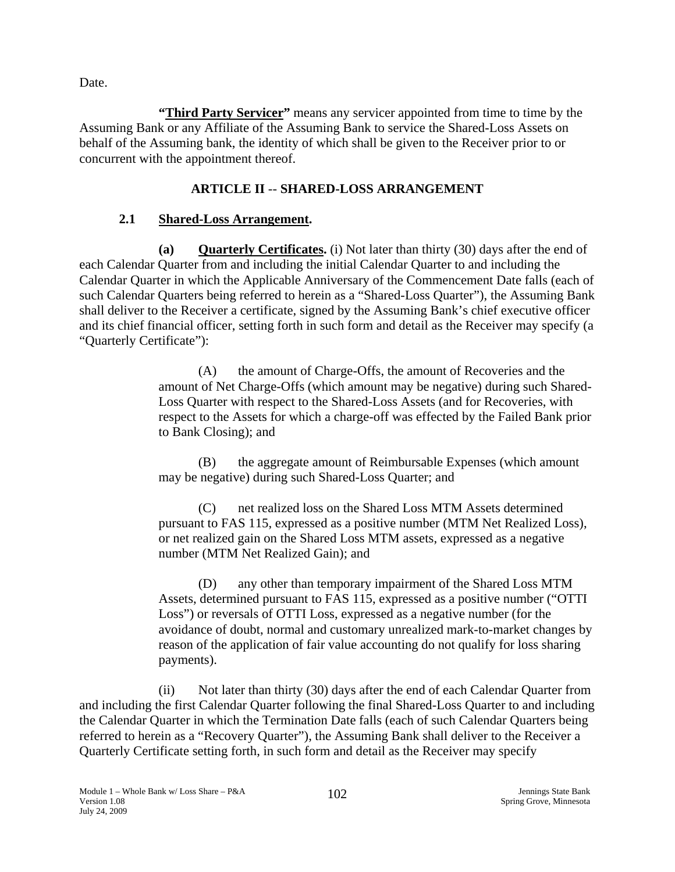Date.

**"Third Party Servicer"** means any servicer appointed from time to time by the Assuming Bank or any Affiliate of the Assuming Bank to service the Shared-Loss Assets on behalf of the Assuming bank, the identity of which shall be given to the Receiver prior to or concurrent with the appointment thereof.

## **ARTICLE II** -- **SHARED-LOSS ARRANGEMENT**

# **2.1 Shared-Loss Arrangement.**

**(a) Quarterly Certificates.** (i) Not later than thirty (30) days after the end of each Calendar Quarter from and including the initial Calendar Quarter to and including the Calendar Quarter in which the Applicable Anniversary of the Commencement Date falls (each of such Calendar Quarters being referred to herein as a "Shared-Loss Quarter"), the Assuming Bank shall deliver to the Receiver a certificate, signed by the Assuming Bank's chief executive officer and its chief financial officer, setting forth in such form and detail as the Receiver may specify (a "Quarterly Certificate"):

> (A) the amount of Charge-Offs, the amount of Recoveries and the amount of Net Charge-Offs (which amount may be negative) during such Shared-Loss Quarter with respect to the Shared-Loss Assets (and for Recoveries, with respect to the Assets for which a charge-off was effected by the Failed Bank prior to Bank Closing); and

(B) the aggregate amount of Reimbursable Expenses (which amount may be negative) during such Shared-Loss Quarter; and

(C) net realized loss on the Shared Loss MTM Assets determined pursuant to FAS 115, expressed as a positive number (MTM Net Realized Loss), or net realized gain on the Shared Loss MTM assets, expressed as a negative number (MTM Net Realized Gain); and

(D) any other than temporary impairment of the Shared Loss MTM Assets, determined pursuant to FAS 115, expressed as a positive number ("OTTI Loss") or reversals of OTTI Loss, expressed as a negative number (for the avoidance of doubt, normal and customary unrealized mark-to-market changes by reason of the application of fair value accounting do not qualify for loss sharing payments).

(ii) Not later than thirty (30) days after the end of each Calendar Quarter from and including the first Calendar Quarter following the final Shared-Loss Quarter to and including the Calendar Quarter in which the Termination Date falls (each of such Calendar Quarters being referred to herein as a "Recovery Quarter"), the Assuming Bank shall deliver to the Receiver a Quarterly Certificate setting forth, in such form and detail as the Receiver may specify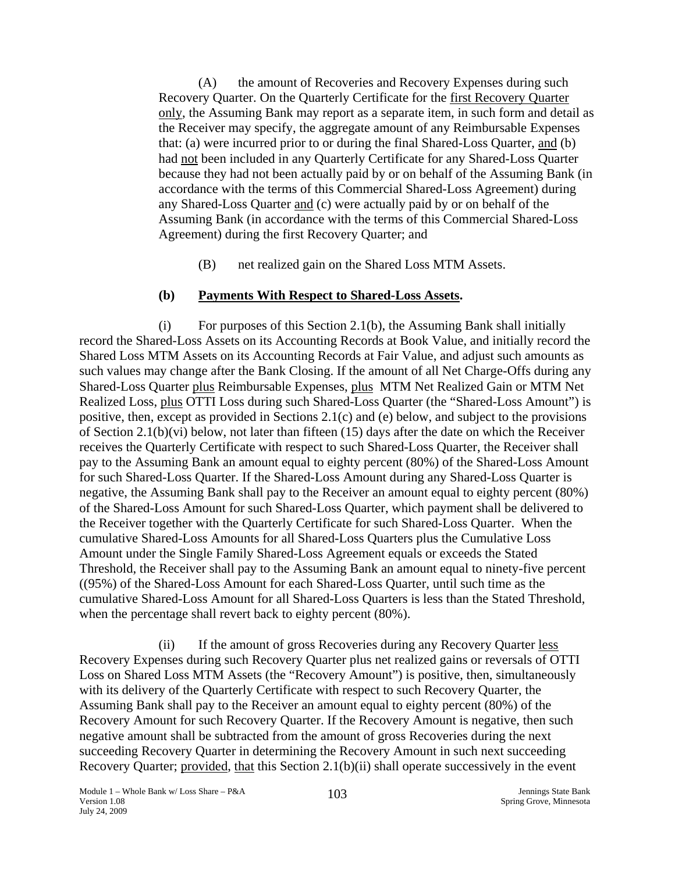(A) the amount of Recoveries and Recovery Expenses during such Recovery Quarter. On the Quarterly Certificate for the first Recovery Quarter only, the Assuming Bank may report as a separate item, in such form and detail as the Receiver may specify, the aggregate amount of any Reimbursable Expenses that: (a) were incurred prior to or during the final Shared-Loss Quarter, and (b) had not been included in any Quarterly Certificate for any Shared-Loss Quarter because they had not been actually paid by or on behalf of the Assuming Bank (in accordance with the terms of this Commercial Shared-Loss Agreement) during any Shared-Loss Quarter and (c) were actually paid by or on behalf of the Assuming Bank (in accordance with the terms of this Commercial Shared-Loss Agreement) during the first Recovery Quarter; and

(B) net realized gain on the Shared Loss MTM Assets.

## **(b) Payments With Respect to Shared-Loss Assets.**

(i) For purposes of this Section 2.1(b), the Assuming Bank shall initially record the Shared-Loss Assets on its Accounting Records at Book Value, and initially record the Shared Loss MTM Assets on its Accounting Records at Fair Value, and adjust such amounts as such values may change after the Bank Closing. If the amount of all Net Charge-Offs during any Shared-Loss Quarter plus Reimbursable Expenses, plus MTM Net Realized Gain or MTM Net Realized Loss, plus OTTI Loss during such Shared-Loss Quarter (the "Shared-Loss Amount") is positive, then, except as provided in Sections 2.1(c) and (e) below, and subject to the provisions of Section 2.1(b)(vi) below, not later than fifteen (15) days after the date on which the Receiver receives the Quarterly Certificate with respect to such Shared-Loss Quarter, the Receiver shall pay to the Assuming Bank an amount equal to eighty percent (80%) of the Shared-Loss Amount for such Shared-Loss Quarter. If the Shared-Loss Amount during any Shared-Loss Quarter is negative, the Assuming Bank shall pay to the Receiver an amount equal to eighty percent (80%) of the Shared-Loss Amount for such Shared-Loss Quarter, which payment shall be delivered to the Receiver together with the Quarterly Certificate for such Shared-Loss Quarter. When the cumulative Shared-Loss Amounts for all Shared-Loss Quarters plus the Cumulative Loss Amount under the Single Family Shared-Loss Agreement equals or exceeds the Stated Threshold, the Receiver shall pay to the Assuming Bank an amount equal to ninety-five percent ((95%) of the Shared-Loss Amount for each Shared-Loss Quarter, until such time as the cumulative Shared-Loss Amount for all Shared-Loss Quarters is less than the Stated Threshold, when the percentage shall revert back to eighty percent (80%).

(ii) If the amount of gross Recoveries during any Recovery Quarter less Recovery Expenses during such Recovery Quarter plus net realized gains or reversals of OTTI Loss on Shared Loss MTM Assets (the "Recovery Amount") is positive, then, simultaneously with its delivery of the Quarterly Certificate with respect to such Recovery Quarter, the Assuming Bank shall pay to the Receiver an amount equal to eighty percent (80%) of the Recovery Amount for such Recovery Quarter. If the Recovery Amount is negative, then such negative amount shall be subtracted from the amount of gross Recoveries during the next succeeding Recovery Quarter in determining the Recovery Amount in such next succeeding Recovery Quarter; provided, that this Section 2.1(b)(ii) shall operate successively in the event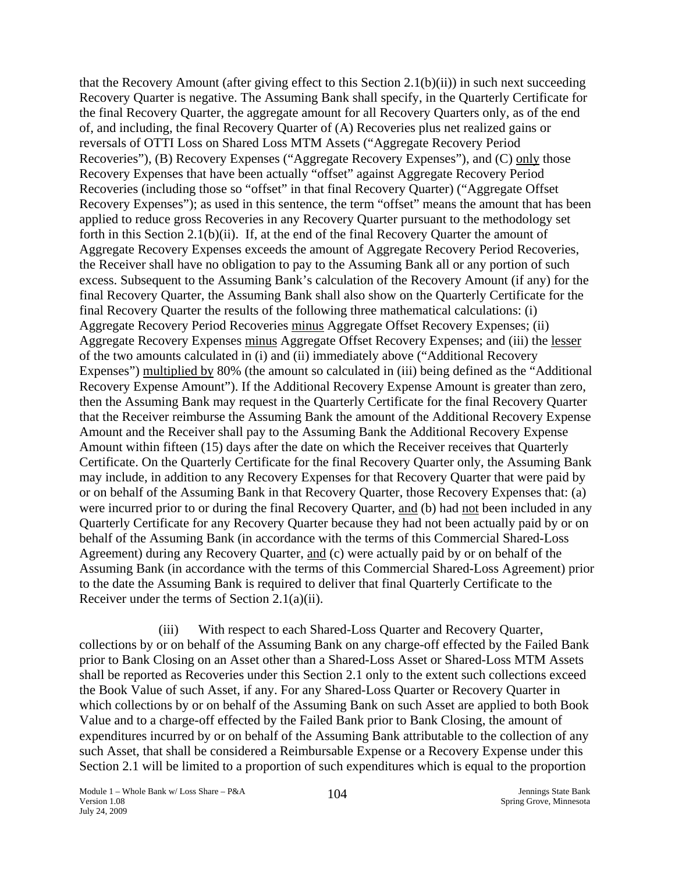that the Recovery Amount (after giving effect to this Section 2.1(b)(ii)) in such next succeeding Recovery Quarter is negative. The Assuming Bank shall specify, in the Quarterly Certificate for the final Recovery Quarter, the aggregate amount for all Recovery Quarters only, as of the end of, and including, the final Recovery Quarter of (A) Recoveries plus net realized gains or reversals of OTTI Loss on Shared Loss MTM Assets ("Aggregate Recovery Period Recoveries"), (B) Recovery Expenses ("Aggregate Recovery Expenses"), and (C) only those Recovery Expenses that have been actually "offset" against Aggregate Recovery Period Recoveries (including those so "offset" in that final Recovery Quarter) ("Aggregate Offset Recovery Expenses"); as used in this sentence, the term "offset" means the amount that has been applied to reduce gross Recoveries in any Recovery Quarter pursuant to the methodology set forth in this Section 2.1(b)(ii). If, at the end of the final Recovery Quarter the amount of Aggregate Recovery Expenses exceeds the amount of Aggregate Recovery Period Recoveries, the Receiver shall have no obligation to pay to the Assuming Bank all or any portion of such excess. Subsequent to the Assuming Bank's calculation of the Recovery Amount (if any) for the final Recovery Quarter, the Assuming Bank shall also show on the Quarterly Certificate for the final Recovery Quarter the results of the following three mathematical calculations: (i) Aggregate Recovery Period Recoveries minus Aggregate Offset Recovery Expenses; (ii) Aggregate Recovery Expenses minus Aggregate Offset Recovery Expenses; and (iii) the lesser of the two amounts calculated in (i) and (ii) immediately above ("Additional Recovery Expenses") multiplied by 80% (the amount so calculated in (iii) being defined as the "Additional Recovery Expense Amount"). If the Additional Recovery Expense Amount is greater than zero, then the Assuming Bank may request in the Quarterly Certificate for the final Recovery Quarter that the Receiver reimburse the Assuming Bank the amount of the Additional Recovery Expense Amount and the Receiver shall pay to the Assuming Bank the Additional Recovery Expense Amount within fifteen (15) days after the date on which the Receiver receives that Quarterly Certificate. On the Quarterly Certificate for the final Recovery Quarter only, the Assuming Bank may include, in addition to any Recovery Expenses for that Recovery Quarter that were paid by or on behalf of the Assuming Bank in that Recovery Quarter, those Recovery Expenses that: (a) were incurred prior to or during the final Recovery Quarter, and (b) had not been included in any Quarterly Certificate for any Recovery Quarter because they had not been actually paid by or on behalf of the Assuming Bank (in accordance with the terms of this Commercial Shared-Loss Agreement) during any Recovery Quarter, and (c) were actually paid by or on behalf of the Assuming Bank (in accordance with the terms of this Commercial Shared-Loss Agreement) prior to the date the Assuming Bank is required to deliver that final Quarterly Certificate to the Receiver under the terms of Section 2.1(a)(ii).

(iii) With respect to each Shared-Loss Quarter and Recovery Quarter, collections by or on behalf of the Assuming Bank on any charge-off effected by the Failed Bank prior to Bank Closing on an Asset other than a Shared-Loss Asset or Shared-Loss MTM Assets shall be reported as Recoveries under this Section 2.1 only to the extent such collections exceed the Book Value of such Asset, if any. For any Shared-Loss Quarter or Recovery Quarter in which collections by or on behalf of the Assuming Bank on such Asset are applied to both Book Value and to a charge-off effected by the Failed Bank prior to Bank Closing, the amount of expenditures incurred by or on behalf of the Assuming Bank attributable to the collection of any such Asset, that shall be considered a Reimbursable Expense or a Recovery Expense under this Section 2.1 will be limited to a proportion of such expenditures which is equal to the proportion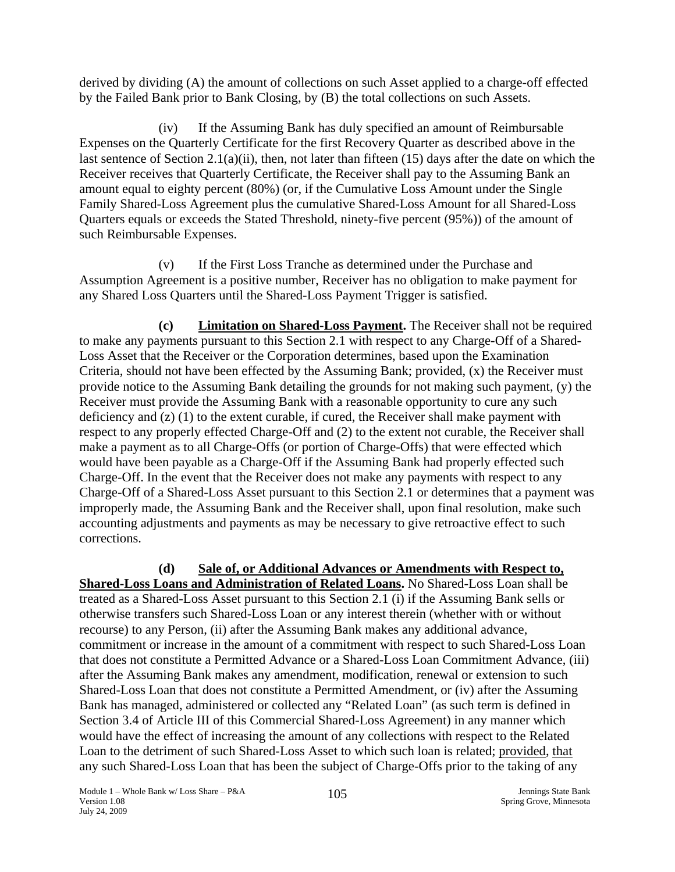derived by dividing (A) the amount of collections on such Asset applied to a charge-off effected by the Failed Bank prior to Bank Closing, by (B) the total collections on such Assets.

(iv) If the Assuming Bank has duly specified an amount of Reimbursable Expenses on the Quarterly Certificate for the first Recovery Quarter as described above in the last sentence of Section 2.1(a)(ii), then, not later than fifteen (15) days after the date on which the Receiver receives that Quarterly Certificate, the Receiver shall pay to the Assuming Bank an amount equal to eighty percent (80%) (or, if the Cumulative Loss Amount under the Single Family Shared-Loss Agreement plus the cumulative Shared-Loss Amount for all Shared-Loss Quarters equals or exceeds the Stated Threshold, ninety-five percent (95%)) of the amount of such Reimbursable Expenses.

(v) If the First Loss Tranche as determined under the Purchase and Assumption Agreement is a positive number, Receiver has no obligation to make payment for any Shared Loss Quarters until the Shared-Loss Payment Trigger is satisfied.

**(c) Limitation on Shared-Loss Payment.** The Receiver shall not be required to make any payments pursuant to this Section 2.1 with respect to any Charge-Off of a Shared-Loss Asset that the Receiver or the Corporation determines, based upon the Examination Criteria, should not have been effected by the Assuming Bank; provided, (x) the Receiver must provide notice to the Assuming Bank detailing the grounds for not making such payment, (y) the Receiver must provide the Assuming Bank with a reasonable opportunity to cure any such deficiency and (z) (1) to the extent curable, if cured, the Receiver shall make payment with respect to any properly effected Charge-Off and (2) to the extent not curable, the Receiver shall make a payment as to all Charge-Offs (or portion of Charge-Offs) that were effected which would have been payable as a Charge-Off if the Assuming Bank had properly effected such Charge-Off. In the event that the Receiver does not make any payments with respect to any Charge-Off of a Shared-Loss Asset pursuant to this Section 2.1 or determines that a payment was improperly made, the Assuming Bank and the Receiver shall, upon final resolution, make such accounting adjustments and payments as may be necessary to give retroactive effect to such corrections.

Loan to the detriment of such Shared-Loss Asset to which such loan is related; provided, that **(d) Sale of, or Additional Advances or Amendments with Respect to, Shared-Loss Loans and Administration of Related Loans.** No Shared-Loss Loan shall be treated as a Shared-Loss Asset pursuant to this Section 2.1 (i) if the Assuming Bank sells or otherwise transfers such Shared-Loss Loan or any interest therein (whether with or without recourse) to any Person, (ii) after the Assuming Bank makes any additional advance, commitment or increase in the amount of a commitment with respect to such Shared-Loss Loan that does not constitute a Permitted Advance or a Shared-Loss Loan Commitment Advance, (iii) after the Assuming Bank makes any amendment, modification, renewal or extension to such Shared-Loss Loan that does not constitute a Permitted Amendment, or (iv) after the Assuming Bank has managed, administered or collected any "Related Loan" (as such term is defined in Section 3.4 of Article III of this Commercial Shared-Loss Agreement) in any manner which would have the effect of increasing the amount of any collections with respect to the Related any such Shared-Loss Loan that has been the subject of Charge-Offs prior to the taking of any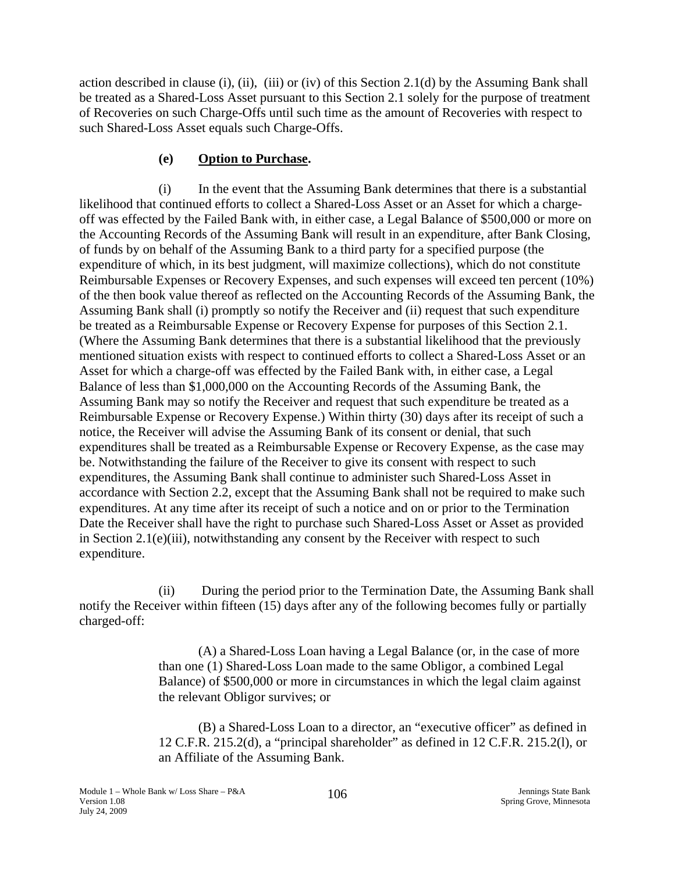action described in clause (i), (ii), (iii) or (iv) of this Section 2.1(d) by the Assuming Bank shall be treated as a Shared-Loss Asset pursuant to this Section 2.1 solely for the purpose of treatment of Recoveries on such Charge-Offs until such time as the amount of Recoveries with respect to such Shared-Loss Asset equals such Charge-Offs.

### **(e) Option to Purchase.**

(i) In the event that the Assuming Bank determines that there is a substantial likelihood that continued efforts to collect a Shared-Loss Asset or an Asset for which a chargeoff was effected by the Failed Bank with, in either case, a Legal Balance of \$500,000 or more on the Accounting Records of the Assuming Bank will result in an expenditure, after Bank Closing, of funds by on behalf of the Assuming Bank to a third party for a specified purpose (the expenditure of which, in its best judgment, will maximize collections), which do not constitute Reimbursable Expenses or Recovery Expenses, and such expenses will exceed ten percent (10%) of the then book value thereof as reflected on the Accounting Records of the Assuming Bank, the Assuming Bank shall (i) promptly so notify the Receiver and (ii) request that such expenditure be treated as a Reimbursable Expense or Recovery Expense for purposes of this Section 2.1. (Where the Assuming Bank determines that there is a substantial likelihood that the previously mentioned situation exists with respect to continued efforts to collect a Shared-Loss Asset or an Asset for which a charge-off was effected by the Failed Bank with, in either case, a Legal Balance of less than \$1,000,000 on the Accounting Records of the Assuming Bank, the Assuming Bank may so notify the Receiver and request that such expenditure be treated as a Reimbursable Expense or Recovery Expense.) Within thirty (30) days after its receipt of such a notice, the Receiver will advise the Assuming Bank of its consent or denial, that such expenditures shall be treated as a Reimbursable Expense or Recovery Expense, as the case may be. Notwithstanding the failure of the Receiver to give its consent with respect to such expenditures, the Assuming Bank shall continue to administer such Shared-Loss Asset in accordance with Section 2.2, except that the Assuming Bank shall not be required to make such expenditures. At any time after its receipt of such a notice and on or prior to the Termination Date the Receiver shall have the right to purchase such Shared-Loss Asset or Asset as provided in Section 2.1(e)(iii), notwithstanding any consent by the Receiver with respect to such expenditure.

(ii) During the period prior to the Termination Date, the Assuming Bank shall notify the Receiver within fifteen (15) days after any of the following becomes fully or partially charged-off:

> (A) a Shared-Loss Loan having a Legal Balance (or, in the case of more than one (1) Shared-Loss Loan made to the same Obligor, a combined Legal Balance) of \$500,000 or more in circumstances in which the legal claim against the relevant Obligor survives; or

(B) a Shared-Loss Loan to a director, an "executive officer" as defined in 12 C.F.R. 215.2(d), a "principal shareholder" as defined in 12 C.F.R. 215.2(l), or an Affiliate of the Assuming Bank.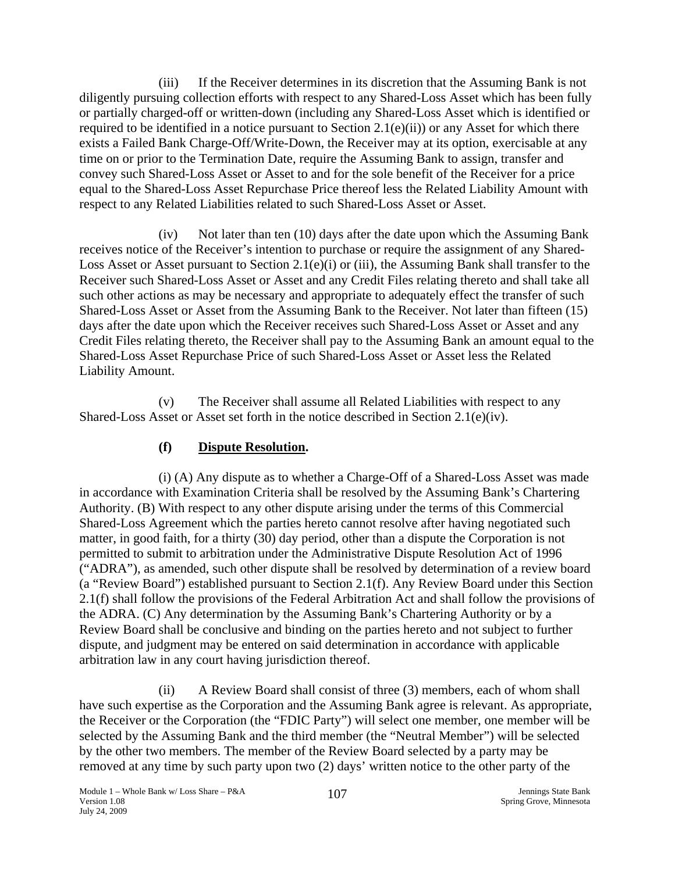(iii) If the Receiver determines in its discretion that the Assuming Bank is not diligently pursuing collection efforts with respect to any Shared-Loss Asset which has been fully or partially charged-off or written-down (including any Shared-Loss Asset which is identified or required to be identified in a notice pursuant to Section  $2.1(e)(ii)$  or any Asset for which there exists a Failed Bank Charge-Off/Write-Down, the Receiver may at its option, exercisable at any time on or prior to the Termination Date, require the Assuming Bank to assign, transfer and convey such Shared-Loss Asset or Asset to and for the sole benefit of the Receiver for a price equal to the Shared-Loss Asset Repurchase Price thereof less the Related Liability Amount with respect to any Related Liabilities related to such Shared-Loss Asset or Asset.

(iv) Not later than ten (10) days after the date upon which the Assuming Bank receives notice of the Receiver's intention to purchase or require the assignment of any Shared-Loss Asset or Asset pursuant to Section 2.1(e)(i) or (iii), the Assuming Bank shall transfer to the Receiver such Shared-Loss Asset or Asset and any Credit Files relating thereto and shall take all such other actions as may be necessary and appropriate to adequately effect the transfer of such Shared-Loss Asset or Asset from the Assuming Bank to the Receiver. Not later than fifteen (15) days after the date upon which the Receiver receives such Shared-Loss Asset or Asset and any Credit Files relating thereto, the Receiver shall pay to the Assuming Bank an amount equal to the Shared-Loss Asset Repurchase Price of such Shared-Loss Asset or Asset less the Related Liability Amount.

(v) The Receiver shall assume all Related Liabilities with respect to any Shared-Loss Asset or Asset set forth in the notice described in Section 2.1(e)(iv).

### **(f) Dispute Resolution.**

(i) (A) Any dispute as to whether a Charge-Off of a Shared-Loss Asset was made in accordance with Examination Criteria shall be resolved by the Assuming Bank's Chartering Authority. (B) With respect to any other dispute arising under the terms of this Commercial Shared-Loss Agreement which the parties hereto cannot resolve after having negotiated such matter, in good faith, for a thirty (30) day period, other than a dispute the Corporation is not permitted to submit to arbitration under the Administrative Dispute Resolution Act of 1996 ("ADRA"), as amended, such other dispute shall be resolved by determination of a review board (a "Review Board") established pursuant to Section 2.1(f). Any Review Board under this Section 2.1(f) shall follow the provisions of the Federal Arbitration Act and shall follow the provisions of the ADRA. (C) Any determination by the Assuming Bank's Chartering Authority or by a Review Board shall be conclusive and binding on the parties hereto and not subject to further dispute, and judgment may be entered on said determination in accordance with applicable arbitration law in any court having jurisdiction thereof.

(ii) A Review Board shall consist of three (3) members, each of whom shall have such expertise as the Corporation and the Assuming Bank agree is relevant. As appropriate, the Receiver or the Corporation (the "FDIC Party") will select one member, one member will be selected by the Assuming Bank and the third member (the "Neutral Member") will be selected by the other two members. The member of the Review Board selected by a party may be removed at any time by such party upon two (2) days' written notice to the other party of the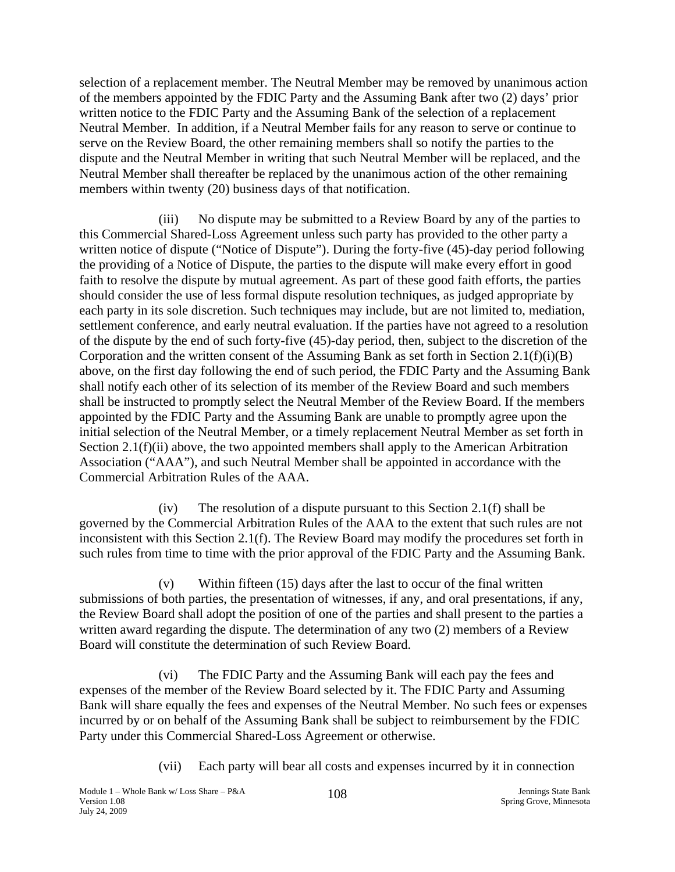selection of a replacement member. The Neutral Member may be removed by unanimous action of the members appointed by the FDIC Party and the Assuming Bank after two (2) days' prior written notice to the FDIC Party and the Assuming Bank of the selection of a replacement Neutral Member. In addition, if a Neutral Member fails for any reason to serve or continue to serve on the Review Board, the other remaining members shall so notify the parties to the dispute and the Neutral Member in writing that such Neutral Member will be replaced, and the Neutral Member shall thereafter be replaced by the unanimous action of the other remaining members within twenty (20) business days of that notification.

(iii) No dispute may be submitted to a Review Board by any of the parties to this Commercial Shared-Loss Agreement unless such party has provided to the other party a written notice of dispute ("Notice of Dispute"). During the forty-five (45)-day period following the providing of a Notice of Dispute, the parties to the dispute will make every effort in good faith to resolve the dispute by mutual agreement. As part of these good faith efforts, the parties should consider the use of less formal dispute resolution techniques, as judged appropriate by each party in its sole discretion. Such techniques may include, but are not limited to, mediation, settlement conference, and early neutral evaluation. If the parties have not agreed to a resolution of the dispute by the end of such forty-five (45)-day period, then, subject to the discretion of the Corporation and the written consent of the Assuming Bank as set forth in Section  $2.1(f)(i)(B)$ above, on the first day following the end of such period, the FDIC Party and the Assuming Bank shall notify each other of its selection of its member of the Review Board and such members shall be instructed to promptly select the Neutral Member of the Review Board. If the members appointed by the FDIC Party and the Assuming Bank are unable to promptly agree upon the initial selection of the Neutral Member, or a timely replacement Neutral Member as set forth in Section 2.1(f)(ii) above, the two appointed members shall apply to the American Arbitration Association ("AAA"), and such Neutral Member shall be appointed in accordance with the Commercial Arbitration Rules of the AAA.

(iv) The resolution of a dispute pursuant to this Section 2.1(f) shall be governed by the Commercial Arbitration Rules of the AAA to the extent that such rules are not inconsistent with this Section 2.1(f). The Review Board may modify the procedures set forth in such rules from time to time with the prior approval of the FDIC Party and the Assuming Bank.

(v) Within fifteen (15) days after the last to occur of the final written submissions of both parties, the presentation of witnesses, if any, and oral presentations, if any, the Review Board shall adopt the position of one of the parties and shall present to the parties a written award regarding the dispute. The determination of any two (2) members of a Review Board will constitute the determination of such Review Board.

(vi) The FDIC Party and the Assuming Bank will each pay the fees and expenses of the member of the Review Board selected by it. The FDIC Party and Assuming Bank will share equally the fees and expenses of the Neutral Member. No such fees or expenses incurred by or on behalf of the Assuming Bank shall be subject to reimbursement by the FDIC Party under this Commercial Shared-Loss Agreement or otherwise.

(vii) Each party will bear all costs and expenses incurred by it in connection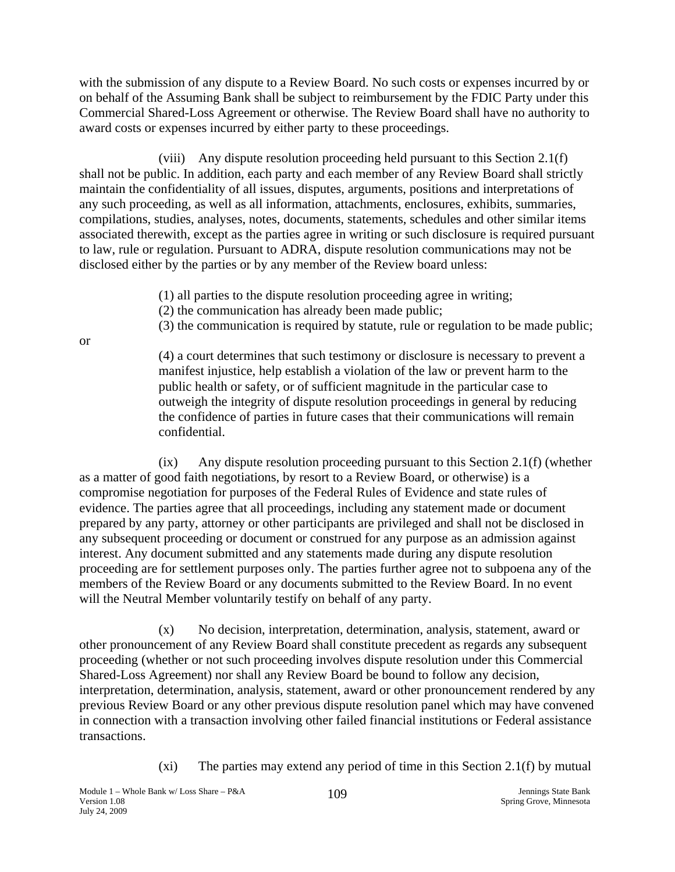with the submission of any dispute to a Review Board. No such costs or expenses incurred by or on behalf of the Assuming Bank shall be subject to reimbursement by the FDIC Party under this Commercial Shared-Loss Agreement or otherwise. The Review Board shall have no authority to award costs or expenses incurred by either party to these proceedings.

(viii) Any dispute resolution proceeding held pursuant to this Section 2.1(f) shall not be public. In addition, each party and each member of any Review Board shall strictly maintain the confidentiality of all issues, disputes, arguments, positions and interpretations of any such proceeding, as well as all information, attachments, enclosures, exhibits, summaries, compilations, studies, analyses, notes, documents, statements, schedules and other similar items associated therewith, except as the parties agree in writing or such disclosure is required pursuant to law, rule or regulation. Pursuant to ADRA, dispute resolution communications may not be disclosed either by the parties or by any member of the Review board unless:

(1) all parties to the dispute resolution proceeding agree in writing;

(2) the communication has already been made public;

(3) the communication is required by statute, rule or regulation to be made public;

(4) a court determines that such testimony or disclosure is necessary to prevent a manifest injustice, help establish a violation of the law or prevent harm to the public health or safety, or of sufficient magnitude in the particular case to outweigh the integrity of dispute resolution proceedings in general by reducing the confidence of parties in future cases that their communications will remain confidential.

 $(ix)$  Any dispute resolution proceeding pursuant to this Section 2.1(f) (whether as a matter of good faith negotiations, by resort to a Review Board, or otherwise) is a compromise negotiation for purposes of the Federal Rules of Evidence and state rules of evidence. The parties agree that all proceedings, including any statement made or document prepared by any party, attorney or other participants are privileged and shall not be disclosed in any subsequent proceeding or document or construed for any purpose as an admission against interest. Any document submitted and any statements made during any dispute resolution proceeding are for settlement purposes only. The parties further agree not to subpoena any of the members of the Review Board or any documents submitted to the Review Board. In no event will the Neutral Member voluntarily testify on behalf of any party.

(x) No decision, interpretation, determination, analysis, statement, award or other pronouncement of any Review Board shall constitute precedent as regards any subsequent proceeding (whether or not such proceeding involves dispute resolution under this Commercial Shared-Loss Agreement) nor shall any Review Board be bound to follow any decision, interpretation, determination, analysis, statement, award or other pronouncement rendered by any previous Review Board or any other previous dispute resolution panel which may have convened in connection with a transaction involving other failed financial institutions or Federal assistance transactions.

(xi) The parties may extend any period of time in this Section 2.1(f) by mutual

or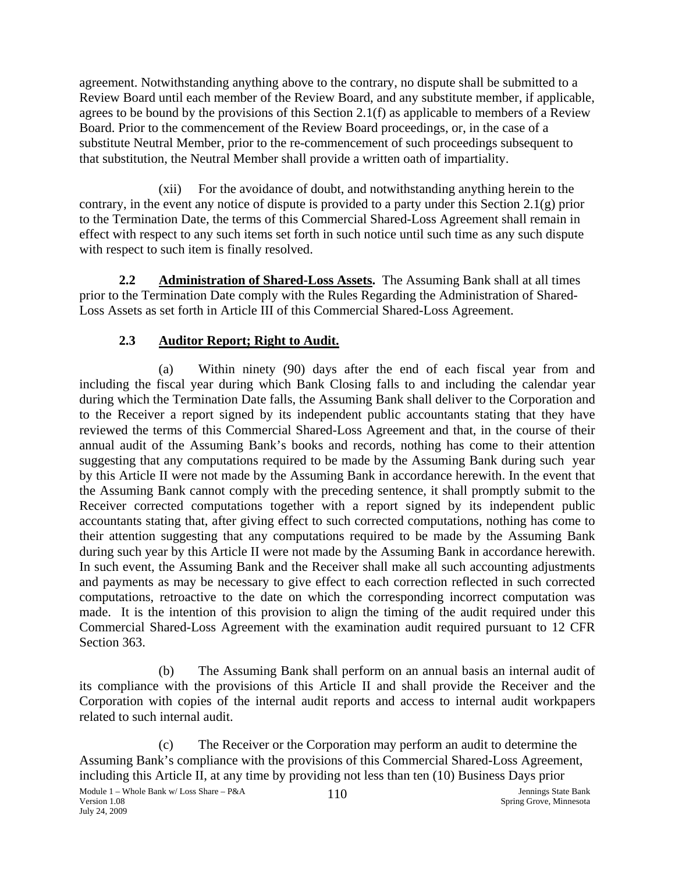agreement. Notwithstanding anything above to the contrary, no dispute shall be submitted to a Review Board until each member of the Review Board, and any substitute member, if applicable, agrees to be bound by the provisions of this Section 2.1(f) as applicable to members of a Review Board. Prior to the commencement of the Review Board proceedings, or, in the case of a substitute Neutral Member, prior to the re-commencement of such proceedings subsequent to that substitution, the Neutral Member shall provide a written oath of impartiality.

(xii) For the avoidance of doubt, and notwithstanding anything herein to the contrary, in the event any notice of dispute is provided to a party under this Section 2.1(g) prior to the Termination Date, the terms of this Commercial Shared-Loss Agreement shall remain in effect with respect to any such items set forth in such notice until such time as any such dispute with respect to such item is finally resolved.

**2.2 Administration of Shared-Loss Assets.** The Assuming Bank shall at all times prior to the Termination Date comply with the Rules Regarding the Administration of Shared-Loss Assets as set forth in Article III of this Commercial Shared-Loss Agreement.

# **2.3 Auditor Report; Right to Audit.**

(a) Within ninety (90) days after the end of each fiscal year from and including the fiscal year during which Bank Closing falls to and including the calendar year during which the Termination Date falls, the Assuming Bank shall deliver to the Corporation and to the Receiver a report signed by its independent public accountants stating that they have reviewed the terms of this Commercial Shared-Loss Agreement and that, in the course of their annual audit of the Assuming Bank's books and records, nothing has come to their attention suggesting that any computations required to be made by the Assuming Bank during such year by this Article II were not made by the Assuming Bank in accordance herewith. In the event that the Assuming Bank cannot comply with the preceding sentence, it shall promptly submit to the Receiver corrected computations together with a report signed by its independent public accountants stating that, after giving effect to such corrected computations, nothing has come to their attention suggesting that any computations required to be made by the Assuming Bank during such year by this Article II were not made by the Assuming Bank in accordance herewith. In such event, the Assuming Bank and the Receiver shall make all such accounting adjustments and payments as may be necessary to give effect to each correction reflected in such corrected computations, retroactive to the date on which the corresponding incorrect computation was made. It is the intention of this provision to align the timing of the audit required under this Commercial Shared-Loss Agreement with the examination audit required pursuant to 12 CFR Section 363.

(b) The Assuming Bank shall perform on an annual basis an internal audit of its compliance with the provisions of this Article II and shall provide the Receiver and the Corporation with copies of the internal audit reports and access to internal audit workpapers related to such internal audit.

(c) The Receiver or the Corporation may perform an audit to determine the Assuming Bank's compliance with the provisions of this Commercial Shared-Loss Agreement, including this Article II, at any time by providing not less than ten (10) Business Days prior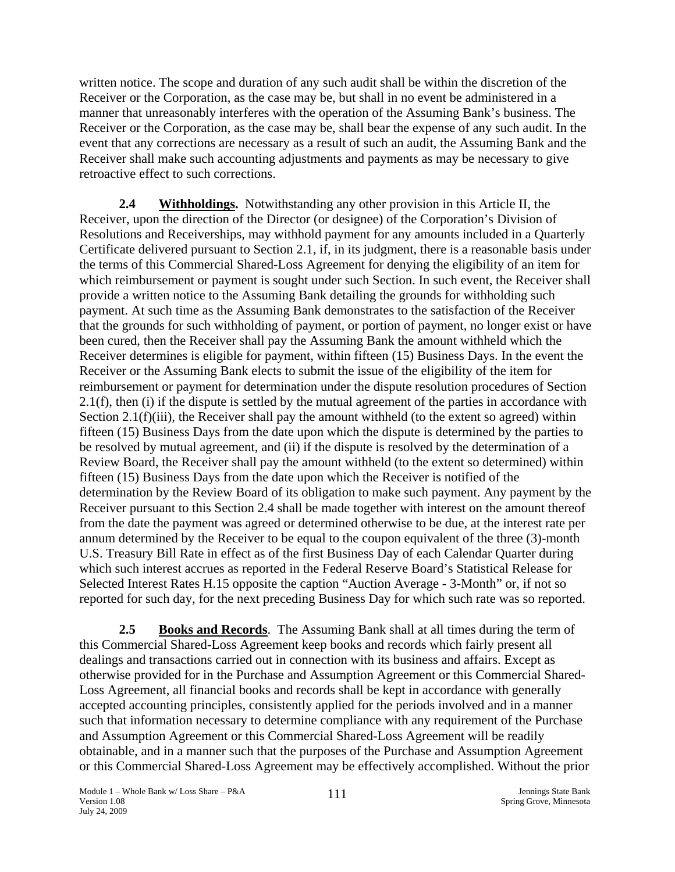written notice. The scope and duration of any such audit shall be within the discretion of the Receiver or the Corporation, as the case may be, but shall in no event be administered in a manner that unreasonably interferes with the operation of the Assuming Bank's business. The Receiver or the Corporation, as the case may be, shall bear the expense of any such audit. In the event that any corrections are necessary as a result of such an audit, the Assuming Bank and the Receiver shall make such accounting adjustments and payments as may be necessary to give retroactive effect to such corrections.

**2.4 Withholdings.** Notwithstanding any other provision in this Article II, the Receiver, upon the direction of the Director (or designee) of the Corporation's Division of Resolutions and Receiverships, may withhold payment for any amounts included in a Quarterly Certificate delivered pursuant to Section 2.1, if, in its judgment, there is a reasonable basis under the terms of this Commercial Shared-Loss Agreement for denying the eligibility of an item for which reimbursement or payment is sought under such Section. In such event, the Receiver shall provide a written notice to the Assuming Bank detailing the grounds for withholding such payment. At such time as the Assuming Bank demonstrates to the satisfaction of the Receiver that the grounds for such withholding of payment, or portion of payment, no longer exist or have been cured, then the Receiver shall pay the Assuming Bank the amount withheld which the Receiver determines is eligible for payment, within fifteen (15) Business Days. In the event the Receiver or the Assuming Bank elects to submit the issue of the eligibility of the item for reimbursement or payment for determination under the dispute resolution procedures of Section 2.1(f), then (i) if the dispute is settled by the mutual agreement of the parties in accordance with Section 2.1(f)(iii), the Receiver shall pay the amount withheld (to the extent so agreed) within fifteen (15) Business Days from the date upon which the dispute is determined by the parties to be resolved by mutual agreement, and (ii) if the dispute is resolved by the determination of a Review Board, the Receiver shall pay the amount withheld (to the extent so determined) within fifteen (15) Business Days from the date upon which the Receiver is notified of the determination by the Review Board of its obligation to make such payment. Any payment by the Receiver pursuant to this Section 2.4 shall be made together with interest on the amount thereof from the date the payment was agreed or determined otherwise to be due, at the interest rate per annum determined by the Receiver to be equal to the coupon equivalent of the three (3)-month U.S. Treasury Bill Rate in effect as of the first Business Day of each Calendar Quarter during which such interest accrues as reported in the Federal Reserve Board's Statistical Release for Selected Interest Rates H.15 opposite the caption "Auction Average - 3-Month" or, if not so reported for such day, for the next preceding Business Day for which such rate was so reported.

**2.5 Books and Records**. The Assuming Bank shall at all times during the term of this Commercial Shared-Loss Agreement keep books and records which fairly present all dealings and transactions carried out in connection with its business and affairs. Except as otherwise provided for in the Purchase and Assumption Agreement or this Commercial Shared-Loss Agreement, all financial books and records shall be kept in accordance with generally accepted accounting principles, consistently applied for the periods involved and in a manner such that information necessary to determine compliance with any requirement of the Purchase and Assumption Agreement or this Commercial Shared-Loss Agreement will be readily obtainable, and in a manner such that the purposes of the Purchase and Assumption Agreement or this Commercial Shared-Loss Agreement may be effectively accomplished. Without the prior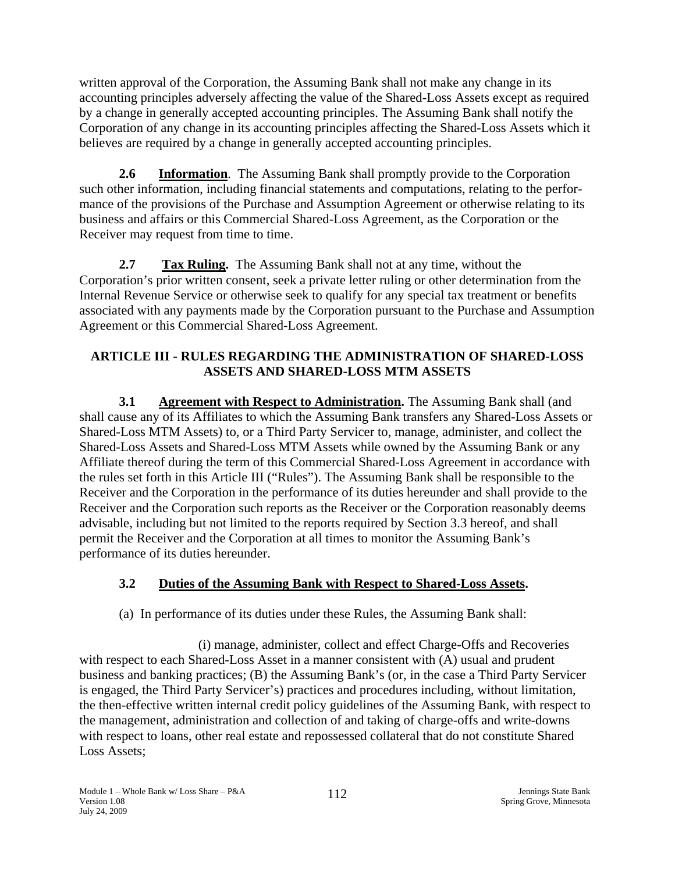written approval of the Corporation, the Assuming Bank shall not make any change in its accounting principles adversely affecting the value of the Shared-Loss Assets except as required by a change in generally accepted accounting principles. The Assuming Bank shall notify the Corporation of any change in its accounting principles affecting the Shared-Loss Assets which it believes are required by a change in generally accepted accounting principles.

**2.6 Information.** The Assuming Bank shall promptly provide to the Corporation such other information, including financial statements and computations, relating to the performance of the provisions of the Purchase and Assumption Agreement or otherwise relating to its business and affairs or this Commercial Shared-Loss Agreement, as the Corporation or the Receiver may request from time to time.

**2.7 Tax Ruling.** The Assuming Bank shall not at any time, without the Corporation's prior written consent, seek a private letter ruling or other determination from the Internal Revenue Service or otherwise seek to qualify for any special tax treatment or benefits associated with any payments made by the Corporation pursuant to the Purchase and Assumption Agreement or this Commercial Shared-Loss Agreement.

## **ARTICLE III - RULES REGARDING THE ADMINISTRATION OF SHARED-LOSS ASSETS AND SHARED-LOSS MTM ASSETS**

**3.1** Agreement with Respect to Administration. The Assuming Bank shall (and shall cause any of its Affiliates to which the Assuming Bank transfers any Shared-Loss Assets or Shared-Loss MTM Assets) to, or a Third Party Servicer to, manage, administer, and collect the Shared-Loss Assets and Shared-Loss MTM Assets while owned by the Assuming Bank or any Affiliate thereof during the term of this Commercial Shared-Loss Agreement in accordance with the rules set forth in this Article III ("Rules"). The Assuming Bank shall be responsible to the Receiver and the Corporation in the performance of its duties hereunder and shall provide to the Receiver and the Corporation such reports as the Receiver or the Corporation reasonably deems advisable, including but not limited to the reports required by Section 3.3 hereof, and shall permit the Receiver and the Corporation at all times to monitor the Assuming Bank's performance of its duties hereunder.

# **3.2 Duties of the Assuming Bank with Respect to Shared-Loss Assets.**

(a) In performance of its duties under these Rules, the Assuming Bank shall:

(i) manage, administer, collect and effect Charge-Offs and Recoveries with respect to each Shared-Loss Asset in a manner consistent with (A) usual and prudent business and banking practices; (B) the Assuming Bank's (or, in the case a Third Party Servicer is engaged, the Third Party Servicer's) practices and procedures including, without limitation, the then-effective written internal credit policy guidelines of the Assuming Bank, with respect to the management, administration and collection of and taking of charge-offs and write-downs with respect to loans, other real estate and repossessed collateral that do not constitute Shared Loss Assets;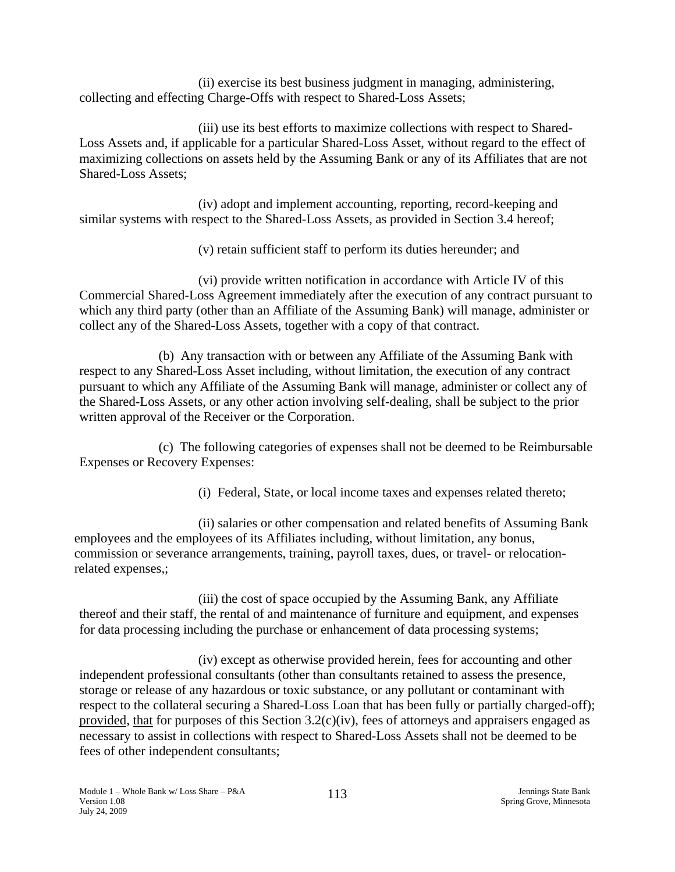(ii) exercise its best business judgment in managing, administering, collecting and effecting Charge-Offs with respect to Shared-Loss Assets;

(iii) use its best efforts to maximize collections with respect to Shared-Loss Assets and, if applicable for a particular Shared-Loss Asset, without regard to the effect of maximizing collections on assets held by the Assuming Bank or any of its Affiliates that are not Shared-Loss Assets;

(iv) adopt and implement accounting, reporting, record-keeping and similar systems with respect to the Shared-Loss Assets, as provided in Section 3.4 hereof;

(v) retain sufficient staff to perform its duties hereunder; and

(vi) provide written notification in accordance with Article IV of this Commercial Shared-Loss Agreement immediately after the execution of any contract pursuant to which any third party (other than an Affiliate of the Assuming Bank) will manage, administer or collect any of the Shared-Loss Assets, together with a copy of that contract.

(b) Any transaction with or between any Affiliate of the Assuming Bank with respect to any Shared-Loss Asset including, without limitation, the execution of any contract pursuant to which any Affiliate of the Assuming Bank will manage, administer or collect any of the Shared-Loss Assets, or any other action involving self-dealing, shall be subject to the prior written approval of the Receiver or the Corporation.

(c) The following categories of expenses shall not be deemed to be Reimbursable Expenses or Recovery Expenses:

(i) Federal, State, or local income taxes and expenses related thereto;

(ii) salaries or other compensation and related benefits of Assuming Bank employees and the employees of its Affiliates including, without limitation, any bonus, commission or severance arrangements, training, payroll taxes, dues, or travel- or relocationrelated expenses,;

(iii) the cost of space occupied by the Assuming Bank, any Affiliate thereof and their staff, the rental of and maintenance of furniture and equipment, and expenses for data processing including the purchase or enhancement of data processing systems;

(iv) except as otherwise provided herein, fees for accounting and other independent professional consultants (other than consultants retained to assess the presence, storage or release of any hazardous or toxic substance, or any pollutant or contaminant with respect to the collateral securing a Shared-Loss Loan that has been fully or partially charged-off); provided, that for purposes of this Section 3.2(c)(iv), fees of attorneys and appraisers engaged as necessary to assist in collections with respect to Shared-Loss Assets shall not be deemed to be fees of other independent consultants;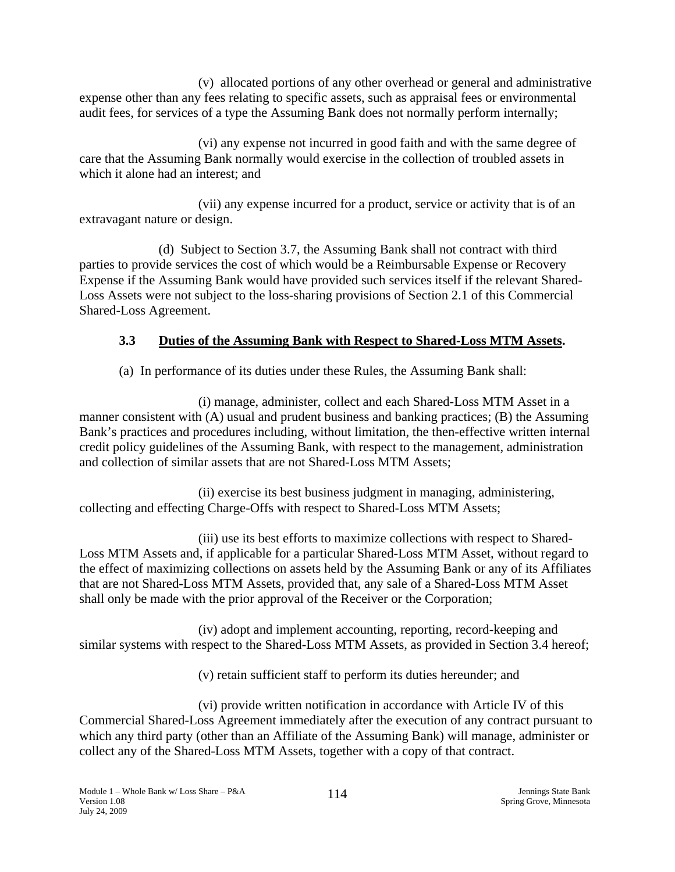(v) allocated portions of any other overhead or general and administrative expense other than any fees relating to specific assets, such as appraisal fees or environmental audit fees, for services of a type the Assuming Bank does not normally perform internally;

(vi) any expense not incurred in good faith and with the same degree of care that the Assuming Bank normally would exercise in the collection of troubled assets in which it alone had an interest; and

(vii) any expense incurred for a product, service or activity that is of an extravagant nature or design.

(d) Subject to Section 3.7, the Assuming Bank shall not contract with third parties to provide services the cost of which would be a Reimbursable Expense or Recovery Expense if the Assuming Bank would have provided such services itself if the relevant Shared-Loss Assets were not subject to the loss-sharing provisions of Section 2.1 of this Commercial Shared-Loss Agreement.

## **3.3 Duties of the Assuming Bank with Respect to Shared-Loss MTM Assets.**

(a) In performance of its duties under these Rules, the Assuming Bank shall:

(i) manage, administer, collect and each Shared-Loss MTM Asset in a manner consistent with (A) usual and prudent business and banking practices; (B) the Assuming Bank's practices and procedures including, without limitation, the then-effective written internal credit policy guidelines of the Assuming Bank, with respect to the management, administration and collection of similar assets that are not Shared-Loss MTM Assets;

(ii) exercise its best business judgment in managing, administering, collecting and effecting Charge-Offs with respect to Shared-Loss MTM Assets;

(iii) use its best efforts to maximize collections with respect to Shared-Loss MTM Assets and, if applicable for a particular Shared-Loss MTM Asset, without regard to the effect of maximizing collections on assets held by the Assuming Bank or any of its Affiliates that are not Shared-Loss MTM Assets, provided that, any sale of a Shared-Loss MTM Asset shall only be made with the prior approval of the Receiver or the Corporation;

(iv) adopt and implement accounting, reporting, record-keeping and similar systems with respect to the Shared-Loss MTM Assets, as provided in Section 3.4 hereof;

(v) retain sufficient staff to perform its duties hereunder; and

(vi) provide written notification in accordance with Article IV of this Commercial Shared-Loss Agreement immediately after the execution of any contract pursuant to which any third party (other than an Affiliate of the Assuming Bank) will manage, administer or collect any of the Shared-Loss MTM Assets, together with a copy of that contract.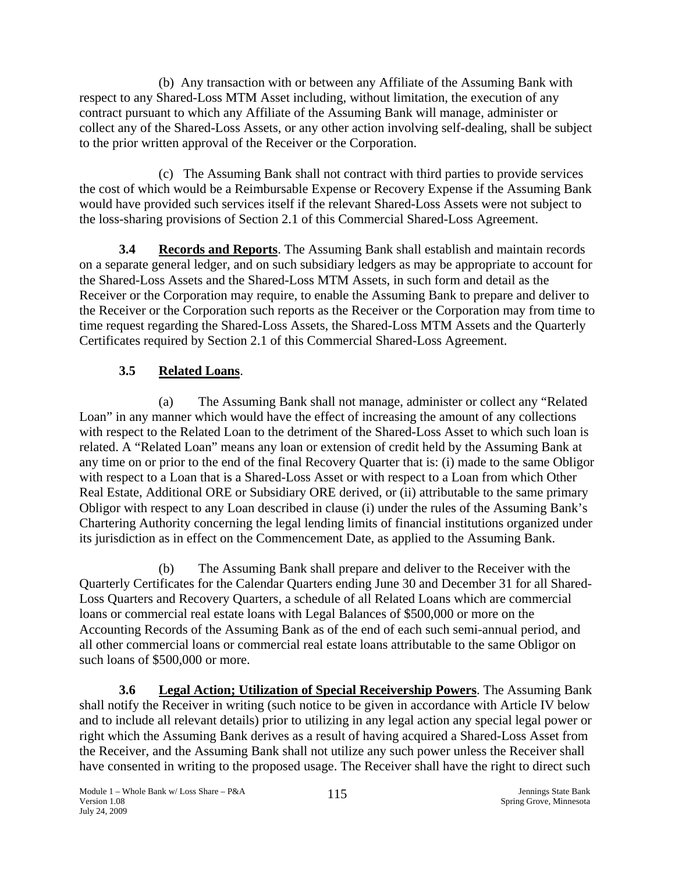(b) Any transaction with or between any Affiliate of the Assuming Bank with respect to any Shared-Loss MTM Asset including, without limitation, the execution of any contract pursuant to which any Affiliate of the Assuming Bank will manage, administer or collect any of the Shared-Loss Assets, or any other action involving self-dealing, shall be subject to the prior written approval of the Receiver or the Corporation.

(c) The Assuming Bank shall not contract with third parties to provide services the cost of which would be a Reimbursable Expense or Recovery Expense if the Assuming Bank would have provided such services itself if the relevant Shared-Loss Assets were not subject to the loss-sharing provisions of Section 2.1 of this Commercial Shared-Loss Agreement.

**3.4 Records and Reports**. The Assuming Bank shall establish and maintain records on a separate general ledger, and on such subsidiary ledgers as may be appropriate to account for the Shared-Loss Assets and the Shared-Loss MTM Assets, in such form and detail as the Receiver or the Corporation may require, to enable the Assuming Bank to prepare and deliver to the Receiver or the Corporation such reports as the Receiver or the Corporation may from time to time request regarding the Shared-Loss Assets, the Shared-Loss MTM Assets and the Quarterly Certificates required by Section 2.1 of this Commercial Shared-Loss Agreement.

# **3.5 Related Loans**.

(a) The Assuming Bank shall not manage, administer or collect any "Related Loan" in any manner which would have the effect of increasing the amount of any collections with respect to the Related Loan to the detriment of the Shared-Loss Asset to which such loan is related. A "Related Loan" means any loan or extension of credit held by the Assuming Bank at any time on or prior to the end of the final Recovery Quarter that is: (i) made to the same Obligor with respect to a Loan that is a Shared-Loss Asset or with respect to a Loan from which Other Real Estate, Additional ORE or Subsidiary ORE derived, or (ii) attributable to the same primary Obligor with respect to any Loan described in clause (i) under the rules of the Assuming Bank's Chartering Authority concerning the legal lending limits of financial institutions organized under its jurisdiction as in effect on the Commencement Date, as applied to the Assuming Bank.

(b) The Assuming Bank shall prepare and deliver to the Receiver with the Quarterly Certificates for the Calendar Quarters ending June 30 and December 31 for all Shared-Loss Quarters and Recovery Quarters, a schedule of all Related Loans which are commercial loans or commercial real estate loans with Legal Balances of \$500,000 or more on the Accounting Records of the Assuming Bank as of the end of each such semi-annual period, and all other commercial loans or commercial real estate loans attributable to the same Obligor on such loans of \$500,000 or more.

**3.6 Legal Action; Utilization of Special Receivership Powers**. The Assuming Bank shall notify the Receiver in writing (such notice to be given in accordance with Article IV below and to include all relevant details) prior to utilizing in any legal action any special legal power or right which the Assuming Bank derives as a result of having acquired a Shared-Loss Asset from the Receiver, and the Assuming Bank shall not utilize any such power unless the Receiver shall have consented in writing to the proposed usage. The Receiver shall have the right to direct such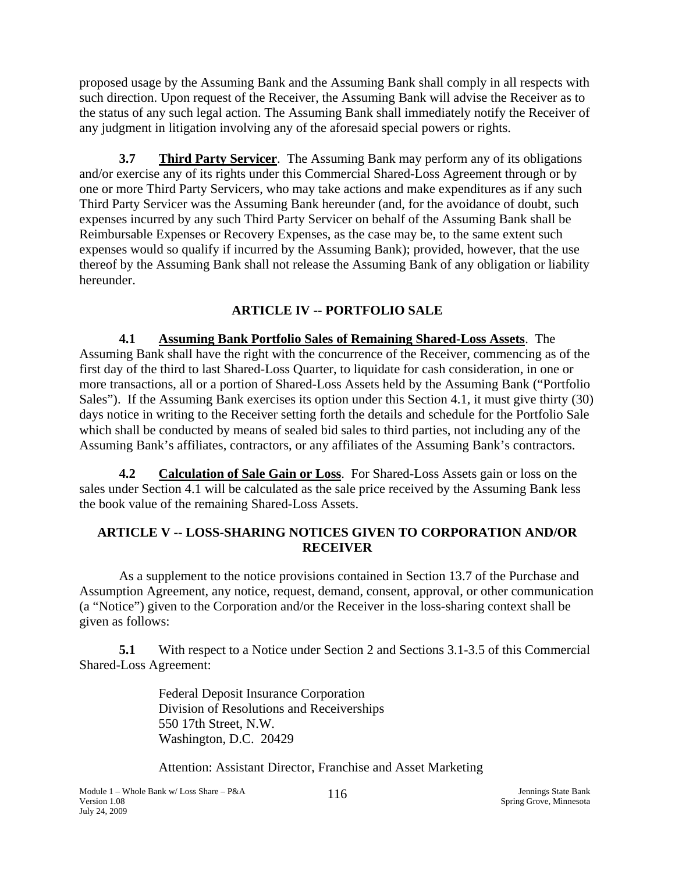proposed usage by the Assuming Bank and the Assuming Bank shall comply in all respects with such direction. Upon request of the Receiver, the Assuming Bank will advise the Receiver as to the status of any such legal action. The Assuming Bank shall immediately notify the Receiver of any judgment in litigation involving any of the aforesaid special powers or rights.

**3.7 Third Party Servicer**. The Assuming Bank may perform any of its obligations and/or exercise any of its rights under this Commercial Shared-Loss Agreement through or by one or more Third Party Servicers, who may take actions and make expenditures as if any such Third Party Servicer was the Assuming Bank hereunder (and, for the avoidance of doubt, such expenses incurred by any such Third Party Servicer on behalf of the Assuming Bank shall be Reimbursable Expenses or Recovery Expenses, as the case may be, to the same extent such expenses would so qualify if incurred by the Assuming Bank); provided, however, that the use thereof by the Assuming Bank shall not release the Assuming Bank of any obligation or liability hereunder.

## **ARTICLE IV -- PORTFOLIO SALE**

**4.1 Assuming Bank Portfolio Sales of Remaining Shared-Loss Assets**. The Assuming Bank shall have the right with the concurrence of the Receiver, commencing as of the first day of the third to last Shared-Loss Quarter, to liquidate for cash consideration, in one or more transactions, all or a portion of Shared-Loss Assets held by the Assuming Bank ("Portfolio Sales"). If the Assuming Bank exercises its option under this Section 4.1, it must give thirty (30) days notice in writing to the Receiver setting forth the details and schedule for the Portfolio Sale which shall be conducted by means of sealed bid sales to third parties, not including any of the Assuming Bank's affiliates, contractors, or any affiliates of the Assuming Bank's contractors.

**4.2 Calculation of Sale Gain or Loss**. For Shared-Loss Assets gain or loss on the sales under Section 4.1 will be calculated as the sale price received by the Assuming Bank less the book value of the remaining Shared-Loss Assets.

### **ARTICLE V -- LOSS-SHARING NOTICES GIVEN TO CORPORATION AND/OR RECEIVER**

As a supplement to the notice provisions contained in Section 13.7 of the Purchase and Assumption Agreement, any notice, request, demand, consent, approval, or other communication (a "Notice") given to the Corporation and/or the Receiver in the loss-sharing context shall be given as follows:

**5.1** With respect to a Notice under Section 2 and Sections 3.1-3.5 of this Commercial Shared-Loss Agreement:

> Federal Deposit Insurance Corporation Division of Resolutions and Receiverships 550 17th Street, N.W. Washington, D.C. 20429

### Attention: Assistant Director, Franchise and Asset Marketing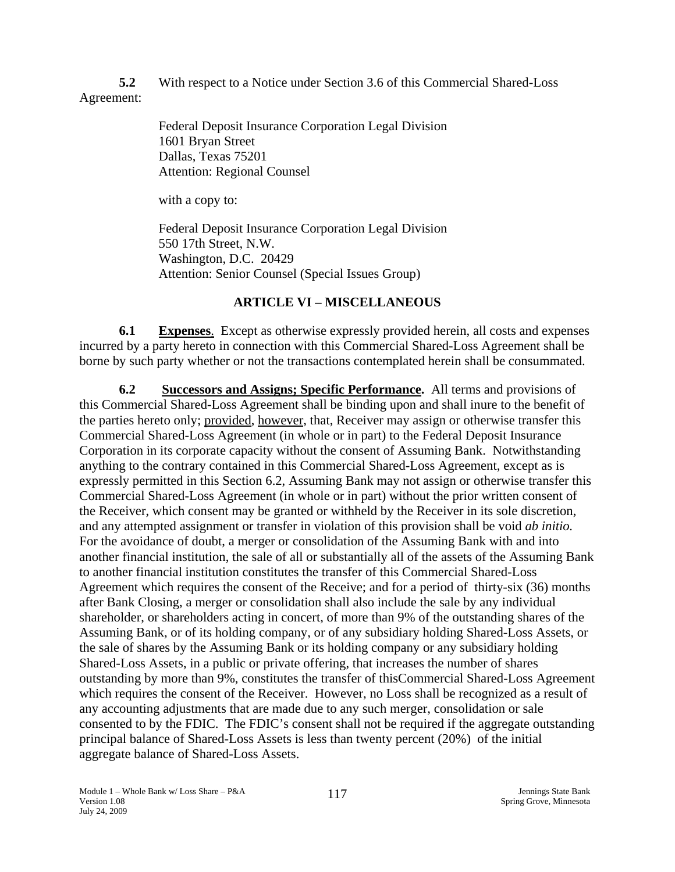**5.2** With respect to a Notice under Section 3.6 of this Commercial Shared-Loss Agreement:

> Federal Deposit Insurance Corporation Legal Division 1601 Bryan Street Dallas, Texas 75201 Attention: Regional Counsel

with a copy to:

Federal Deposit Insurance Corporation Legal Division 550 17th Street, N.W. Washington, D.C. 20429 Attention: Senior Counsel (Special Issues Group)

## **ARTICLE VI – MISCELLANEOUS**

 **6.1 Expenses**. Except as otherwise expressly provided herein, all costs and expenses incurred by a party hereto in connection with this Commercial Shared-Loss Agreement shall be borne by such party whether or not the transactions contemplated herein shall be consummated.

**6.2** Successors and Assigns; Specific Performance. All terms and provisions of this Commercial Shared-Loss Agreement shall be binding upon and shall inure to the benefit of the parties hereto only; provided, however, that, Receiver may assign or otherwise transfer this Commercial Shared-Loss Agreement (in whole or in part) to the Federal Deposit Insurance Corporation in its corporate capacity without the consent of Assuming Bank. Notwithstanding anything to the contrary contained in this Commercial Shared-Loss Agreement, except as is expressly permitted in this Section 6.2, Assuming Bank may not assign or otherwise transfer this Commercial Shared-Loss Agreement (in whole or in part) without the prior written consent of the Receiver, which consent may be granted or withheld by the Receiver in its sole discretion, and any attempted assignment or transfer in violation of this provision shall be void *ab initio.*  For the avoidance of doubt, a merger or consolidation of the Assuming Bank with and into another financial institution, the sale of all or substantially all of the assets of the Assuming Bank to another financial institution constitutes the transfer of this Commercial Shared-Loss Agreement which requires the consent of the Receive; and for a period of thirty-six (36) months after Bank Closing, a merger or consolidation shall also include the sale by any individual shareholder, or shareholders acting in concert, of more than 9% of the outstanding shares of the Assuming Bank, or of its holding company, or of any subsidiary holding Shared-Loss Assets, or the sale of shares by the Assuming Bank or its holding company or any subsidiary holding Shared-Loss Assets, in a public or private offering, that increases the number of shares outstanding by more than 9%, constitutes the transfer of thisCommercial Shared-Loss Agreement which requires the consent of the Receiver. However, no Loss shall be recognized as a result of any accounting adjustments that are made due to any such merger, consolidation or sale consented to by the FDIC. The FDIC's consent shall not be required if the aggregate outstanding principal balance of Shared-Loss Assets is less than twenty percent (20%) of the initial aggregate balance of Shared-Loss Assets.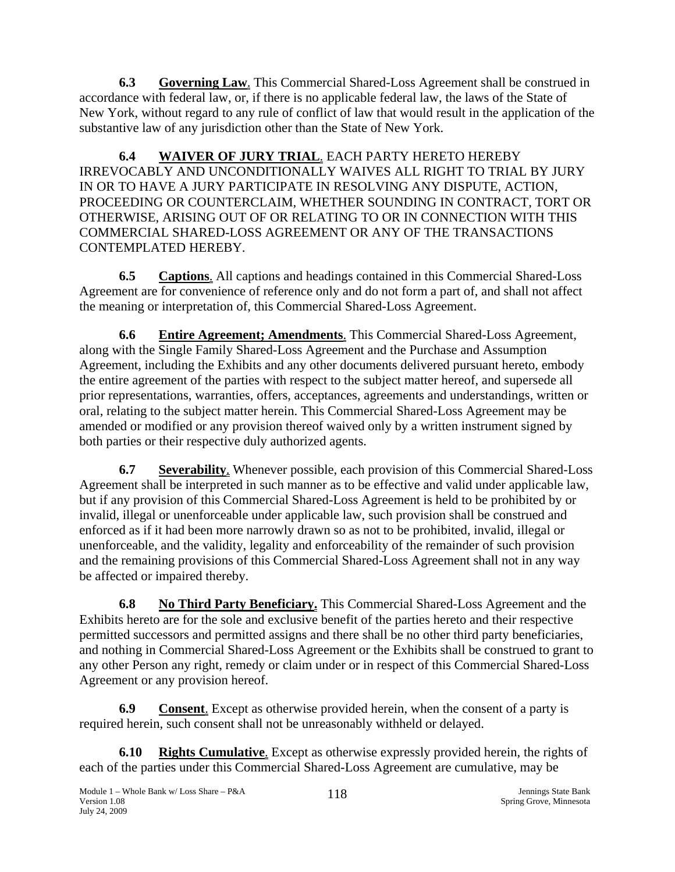**6.3** Governing Law. This Commercial Shared-Loss Agreement shall be construed in accordance with federal law, or, if there is no applicable federal law, the laws of the State of New York, without regard to any rule of conflict of law that would result in the application of the substantive law of any jurisdiction other than the State of New York.

**6.4 WAIVER OF JURY TRIAL**. EACH PARTY HERETO HEREBY IRREVOCABLY AND UNCONDITIONALLY WAIVES ALL RIGHT TO TRIAL BY JURY IN OR TO HAVE A JURY PARTICIPATE IN RESOLVING ANY DISPUTE, ACTION, PROCEEDING OR COUNTERCLAIM, WHETHER SOUNDING IN CONTRACT, TORT OR OTHERWISE, ARISING OUT OF OR RELATING TO OR IN CONNECTION WITH THIS COMMERCIAL SHARED-LOSS AGREEMENT OR ANY OF THE TRANSACTIONS CONTEMPLATED HEREBY.

**6.5 Captions**. All captions and headings contained in this Commercial Shared-Loss Agreement are for convenience of reference only and do not form a part of, and shall not affect the meaning or interpretation of, this Commercial Shared-Loss Agreement.

**6.6 Entire Agreement; Amendments**. This Commercial Shared-Loss Agreement, along with the Single Family Shared-Loss Agreement and the Purchase and Assumption Agreement, including the Exhibits and any other documents delivered pursuant hereto, embody the entire agreement of the parties with respect to the subject matter hereof, and supersede all prior representations, warranties, offers, acceptances, agreements and understandings, written or oral, relating to the subject matter herein. This Commercial Shared-Loss Agreement may be amended or modified or any provision thereof waived only by a written instrument signed by both parties or their respective duly authorized agents.

**6.7 Severability**. Whenever possible, each provision of this Commercial Shared-Loss Agreement shall be interpreted in such manner as to be effective and valid under applicable law, but if any provision of this Commercial Shared-Loss Agreement is held to be prohibited by or invalid, illegal or unenforceable under applicable law, such provision shall be construed and enforced as if it had been more narrowly drawn so as not to be prohibited, invalid, illegal or unenforceable, and the validity, legality and enforceability of the remainder of such provision and the remaining provisions of this Commercial Shared-Loss Agreement shall not in any way be affected or impaired thereby.

**6.8 No Third Party Beneficiary.** This Commercial Shared-Loss Agreement and the Exhibits hereto are for the sole and exclusive benefit of the parties hereto and their respective permitted successors and permitted assigns and there shall be no other third party beneficiaries, and nothing in Commercial Shared-Loss Agreement or the Exhibits shall be construed to grant to any other Person any right, remedy or claim under or in respect of this Commercial Shared-Loss Agreement or any provision hereof.

**6.9 Consent**. Except as otherwise provided herein, when the consent of a party is required herein, such consent shall not be unreasonably withheld or delayed.

**6.10 Rights Cumulative**. Except as otherwise expressly provided herein, the rights of each of the parties under this Commercial Shared-Loss Agreement are cumulative, may be